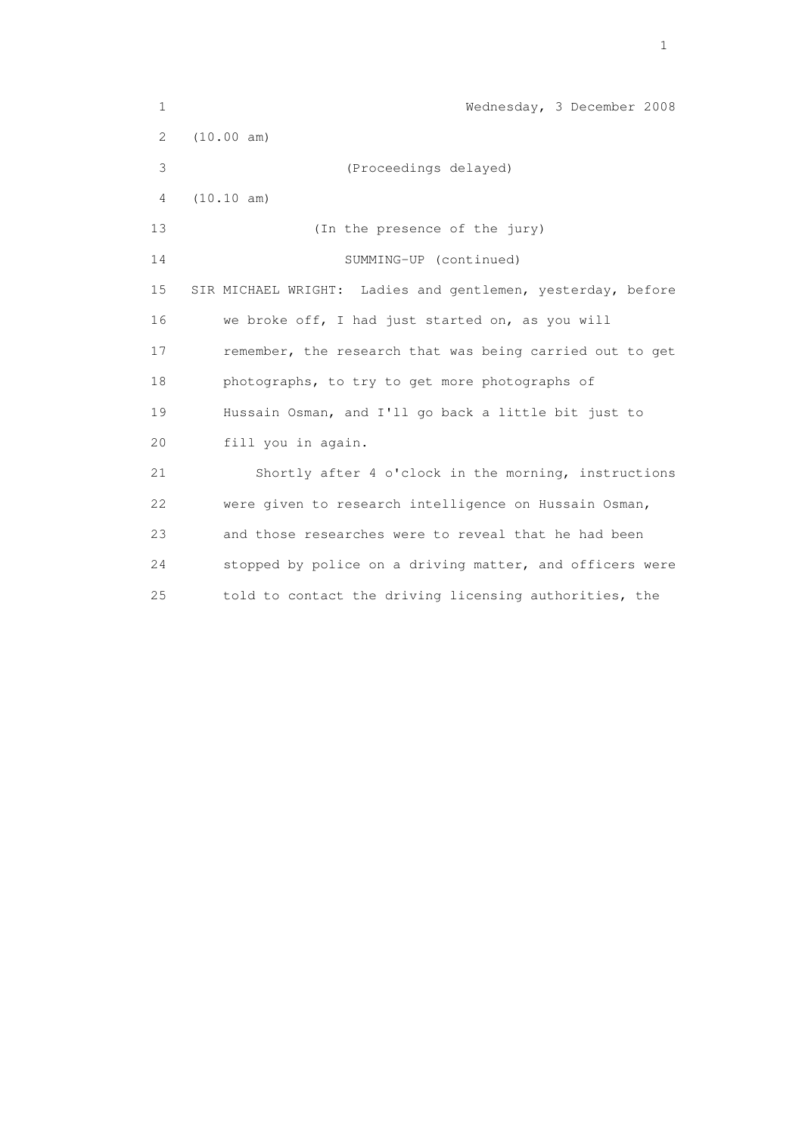| $\mathbf 1$ | Wednesday, 3 December 2008                                  |
|-------------|-------------------------------------------------------------|
| 2           | (10.00 am)                                                  |
| 3           | (Proceedings delayed)                                       |
| 4           | (10.10 am)                                                  |
| 13          | (In the presence of the jury)                               |
| 14          | SUMMING-UP (continued)                                      |
| 15          | SIR MICHAEL WRIGHT: Ladies and gentlemen, yesterday, before |
| 16          | we broke off, I had just started on, as you will            |
| 17          | remember, the research that was being carried out to get    |
| 18          | photographs, to try to get more photographs of              |
| 19          | Hussain Osman, and I'll go back a little bit just to        |
| 20          | fill you in again.                                          |
| 21          | Shortly after 4 o'clock in the morning, instructions        |
| 22          | were given to research intelligence on Hussain Osman,       |
| 23          | and those researches were to reveal that he had been        |
| 24          | stopped by police on a driving matter, and officers were    |
| 25          | told to contact the driving licensing authorities, the      |

the contract of the contract of the contract of the contract of the contract of the contract of the contract of the contract of the contract of the contract of the contract of the contract of the contract of the contract o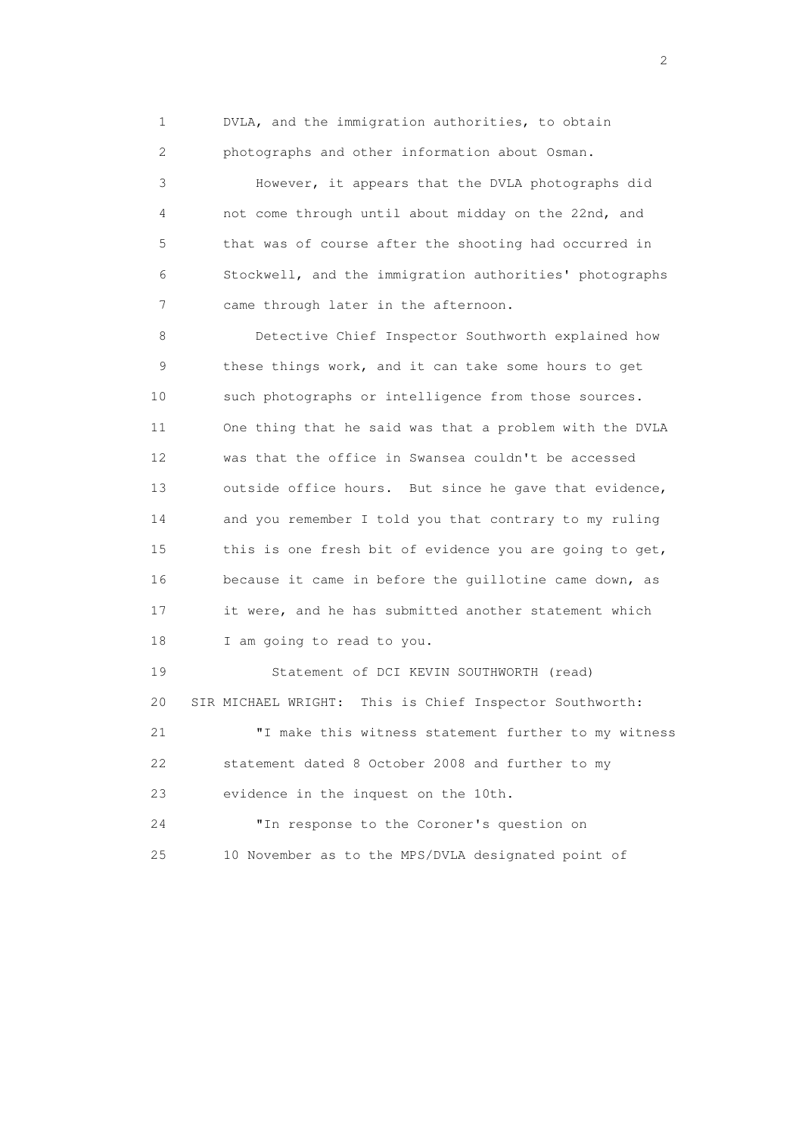1 DVLA, and the immigration authorities, to obtain 2 photographs and other information about Osman.

 3 However, it appears that the DVLA photographs did 4 not come through until about midday on the 22nd, and 5 that was of course after the shooting had occurred in 6 Stockwell, and the immigration authorities' photographs 7 came through later in the afternoon.

 8 Detective Chief Inspector Southworth explained how 9 these things work, and it can take some hours to get 10 such photographs or intelligence from those sources. 11 One thing that he said was that a problem with the DVLA 12 was that the office in Swansea couldn't be accessed 13 outside office hours. But since he gave that evidence, 14 and you remember I told you that contrary to my ruling 15 this is one fresh bit of evidence you are going to get, 16 because it came in before the guillotine came down, as 17 it were, and he has submitted another statement which 18 I am going to read to you.

 19 Statement of DCI KEVIN SOUTHWORTH (read) 20 SIR MICHAEL WRIGHT: This is Chief Inspector Southworth: 21 "I make this witness statement further to my witness 22 statement dated 8 October 2008 and further to my 23 evidence in the inquest on the 10th. 24 "In response to the Coroner's question on 25 10 November as to the MPS/DVLA designated point of

 $\overline{2}$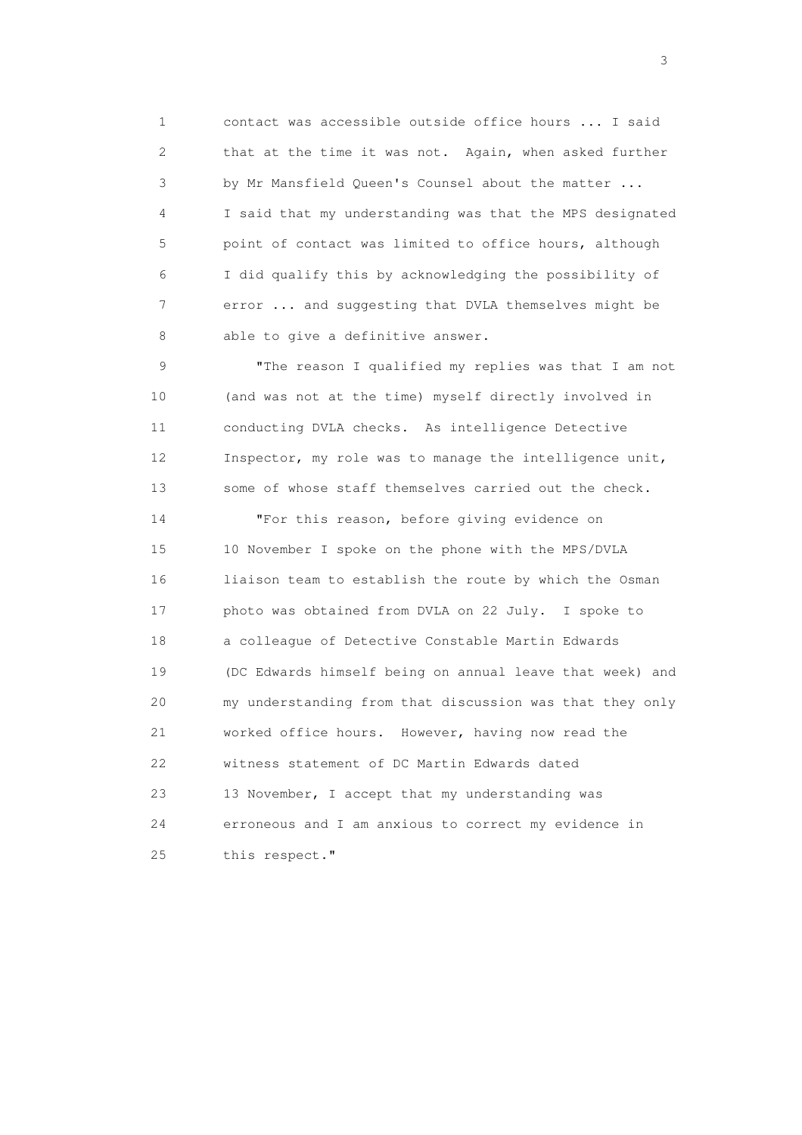1 contact was accessible outside office hours ... I said 2 that at the time it was not. Again, when asked further 3 by Mr Mansfield Queen's Counsel about the matter ... 4 I said that my understanding was that the MPS designated 5 point of contact was limited to office hours, although 6 I did qualify this by acknowledging the possibility of 7 error ... and suggesting that DVLA themselves might be 8 able to give a definitive answer.

 9 "The reason I qualified my replies was that I am not 10 (and was not at the time) myself directly involved in 11 conducting DVLA checks. As intelligence Detective 12 Inspector, my role was to manage the intelligence unit, 13 some of whose staff themselves carried out the check.

 14 "For this reason, before giving evidence on 15 10 November I spoke on the phone with the MPS/DVLA 16 liaison team to establish the route by which the Osman 17 photo was obtained from DVLA on 22 July. I spoke to 18 a colleague of Detective Constable Martin Edwards 19 (DC Edwards himself being on annual leave that week) and 20 my understanding from that discussion was that they only 21 worked office hours. However, having now read the 22 witness statement of DC Martin Edwards dated 23 13 November, I accept that my understanding was 24 erroneous and I am anxious to correct my evidence in 25 this respect."

 $\sim$  3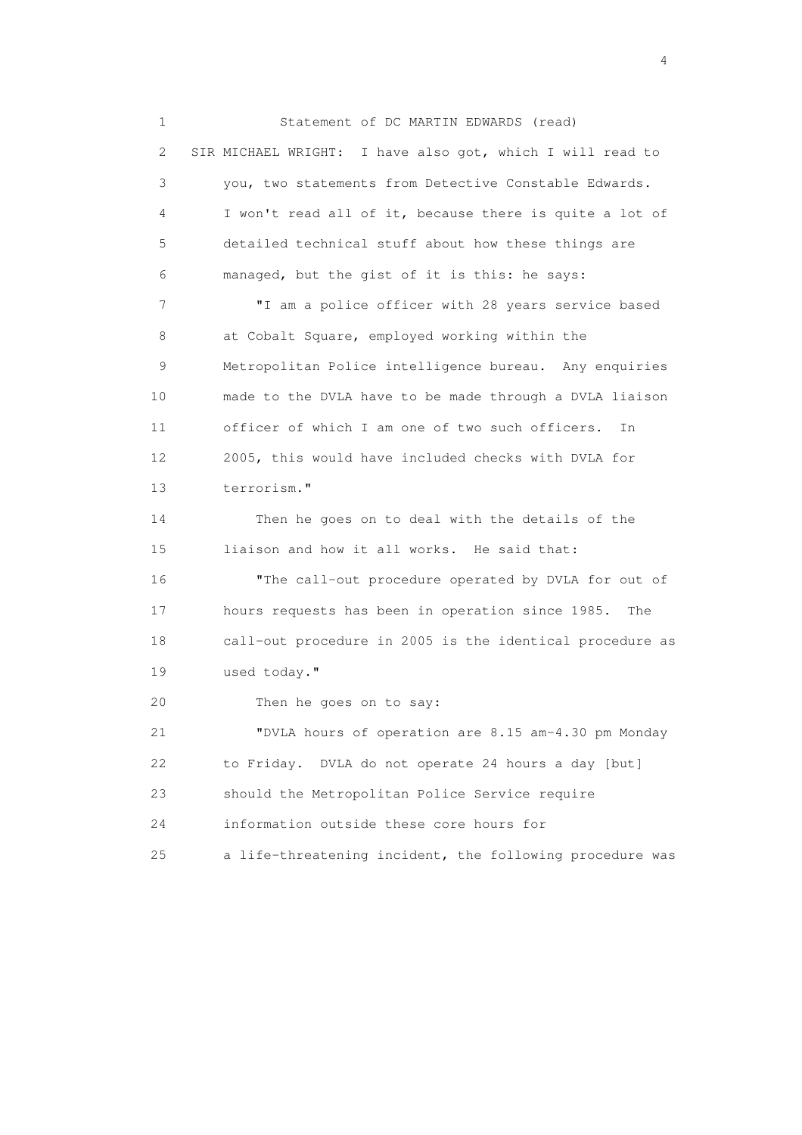1 Statement of DC MARTIN EDWARDS (read) 2 SIR MICHAEL WRIGHT: I have also got, which I will read to 3 you, two statements from Detective Constable Edwards. 4 I won't read all of it, because there is quite a lot of 5 detailed technical stuff about how these things are 6 managed, but the gist of it is this: he says: 7 "I am a police officer with 28 years service based 8 at Cobalt Square, employed working within the 9 Metropolitan Police intelligence bureau. Any enquiries 10 made to the DVLA have to be made through a DVLA liaison 11 officer of which I am one of two such officers. In 12 2005, this would have included checks with DVLA for 13 terrorism." 14 Then he goes on to deal with the details of the 15 liaison and how it all works. He said that: 16 "The call-out procedure operated by DVLA for out of 17 hours requests has been in operation since 1985. The 18 call-out procedure in 2005 is the identical procedure as 19 used today." 20 Then he goes on to say: 21 "DVLA hours of operation are 8.15 am-4.30 pm Monday 22 to Friday. DVLA do not operate 24 hours a day [but] 23 should the Metropolitan Police Service require 24 information outside these core hours for 25 a life-threatening incident, the following procedure was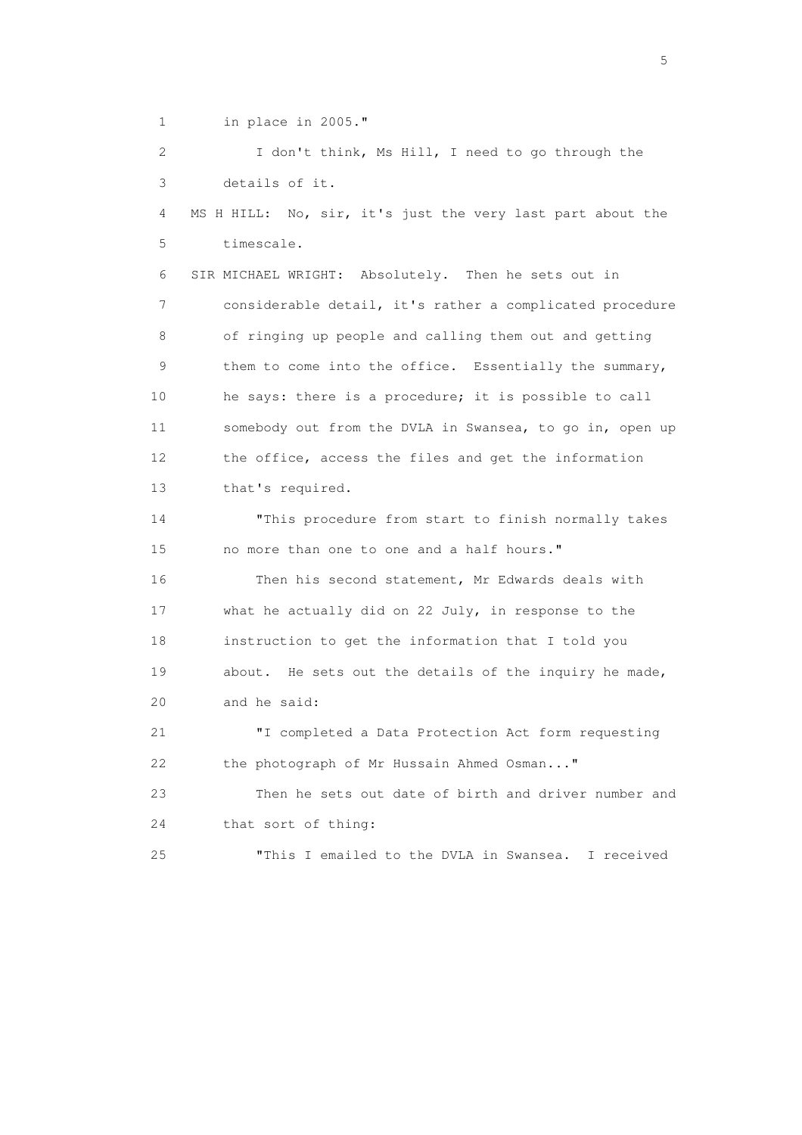1 in place in 2005."

 2 I don't think, Ms Hill, I need to go through the 3 details of it. 4 MS H HILL: No, sir, it's just the very last part about the 5 timescale. 6 SIR MICHAEL WRIGHT: Absolutely. Then he sets out in 7 considerable detail, it's rather a complicated procedure 8 of ringing up people and calling them out and getting 9 them to come into the office. Essentially the summary, 10 he says: there is a procedure; it is possible to call 11 somebody out from the DVLA in Swansea, to go in, open up 12 the office, access the files and get the information 13 that's required. 14 "This procedure from start to finish normally takes 15 no more than one to one and a half hours." 16 Then his second statement, Mr Edwards deals with 17 what he actually did on 22 July, in response to the 18 instruction to get the information that I told you 19 about. He sets out the details of the inquiry he made, 20 and he said: 21 "I completed a Data Protection Act form requesting 22 the photograph of Mr Hussain Ahmed Osman..." 23 Then he sets out date of birth and driver number and 24 that sort of thing: 25 "This I emailed to the DVLA in Swansea. I received

 $\sim$  5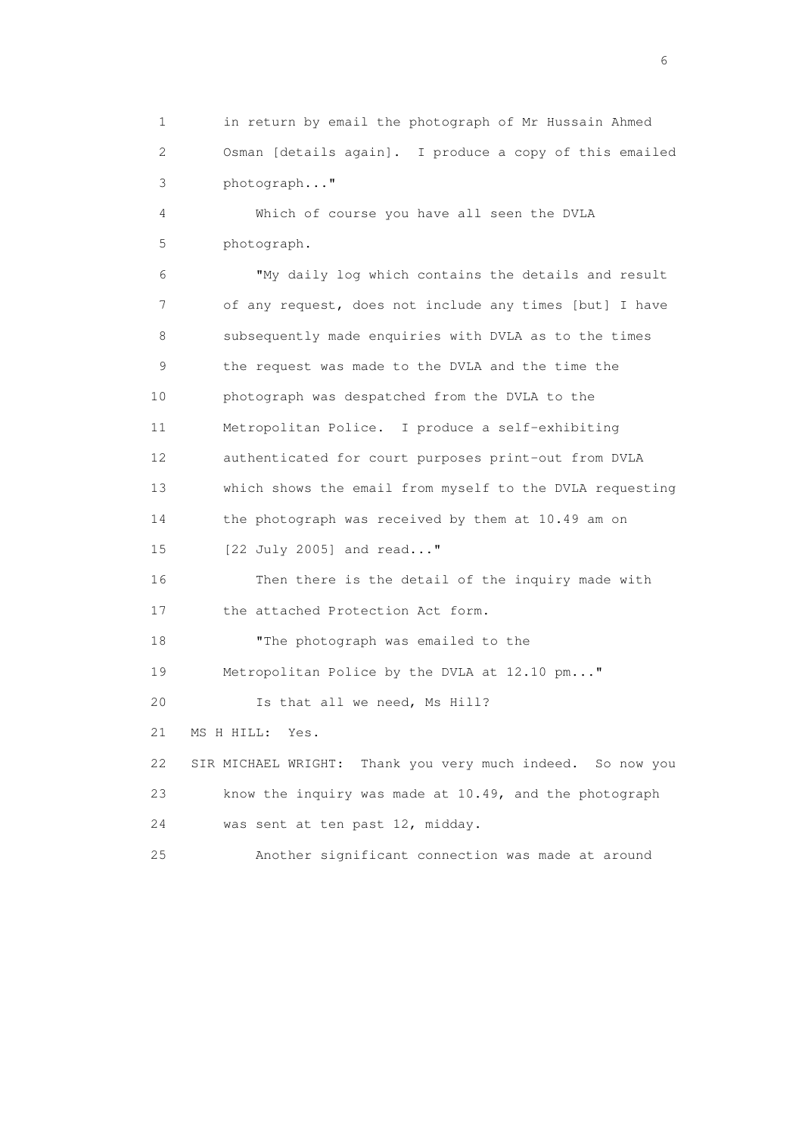1 in return by email the photograph of Mr Hussain Ahmed 2 Osman [details again]. I produce a copy of this emailed 3 photograph..."

 4 Which of course you have all seen the DVLA 5 photograph.

 6 "My daily log which contains the details and result 7 of any request, does not include any times [but] I have 8 subsequently made enquiries with DVLA as to the times 9 the request was made to the DVLA and the time the 10 photograph was despatched from the DVLA to the 11 Metropolitan Police. I produce a self-exhibiting 12 authenticated for court purposes print-out from DVLA 13 which shows the email from myself to the DVLA requesting 14 the photograph was received by them at 10.49 am on 15 [22 July 2005] and read..." 16 Then there is the detail of the inquiry made with 17 the attached Protection Act form. 18 "The photograph was emailed to the 19 Metropolitan Police by the DVLA at 12.10 pm..." 20 Is that all we need, Ms Hill? 21 MS H HILL: Yes. 22 SIR MICHAEL WRIGHT: Thank you very much indeed. So now you 23 know the inquiry was made at 10.49, and the photograph 24 was sent at ten past 12, midday. 25 Another significant connection was made at around

 $\sim$  6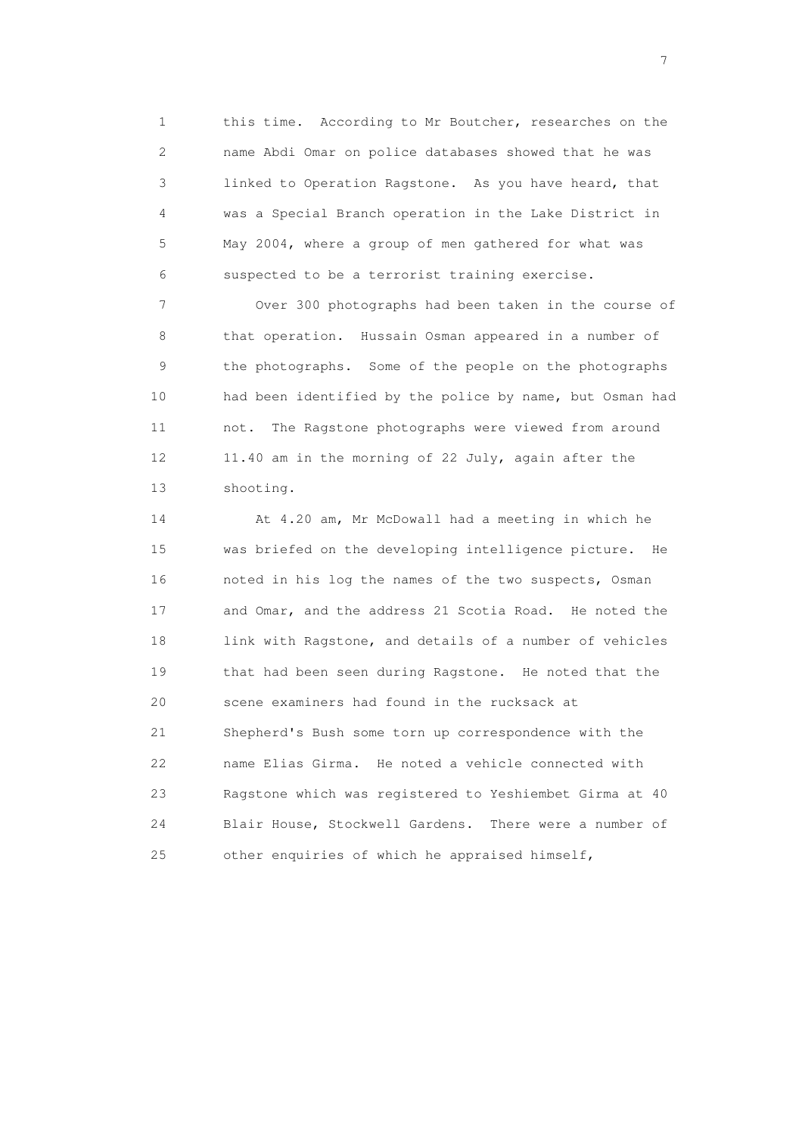1 this time. According to Mr Boutcher, researches on the 2 name Abdi Omar on police databases showed that he was 3 linked to Operation Ragstone. As you have heard, that 4 was a Special Branch operation in the Lake District in 5 May 2004, where a group of men gathered for what was 6 suspected to be a terrorist training exercise.

 7 Over 300 photographs had been taken in the course of 8 that operation. Hussain Osman appeared in a number of 9 the photographs. Some of the people on the photographs 10 had been identified by the police by name, but Osman had 11 not. The Ragstone photographs were viewed from around 12 11.40 am in the morning of 22 July, again after the 13 shooting.

 14 At 4.20 am, Mr McDowall had a meeting in which he 15 was briefed on the developing intelligence picture. He 16 noted in his log the names of the two suspects, Osman 17 and Omar, and the address 21 Scotia Road. He noted the 18 link with Ragstone, and details of a number of vehicles 19 that had been seen during Ragstone. He noted that the 20 scene examiners had found in the rucksack at 21 Shepherd's Bush some torn up correspondence with the 22 name Elias Girma. He noted a vehicle connected with 23 Ragstone which was registered to Yeshiembet Girma at 40 24 Blair House, Stockwell Gardens. There were a number of 25 other enquiries of which he appraised himself,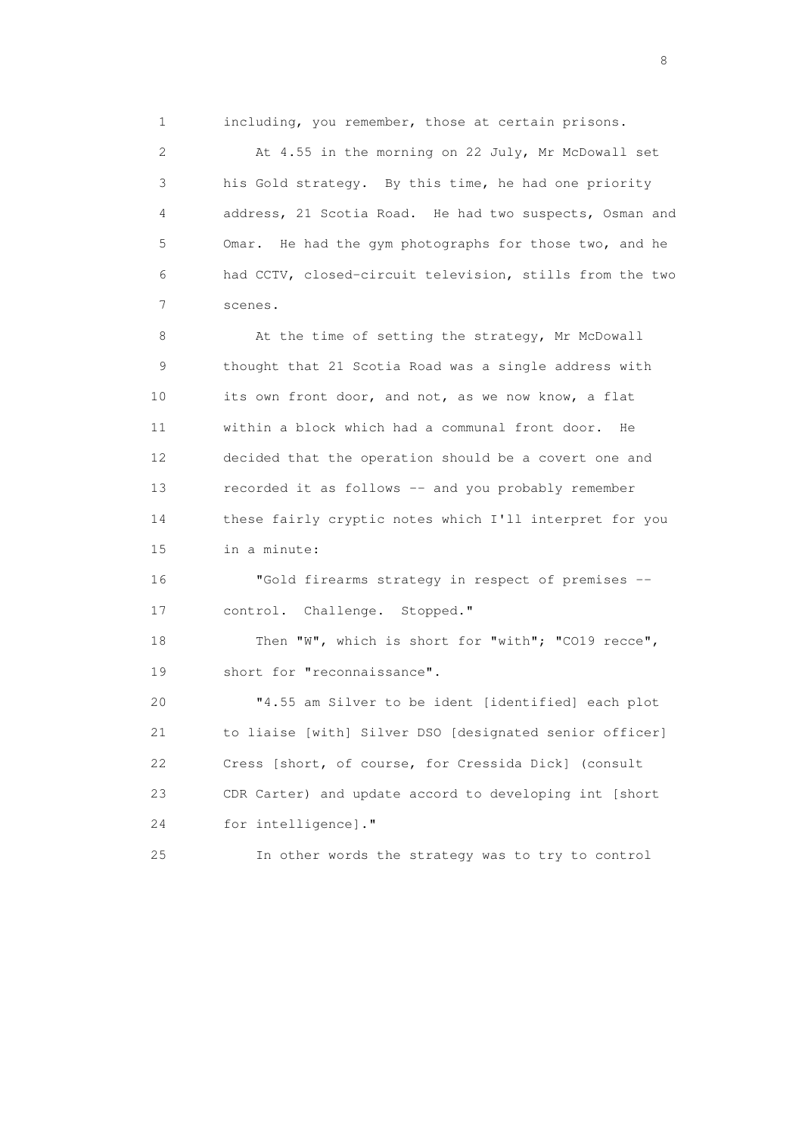1 including, you remember, those at certain prisons.

 2 At 4.55 in the morning on 22 July, Mr McDowall set 3 his Gold strategy. By this time, he had one priority 4 address, 21 Scotia Road. He had two suspects, Osman and 5 Omar. He had the gym photographs for those two, and he 6 had CCTV, closed-circuit television, stills from the two 7 scenes.

8 At the time of setting the strategy, Mr McDowall 9 thought that 21 Scotia Road was a single address with 10 its own front door, and not, as we now know, a flat 11 within a block which had a communal front door. He 12 decided that the operation should be a covert one and 13 recorded it as follows -- and you probably remember 14 these fairly cryptic notes which I'll interpret for you 15 in a minute:

 16 "Gold firearms strategy in respect of premises -- 17 control. Challenge. Stopped."

18 Then "W", which is short for "with"; "CO19 recce", 19 short for "reconnaissance".

 20 "4.55 am Silver to be ident [identified] each plot 21 to liaise [with] Silver DSO [designated senior officer] 22 Cress [short, of course, for Cressida Dick] (consult 23 CDR Carter) and update accord to developing int [short 24 for intelligence]."

25 In other words the strategy was to try to control

en de la construction de la construction de la construction de la construction de la construction de la constr<br>En 1980, en 1980, en 1980, en 1980, en 1980, en 1980, en 1980, en 1980, en 1980, en 1980, en 1980, en 1980, en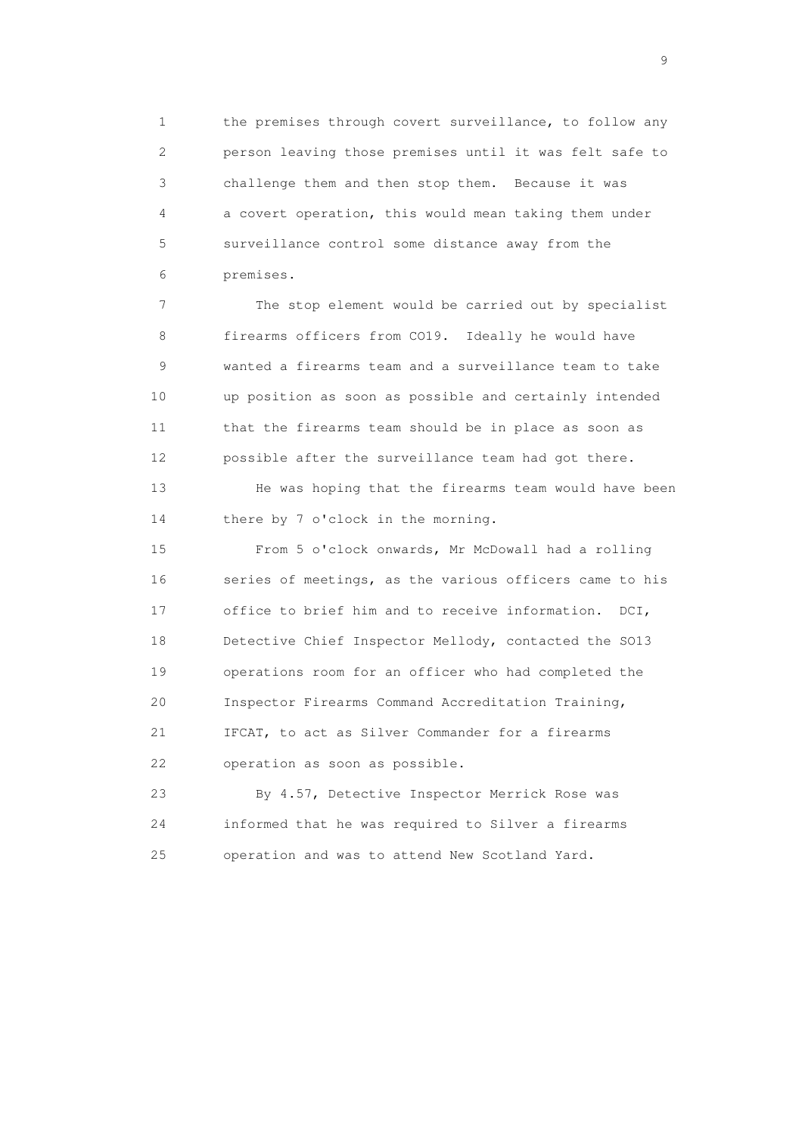1 the premises through covert surveillance, to follow any 2 person leaving those premises until it was felt safe to 3 challenge them and then stop them. Because it was 4 a covert operation, this would mean taking them under 5 surveillance control some distance away from the 6 premises.

 7 The stop element would be carried out by specialist 8 firearms officers from CO19. Ideally he would have 9 wanted a firearms team and a surveillance team to take 10 up position as soon as possible and certainly intended 11 that the firearms team should be in place as soon as 12 possible after the surveillance team had got there.

 13 He was hoping that the firearms team would have been 14 there by 7 o'clock in the morning.

 15 From 5 o'clock onwards, Mr McDowall had a rolling 16 series of meetings, as the various officers came to his 17 office to brief him and to receive information. DCI, 18 Detective Chief Inspector Mellody, contacted the SO13 19 operations room for an officer who had completed the 20 Inspector Firearms Command Accreditation Training, 21 IFCAT, to act as Silver Commander for a firearms 22 operation as soon as possible.

 23 By 4.57, Detective Inspector Merrick Rose was 24 informed that he was required to Silver a firearms 25 operation and was to attend New Scotland Yard.

en de la construction de la construction de la construction de la construction de la construction de la constr<br>1911 : la construction de la construction de la construction de la construction de la construction de la const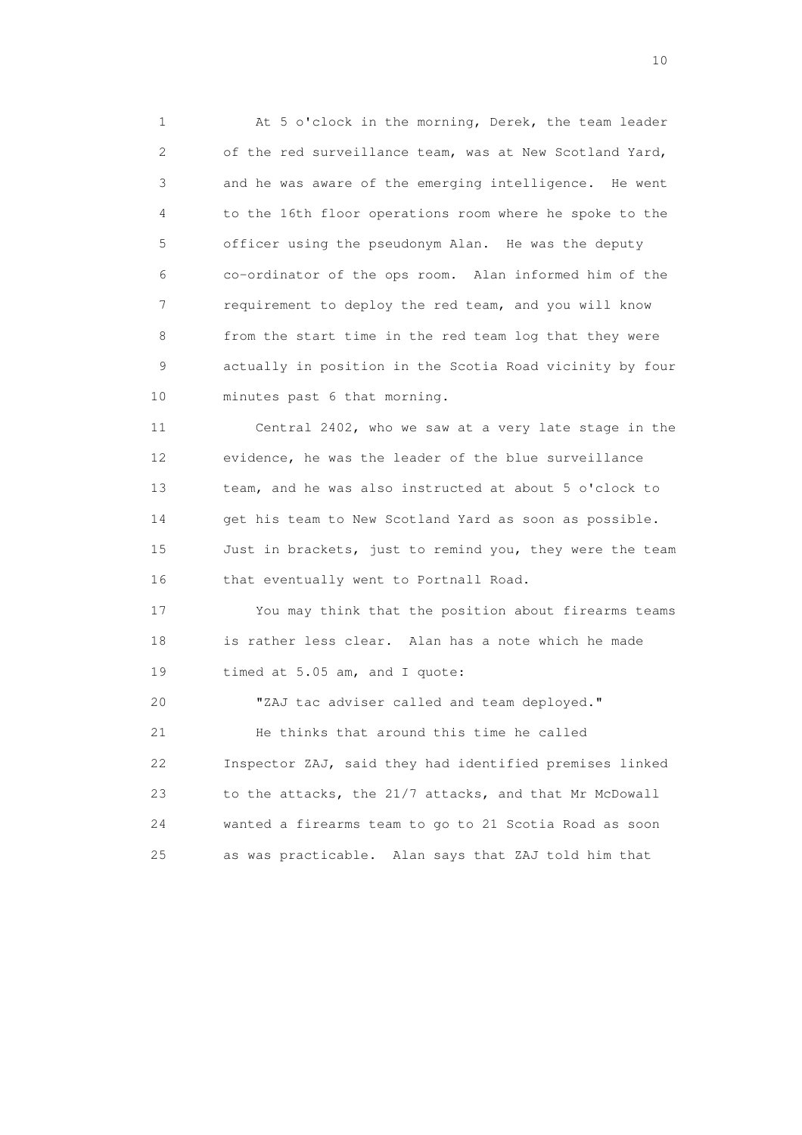1 At 5 o'clock in the morning, Derek, the team leader 2 of the red surveillance team, was at New Scotland Yard, 3 and he was aware of the emerging intelligence. He went 4 to the 16th floor operations room where he spoke to the 5 officer using the pseudonym Alan. He was the deputy 6 co-ordinator of the ops room. Alan informed him of the 7 requirement to deploy the red team, and you will know 8 from the start time in the red team log that they were 9 actually in position in the Scotia Road vicinity by four 10 minutes past 6 that morning.

 11 Central 2402, who we saw at a very late stage in the 12 evidence, he was the leader of the blue surveillance 13 team, and he was also instructed at about 5 o'clock to 14 get his team to New Scotland Yard as soon as possible. 15 Just in brackets, just to remind you, they were the team 16 that eventually went to Portnall Road.

 17 You may think that the position about firearms teams 18 is rather less clear. Alan has a note which he made 19 timed at 5.05 am, and I quote:

 20 "ZAJ tac adviser called and team deployed." 21 He thinks that around this time he called 22 Inspector ZAJ, said they had identified premises linked 23 to the attacks, the 21/7 attacks, and that Mr McDowall 24 wanted a firearms team to go to 21 Scotia Road as soon 25 as was practicable. Alan says that ZAJ told him that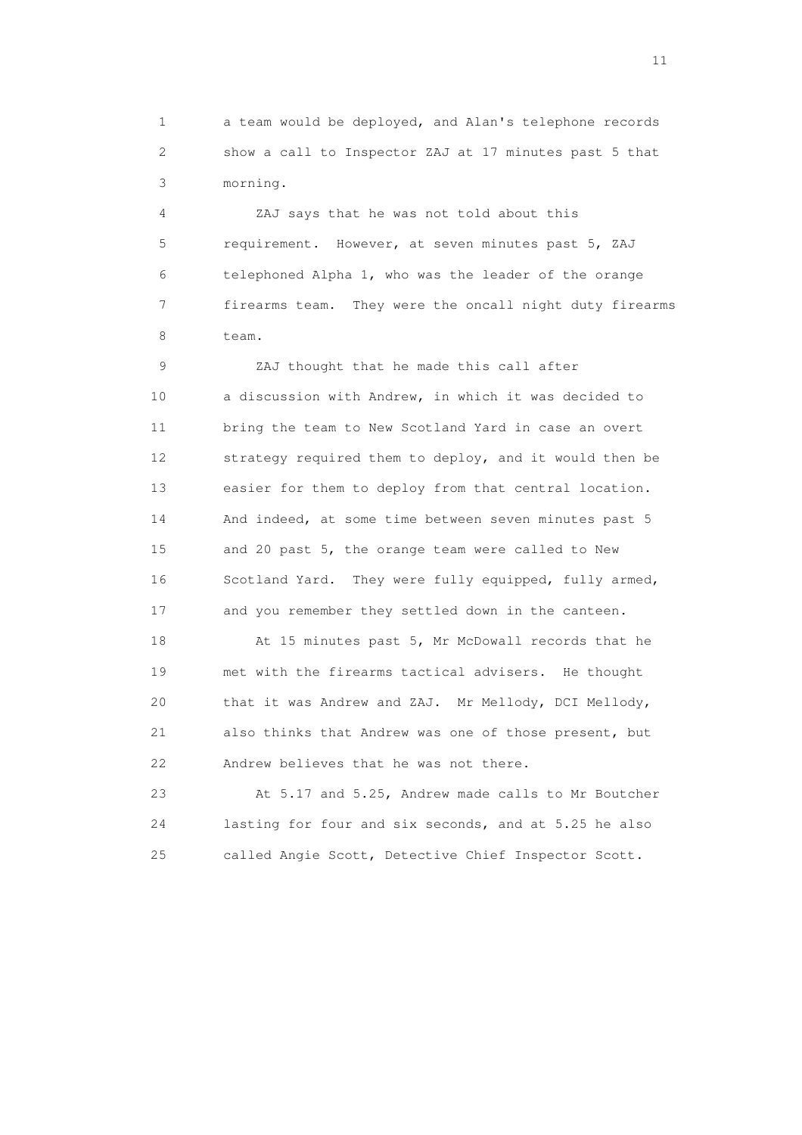1 a team would be deployed, and Alan's telephone records 2 show a call to Inspector ZAJ at 17 minutes past 5 that 3 morning.

 4 ZAJ says that he was not told about this 5 requirement. However, at seven minutes past 5, ZAJ 6 telephoned Alpha 1, who was the leader of the orange 7 firearms team. They were the oncall night duty firearms 8 team.

 9 ZAJ thought that he made this call after 10 a discussion with Andrew, in which it was decided to 11 bring the team to New Scotland Yard in case an overt 12 strategy required them to deploy, and it would then be 13 easier for them to deploy from that central location. 14 And indeed, at some time between seven minutes past 5 15 and 20 past 5, the orange team were called to New 16 Scotland Yard. They were fully equipped, fully armed, 17 and you remember they settled down in the canteen.

 18 At 15 minutes past 5, Mr McDowall records that he 19 met with the firearms tactical advisers. He thought 20 that it was Andrew and ZAJ. Mr Mellody, DCI Mellody, 21 also thinks that Andrew was one of those present, but 22 Andrew believes that he was not there.

 23 At 5.17 and 5.25, Andrew made calls to Mr Boutcher 24 lasting for four and six seconds, and at 5.25 he also 25 called Angie Scott, Detective Chief Inspector Scott.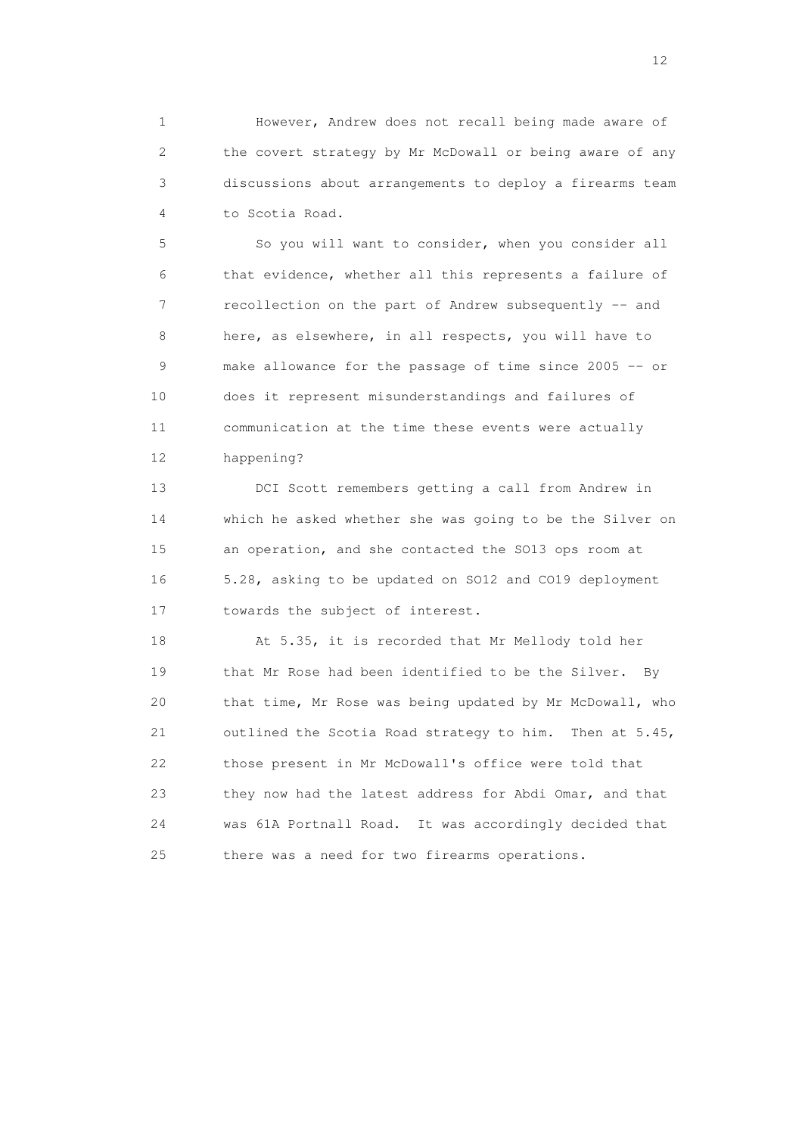1 However, Andrew does not recall being made aware of 2 the covert strategy by Mr McDowall or being aware of any 3 discussions about arrangements to deploy a firearms team 4 to Scotia Road.

 5 So you will want to consider, when you consider all 6 that evidence, whether all this represents a failure of 7 recollection on the part of Andrew subsequently -- and 8 here, as elsewhere, in all respects, you will have to 9 make allowance for the passage of time since 2005 -- or 10 does it represent misunderstandings and failures of 11 communication at the time these events were actually 12 happening?

 13 DCI Scott remembers getting a call from Andrew in 14 which he asked whether she was going to be the Silver on 15 an operation, and she contacted the SO13 ops room at 16 5.28, asking to be updated on SO12 and CO19 deployment 17 towards the subject of interest.

18 At 5.35, it is recorded that Mr Mellody told her 19 that Mr Rose had been identified to be the Silver. By 20 that time, Mr Rose was being updated by Mr McDowall, who 21 outlined the Scotia Road strategy to him. Then at 5.45, 22 those present in Mr McDowall's office were told that 23 they now had the latest address for Abdi Omar, and that 24 was 61A Portnall Road. It was accordingly decided that 25 there was a need for two firearms operations.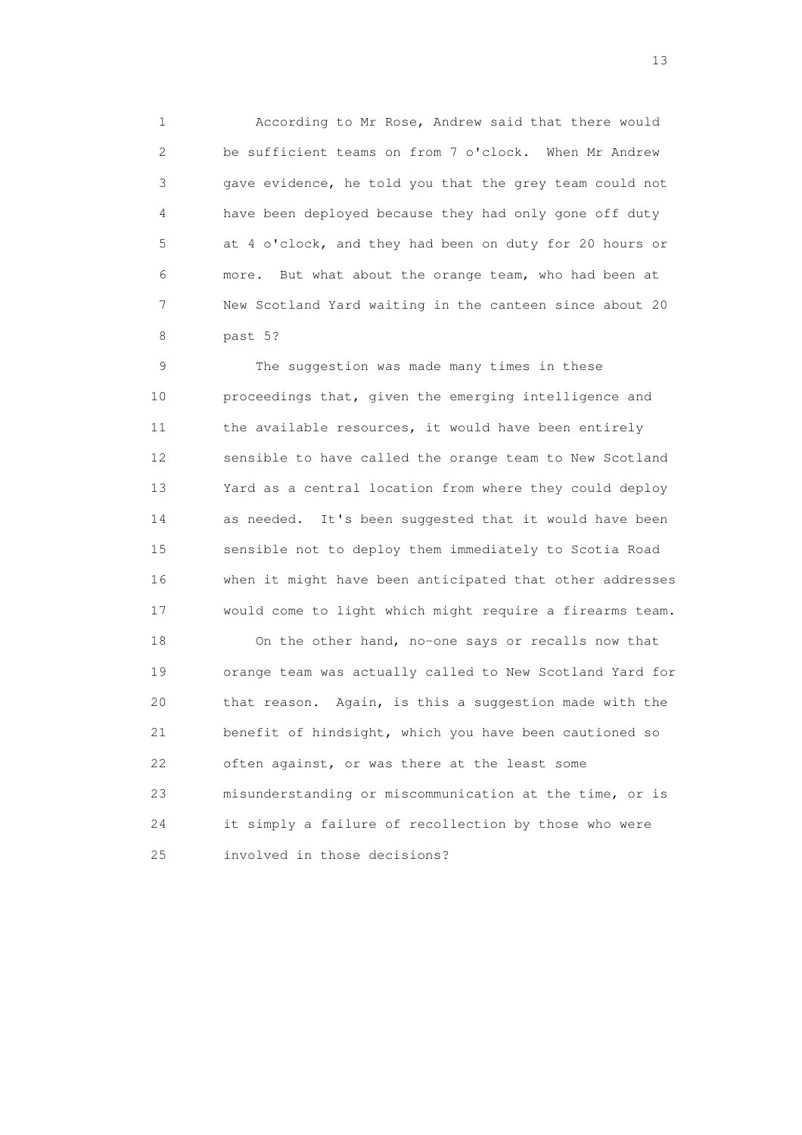1 According to Mr Rose, Andrew said that there would 2 be sufficient teams on from 7 o'clock. When Mr Andrew 3 gave evidence, he told you that the grey team could not 4 have been deployed because they had only gone off duty 5 at 4 o'clock, and they had been on duty for 20 hours or 6 more. But what about the orange team, who had been at 7 New Scotland Yard waiting in the canteen since about 20 8 past 5?

 9 The suggestion was made many times in these 10 proceedings that, given the emerging intelligence and 11 the available resources, it would have been entirely 12 sensible to have called the orange team to New Scotland 13 Yard as a central location from where they could deploy 14 as needed. It's been suggested that it would have been 15 sensible not to deploy them immediately to Scotia Road 16 when it might have been anticipated that other addresses 17 would come to light which might require a firearms team.

 18 On the other hand, no-one says or recalls now that 19 orange team was actually called to New Scotland Yard for 20 that reason. Again, is this a suggestion made with the 21 benefit of hindsight, which you have been cautioned so 22 often against, or was there at the least some 23 misunderstanding or miscommunication at the time, or is 24 it simply a failure of recollection by those who were 25 involved in those decisions?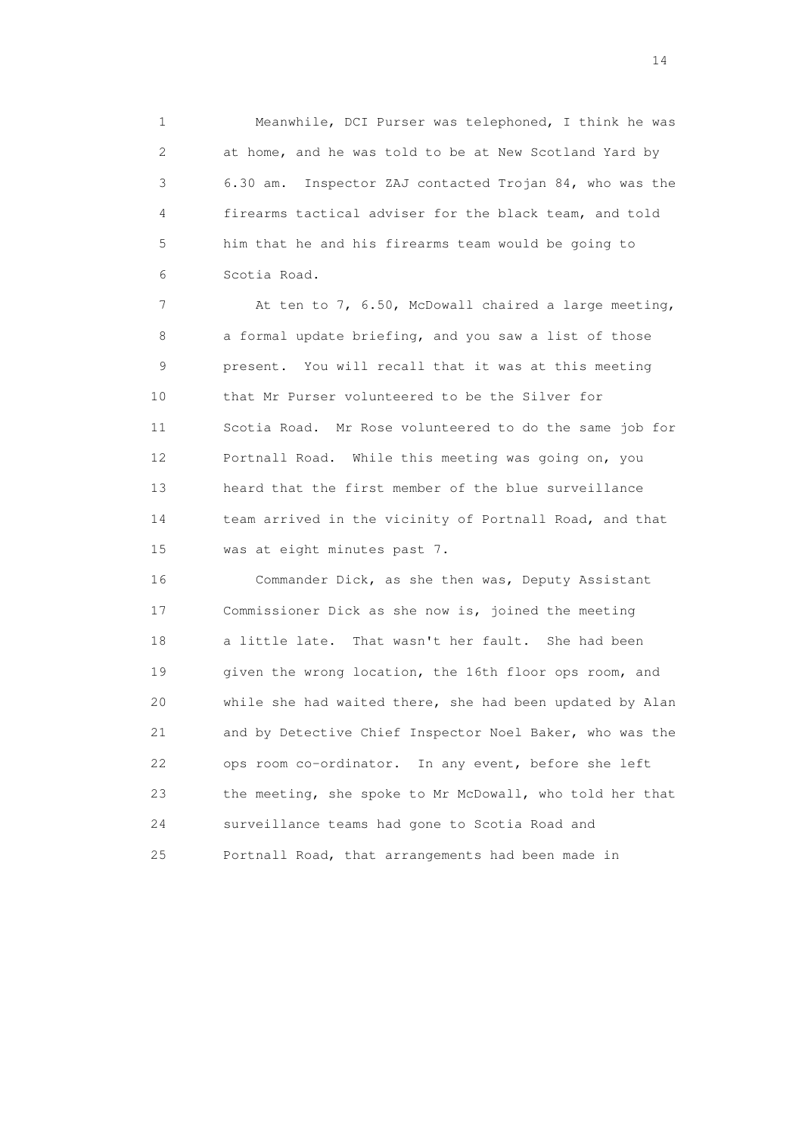1 Meanwhile, DCI Purser was telephoned, I think he was 2 at home, and he was told to be at New Scotland Yard by 3 6.30 am. Inspector ZAJ contacted Trojan 84, who was the 4 firearms tactical adviser for the black team, and told 5 him that he and his firearms team would be going to 6 Scotia Road.

 7 At ten to 7, 6.50, McDowall chaired a large meeting, 8 a formal update briefing, and you saw a list of those 9 present. You will recall that it was at this meeting 10 that Mr Purser volunteered to be the Silver for 11 Scotia Road. Mr Rose volunteered to do the same job for 12 Portnall Road. While this meeting was going on, you 13 heard that the first member of the blue surveillance 14 team arrived in the vicinity of Portnall Road, and that 15 was at eight minutes past 7.

 16 Commander Dick, as she then was, Deputy Assistant 17 Commissioner Dick as she now is, joined the meeting 18 a little late. That wasn't her fault. She had been 19 given the wrong location, the 16th floor ops room, and 20 while she had waited there, she had been updated by Alan 21 and by Detective Chief Inspector Noel Baker, who was the 22 ops room co-ordinator. In any event, before she left 23 the meeting, she spoke to Mr McDowall, who told her that 24 surveillance teams had gone to Scotia Road and 25 Portnall Road, that arrangements had been made in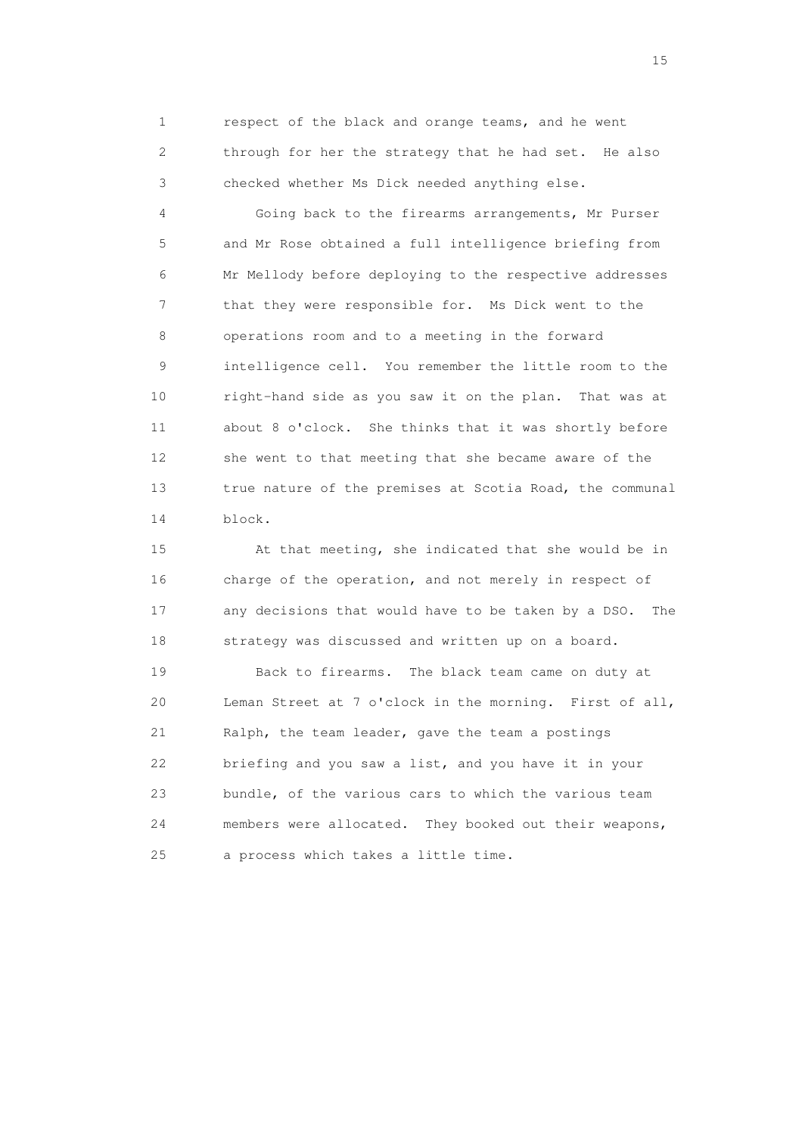1 respect of the black and orange teams, and he went 2 through for her the strategy that he had set. He also 3 checked whether Ms Dick needed anything else.

 4 Going back to the firearms arrangements, Mr Purser 5 and Mr Rose obtained a full intelligence briefing from 6 Mr Mellody before deploying to the respective addresses 7 that they were responsible for. Ms Dick went to the 8 operations room and to a meeting in the forward 9 intelligence cell. You remember the little room to the 10 right-hand side as you saw it on the plan. That was at 11 about 8 o'clock. She thinks that it was shortly before 12 she went to that meeting that she became aware of the 13 true nature of the premises at Scotia Road, the communal 14 block.

 15 At that meeting, she indicated that she would be in 16 charge of the operation, and not merely in respect of 17 any decisions that would have to be taken by a DSO. The 18 strategy was discussed and written up on a board.

 19 Back to firearms. The black team came on duty at 20 Leman Street at 7 o'clock in the morning. First of all, 21 Ralph, the team leader, gave the team a postings 22 briefing and you saw a list, and you have it in your 23 bundle, of the various cars to which the various team 24 members were allocated. They booked out their weapons, 25 a process which takes a little time.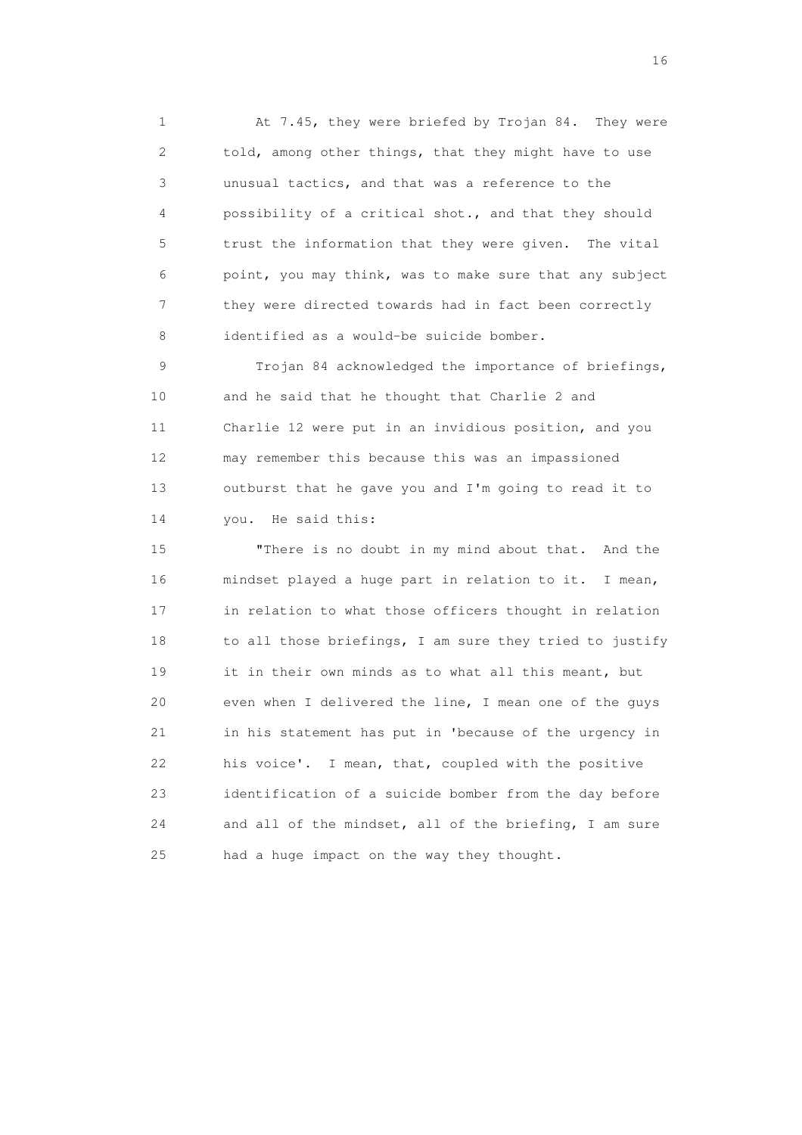1 At 7.45, they were briefed by Trojan 84. They were 2 told, among other things, that they might have to use 3 unusual tactics, and that was a reference to the 4 possibility of a critical shot., and that they should 5 trust the information that they were given. The vital 6 point, you may think, was to make sure that any subject 7 they were directed towards had in fact been correctly 8 identified as a would-be suicide bomber.

 9 Trojan 84 acknowledged the importance of briefings, 10 and he said that he thought that Charlie 2 and 11 Charlie 12 were put in an invidious position, and you 12 may remember this because this was an impassioned 13 outburst that he gave you and I'm going to read it to 14 you. He said this:

 15 "There is no doubt in my mind about that. And the 16 mindset played a huge part in relation to it. I mean, 17 in relation to what those officers thought in relation 18 to all those briefings, I am sure they tried to justify 19 it in their own minds as to what all this meant, but 20 even when I delivered the line, I mean one of the guys 21 in his statement has put in 'because of the urgency in 22 his voice'. I mean, that, coupled with the positive 23 identification of a suicide bomber from the day before 24 and all of the mindset, all of the briefing, I am sure 25 had a huge impact on the way they thought.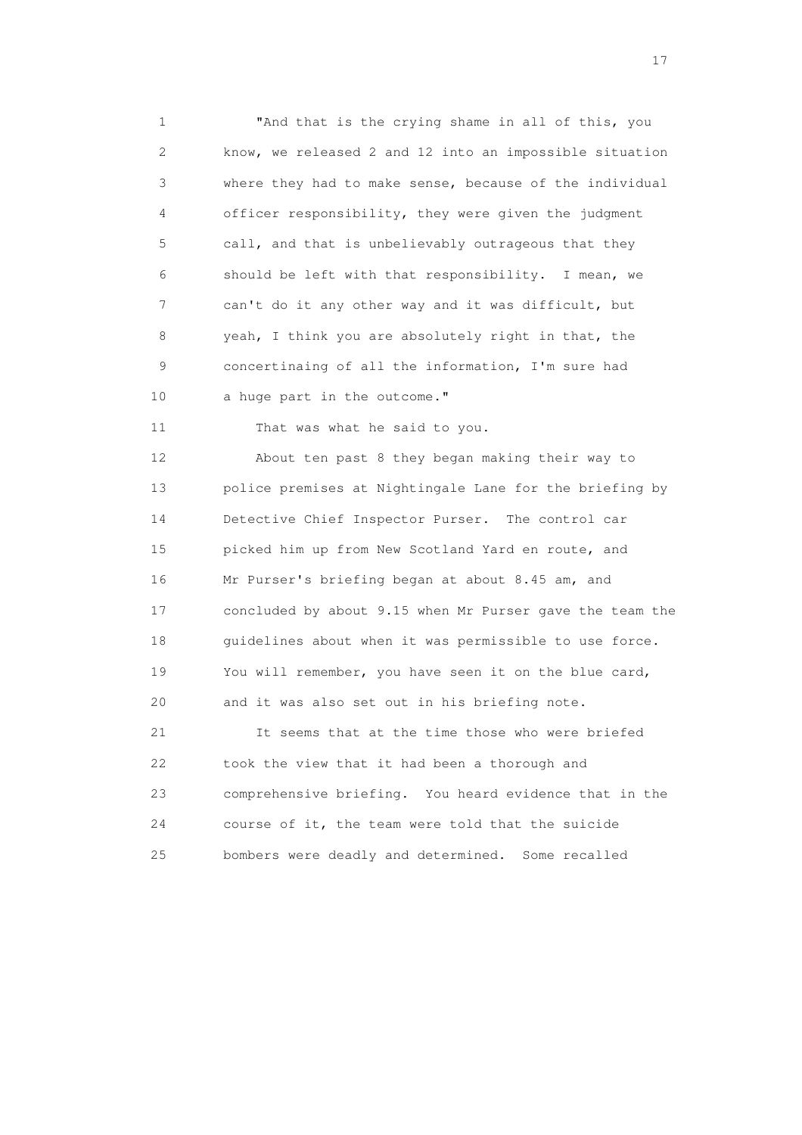1 "And that is the crying shame in all of this, you 2 know, we released 2 and 12 into an impossible situation 3 where they had to make sense, because of the individual 4 officer responsibility, they were given the judgment 5 call, and that is unbelievably outrageous that they 6 should be left with that responsibility. I mean, we 7 can't do it any other way and it was difficult, but 8 yeah, I think you are absolutely right in that, the 9 concertinaing of all the information, I'm sure had 10 a huge part in the outcome."

11 That was what he said to you.

 12 About ten past 8 they began making their way to 13 police premises at Nightingale Lane for the briefing by 14 Detective Chief Inspector Purser. The control car 15 picked him up from New Scotland Yard en route, and 16 Mr Purser's briefing began at about 8.45 am, and 17 concluded by about 9.15 when Mr Purser gave the team the 18 guidelines about when it was permissible to use force. 19 You will remember, you have seen it on the blue card, 20 and it was also set out in his briefing note.

 21 It seems that at the time those who were briefed 22 took the view that it had been a thorough and 23 comprehensive briefing. You heard evidence that in the 24 course of it, the team were told that the suicide 25 bombers were deadly and determined. Some recalled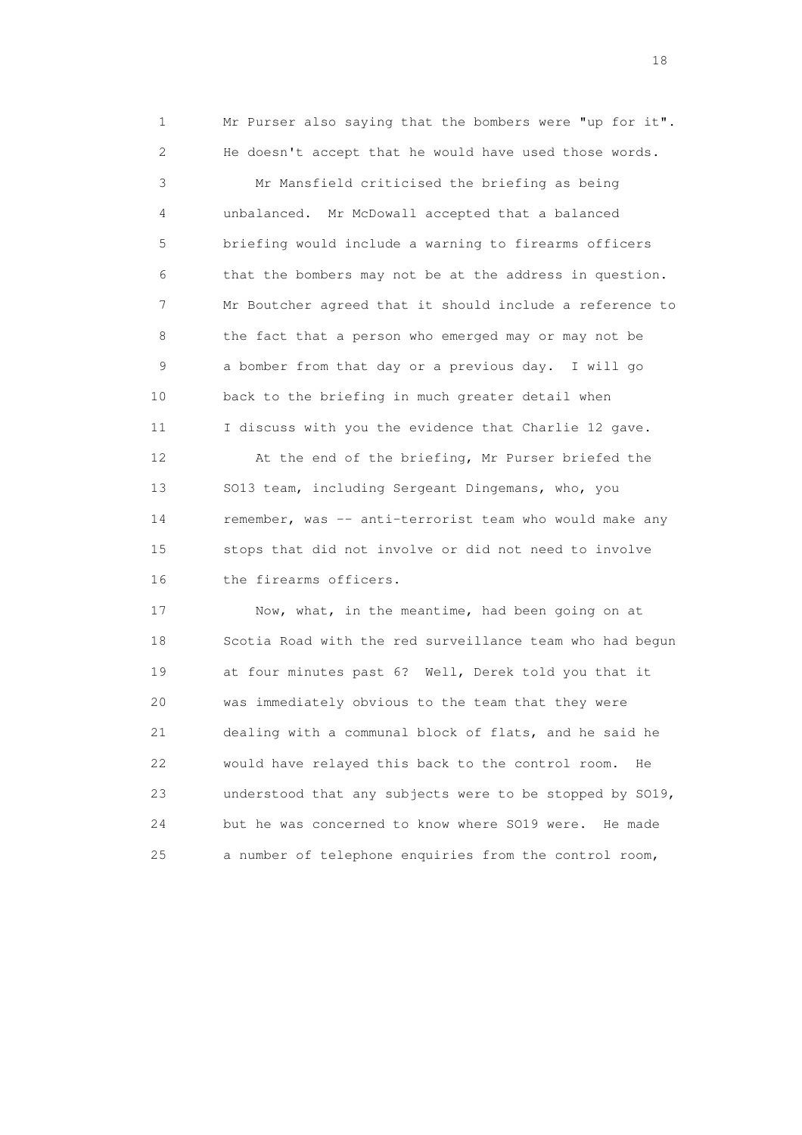1 Mr Purser also saying that the bombers were "up for it". 2 He doesn't accept that he would have used those words.

 3 Mr Mansfield criticised the briefing as being 4 unbalanced. Mr McDowall accepted that a balanced 5 briefing would include a warning to firearms officers 6 that the bombers may not be at the address in question. 7 Mr Boutcher agreed that it should include a reference to 8 the fact that a person who emerged may or may not be 9 a bomber from that day or a previous day. I will go 10 back to the briefing in much greater detail when 11 I discuss with you the evidence that Charlie 12 gave.

 12 At the end of the briefing, Mr Purser briefed the 13 SO13 team, including Sergeant Dingemans, who, you 14 remember, was -- anti-terrorist team who would make any 15 stops that did not involve or did not need to involve 16 the firearms officers.

 17 Now, what, in the meantime, had been going on at 18 Scotia Road with the red surveillance team who had begun 19 at four minutes past 6? Well, Derek told you that it 20 was immediately obvious to the team that they were 21 dealing with a communal block of flats, and he said he 22 would have relayed this back to the control room. He 23 understood that any subjects were to be stopped by SO19, 24 but he was concerned to know where SO19 were. He made 25 a number of telephone enquiries from the control room,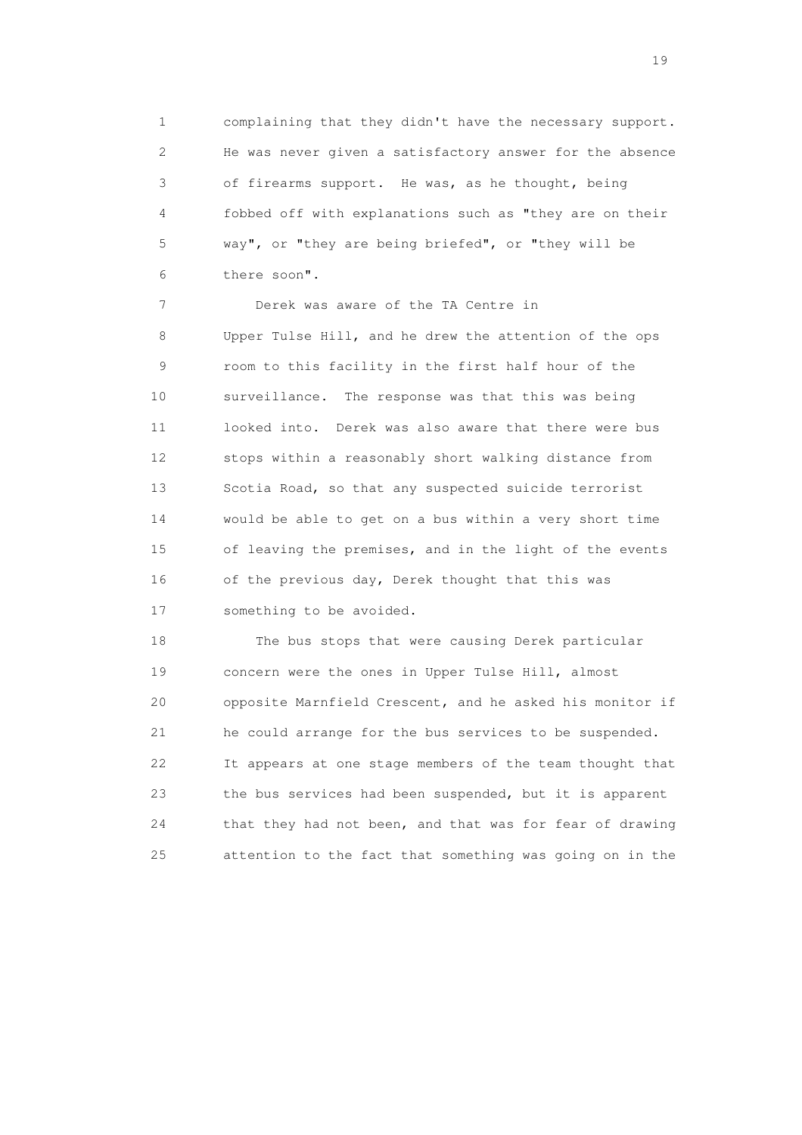1 complaining that they didn't have the necessary support. 2 He was never given a satisfactory answer for the absence 3 of firearms support. He was, as he thought, being 4 fobbed off with explanations such as "they are on their 5 way", or "they are being briefed", or "they will be 6 there soon".

 7 Derek was aware of the TA Centre in 8 Upper Tulse Hill, and he drew the attention of the ops 9 room to this facility in the first half hour of the 10 surveillance. The response was that this was being 11 looked into. Derek was also aware that there were bus 12 stops within a reasonably short walking distance from 13 Scotia Road, so that any suspected suicide terrorist 14 would be able to get on a bus within a very short time 15 of leaving the premises, and in the light of the events 16 of the previous day, Derek thought that this was 17 something to be avoided.

 18 The bus stops that were causing Derek particular 19 concern were the ones in Upper Tulse Hill, almost 20 opposite Marnfield Crescent, and he asked his monitor if 21 he could arrange for the bus services to be suspended. 22 It appears at one stage members of the team thought that 23 the bus services had been suspended, but it is apparent 24 that they had not been, and that was for fear of drawing 25 attention to the fact that something was going on in the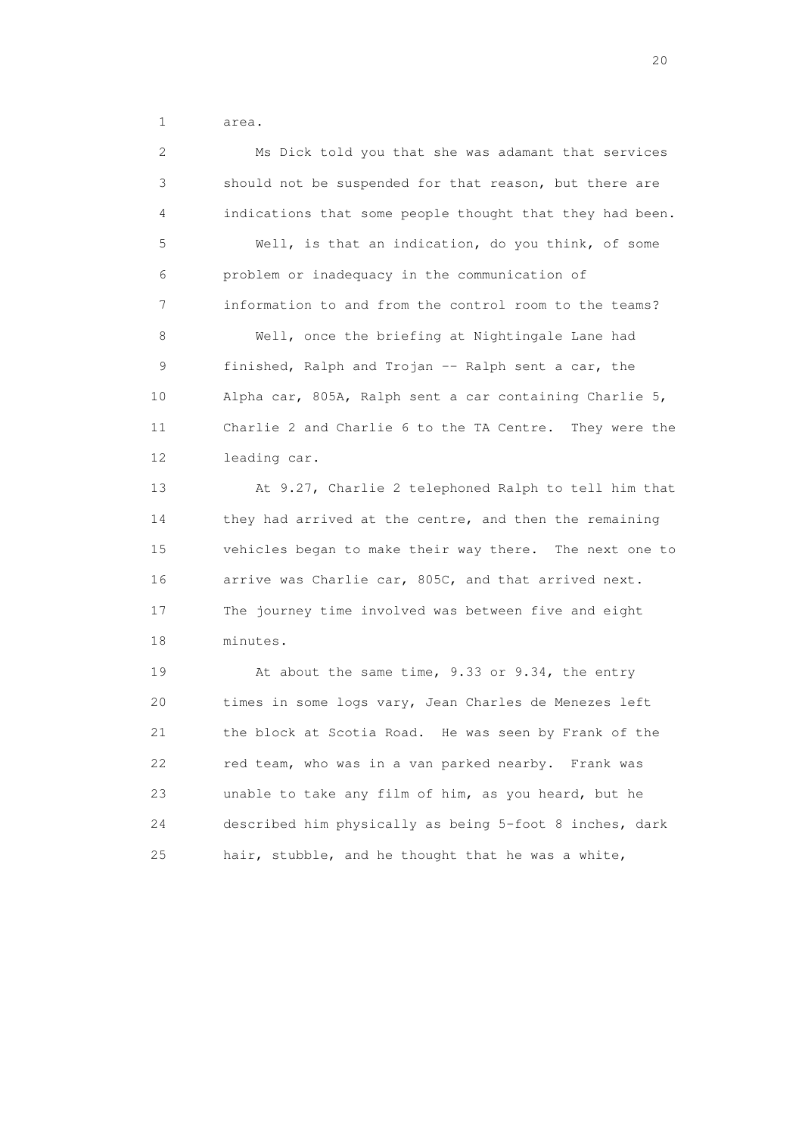1 area.

 2 Ms Dick told you that she was adamant that services 3 should not be suspended for that reason, but there are 4 indications that some people thought that they had been. 5 Well, is that an indication, do you think, of some 6 problem or inadequacy in the communication of 7 information to and from the control room to the teams? 8 Well, once the briefing at Nightingale Lane had 9 finished, Ralph and Trojan -- Ralph sent a car, the 10 Alpha car, 805A, Ralph sent a car containing Charlie 5, 11 Charlie 2 and Charlie 6 to the TA Centre. They were the 12 leading car. 13 At 9.27, Charlie 2 telephoned Ralph to tell him that 14 they had arrived at the centre, and then the remaining 15 vehicles began to make their way there. The next one to 16 arrive was Charlie car, 805C, and that arrived next. 17 The journey time involved was between five and eight 18 minutes. 19 At about the same time, 9.33 or 9.34, the entry 20 times in some logs vary, Jean Charles de Menezes left 21 the block at Scotia Road. He was seen by Frank of the 22 red team, who was in a van parked nearby. Frank was 23 unable to take any film of him, as you heard, but he 24 described him physically as being 5-foot 8 inches, dark

25 hair, stubble, and he thought that he was a white,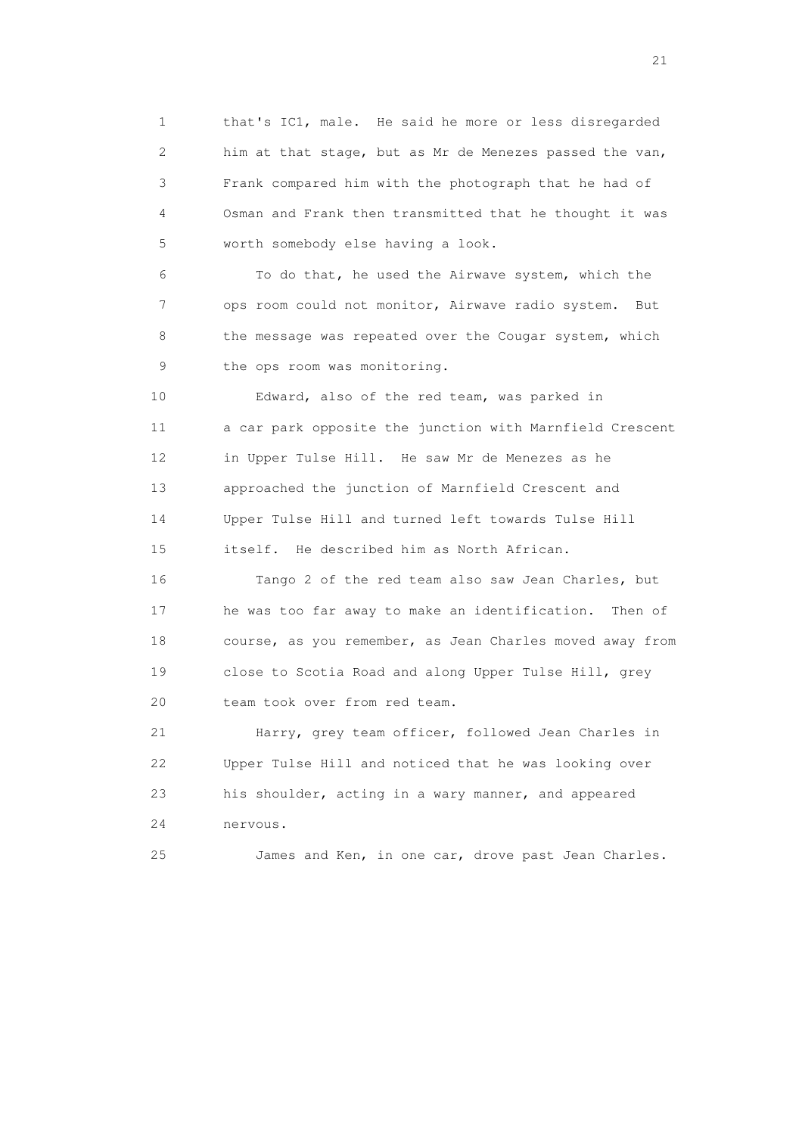1 that's IC1, male. He said he more or less disregarded 2 him at that stage, but as Mr de Menezes passed the van, 3 Frank compared him with the photograph that he had of 4 Osman and Frank then transmitted that he thought it was 5 worth somebody else having a look.

 6 To do that, he used the Airwave system, which the 7 ops room could not monitor, Airwave radio system. But 8 the message was repeated over the Cougar system, which 9 the ops room was monitoring.

 10 Edward, also of the red team, was parked in 11 a car park opposite the junction with Marnfield Crescent 12 in Upper Tulse Hill. He saw Mr de Menezes as he 13 approached the junction of Marnfield Crescent and 14 Upper Tulse Hill and turned left towards Tulse Hill 15 itself. He described him as North African.

 16 Tango 2 of the red team also saw Jean Charles, but 17 he was too far away to make an identification. Then of 18 course, as you remember, as Jean Charles moved away from 19 close to Scotia Road and along Upper Tulse Hill, grey 20 team took over from red team.

 21 Harry, grey team officer, followed Jean Charles in 22 Upper Tulse Hill and noticed that he was looking over 23 his shoulder, acting in a wary manner, and appeared 24 nervous.

25 James and Ken, in one car, drove past Jean Charles.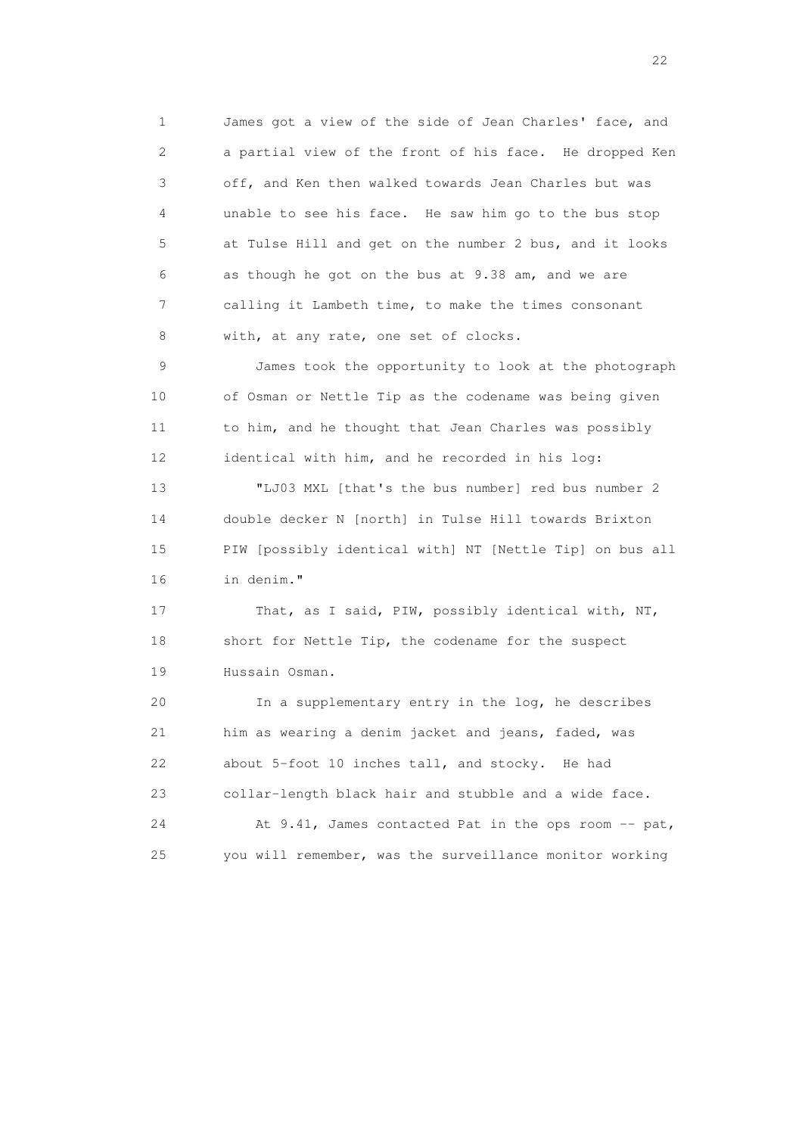1 James got a view of the side of Jean Charles' face, and 2 a partial view of the front of his face. He dropped Ken 3 off, and Ken then walked towards Jean Charles but was 4 unable to see his face. He saw him go to the bus stop 5 at Tulse Hill and get on the number 2 bus, and it looks 6 as though he got on the bus at 9.38 am, and we are 7 calling it Lambeth time, to make the times consonant 8 with, at any rate, one set of clocks.

 9 James took the opportunity to look at the photograph 10 of Osman or Nettle Tip as the codename was being given 11 to him, and he thought that Jean Charles was possibly 12 identical with him, and he recorded in his log:

 13 "LJ03 MXL [that's the bus number] red bus number 2 14 double decker N [north] in Tulse Hill towards Brixton 15 PIW [possibly identical with] NT [Nettle Tip] on bus all 16 in denim."

17 That, as I said, PIW, possibly identical with, NT, 18 short for Nettle Tip, the codename for the suspect 19 Hussain Osman.

 20 In a supplementary entry in the log, he describes 21 him as wearing a denim jacket and jeans, faded, was 22 about 5-foot 10 inches tall, and stocky. He had 23 collar-length black hair and stubble and a wide face. 24 At 9.41, James contacted Pat in the ops room -- pat, 25 you will remember, was the surveillance monitor working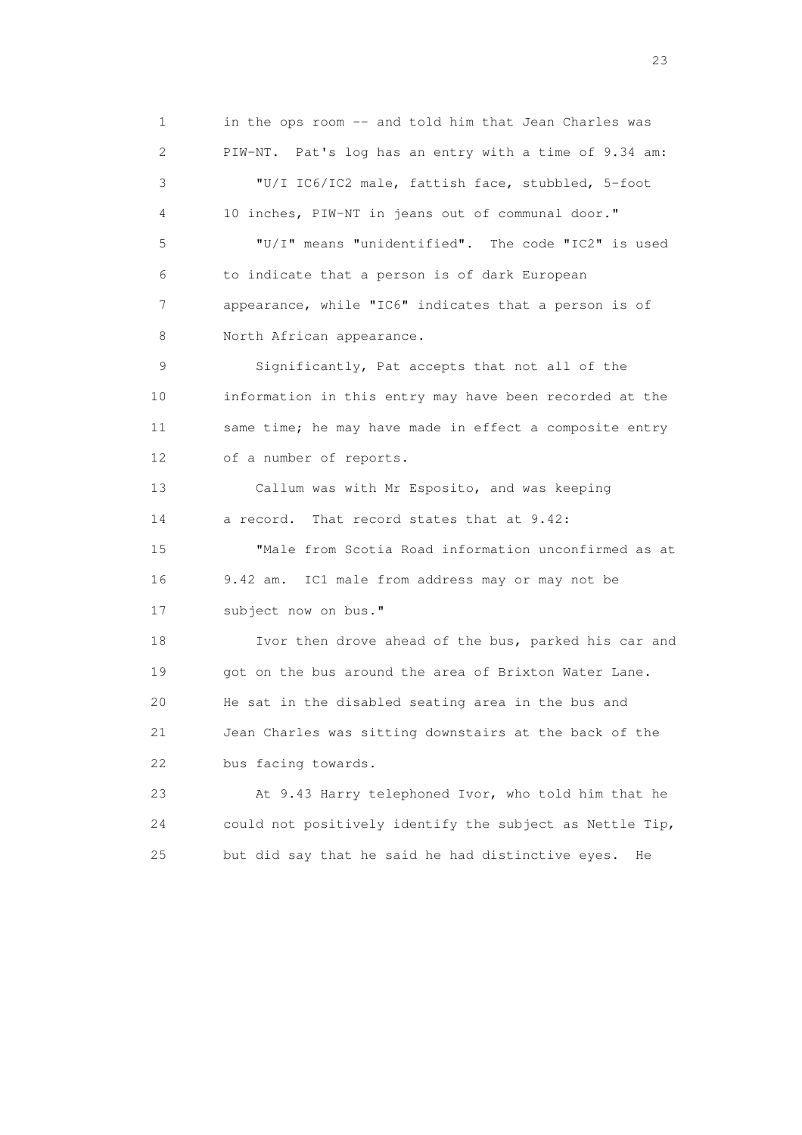1 in the ops room -- and told him that Jean Charles was 2 PIW-NT. Pat's log has an entry with a time of 9.34 am: 3 "U/I IC6/IC2 male, fattish face, stubbled, 5-foot 4 10 inches, PIW-NT in jeans out of communal door." 5 "U/I" means "unidentified". The code "IC2" is used 6 to indicate that a person is of dark European 7 appearance, while "IC6" indicates that a person is of 8 North African appearance. 9 Significantly, Pat accepts that not all of the 10 information in this entry may have been recorded at the 11 same time; he may have made in effect a composite entry 12 of a number of reports. 13 Callum was with Mr Esposito, and was keeping 14 a record. That record states that at 9.42: 15 "Male from Scotia Road information unconfirmed as at 16 9.42 am. IC1 male from address may or may not be 17 subject now on bus." 18 Ivor then drove ahead of the bus, parked his car and 19 got on the bus around the area of Brixton Water Lane. 20 He sat in the disabled seating area in the bus and 21 Jean Charles was sitting downstairs at the back of the 22 bus facing towards. 23 At 9.43 Harry telephoned Ivor, who told him that he 24 could not positively identify the subject as Nettle Tip, 25 but did say that he said he had distinctive eyes. He

23 and 23 and 23 and 23 and 23 and 23 and 23 and 23 and 23 and 23 and 23 and 23 and 23 and 23 and 23 and 23 and 24 and 25 and 25 and 26 and 26 and 26 and 26 and 26 and 26 and 26 and 26 and 26 and 26 and 26 and 26 and 26 an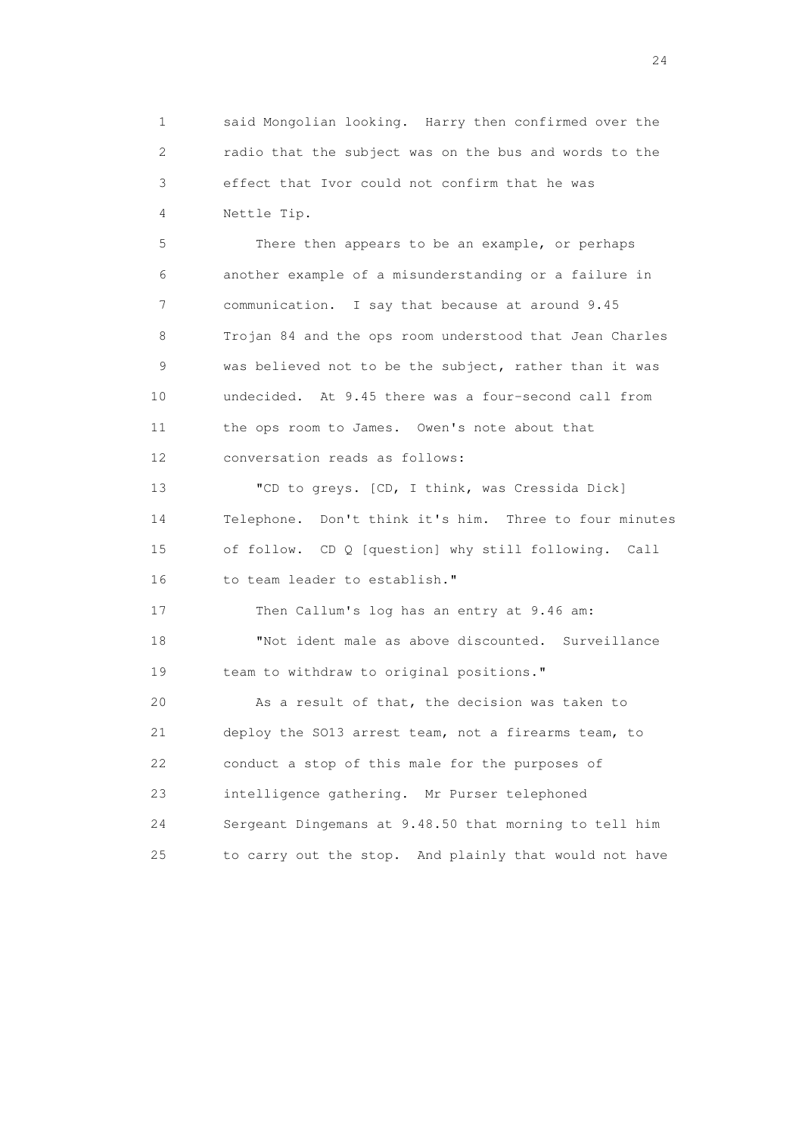1 said Mongolian looking. Harry then confirmed over the 2 radio that the subject was on the bus and words to the 3 effect that Ivor could not confirm that he was 4 Nettle Tip.

 5 There then appears to be an example, or perhaps 6 another example of a misunderstanding or a failure in 7 communication. I say that because at around 9.45 8 Trojan 84 and the ops room understood that Jean Charles 9 was believed not to be the subject, rather than it was 10 undecided. At 9.45 there was a four-second call from 11 the ops room to James. Owen's note about that 12 conversation reads as follows:

 13 "CD to greys. [CD, I think, was Cressida Dick] 14 Telephone. Don't think it's him. Three to four minutes 15 of follow. CD Q [question] why still following. Call 16 to team leader to establish."

 17 Then Callum's log has an entry at 9.46 am: 18 "Not ident male as above discounted. Surveillance 19 team to withdraw to original positions."

 20 As a result of that, the decision was taken to 21 deploy the SO13 arrest team, not a firearms team, to 22 conduct a stop of this male for the purposes of 23 intelligence gathering. Mr Purser telephoned 24 Sergeant Dingemans at 9.48.50 that morning to tell him 25 to carry out the stop. And plainly that would not have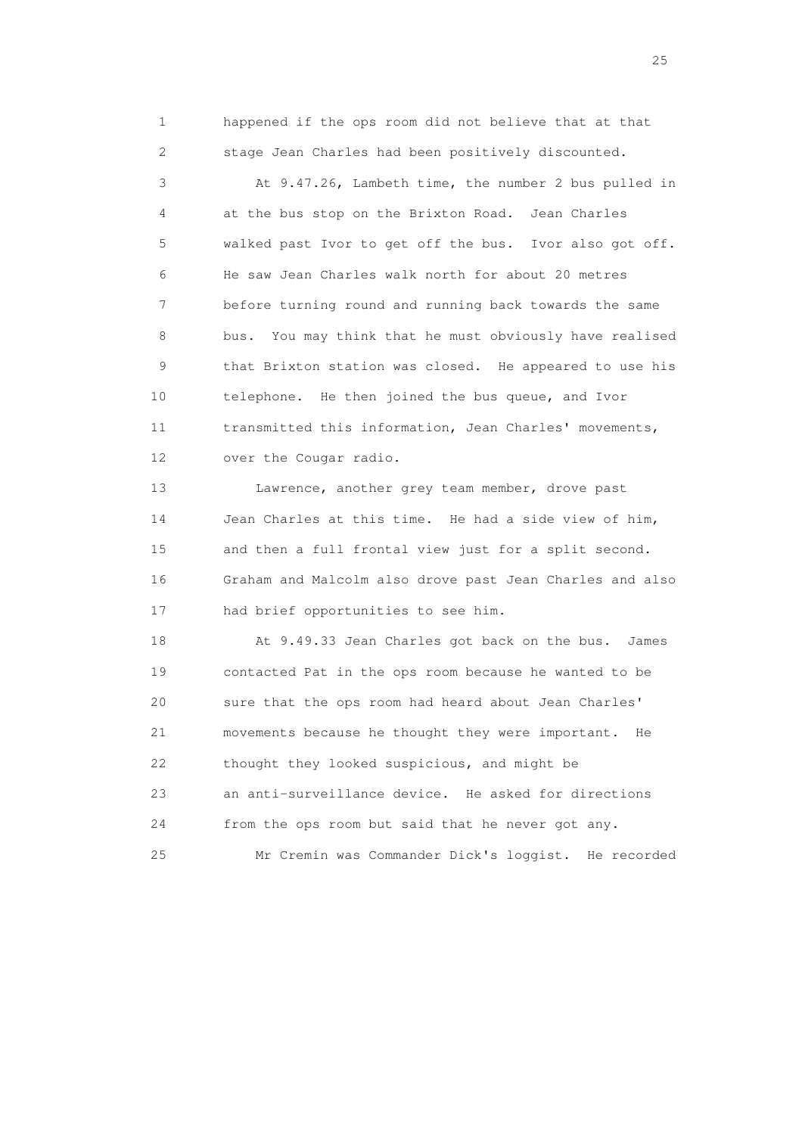1 happened if the ops room did not believe that at that 2 stage Jean Charles had been positively discounted.

 3 At 9.47.26, Lambeth time, the number 2 bus pulled in 4 at the bus stop on the Brixton Road. Jean Charles 5 walked past Ivor to get off the bus. Ivor also got off. 6 He saw Jean Charles walk north for about 20 metres 7 before turning round and running back towards the same 8 bus. You may think that he must obviously have realised 9 that Brixton station was closed. He appeared to use his 10 telephone. He then joined the bus queue, and Ivor 11 transmitted this information, Jean Charles' movements, 12 over the Cougar radio.

 13 Lawrence, another grey team member, drove past 14 Jean Charles at this time. He had a side view of him, 15 and then a full frontal view just for a split second. 16 Graham and Malcolm also drove past Jean Charles and also 17 had brief opportunities to see him.

 18 At 9.49.33 Jean Charles got back on the bus. James 19 contacted Pat in the ops room because he wanted to be 20 sure that the ops room had heard about Jean Charles' 21 movements because he thought they were important. He 22 thought they looked suspicious, and might be 23 an anti-surveillance device. He asked for directions 24 from the ops room but said that he never got any. 25 Mr Cremin was Commander Dick's loggist. He recorded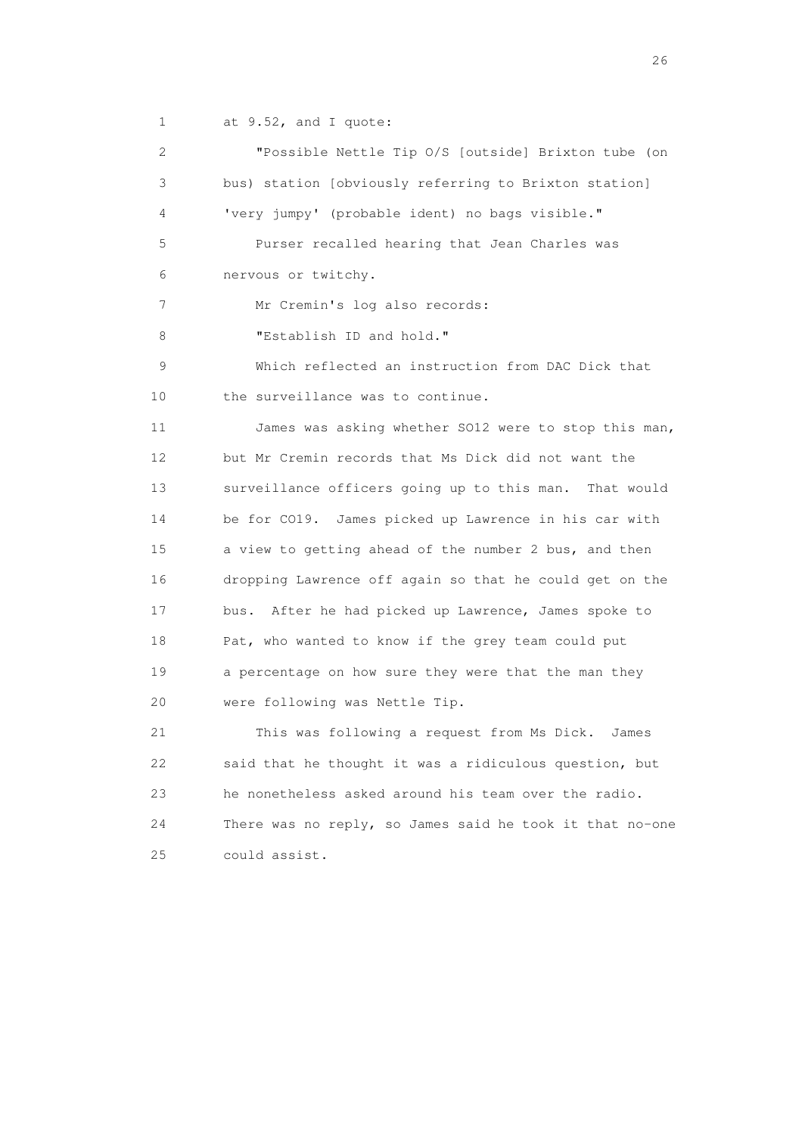1 at 9.52, and I quote:

 2 "Possible Nettle Tip O/S [outside] Brixton tube (on 3 bus) station [obviously referring to Brixton station] 4 'very jumpy' (probable ident) no bags visible." 5 Purser recalled hearing that Jean Charles was 6 nervous or twitchy. 7 Mr Cremin's log also records: 8 "Establish ID and hold." 9 Which reflected an instruction from DAC Dick that 10 the surveillance was to continue. 11 James was asking whether SO12 were to stop this man, 12 but Mr Cremin records that Ms Dick did not want the 13 surveillance officers going up to this man. That would 14 be for CO19. James picked up Lawrence in his car with 15 a view to getting ahead of the number 2 bus, and then 16 dropping Lawrence off again so that he could get on the 17 bus. After he had picked up Lawrence, James spoke to 18 Pat, who wanted to know if the grey team could put 19 a percentage on how sure they were that the man they 20 were following was Nettle Tip. 21 This was following a request from Ms Dick. James 22 said that he thought it was a ridiculous question, but 23 he nonetheless asked around his team over the radio. 24 There was no reply, so James said he took it that no-one 25 could assist.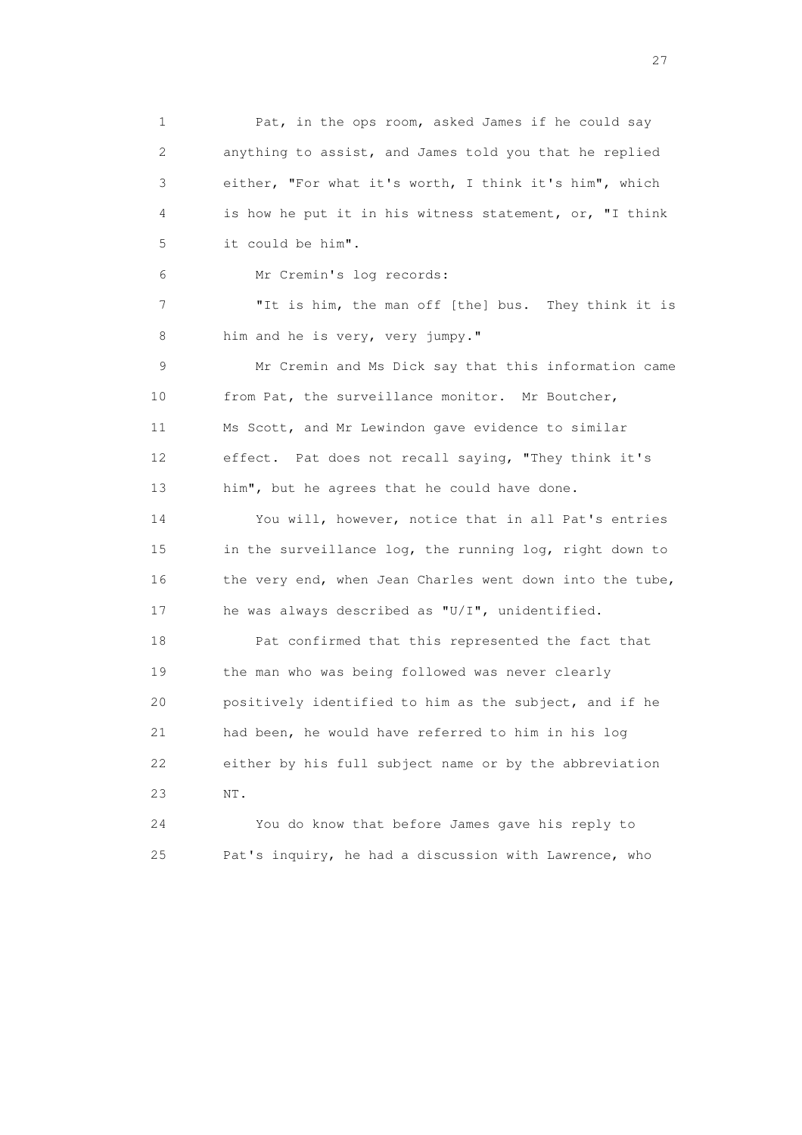1 Pat, in the ops room, asked James if he could say 2 anything to assist, and James told you that he replied 3 either, "For what it's worth, I think it's him", which 4 is how he put it in his witness statement, or, "I think 5 it could be him".

6 Mr Cremin's log records:

 7 "It is him, the man off [the] bus. They think it is 8 him and he is very, very jumpy."

 9 Mr Cremin and Ms Dick say that this information came 10 from Pat, the surveillance monitor. Mr Boutcher, 11 Ms Scott, and Mr Lewindon gave evidence to similar 12 effect. Pat does not recall saying, "They think it's 13 him", but he agrees that he could have done.

 14 You will, however, notice that in all Pat's entries 15 in the surveillance log, the running log, right down to 16 the very end, when Jean Charles went down into the tube, 17 he was always described as "U/I", unidentified.

 18 Pat confirmed that this represented the fact that 19 the man who was being followed was never clearly 20 positively identified to him as the subject, and if he 21 had been, he would have referred to him in his log 22 either by his full subject name or by the abbreviation 23 NT.

 24 You do know that before James gave his reply to 25 Pat's inquiry, he had a discussion with Lawrence, who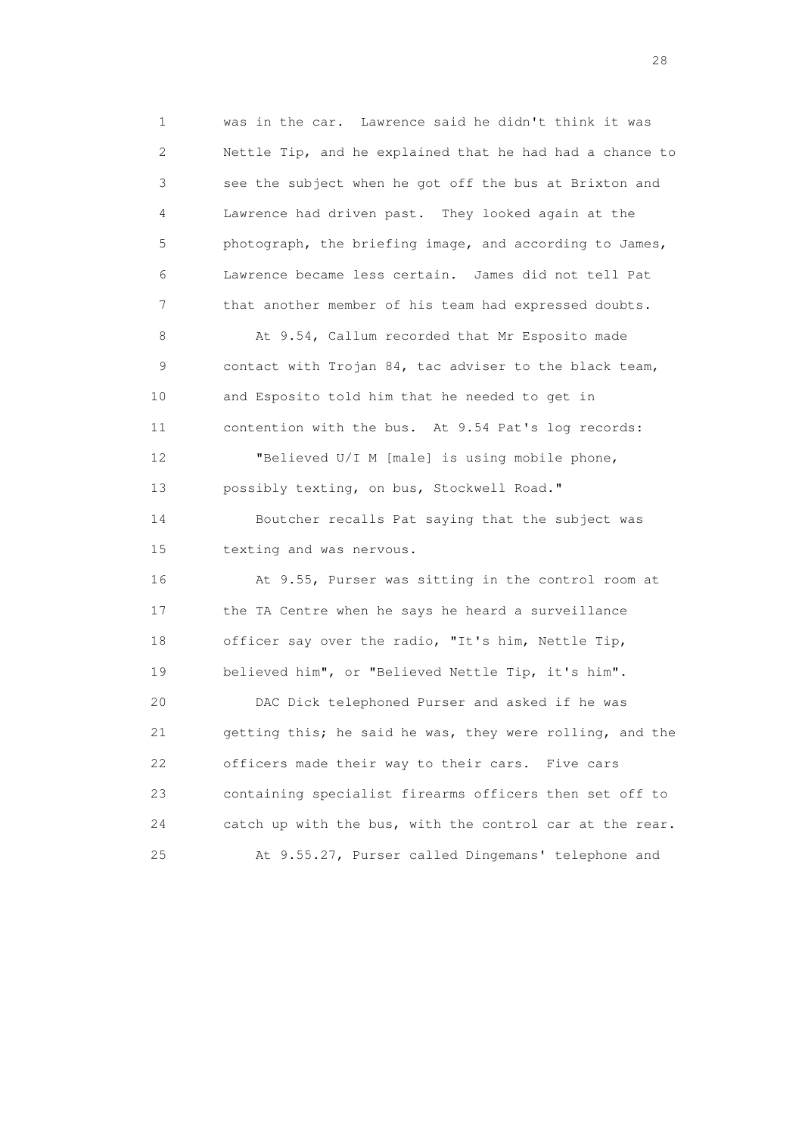1 was in the car. Lawrence said he didn't think it was 2 Nettle Tip, and he explained that he had had a chance to 3 see the subject when he got off the bus at Brixton and 4 Lawrence had driven past. They looked again at the 5 photograph, the briefing image, and according to James, 6 Lawrence became less certain. James did not tell Pat 7 that another member of his team had expressed doubts. 8 At 9.54, Callum recorded that Mr Esposito made 9 contact with Trojan 84, tac adviser to the black team, 10 and Esposito told him that he needed to get in 11 contention with the bus. At 9.54 Pat's log records:

 12 "Believed U/I M [male] is using mobile phone, 13 possibly texting, on bus, Stockwell Road." 14 Boutcher recalls Pat saying that the subject was 15 texting and was nervous.

 16 At 9.55, Purser was sitting in the control room at 17 the TA Centre when he says he heard a surveillance 18 officer say over the radio, "It's him, Nettle Tip, 19 believed him", or "Believed Nettle Tip, it's him".

 20 DAC Dick telephoned Purser and asked if he was 21 getting this; he said he was, they were rolling, and the 22 officers made their way to their cars. Five cars 23 containing specialist firearms officers then set off to 24 catch up with the bus, with the control car at the rear. 25 At 9.55.27, Purser called Dingemans' telephone and

28 and 28 and 28 and 28 and 28 and 28 and 28 and 28 and 28 and 28 and 28 and 28 and 28 and 28 and 28 and 28 and 28 and 28 and 28 and 28 and 28 and 28 and 28 and 28 and 28 and 28 and 28 and 28 and 28 and 28 and 28 and 28 an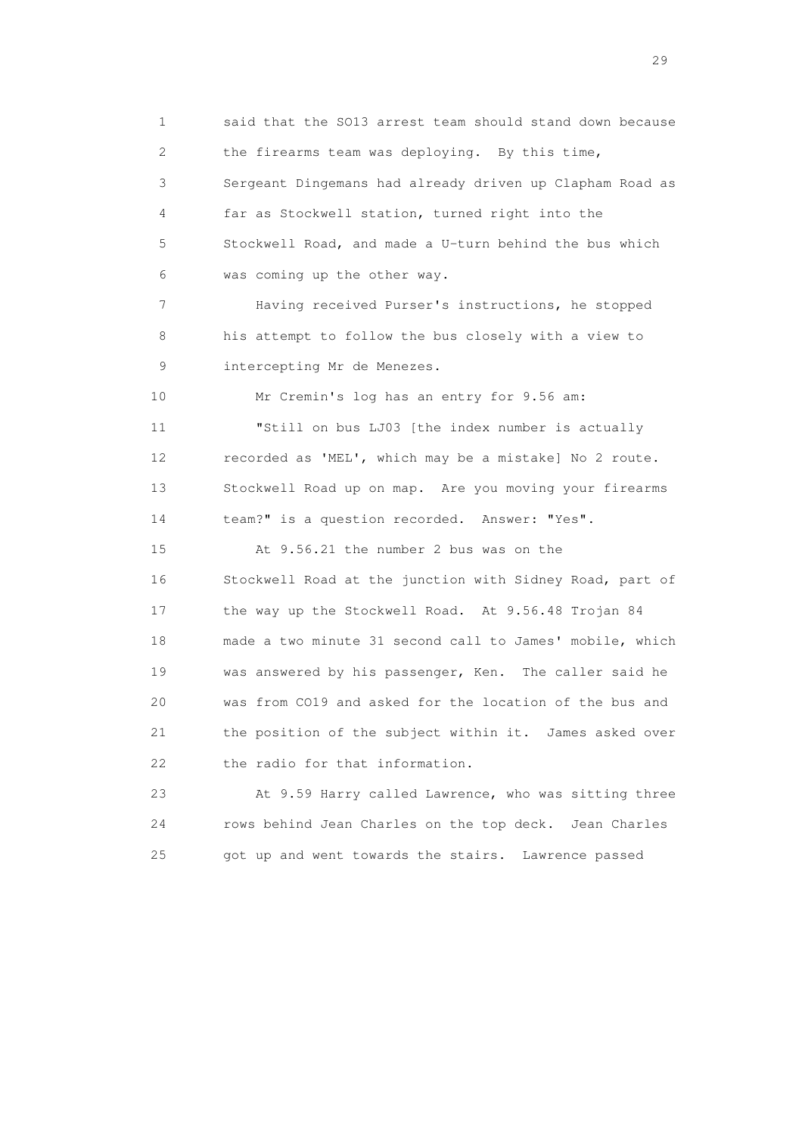1 said that the SO13 arrest team should stand down because 2 the firearms team was deploying. By this time, 3 Sergeant Dingemans had already driven up Clapham Road as 4 far as Stockwell station, turned right into the 5 Stockwell Road, and made a U-turn behind the bus which 6 was coming up the other way. 7 Having received Purser's instructions, he stopped 8 his attempt to follow the bus closely with a view to 9 intercepting Mr de Menezes. 10 Mr Cremin's log has an entry for 9.56 am: 11 "Still on bus LJ03 [the index number is actually 12 recorded as 'MEL', which may be a mistake] No 2 route. 13 Stockwell Road up on map. Are you moving your firearms 14 team?" is a question recorded. Answer: "Yes". 15 At 9.56.21 the number 2 bus was on the 16 Stockwell Road at the junction with Sidney Road, part of 17 the way up the Stockwell Road. At 9.56.48 Trojan 84 18 made a two minute 31 second call to James' mobile, which 19 was answered by his passenger, Ken. The caller said he 20 was from CO19 and asked for the location of the bus and 21 the position of the subject within it. James asked over 22 the radio for that information. 23 At 9.59 Harry called Lawrence, who was sitting three 24 rows behind Jean Charles on the top deck. Jean Charles

25 got up and went towards the stairs. Lawrence passed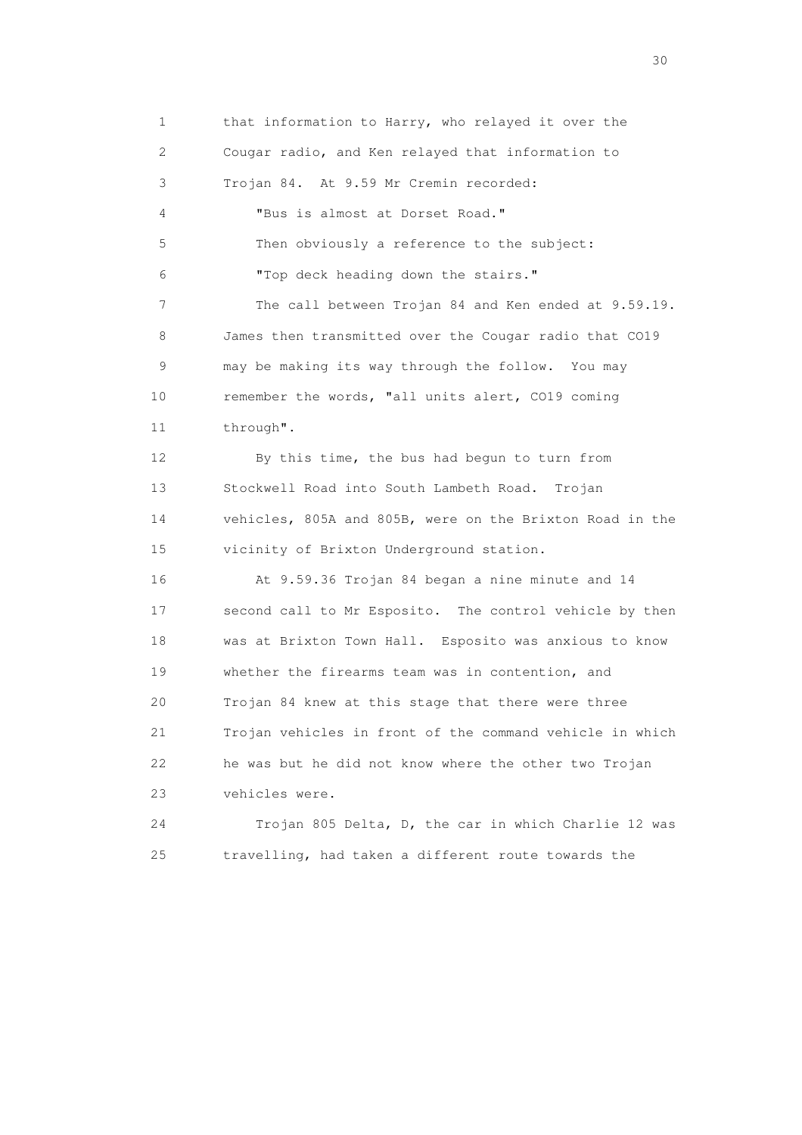1 that information to Harry, who relayed it over the 2 Cougar radio, and Ken relayed that information to 3 Trojan 84. At 9.59 Mr Cremin recorded: 4 "Bus is almost at Dorset Road." 5 Then obviously a reference to the subject: 6 "Top deck heading down the stairs." 7 The call between Trojan 84 and Ken ended at 9.59.19. 8 James then transmitted over the Cougar radio that CO19 9 may be making its way through the follow. You may 10 remember the words, "all units alert, CO19 coming 11 through". 12 By this time, the bus had begun to turn from 13 Stockwell Road into South Lambeth Road. Trojan 14 vehicles, 805A and 805B, were on the Brixton Road in the 15 vicinity of Brixton Underground station. 16 At 9.59.36 Trojan 84 began a nine minute and 14 17 second call to Mr Esposito. The control vehicle by then 18 was at Brixton Town Hall. Esposito was anxious to know 19 whether the firearms team was in contention, and 20 Trojan 84 knew at this stage that there were three 21 Trojan vehicles in front of the command vehicle in which 22 he was but he did not know where the other two Trojan 23 vehicles were. 24 Trojan 805 Delta, D, the car in which Charlie 12 was 25 travelling, had taken a different route towards the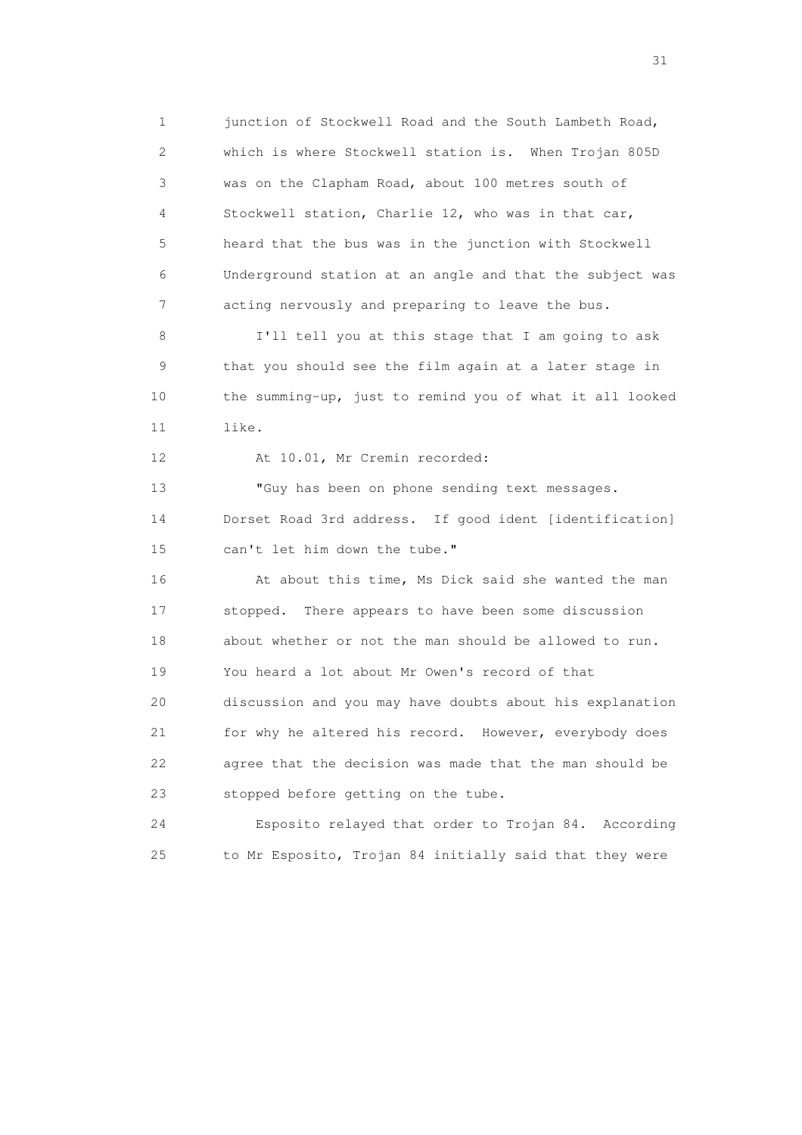1 junction of Stockwell Road and the South Lambeth Road, 2 which is where Stockwell station is. When Trojan 805D 3 was on the Clapham Road, about 100 metres south of 4 Stockwell station, Charlie 12, who was in that car, 5 heard that the bus was in the junction with Stockwell 6 Underground station at an angle and that the subject was 7 acting nervously and preparing to leave the bus.

 8 I'll tell you at this stage that I am going to ask 9 that you should see the film again at a later stage in 10 the summing-up, just to remind you of what it all looked 11 like.

12 At 10.01, Mr Cremin recorded:

 13 "Guy has been on phone sending text messages. 14 Dorset Road 3rd address. If good ident [identification] 15 can't let him down the tube."

 16 At about this time, Ms Dick said she wanted the man 17 stopped. There appears to have been some discussion 18 about whether or not the man should be allowed to run. 19 You heard a lot about Mr Owen's record of that 20 discussion and you may have doubts about his explanation 21 for why he altered his record. However, everybody does 22 agree that the decision was made that the man should be 23 stopped before getting on the tube.

 24 Esposito relayed that order to Trojan 84. According 25 to Mr Esposito, Trojan 84 initially said that they were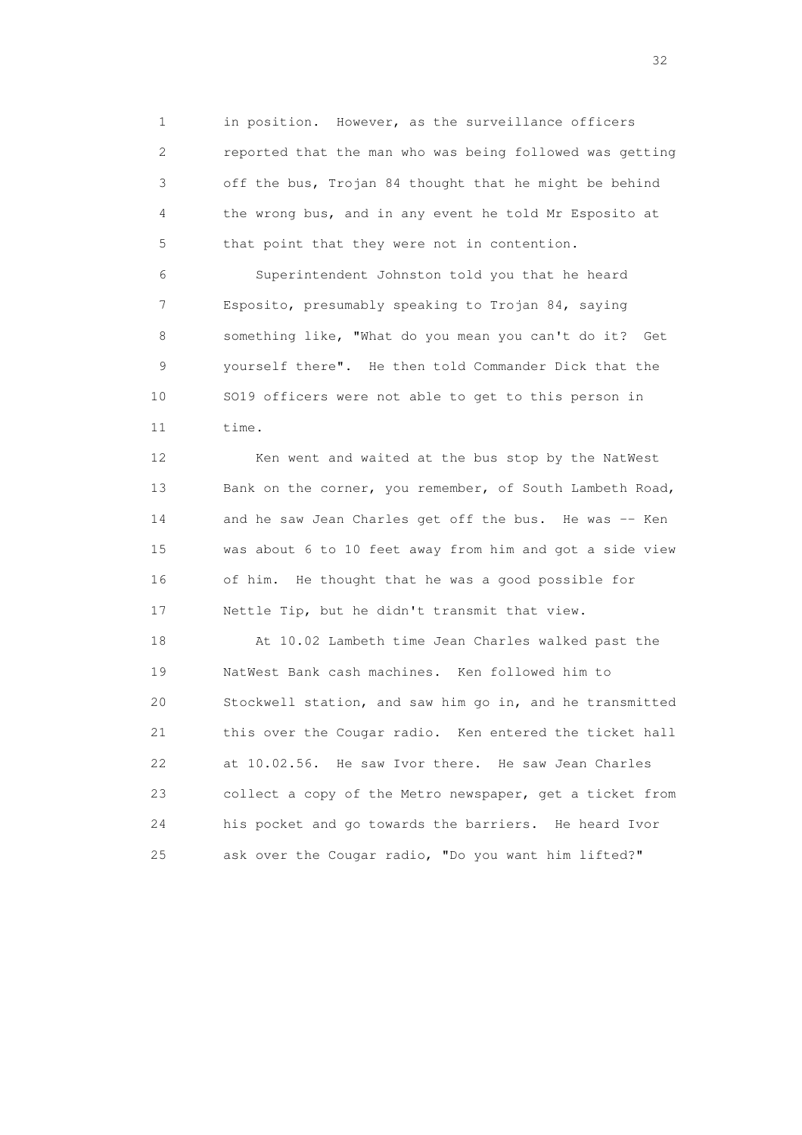1 in position. However, as the surveillance officers 2 reported that the man who was being followed was getting 3 off the bus, Trojan 84 thought that he might be behind 4 the wrong bus, and in any event he told Mr Esposito at 5 that point that they were not in contention.

 6 Superintendent Johnston told you that he heard 7 Esposito, presumably speaking to Trojan 84, saying 8 something like, "What do you mean you can't do it? Get 9 yourself there". He then told Commander Dick that the 10 SO19 officers were not able to get to this person in 11 time.

12 Ken went and waited at the bus stop by the NatWest 13 Bank on the corner, you remember, of South Lambeth Road, 14 and he saw Jean Charles get off the bus. He was -- Ken 15 was about 6 to 10 feet away from him and got a side view 16 of him. He thought that he was a good possible for 17 Nettle Tip, but he didn't transmit that view.

 18 At 10.02 Lambeth time Jean Charles walked past the 19 NatWest Bank cash machines. Ken followed him to 20 Stockwell station, and saw him go in, and he transmitted 21 this over the Cougar radio. Ken entered the ticket hall 22 at 10.02.56. He saw Ivor there. He saw Jean Charles 23 collect a copy of the Metro newspaper, get a ticket from 24 his pocket and go towards the barriers. He heard Ivor 25 ask over the Cougar radio, "Do you want him lifted?"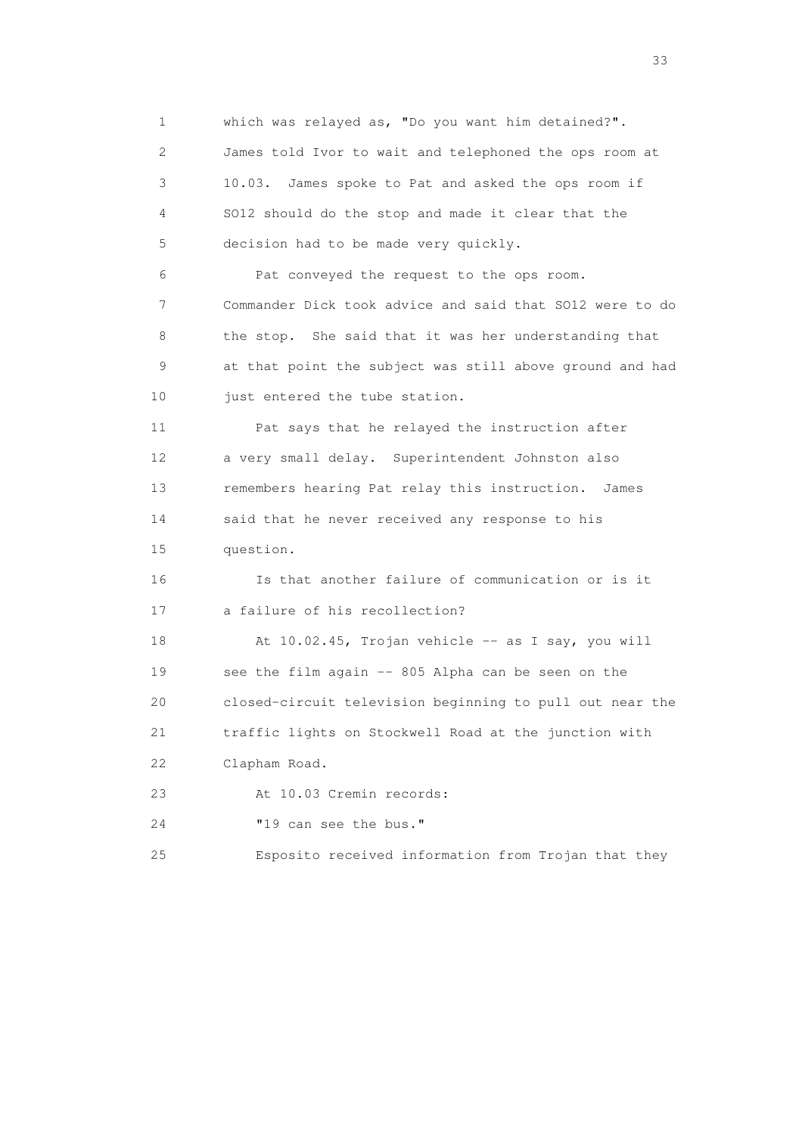1 which was relayed as, "Do you want him detained?". 2 James told Ivor to wait and telephoned the ops room at 3 10.03. James spoke to Pat and asked the ops room if 4 SO12 should do the stop and made it clear that the 5 decision had to be made very quickly. 6 Pat conveyed the request to the ops room. 7 Commander Dick took advice and said that SO12 were to do 8 the stop. She said that it was her understanding that 9 at that point the subject was still above ground and had 10 just entered the tube station. 11 Pat says that he relayed the instruction after 12 a very small delay. Superintendent Johnston also 13 remembers hearing Pat relay this instruction. James 14 said that he never received any response to his 15 question. 16 Is that another failure of communication or is it 17 a failure of his recollection? 18 At 10.02.45, Trojan vehicle -- as I say, you will 19 see the film again -- 805 Alpha can be seen on the 20 closed-circuit television beginning to pull out near the 21 traffic lights on Stockwell Road at the junction with 22 Clapham Road. 23 At 10.03 Cremin records: 24 "19 can see the bus." 25 Esposito received information from Trojan that they

<u>33</u> and the state of the state of the state of the state of the state of the state of the state of the state of the state of the state of the state of the state of the state of the state of the state of the state of the s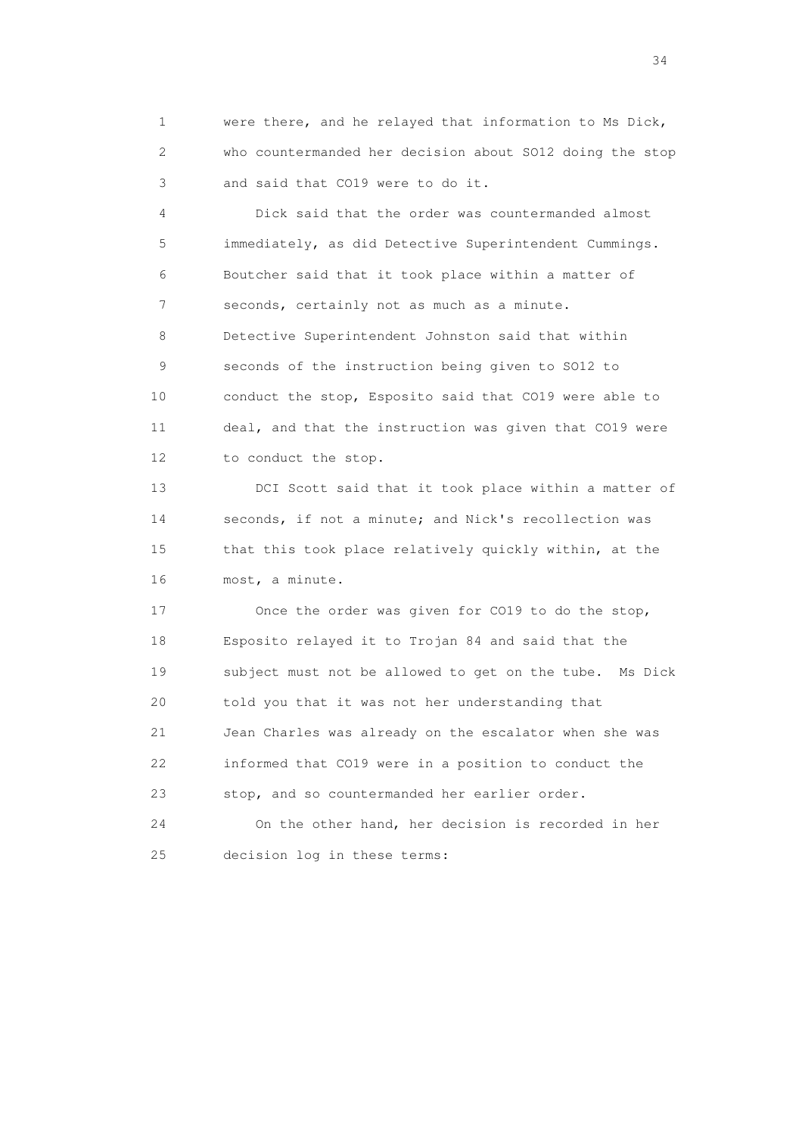1 were there, and he relayed that information to Ms Dick, 2 who countermanded her decision about SO12 doing the stop 3 and said that CO19 were to do it.

 4 Dick said that the order was countermanded almost 5 immediately, as did Detective Superintendent Cummings. 6 Boutcher said that it took place within a matter of 7 seconds, certainly not as much as a minute. 8 Detective Superintendent Johnston said that within 9 seconds of the instruction being given to SO12 to 10 conduct the stop, Esposito said that CO19 were able to 11 deal, and that the instruction was given that CO19 were 12 to conduct the stop.

 13 DCI Scott said that it took place within a matter of 14 seconds, if not a minute; and Nick's recollection was 15 that this took place relatively quickly within, at the 16 most, a minute.

 17 Once the order was given for CO19 to do the stop, 18 Esposito relayed it to Trojan 84 and said that the 19 subject must not be allowed to get on the tube. Ms Dick 20 told you that it was not her understanding that 21 Jean Charles was already on the escalator when she was 22 informed that CO19 were in a position to conduct the 23 stop, and so countermanded her earlier order.

 24 On the other hand, her decision is recorded in her 25 decision log in these terms: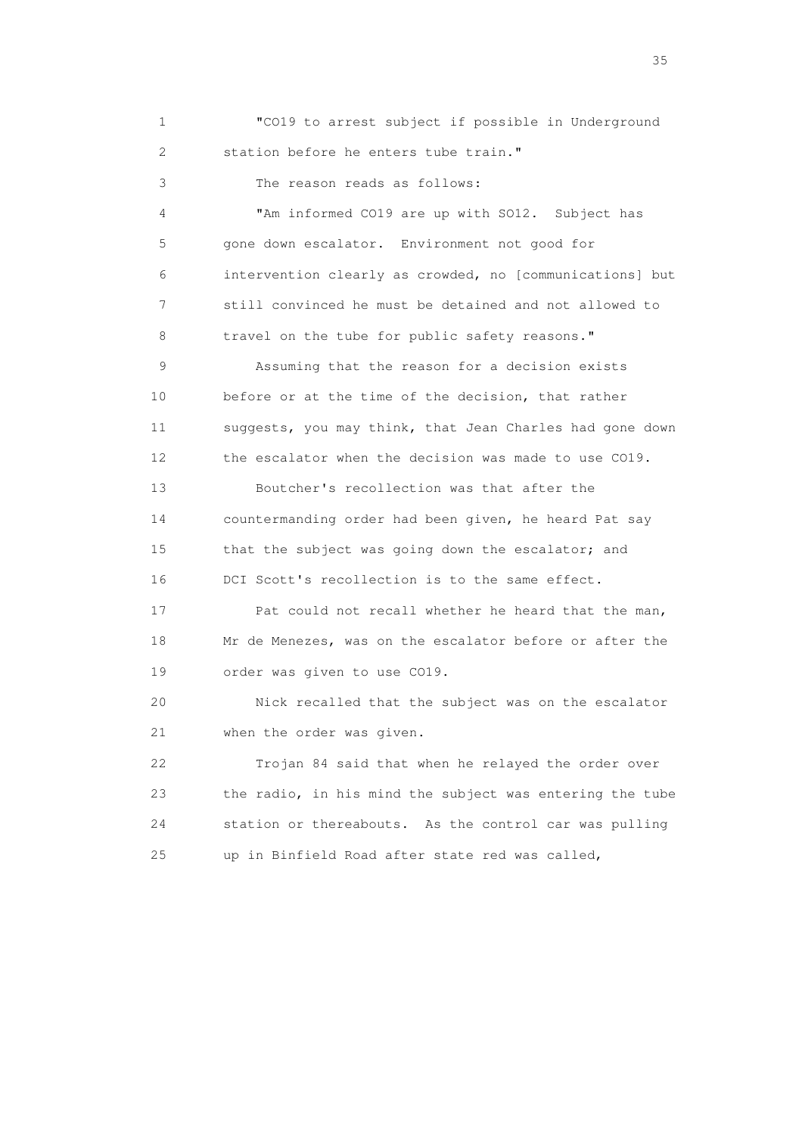1 "CO19 to arrest subject if possible in Underground 2 station before he enters tube train."

3 The reason reads as follows:

 4 "Am informed CO19 are up with SO12. Subject has 5 gone down escalator. Environment not good for 6 intervention clearly as crowded, no [communications] but 7 still convinced he must be detained and not allowed to 8 travel on the tube for public safety reasons."

 9 Assuming that the reason for a decision exists 10 before or at the time of the decision, that rather 11 suggests, you may think, that Jean Charles had gone down 12 the escalator when the decision was made to use CO19.

 13 Boutcher's recollection was that after the 14 countermanding order had been given, he heard Pat say 15 that the subject was going down the escalator; and 16 DCI Scott's recollection is to the same effect.

 17 Pat could not recall whether he heard that the man, 18 Mr de Menezes, was on the escalator before or after the 19 order was given to use CO19.

 20 Nick recalled that the subject was on the escalator 21 when the order was given.

 22 Trojan 84 said that when he relayed the order over 23 the radio, in his mind the subject was entering the tube 24 station or thereabouts. As the control car was pulling 25 up in Binfield Road after state red was called,

<u>35</u> and the state of the state of the state of the state of the state of the state of the state of the state of the state of the state of the state of the state of the state of the state of the state of the state of the s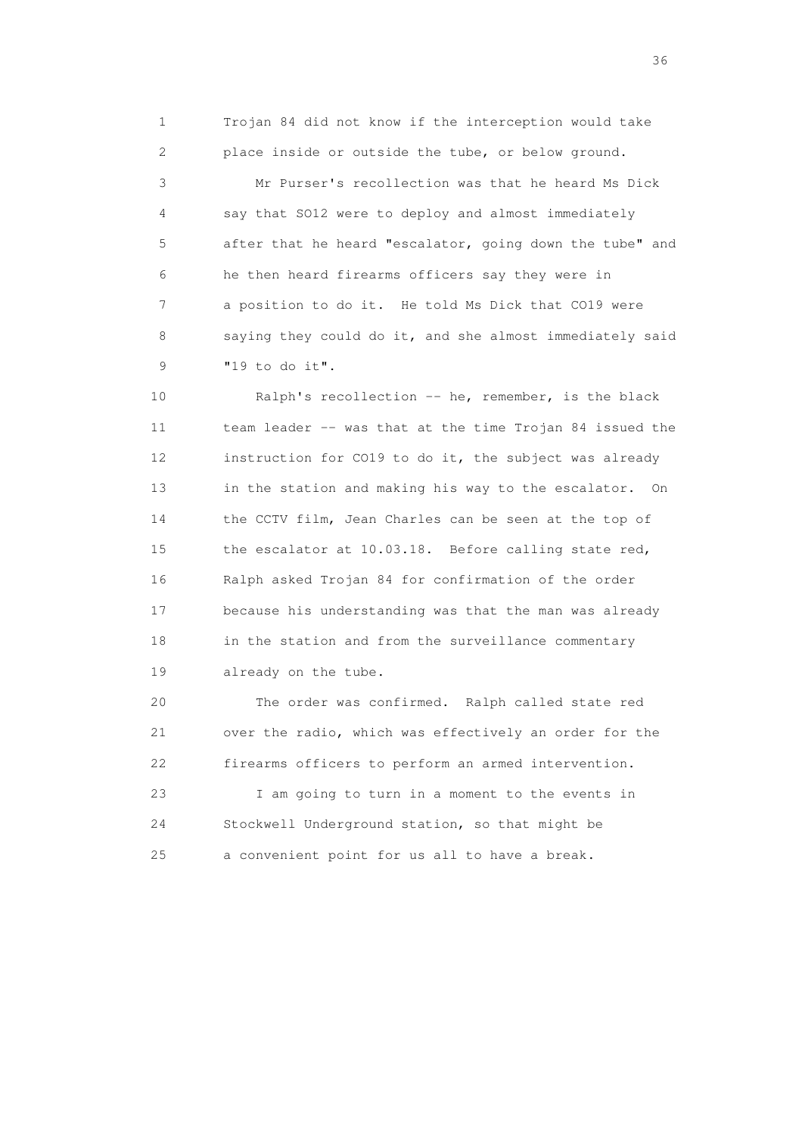1 Trojan 84 did not know if the interception would take 2 place inside or outside the tube, or below ground.

 3 Mr Purser's recollection was that he heard Ms Dick 4 say that SO12 were to deploy and almost immediately 5 after that he heard "escalator, going down the tube" and 6 he then heard firearms officers say they were in 7 a position to do it. He told Ms Dick that CO19 were 8 saying they could do it, and she almost immediately said 9 "19 to do it".

 10 Ralph's recollection -- he, remember, is the black 11 team leader -- was that at the time Trojan 84 issued the 12 instruction for CO19 to do it, the subject was already 13 in the station and making his way to the escalator. On 14 the CCTV film, Jean Charles can be seen at the top of 15 the escalator at 10.03.18. Before calling state red, 16 Ralph asked Trojan 84 for confirmation of the order 17 because his understanding was that the man was already 18 in the station and from the surveillance commentary 19 already on the tube.

 20 The order was confirmed. Ralph called state red 21 over the radio, which was effectively an order for the 22 firearms officers to perform an armed intervention.

 23 I am going to turn in a moment to the events in 24 Stockwell Underground station, so that might be 25 a convenient point for us all to have a break.

 $36<sup>2</sup>$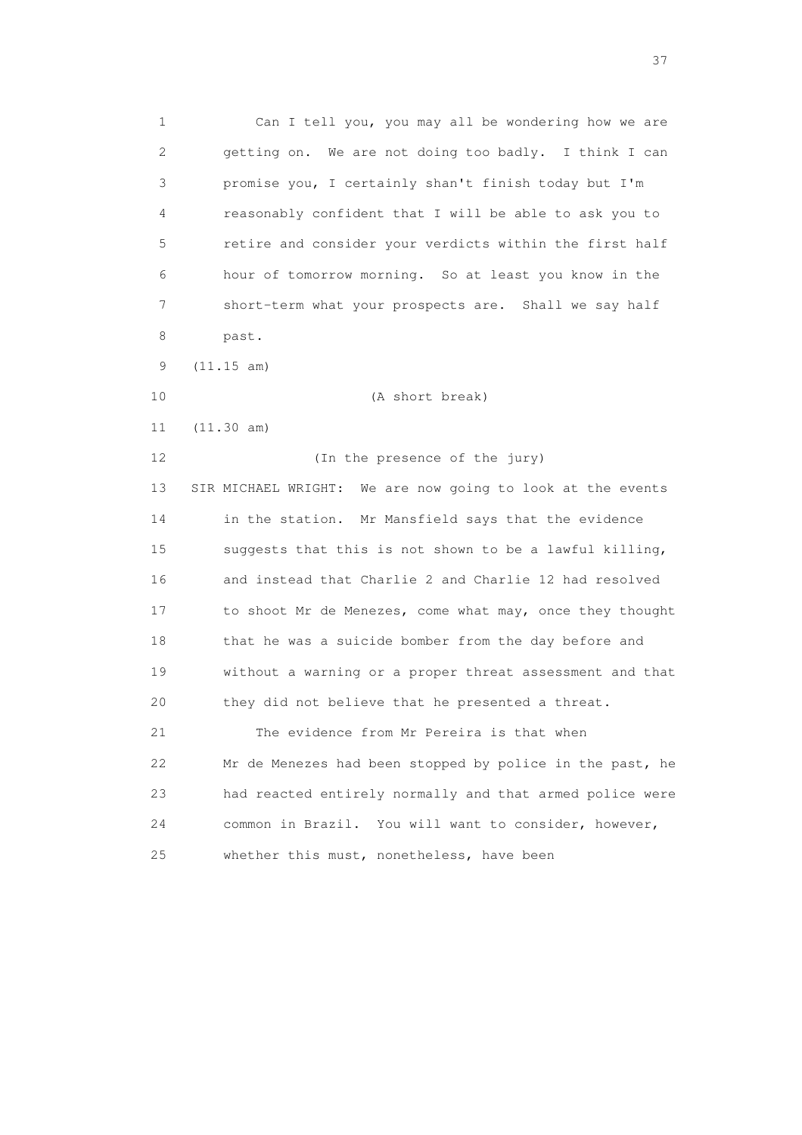1 Can I tell you, you may all be wondering how we are 2 getting on. We are not doing too badly. I think I can 3 promise you, I certainly shan't finish today but I'm 4 reasonably confident that I will be able to ask you to 5 retire and consider your verdicts within the first half 6 hour of tomorrow morning. So at least you know in the 7 short-term what your prospects are. Shall we say half 8 past. 9 (11.15 am) 10 (A short break) 11 (11.30 am) 12 (In the presence of the jury) 13 SIR MICHAEL WRIGHT: We are now going to look at the events

 14 in the station. Mr Mansfield says that the evidence 15 suggests that this is not shown to be a lawful killing, 16 and instead that Charlie 2 and Charlie 12 had resolved 17 to shoot Mr de Menezes, come what may, once they thought 18 that he was a suicide bomber from the day before and 19 without a warning or a proper threat assessment and that 20 they did not believe that he presented a threat.

 21 The evidence from Mr Pereira is that when 22 Mr de Menezes had been stopped by police in the past, he 23 had reacted entirely normally and that armed police were 24 common in Brazil. You will want to consider, however, 25 whether this must, nonetheless, have been

<u>37</u>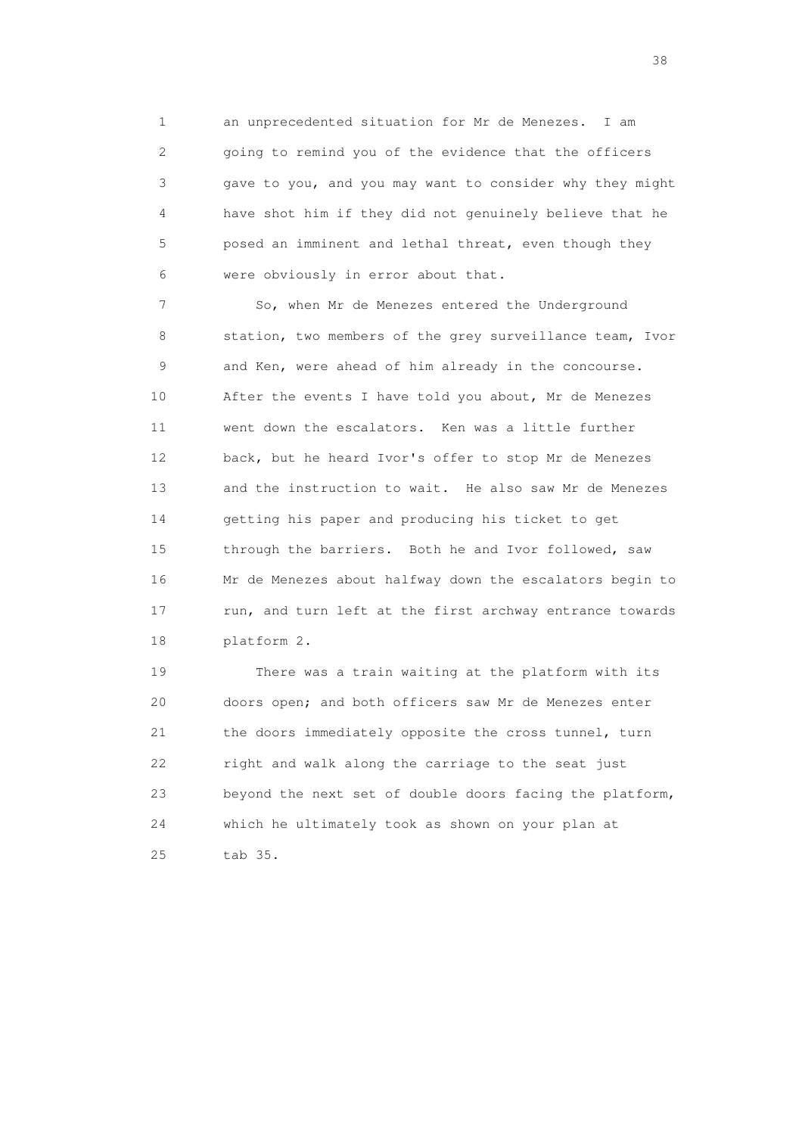1 an unprecedented situation for Mr de Menezes. I am 2 going to remind you of the evidence that the officers 3 gave to you, and you may want to consider why they might 4 have shot him if they did not genuinely believe that he 5 posed an imminent and lethal threat, even though they 6 were obviously in error about that.

 7 So, when Mr de Menezes entered the Underground 8 station, two members of the grey surveillance team, Ivor 9 and Ken, were ahead of him already in the concourse. 10 After the events I have told you about, Mr de Menezes 11 went down the escalators. Ken was a little further 12 back, but he heard Ivor's offer to stop Mr de Menezes 13 and the instruction to wait. He also saw Mr de Menezes 14 getting his paper and producing his ticket to get 15 through the barriers. Both he and Ivor followed, saw 16 Mr de Menezes about halfway down the escalators begin to 17 run, and turn left at the first archway entrance towards 18 platform 2.

 19 There was a train waiting at the platform with its 20 doors open; and both officers saw Mr de Menezes enter 21 the doors immediately opposite the cross tunnel, turn 22 right and walk along the carriage to the seat just 23 beyond the next set of double doors facing the platform, 24 which he ultimately took as shown on your plan at 25 tab 35.

and the state of the state of the state of the state of the state of the state of the state of the state of the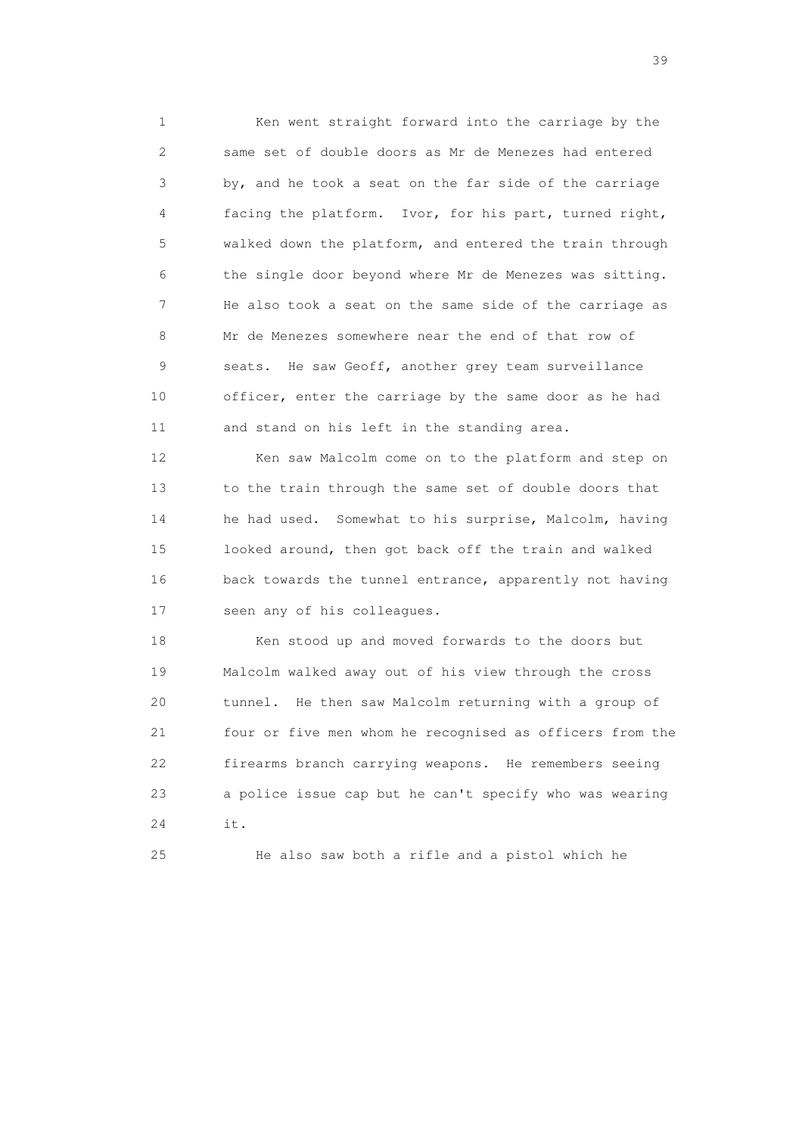1 Ken went straight forward into the carriage by the 2 same set of double doors as Mr de Menezes had entered 3 by, and he took a seat on the far side of the carriage 4 facing the platform. Ivor, for his part, turned right, 5 walked down the platform, and entered the train through 6 the single door beyond where Mr de Menezes was sitting. 7 He also took a seat on the same side of the carriage as 8 Mr de Menezes somewhere near the end of that row of 9 seats. He saw Geoff, another grey team surveillance 10 officer, enter the carriage by the same door as he had 11 and stand on his left in the standing area.

12 Ken saw Malcolm come on to the platform and step on 13 to the train through the same set of double doors that 14 he had used. Somewhat to his surprise, Malcolm, having 15 looked around, then got back off the train and walked 16 back towards the tunnel entrance, apparently not having 17 seen any of his colleagues.

 18 Ken stood up and moved forwards to the doors but 19 Malcolm walked away out of his view through the cross 20 tunnel. He then saw Malcolm returning with a group of 21 four or five men whom he recognised as officers from the 22 firearms branch carrying weapons. He remembers seeing 23 a police issue cap but he can't specify who was wearing 24 it.

25 He also saw both a rifle and a pistol which he

 $39<sup>2</sup>$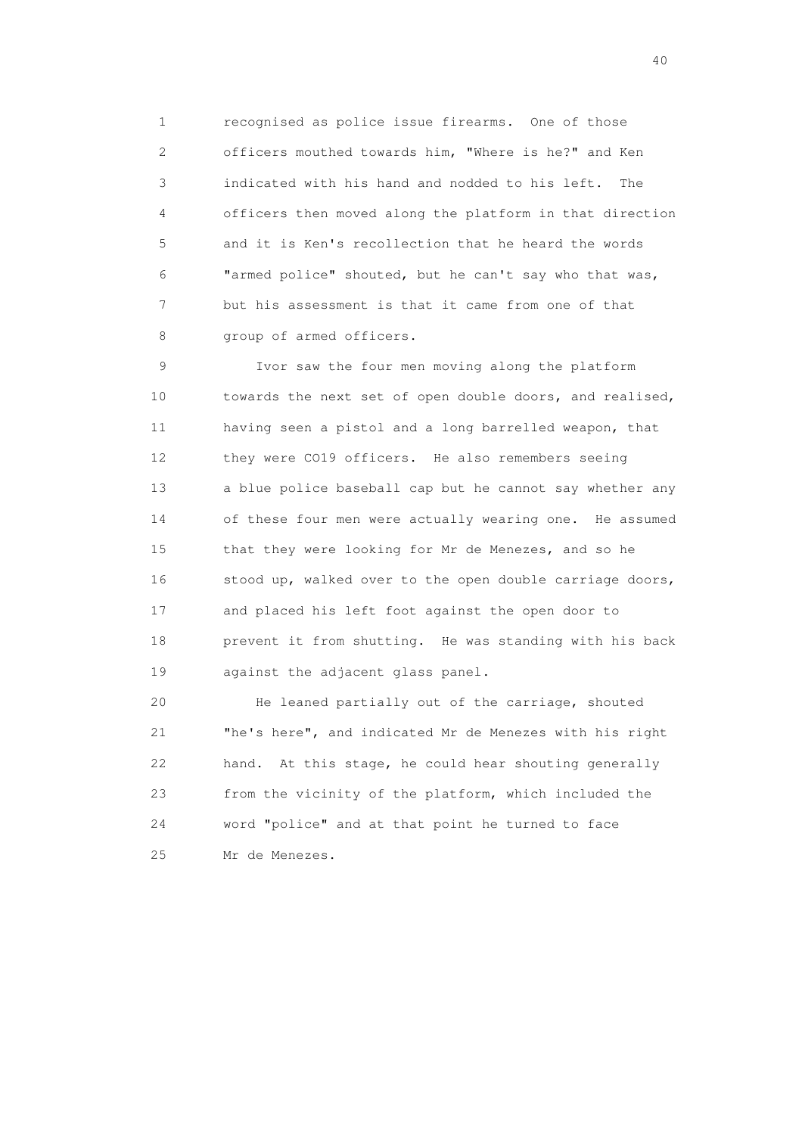1 recognised as police issue firearms. One of those 2 officers mouthed towards him, "Where is he?" and Ken 3 indicated with his hand and nodded to his left. The 4 officers then moved along the platform in that direction 5 and it is Ken's recollection that he heard the words 6 "armed police" shouted, but he can't say who that was, 7 but his assessment is that it came from one of that 8 group of armed officers.

 9 Ivor saw the four men moving along the platform 10 towards the next set of open double doors, and realised, 11 having seen a pistol and a long barrelled weapon, that 12 they were CO19 officers. He also remembers seeing 13 a blue police baseball cap but he cannot say whether any 14 of these four men were actually wearing one. He assumed 15 that they were looking for Mr de Menezes, and so he 16 stood up, walked over to the open double carriage doors, 17 and placed his left foot against the open door to 18 prevent it from shutting. He was standing with his back 19 against the adjacent glass panel.

 20 He leaned partially out of the carriage, shouted 21 "he's here", and indicated Mr de Menezes with his right 22 hand. At this stage, he could hear shouting generally 23 from the vicinity of the platform, which included the 24 word "police" and at that point he turned to face 25 Mr de Menezes.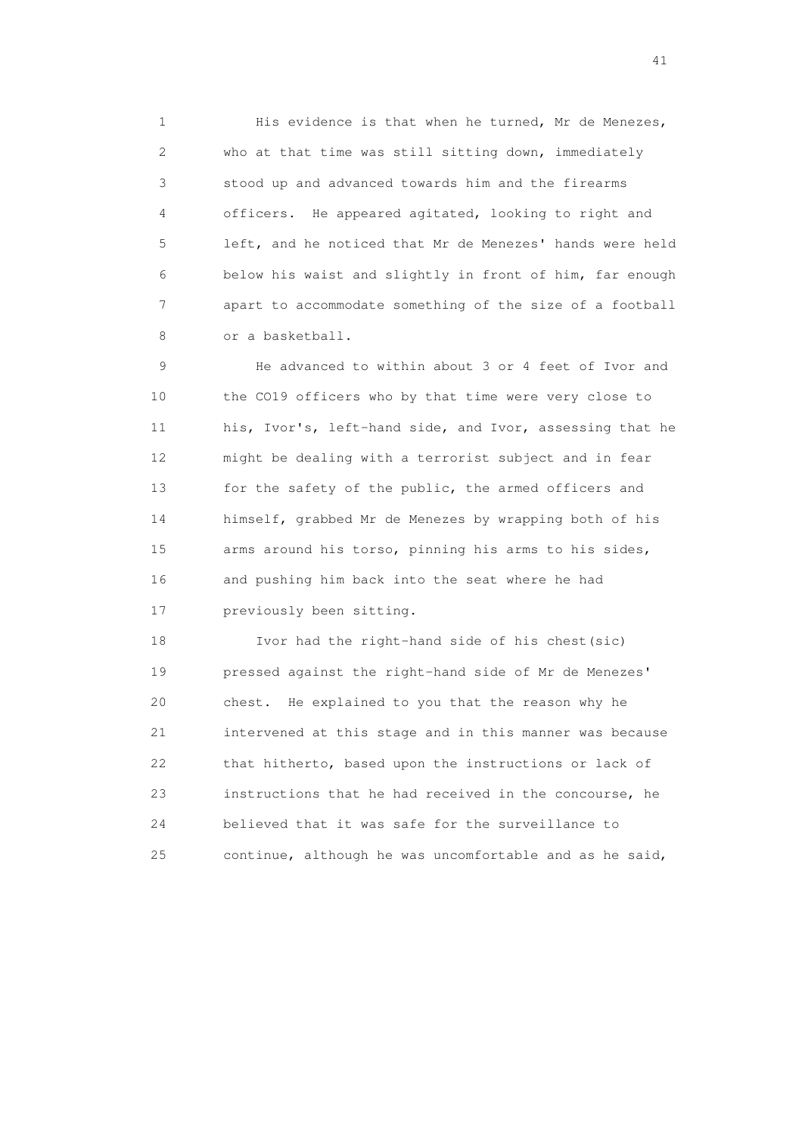1 His evidence is that when he turned, Mr de Menezes, 2 who at that time was still sitting down, immediately 3 stood up and advanced towards him and the firearms 4 officers. He appeared agitated, looking to right and 5 left, and he noticed that Mr de Menezes' hands were held 6 below his waist and slightly in front of him, far enough 7 apart to accommodate something of the size of a football 8 or a basketball.

 9 He advanced to within about 3 or 4 feet of Ivor and 10 the CO19 officers who by that time were very close to 11 his, Ivor's, left-hand side, and Ivor, assessing that he 12 might be dealing with a terrorist subject and in fear 13 for the safety of the public, the armed officers and 14 himself, grabbed Mr de Menezes by wrapping both of his 15 arms around his torso, pinning his arms to his sides, 16 and pushing him back into the seat where he had 17 previously been sitting.

 18 Ivor had the right-hand side of his chest(sic) 19 pressed against the right-hand side of Mr de Menezes' 20 chest. He explained to you that the reason why he 21 intervened at this stage and in this manner was because 22 that hitherto, based upon the instructions or lack of 23 instructions that he had received in the concourse, he 24 believed that it was safe for the surveillance to 25 continue, although he was uncomfortable and as he said,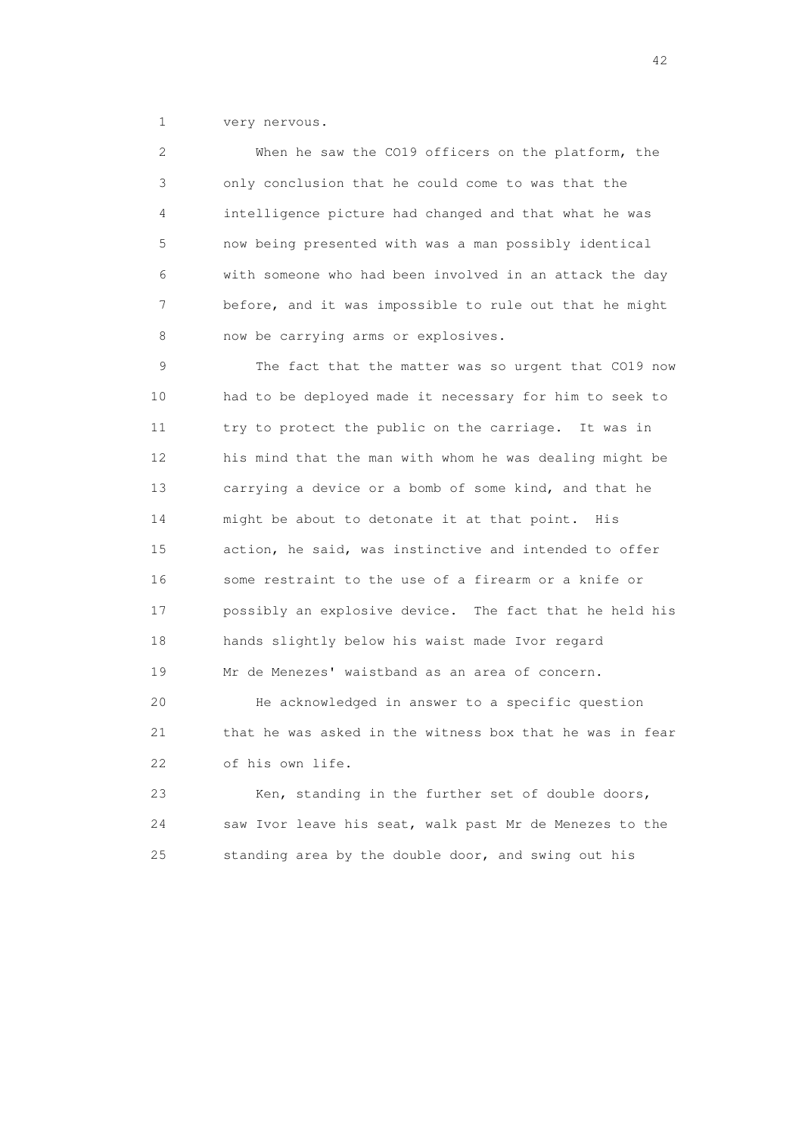1 very nervous.

 2 When he saw the CO19 officers on the platform, the 3 only conclusion that he could come to was that the 4 intelligence picture had changed and that what he was 5 now being presented with was a man possibly identical 6 with someone who had been involved in an attack the day 7 before, and it was impossible to rule out that he might 8 now be carrying arms or explosives.

 9 The fact that the matter was so urgent that CO19 now 10 had to be deployed made it necessary for him to seek to 11 try to protect the public on the carriage. It was in 12 his mind that the man with whom he was dealing might be 13 carrying a device or a bomb of some kind, and that he 14 might be about to detonate it at that point. His 15 action, he said, was instinctive and intended to offer 16 some restraint to the use of a firearm or a knife or 17 possibly an explosive device. The fact that he held his 18 hands slightly below his waist made Ivor regard 19 Mr de Menezes' waistband as an area of concern.

 20 He acknowledged in answer to a specific question 21 that he was asked in the witness box that he was in fear 22 of his own life.

 23 Ken, standing in the further set of double doors, 24 saw Ivor leave his seat, walk past Mr de Menezes to the 25 standing area by the double door, and swing out his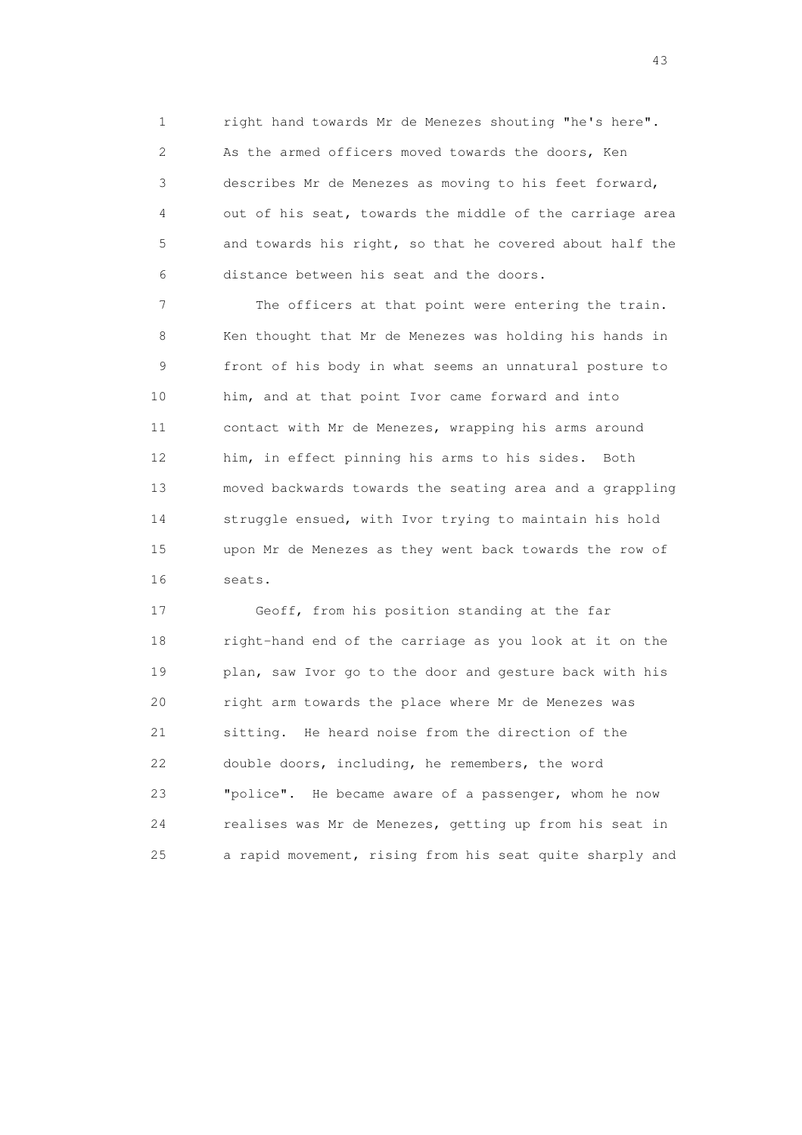1 right hand towards Mr de Menezes shouting "he's here". 2 As the armed officers moved towards the doors, Ken 3 describes Mr de Menezes as moving to his feet forward, 4 out of his seat, towards the middle of the carriage area 5 and towards his right, so that he covered about half the 6 distance between his seat and the doors.

 7 The officers at that point were entering the train. 8 Ken thought that Mr de Menezes was holding his hands in 9 front of his body in what seems an unnatural posture to 10 him, and at that point Ivor came forward and into 11 contact with Mr de Menezes, wrapping his arms around 12 him, in effect pinning his arms to his sides. Both 13 moved backwards towards the seating area and a grappling 14 struggle ensued, with Ivor trying to maintain his hold 15 upon Mr de Menezes as they went back towards the row of 16 seats.

 17 Geoff, from his position standing at the far 18 right-hand end of the carriage as you look at it on the 19 plan, saw Ivor go to the door and gesture back with his 20 right arm towards the place where Mr de Menezes was 21 sitting. He heard noise from the direction of the 22 double doors, including, he remembers, the word 23 "police". He became aware of a passenger, whom he now 24 realises was Mr de Menezes, getting up from his seat in 25 a rapid movement, rising from his seat quite sharply and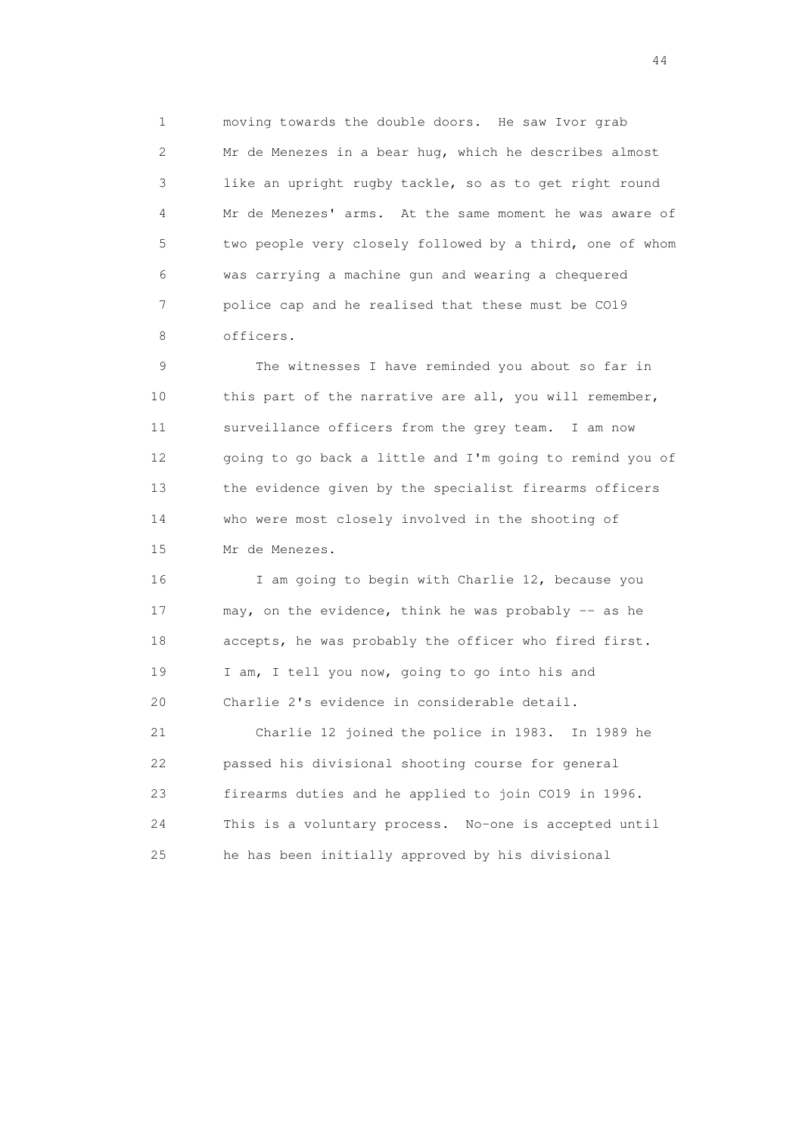1 moving towards the double doors. He saw Ivor grab 2 Mr de Menezes in a bear hug, which he describes almost 3 like an upright rugby tackle, so as to get right round 4 Mr de Menezes' arms. At the same moment he was aware of 5 two people very closely followed by a third, one of whom 6 was carrying a machine gun and wearing a chequered 7 police cap and he realised that these must be CO19 8 officers.

 9 The witnesses I have reminded you about so far in 10 this part of the narrative are all, you will remember, 11 surveillance officers from the grey team. I am now 12 going to go back a little and I'm going to remind you of 13 the evidence given by the specialist firearms officers 14 who were most closely involved in the shooting of 15 Mr de Menezes.

 16 I am going to begin with Charlie 12, because you 17 may, on the evidence, think he was probably -- as he 18 accepts, he was probably the officer who fired first. 19 I am, I tell you now, going to go into his and 20 Charlie 2's evidence in considerable detail. 21 Charlie 12 joined the police in 1983. In 1989 he 22 passed his divisional shooting course for general 23 firearms duties and he applied to join CO19 in 1996.

 24 This is a voluntary process. No-one is accepted until 25 he has been initially approved by his divisional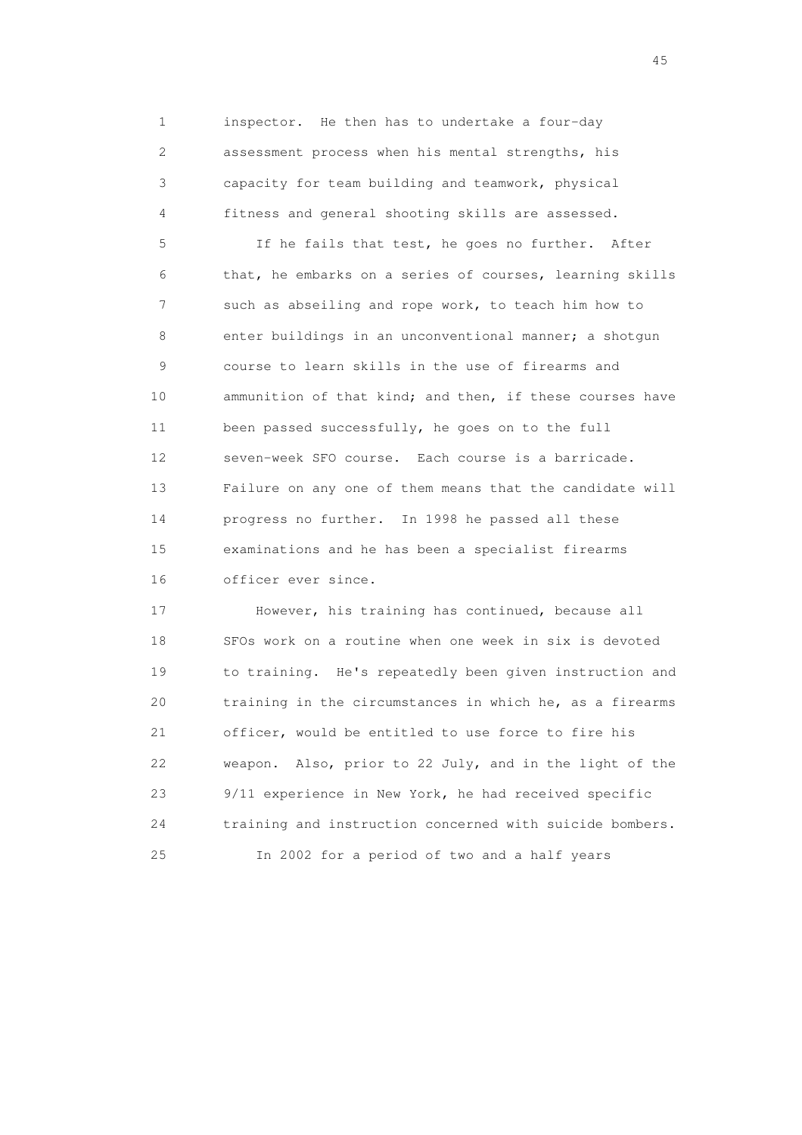1 inspector. He then has to undertake a four-day 2 assessment process when his mental strengths, his 3 capacity for team building and teamwork, physical 4 fitness and general shooting skills are assessed.

 5 If he fails that test, he goes no further. After 6 that, he embarks on a series of courses, learning skills 7 such as abseiling and rope work, to teach him how to 8 enter buildings in an unconventional manner; a shotgun 9 course to learn skills in the use of firearms and 10 ammunition of that kind; and then, if these courses have 11 been passed successfully, he goes on to the full 12 seven-week SFO course. Each course is a barricade. 13 Failure on any one of them means that the candidate will 14 progress no further. In 1998 he passed all these 15 examinations and he has been a specialist firearms 16 officer ever since.

 17 However, his training has continued, because all 18 SFOs work on a routine when one week in six is devoted 19 to training. He's repeatedly been given instruction and 20 training in the circumstances in which he, as a firearms 21 officer, would be entitled to use force to fire his 22 weapon. Also, prior to 22 July, and in the light of the 23 9/11 experience in New York, he had received specific 24 training and instruction concerned with suicide bombers. 25 In 2002 for a period of two and a half years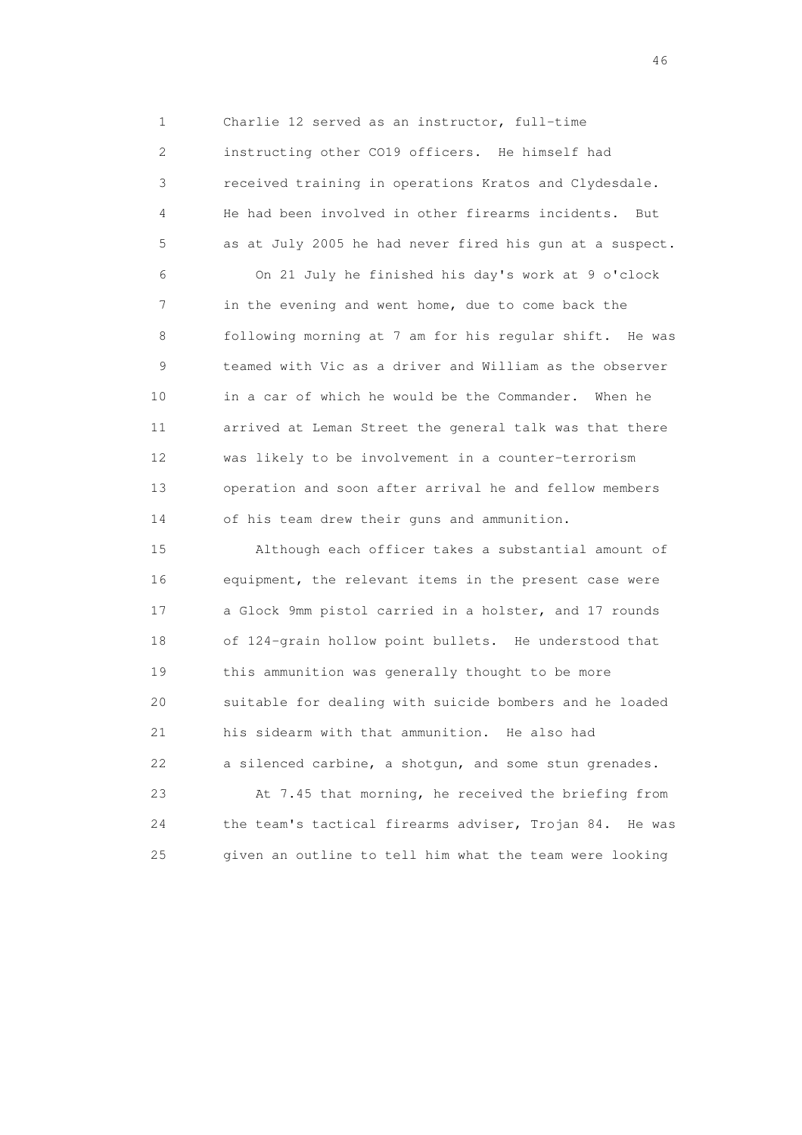1 Charlie 12 served as an instructor, full-time 2 instructing other CO19 officers. He himself had 3 received training in operations Kratos and Clydesdale. 4 He had been involved in other firearms incidents. But 5 as at July 2005 he had never fired his gun at a suspect.

 6 On 21 July he finished his day's work at 9 o'clock 7 in the evening and went home, due to come back the 8 following morning at 7 am for his regular shift. He was 9 teamed with Vic as a driver and William as the observer 10 in a car of which he would be the Commander. When he 11 arrived at Leman Street the general talk was that there 12 was likely to be involvement in a counter-terrorism 13 operation and soon after arrival he and fellow members 14 of his team drew their guns and ammunition.

 15 Although each officer takes a substantial amount of 16 equipment, the relevant items in the present case were 17 a Glock 9mm pistol carried in a holster, and 17 rounds 18 of 124-grain hollow point bullets. He understood that 19 this ammunition was generally thought to be more 20 suitable for dealing with suicide bombers and he loaded 21 his sidearm with that ammunition. He also had 22 a silenced carbine, a shotgun, and some stun grenades.

 23 At 7.45 that morning, he received the briefing from 24 the team's tactical firearms adviser, Trojan 84. He was 25 given an outline to tell him what the team were looking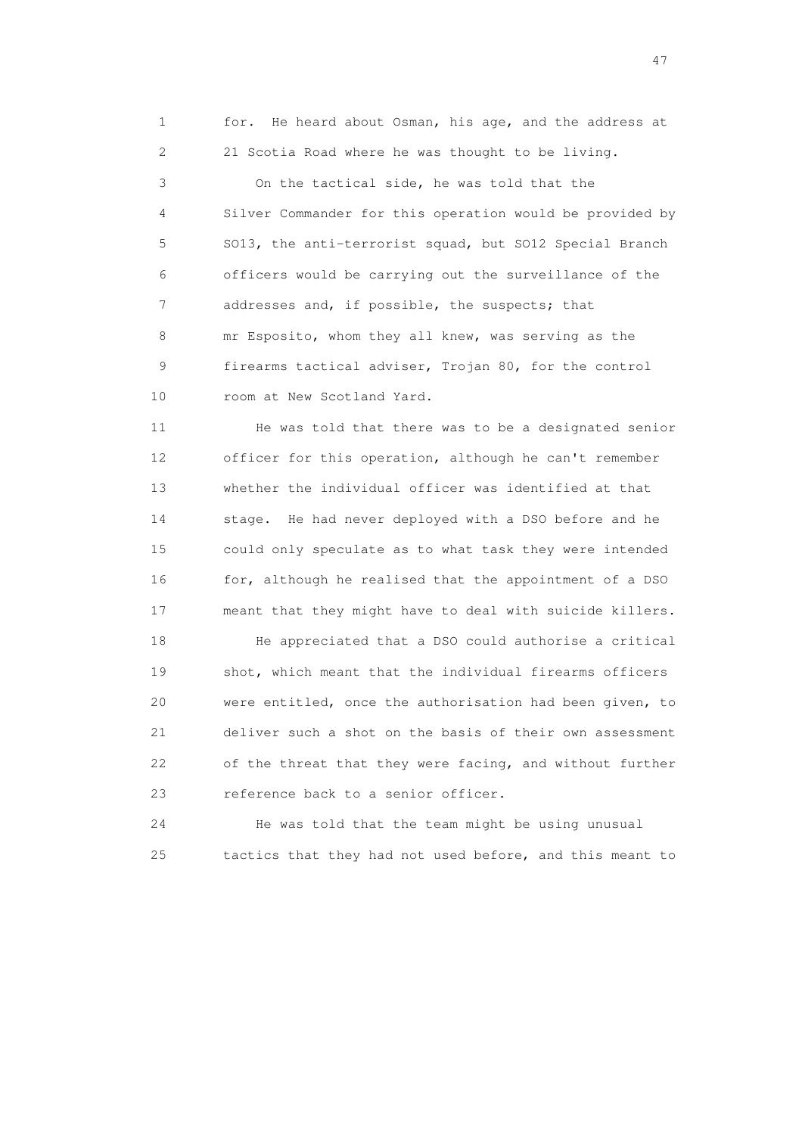1 for. He heard about Osman, his age, and the address at 2 21 Scotia Road where he was thought to be living.

 3 On the tactical side, he was told that the 4 Silver Commander for this operation would be provided by 5 SO13, the anti-terrorist squad, but SO12 Special Branch 6 officers would be carrying out the surveillance of the 7 addresses and, if possible, the suspects; that 8 mr Esposito, whom they all knew, was serving as the 9 firearms tactical adviser, Trojan 80, for the control 10 room at New Scotland Yard.

 11 He was told that there was to be a designated senior 12 officer for this operation, although he can't remember 13 whether the individual officer was identified at that 14 stage. He had never deployed with a DSO before and he 15 could only speculate as to what task they were intended 16 for, although he realised that the appointment of a DSO 17 meant that they might have to deal with suicide killers.

 18 He appreciated that a DSO could authorise a critical 19 shot, which meant that the individual firearms officers 20 were entitled, once the authorisation had been given, to 21 deliver such a shot on the basis of their own assessment 22 of the threat that they were facing, and without further 23 reference back to a senior officer.

 24 He was told that the team might be using unusual 25 tactics that they had not used before, and this meant to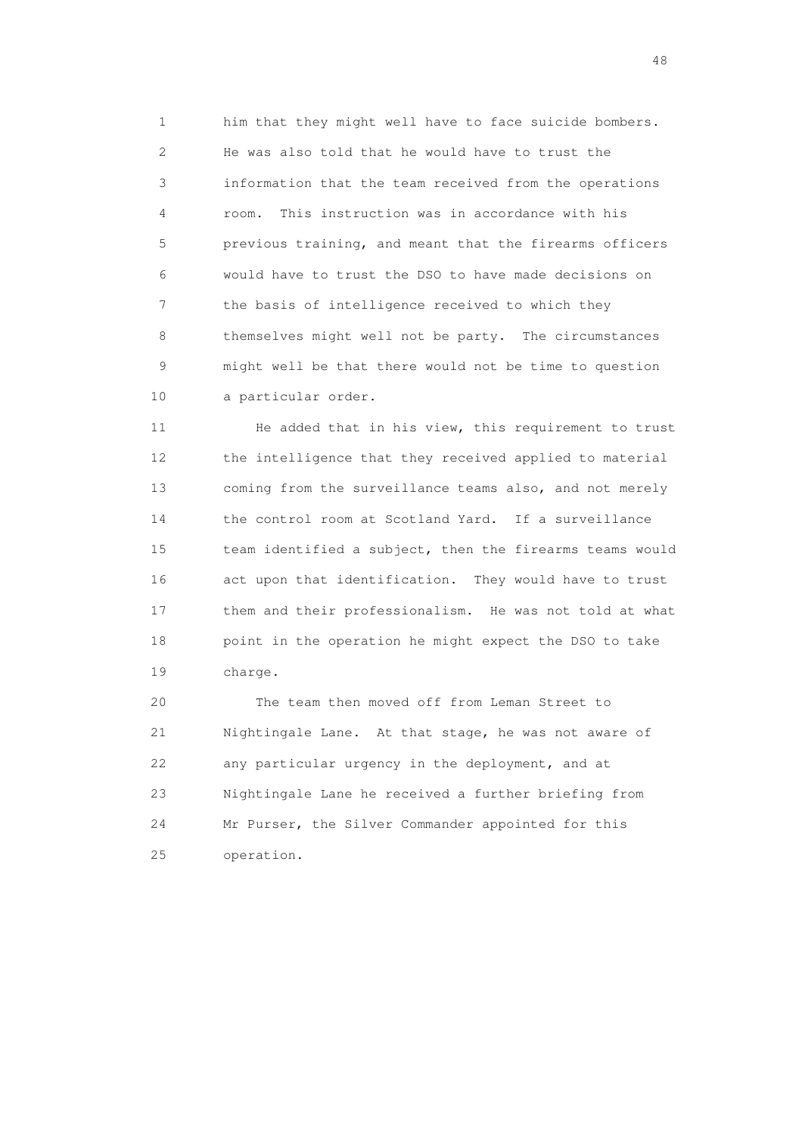1 him that they might well have to face suicide bombers. 2 He was also told that he would have to trust the 3 information that the team received from the operations 4 room. This instruction was in accordance with his 5 previous training, and meant that the firearms officers 6 would have to trust the DSO to have made decisions on 7 the basis of intelligence received to which they 8 themselves might well not be party. The circumstances 9 might well be that there would not be time to question 10 a particular order.

11 He added that in his view, this requirement to trust 12 the intelligence that they received applied to material 13 coming from the surveillance teams also, and not merely 14 the control room at Scotland Yard. If a surveillance 15 team identified a subject, then the firearms teams would 16 act upon that identification. They would have to trust 17 them and their professionalism. He was not told at what 18 point in the operation he might expect the DSO to take 19 charge.

 20 The team then moved off from Leman Street to 21 Nightingale Lane. At that stage, he was not aware of 22 any particular urgency in the deployment, and at 23 Nightingale Lane he received a further briefing from 24 Mr Purser, the Silver Commander appointed for this 25 operation.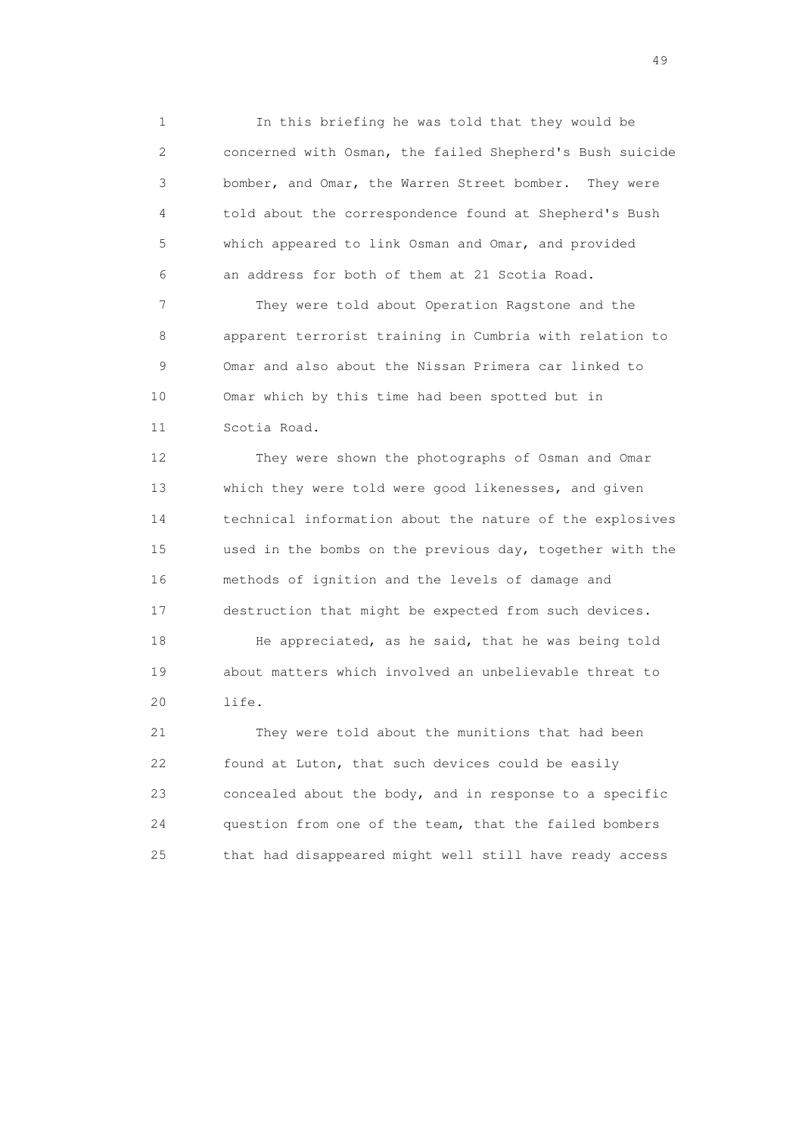1 In this briefing he was told that they would be 2 concerned with Osman, the failed Shepherd's Bush suicide 3 bomber, and Omar, the Warren Street bomber. They were 4 told about the correspondence found at Shepherd's Bush 5 which appeared to link Osman and Omar, and provided 6 an address for both of them at 21 Scotia Road.

 7 They were told about Operation Ragstone and the 8 apparent terrorist training in Cumbria with relation to 9 Omar and also about the Nissan Primera car linked to 10 Omar which by this time had been spotted but in 11 Scotia Road.

 12 They were shown the photographs of Osman and Omar 13 which they were told were good likenesses, and given 14 technical information about the nature of the explosives 15 used in the bombs on the previous day, together with the 16 methods of ignition and the levels of damage and 17 destruction that might be expected from such devices.

 18 He appreciated, as he said, that he was being told 19 about matters which involved an unbelievable threat to 20 life.

 21 They were told about the munitions that had been 22 found at Luton, that such devices could be easily 23 concealed about the body, and in response to a specific 24 question from one of the team, that the failed bombers 25 that had disappeared might well still have ready access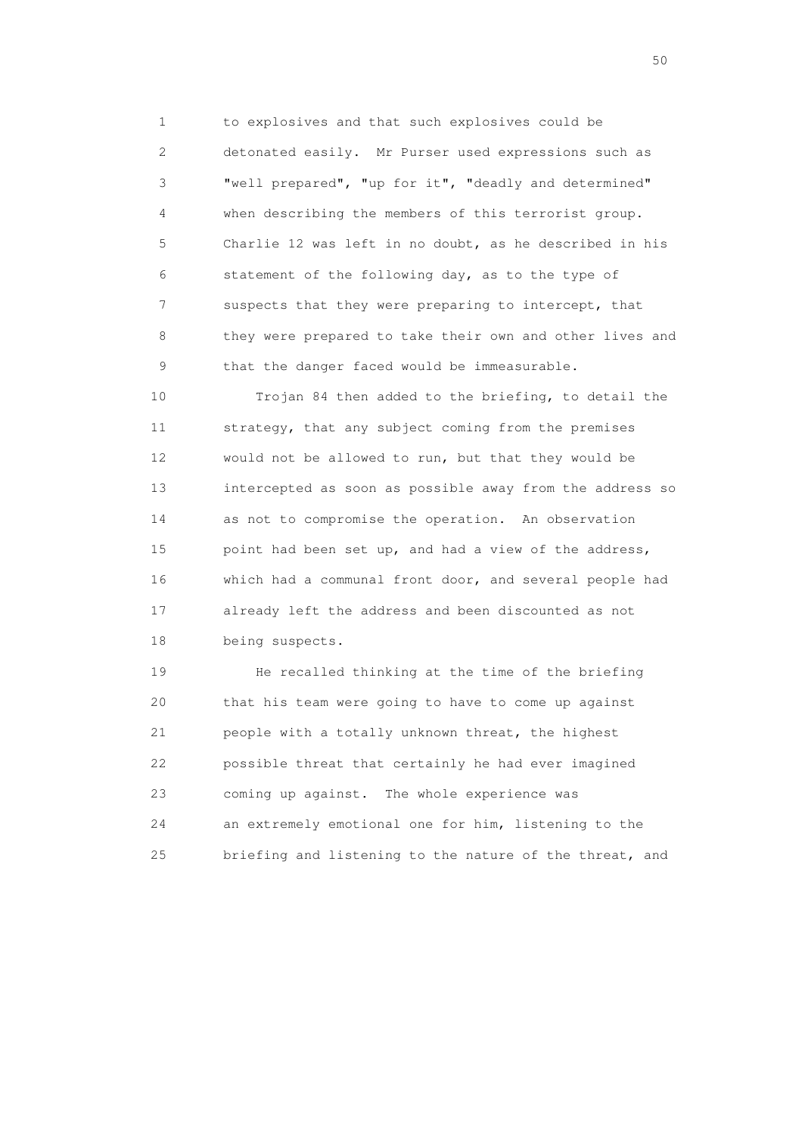1 to explosives and that such explosives could be 2 detonated easily. Mr Purser used expressions such as 3 "well prepared", "up for it", "deadly and determined" 4 when describing the members of this terrorist group. 5 Charlie 12 was left in no doubt, as he described in his 6 statement of the following day, as to the type of 7 suspects that they were preparing to intercept, that 8 they were prepared to take their own and other lives and 9 that the danger faced would be immeasurable.

 10 Trojan 84 then added to the briefing, to detail the 11 strategy, that any subject coming from the premises 12 would not be allowed to run, but that they would be 13 intercepted as soon as possible away from the address so 14 as not to compromise the operation. An observation 15 point had been set up, and had a view of the address, 16 which had a communal front door, and several people had 17 already left the address and been discounted as not 18 being suspects.

 19 He recalled thinking at the time of the briefing 20 that his team were going to have to come up against 21 people with a totally unknown threat, the highest 22 possible threat that certainly he had ever imagined 23 coming up against. The whole experience was 24 an extremely emotional one for him, listening to the 25 briefing and listening to the nature of the threat, and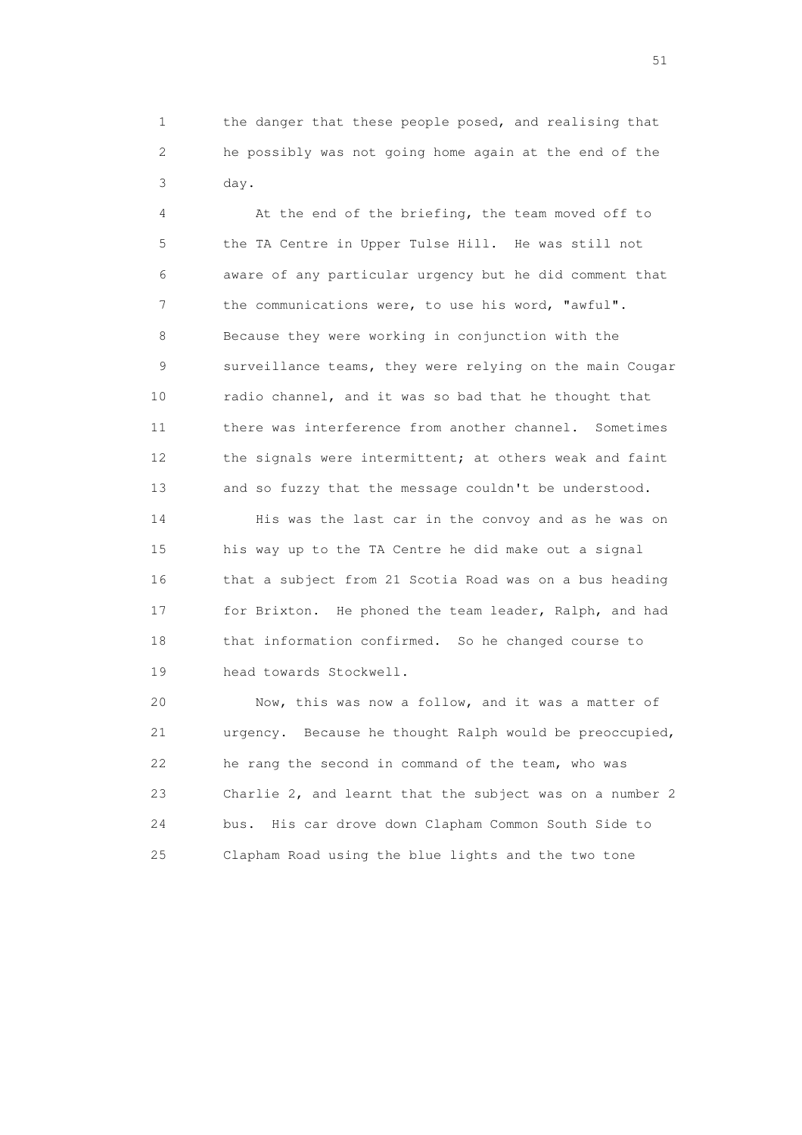1 the danger that these people posed, and realising that 2 he possibly was not going home again at the end of the 3 day.

 4 At the end of the briefing, the team moved off to 5 the TA Centre in Upper Tulse Hill. He was still not 6 aware of any particular urgency but he did comment that 7 the communications were, to use his word, "awful". 8 Because they were working in conjunction with the 9 surveillance teams, they were relying on the main Cougar 10 radio channel, and it was so bad that he thought that 11 there was interference from another channel. Sometimes 12 the signals were intermittent; at others weak and faint 13 and so fuzzy that the message couldn't be understood.

 14 His was the last car in the convoy and as he was on 15 his way up to the TA Centre he did make out a signal 16 that a subject from 21 Scotia Road was on a bus heading 17 for Brixton. He phoned the team leader, Ralph, and had 18 that information confirmed. So he changed course to 19 head towards Stockwell.

 20 Now, this was now a follow, and it was a matter of 21 urgency. Because he thought Ralph would be preoccupied, 22 he rang the second in command of the team, who was 23 Charlie 2, and learnt that the subject was on a number 2 24 bus. His car drove down Clapham Common South Side to 25 Clapham Road using the blue lights and the two tone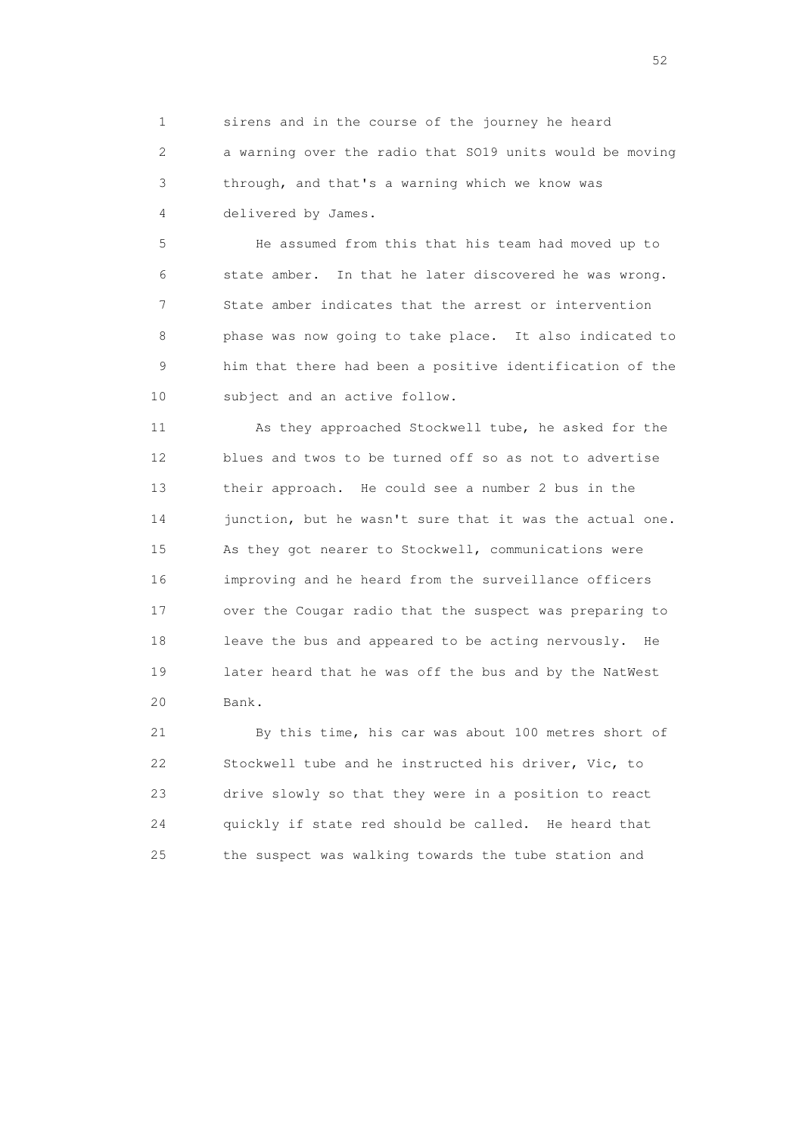1 sirens and in the course of the journey he heard 2 a warning over the radio that SO19 units would be moving 3 through, and that's a warning which we know was 4 delivered by James.

 5 He assumed from this that his team had moved up to 6 state amber. In that he later discovered he was wrong. 7 State amber indicates that the arrest or intervention 8 phase was now going to take place. It also indicated to 9 him that there had been a positive identification of the 10 subject and an active follow.

 11 As they approached Stockwell tube, he asked for the 12 blues and twos to be turned off so as not to advertise 13 their approach. He could see a number 2 bus in the 14 junction, but he wasn't sure that it was the actual one. 15 As they got nearer to Stockwell, communications were 16 improving and he heard from the surveillance officers 17 over the Cougar radio that the suspect was preparing to 18 leave the bus and appeared to be acting nervously. He 19 later heard that he was off the bus and by the NatWest 20 Bank.

 21 By this time, his car was about 100 metres short of 22 Stockwell tube and he instructed his driver, Vic, to 23 drive slowly so that they were in a position to react 24 quickly if state red should be called. He heard that 25 the suspect was walking towards the tube station and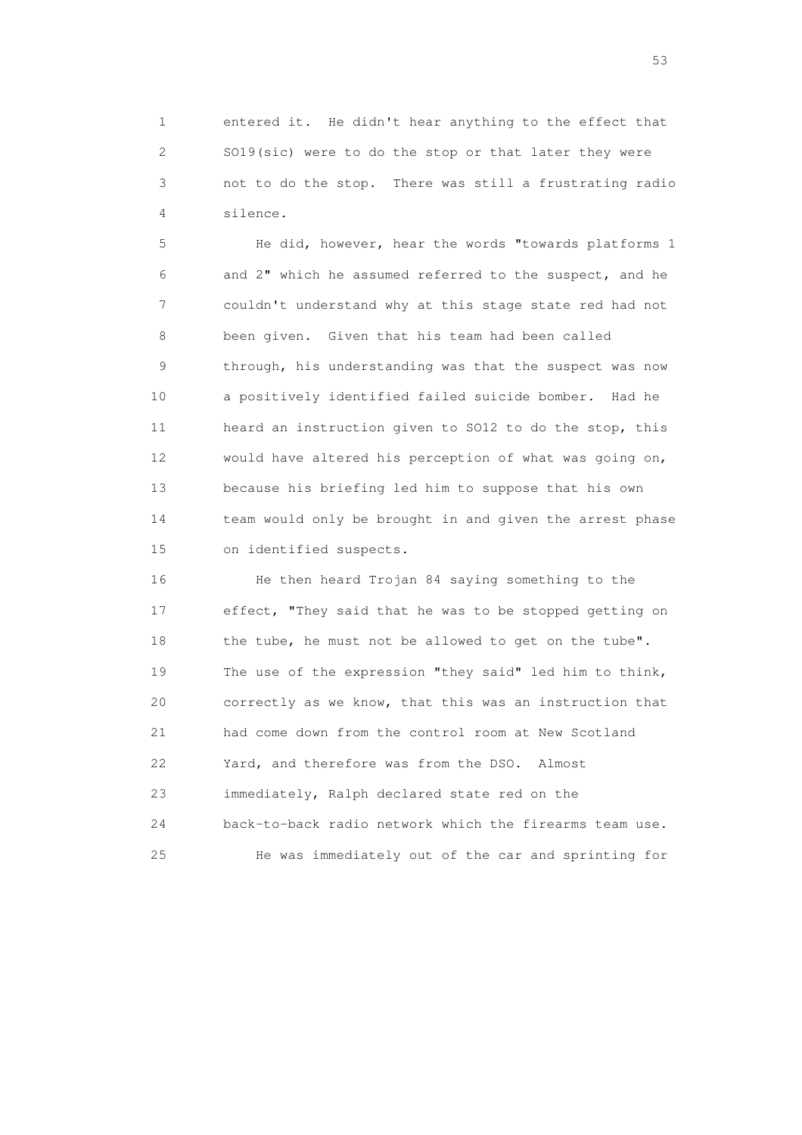1 entered it. He didn't hear anything to the effect that 2 SO19(sic) were to do the stop or that later they were 3 not to do the stop. There was still a frustrating radio 4 silence.

 5 He did, however, hear the words "towards platforms 1 6 and 2" which he assumed referred to the suspect, and he 7 couldn't understand why at this stage state red had not 8 been given. Given that his team had been called 9 through, his understanding was that the suspect was now 10 a positively identified failed suicide bomber. Had he 11 heard an instruction given to SO12 to do the stop, this 12 would have altered his perception of what was going on, 13 because his briefing led him to suppose that his own 14 team would only be brought in and given the arrest phase 15 on identified suspects.

 16 He then heard Trojan 84 saying something to the 17 effect, "They said that he was to be stopped getting on 18 the tube, he must not be allowed to get on the tube". 19 The use of the expression "they said" led him to think, 20 correctly as we know, that this was an instruction that 21 had come down from the control room at New Scotland 22 Yard, and therefore was from the DSO. Almost 23 immediately, Ralph declared state red on the 24 back-to-back radio network which the firearms team use. 25 He was immediately out of the car and sprinting for

 $\sim$  53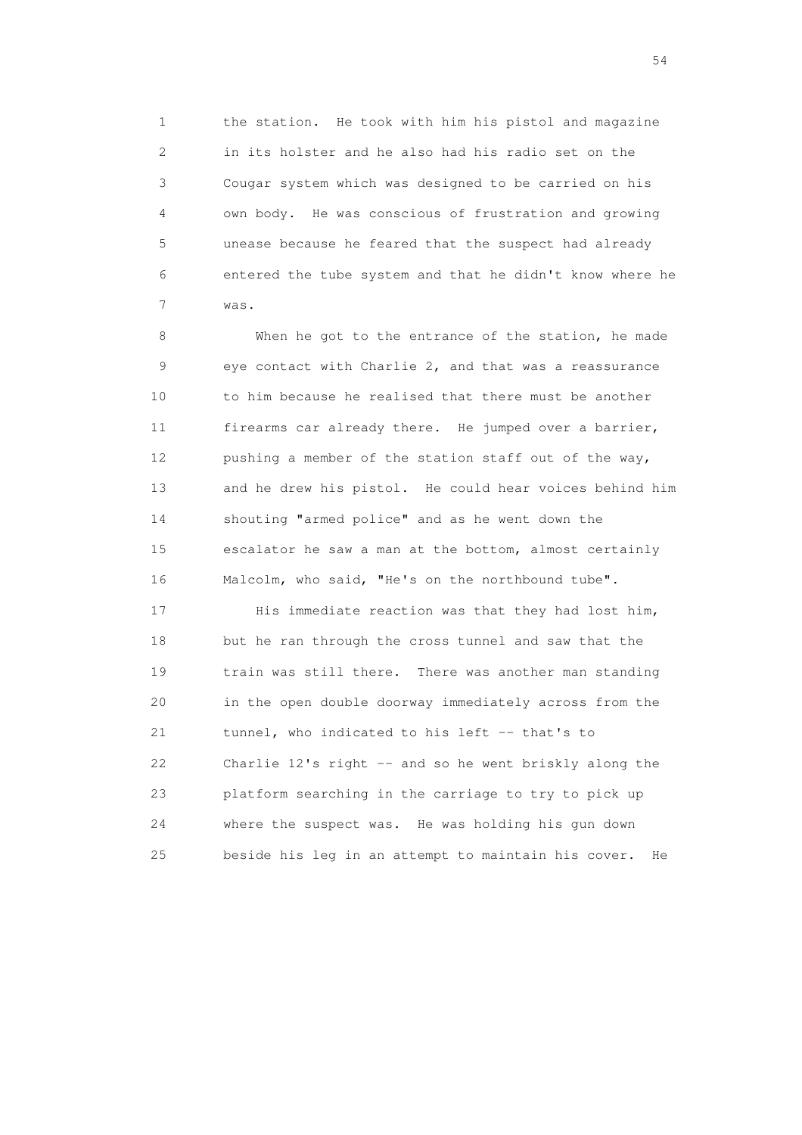1 the station. He took with him his pistol and magazine 2 in its holster and he also had his radio set on the 3 Cougar system which was designed to be carried on his 4 own body. He was conscious of frustration and growing 5 unease because he feared that the suspect had already 6 entered the tube system and that he didn't know where he 7 was.

 8 When he got to the entrance of the station, he made 9 eye contact with Charlie 2, and that was a reassurance 10 to him because he realised that there must be another 11 firearms car already there. He jumped over a barrier, 12 pushing a member of the station staff out of the way, 13 and he drew his pistol. He could hear voices behind him 14 shouting "armed police" and as he went down the 15 escalator he saw a man at the bottom, almost certainly 16 Malcolm, who said, "He's on the northbound tube".

17 His immediate reaction was that they had lost him, 18 but he ran through the cross tunnel and saw that the 19 train was still there. There was another man standing 20 in the open double doorway immediately across from the 21 tunnel, who indicated to his left -- that's to 22 Charlie 12's right -- and so he went briskly along the 23 platform searching in the carriage to try to pick up 24 where the suspect was. He was holding his gun down 25 beside his leg in an attempt to maintain his cover. He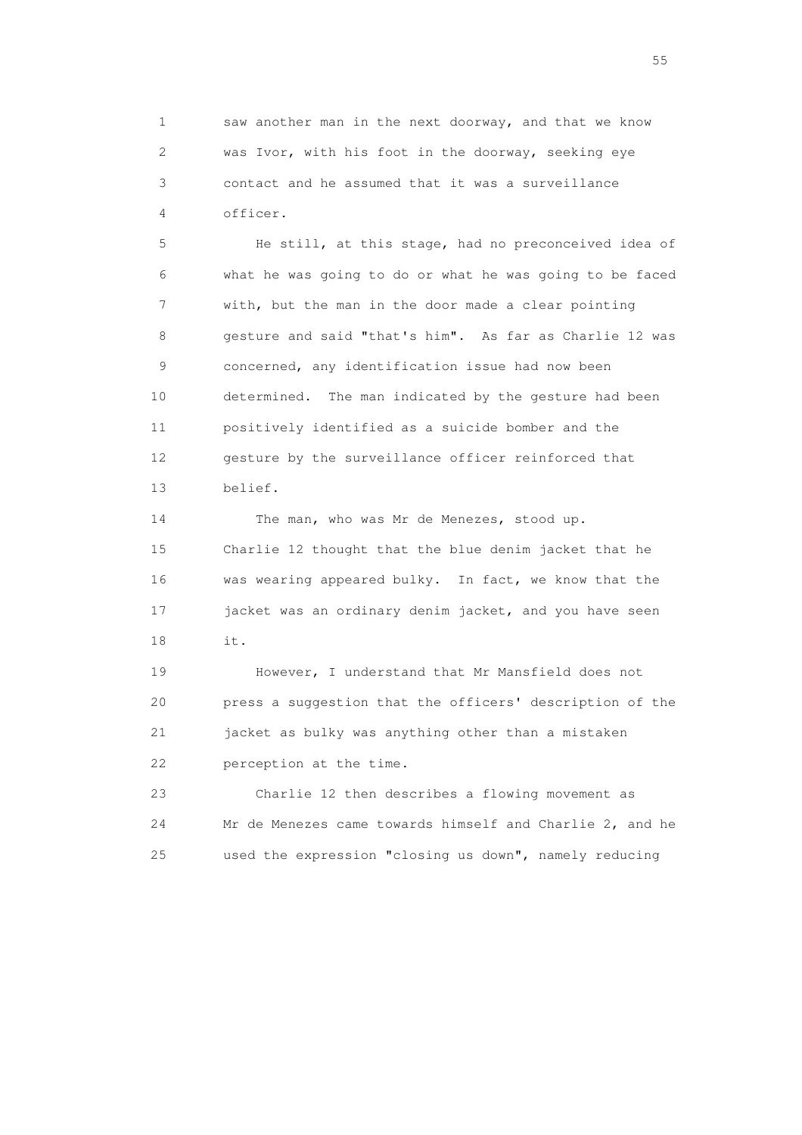1 saw another man in the next doorway, and that we know 2 was Ivor, with his foot in the doorway, seeking eye 3 contact and he assumed that it was a surveillance 4 officer.

 5 He still, at this stage, had no preconceived idea of 6 what he was going to do or what he was going to be faced 7 with, but the man in the door made a clear pointing 8 gesture and said "that's him". As far as Charlie 12 was 9 concerned, any identification issue had now been 10 determined. The man indicated by the gesture had been 11 positively identified as a suicide bomber and the 12 gesture by the surveillance officer reinforced that 13 belief.

14 The man, who was Mr de Menezes, stood up. 15 Charlie 12 thought that the blue denim jacket that he 16 was wearing appeared bulky. In fact, we know that the 17 jacket was an ordinary denim jacket, and you have seen 18 it.

 19 However, I understand that Mr Mansfield does not 20 press a suggestion that the officers' description of the 21 jacket as bulky was anything other than a mistaken 22 perception at the time.

 23 Charlie 12 then describes a flowing movement as 24 Mr de Menezes came towards himself and Charlie 2, and he 25 used the expression "closing us down", namely reducing

the state of the state of the state of the state of the state of the state of the state of the state of the state of the state of the state of the state of the state of the state of the state of the state of the state of t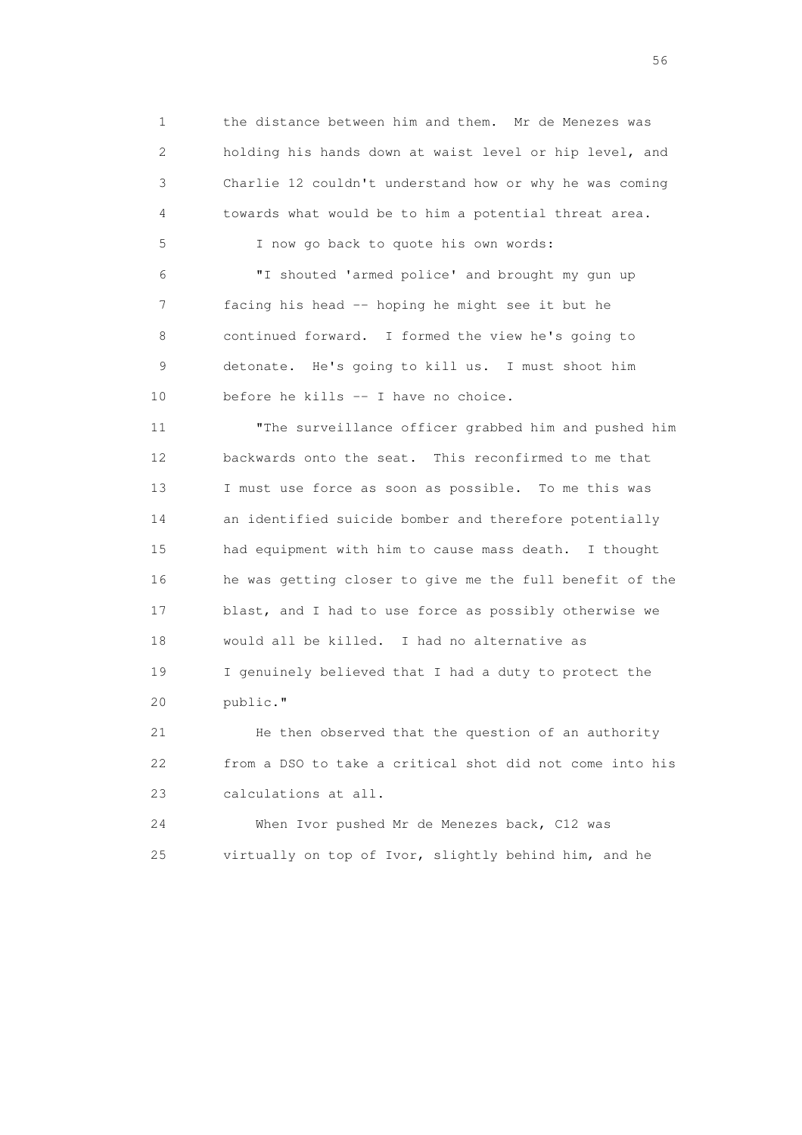1 the distance between him and them. Mr de Menezes was 2 holding his hands down at waist level or hip level, and 3 Charlie 12 couldn't understand how or why he was coming 4 towards what would be to him a potential threat area.

 6 "I shouted 'armed police' and brought my gun up 7 facing his head -- hoping he might see it but he 8 continued forward. I formed the view he's going to 9 detonate. He's going to kill us. I must shoot him 10 before he kills -- I have no choice.

5 I now go back to quote his own words:

 11 "The surveillance officer grabbed him and pushed him 12 backwards onto the seat. This reconfirmed to me that 13 I must use force as soon as possible. To me this was 14 an identified suicide bomber and therefore potentially 15 had equipment with him to cause mass death. I thought 16 he was getting closer to give me the full benefit of the 17 blast, and I had to use force as possibly otherwise we 18 would all be killed. I had no alternative as 19 I genuinely believed that I had a duty to protect the 20 public."

 21 He then observed that the question of an authority 22 from a DSO to take a critical shot did not come into his 23 calculations at all.

 24 When Ivor pushed Mr de Menezes back, C12 was 25 virtually on top of Ivor, slightly behind him, and he

 $56<sup>o</sup>$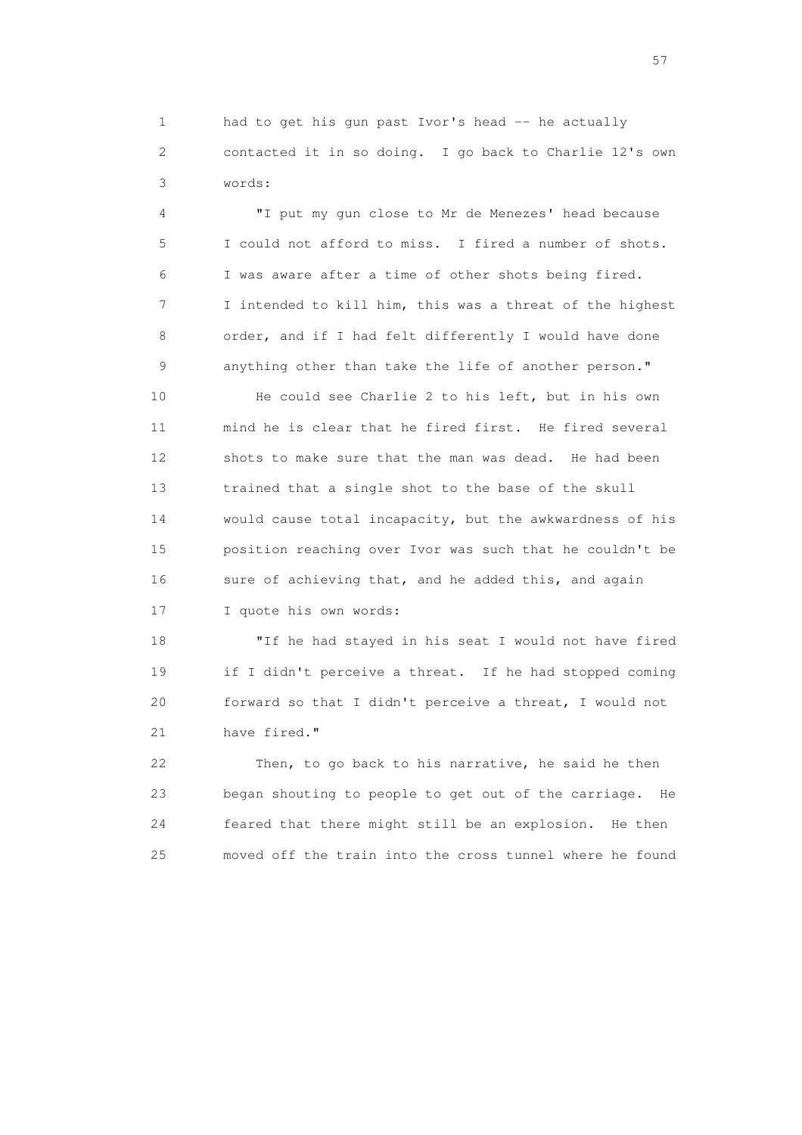1 had to get his gun past Ivor's head -- he actually 2 contacted it in so doing. I go back to Charlie 12's own 3 words:

 4 "I put my gun close to Mr de Menezes' head because 5 I could not afford to miss. I fired a number of shots. 6 I was aware after a time of other shots being fired. 7 I intended to kill him, this was a threat of the highest 8 order, and if I had felt differently I would have done 9 anything other than take the life of another person."

 10 He could see Charlie 2 to his left, but in his own 11 mind he is clear that he fired first. He fired several 12 shots to make sure that the man was dead. He had been 13 trained that a single shot to the base of the skull 14 would cause total incapacity, but the awkwardness of his 15 position reaching over Ivor was such that he couldn't be 16 sure of achieving that, and he added this, and again 17 I quote his own words:

 18 "If he had stayed in his seat I would not have fired 19 if I didn't perceive a threat. If he had stopped coming 20 forward so that I didn't perceive a threat, I would not 21 have fired."

 22 Then, to go back to his narrative, he said he then 23 began shouting to people to get out of the carriage. He 24 feared that there might still be an explosion. He then 25 moved off the train into the cross tunnel where he found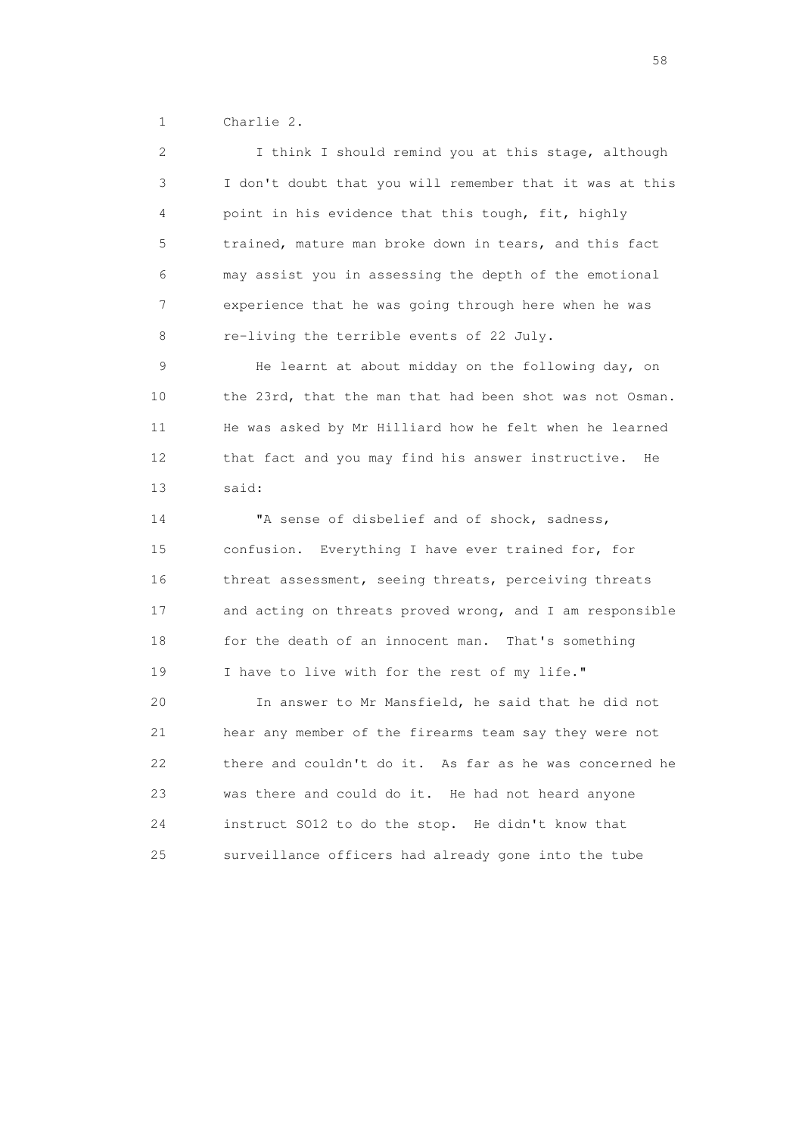1 Charlie 2.

| 2  | I think I should remind you at this stage, although      |
|----|----------------------------------------------------------|
| 3  | I don't doubt that you will remember that it was at this |
| 4  | point in his evidence that this tough, fit, highly       |
| 5  | trained, mature man broke down in tears, and this fact   |
| 6  | may assist you in assessing the depth of the emotional   |
| 7  | experience that he was going through here when he was    |
| 8  | re-living the terrible events of 22 July.                |
| 9  | He learnt at about midday on the following day, on       |
| 10 | the 23rd, that the man that had been shot was not Osman. |
| 11 | He was asked by Mr Hilliard how he felt when he learned  |
| 12 | that fact and you may find his answer instructive.<br>He |
| 13 | said:                                                    |
| 14 | "A sense of disbelief and of shock, sadness,             |
| 15 | confusion. Everything I have ever trained for, for       |
| 16 | threat assessment, seeing threats, perceiving threats    |
| 17 | and acting on threats proved wrong, and I am responsible |
| 18 | for the death of an innocent man. That's something       |
| 19 | I have to live with for the rest of my life."            |
| 20 | In answer to Mr Mansfield, he said that he did not       |
| 21 | hear any member of the firearms team say they were not   |
| 22 | there and couldn't do it. As far as he was concerned he  |
| 23 | was there and could do it. He had not heard anyone       |
| 24 | instruct SO12 to do the stop. He didn't know that        |
|    |                                                          |

the state of the state of the state of the state of the state of the state of the state of the state of the state of the state of the state of the state of the state of the state of the state of the state of the state of t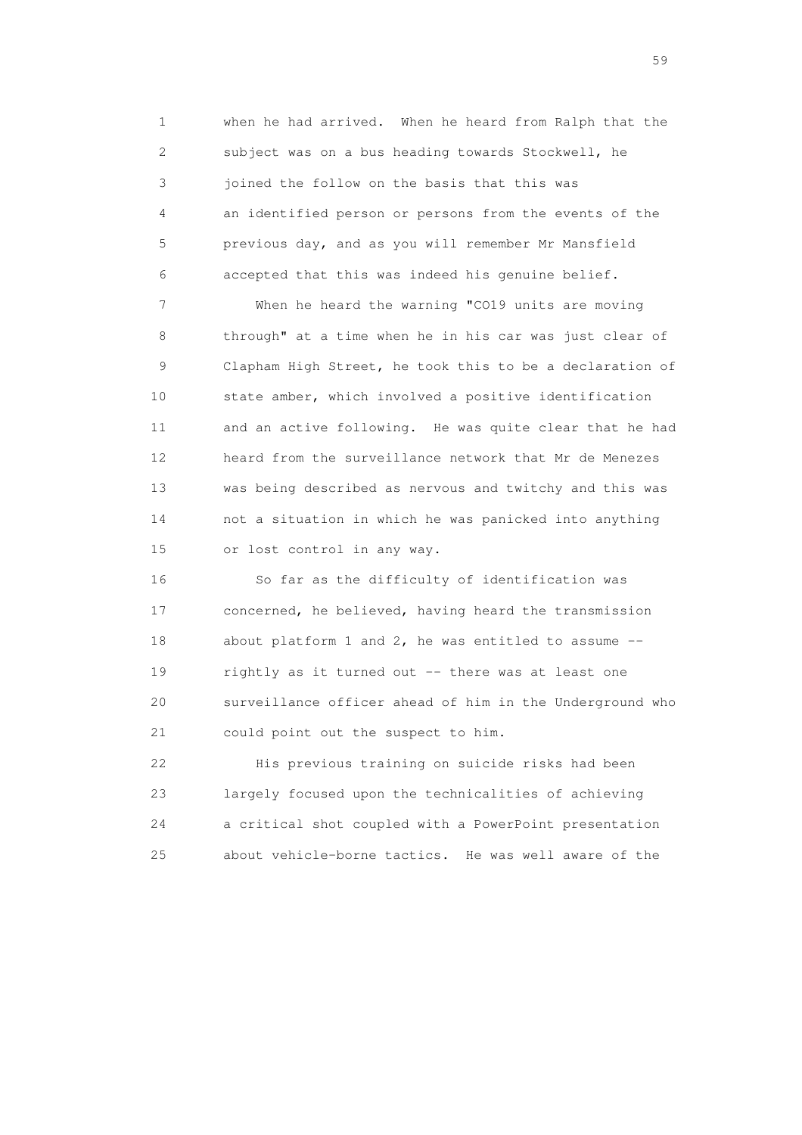1 when he had arrived. When he heard from Ralph that the 2 subject was on a bus heading towards Stockwell, he 3 joined the follow on the basis that this was 4 an identified person or persons from the events of the 5 previous day, and as you will remember Mr Mansfield 6 accepted that this was indeed his genuine belief.

 7 When he heard the warning "CO19 units are moving 8 through" at a time when he in his car was just clear of 9 Clapham High Street, he took this to be a declaration of 10 state amber, which involved a positive identification 11 and an active following. He was quite clear that he had 12 heard from the surveillance network that Mr de Menezes 13 was being described as nervous and twitchy and this was 14 not a situation in which he was panicked into anything 15 or lost control in any way.

 16 So far as the difficulty of identification was 17 concerned, he believed, having heard the transmission 18 about platform 1 and 2, he was entitled to assume -- 19 rightly as it turned out -- there was at least one 20 surveillance officer ahead of him in the Underground who 21 could point out the suspect to him.

 22 His previous training on suicide risks had been 23 largely focused upon the technicalities of achieving 24 a critical shot coupled with a PowerPoint presentation 25 about vehicle-borne tactics. He was well aware of the

the contract of the contract of the contract of the contract of the contract of the contract of the contract of the contract of the contract of the contract of the contract of the contract of the contract of the contract o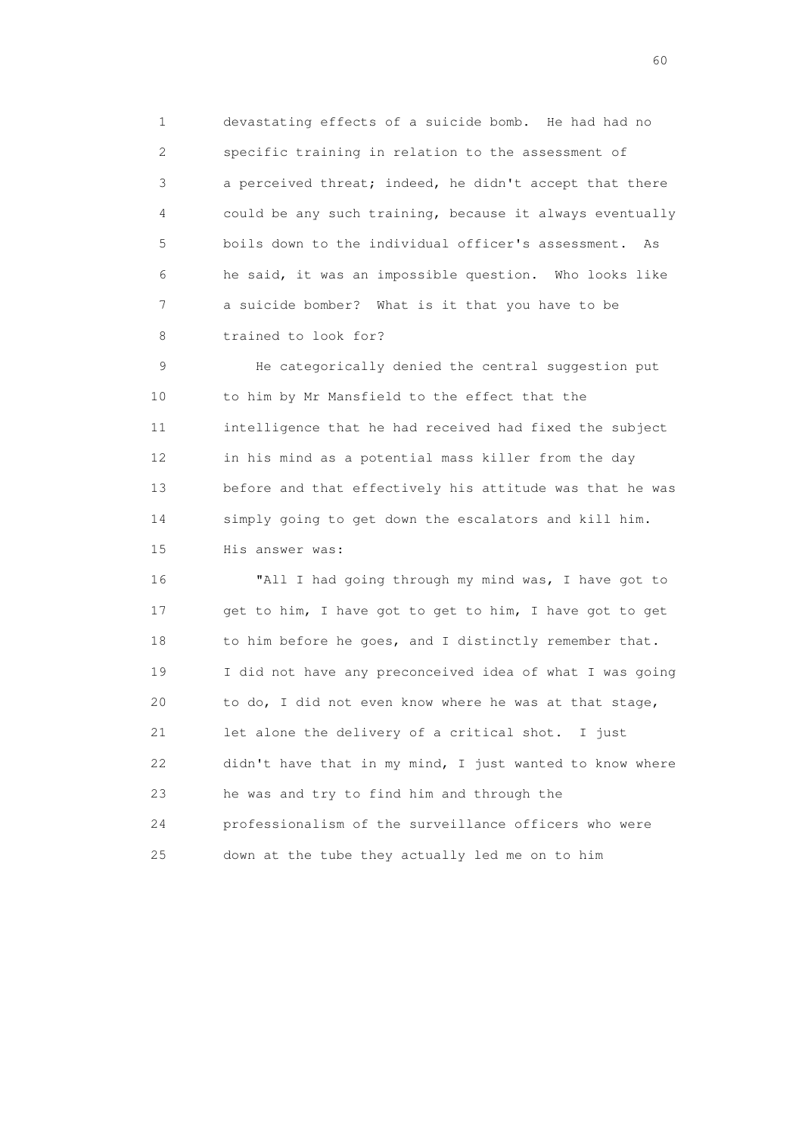1 devastating effects of a suicide bomb. He had had no 2 specific training in relation to the assessment of 3 a perceived threat; indeed, he didn't accept that there 4 could be any such training, because it always eventually 5 boils down to the individual officer's assessment. As 6 he said, it was an impossible question. Who looks like 7 a suicide bomber? What is it that you have to be 8 trained to look for?

 9 He categorically denied the central suggestion put 10 to him by Mr Mansfield to the effect that the 11 intelligence that he had received had fixed the subject 12 in his mind as a potential mass killer from the day 13 before and that effectively his attitude was that he was 14 simply going to get down the escalators and kill him. 15 His answer was:

 16 "All I had going through my mind was, I have got to 17 get to him, I have got to get to him, I have got to get 18 to him before he goes, and I distinctly remember that. 19 I did not have any preconceived idea of what I was going 20 to do, I did not even know where he was at that stage, 21 let alone the delivery of a critical shot. I just 22 didn't have that in my mind, I just wanted to know where 23 he was and try to find him and through the 24 professionalism of the surveillance officers who were 25 down at the tube they actually led me on to him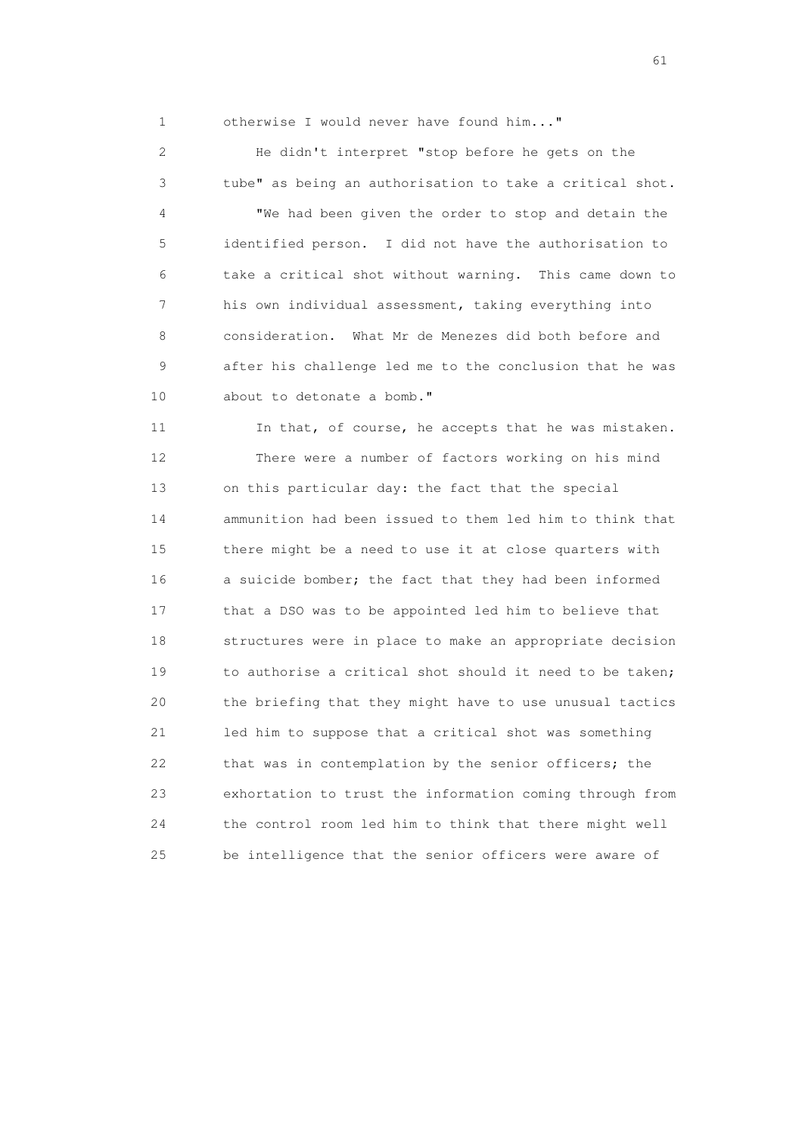1 otherwise I would never have found him..."

 2 He didn't interpret "stop before he gets on the 3 tube" as being an authorisation to take a critical shot. 4 "We had been given the order to stop and detain the 5 identified person. I did not have the authorisation to 6 take a critical shot without warning. This came down to 7 his own individual assessment, taking everything into 8 consideration. What Mr de Menezes did both before and 9 after his challenge led me to the conclusion that he was 10 about to detonate a bomb." 11 In that, of course, he accepts that he was mistaken. 12 There were a number of factors working on his mind 13 on this particular day: the fact that the special 14 ammunition had been issued to them led him to think that 15 there might be a need to use it at close quarters with 16 a suicide bomber; the fact that they had been informed 17 that a DSO was to be appointed led him to believe that 18 structures were in place to make an appropriate decision 19 to authorise a critical shot should it need to be taken; 20 the briefing that they might have to use unusual tactics 21 led him to suppose that a critical shot was something 22 that was in contemplation by the senior officers; the 23 exhortation to trust the information coming through from 24 the control room led him to think that there might well 25 be intelligence that the senior officers were aware of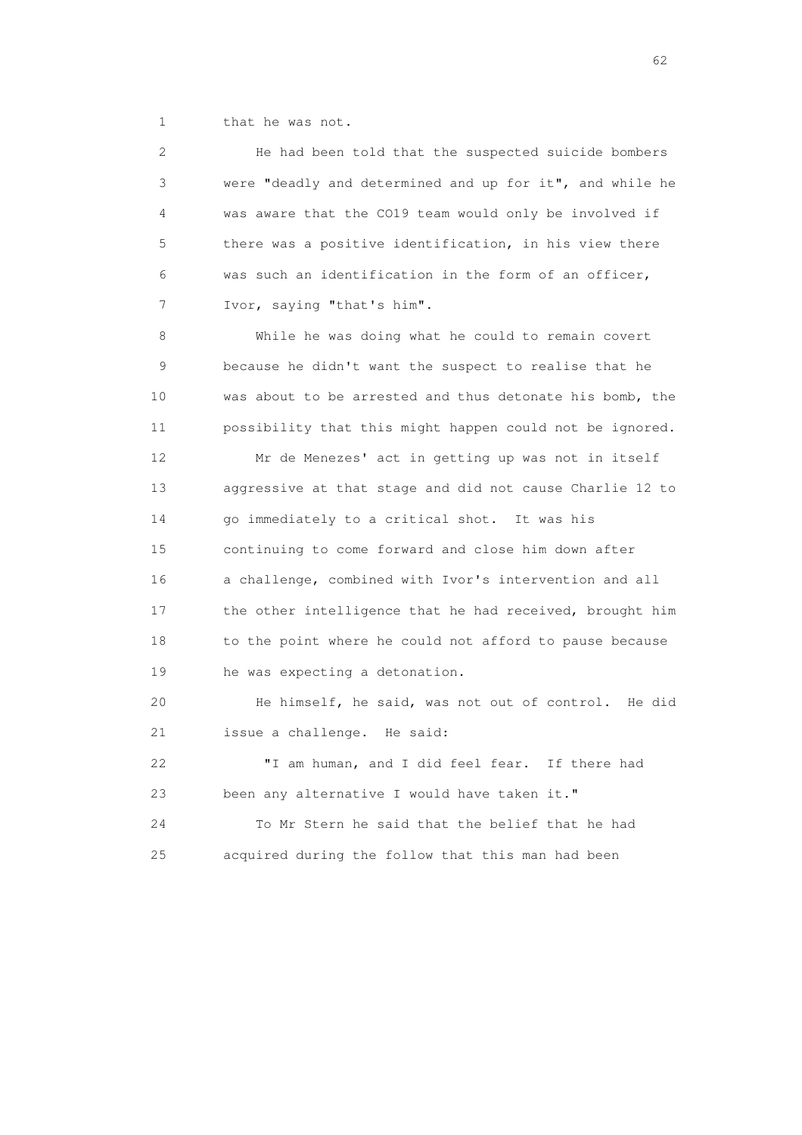1 that he was not.

| 2  | He had been told that the suspected suicide bombers      |
|----|----------------------------------------------------------|
| 3  | were "deadly and determined and up for it", and while he |
| 4  | was aware that the CO19 team would only be involved if   |
| 5  | there was a positive identification, in his view there   |
| 6  | was such an identification in the form of an officer,    |
| 7  | Ivor, saying "that's him".                               |
| 8  | While he was doing what he could to remain covert        |
| 9  | because he didn't want the suspect to realise that he    |
| 10 | was about to be arrested and thus detonate his bomb, the |
| 11 | possibility that this might happen could not be ignored. |
| 12 | Mr de Menezes' act in getting up was not in itself       |
| 13 | aggressive at that stage and did not cause Charlie 12 to |
| 14 | go immediately to a critical shot. It was his            |
| 15 | continuing to come forward and close him down after      |
| 16 | a challenge, combined with Ivor's intervention and all   |
| 17 | the other intelligence that he had received, brought him |
| 18 | to the point where he could not afford to pause because  |
| 19 | he was expecting a detonation.                           |
| 20 | He himself, he said, was not out of control.<br>He did   |
| 21 | issue a challenge. He said:                              |
| 22 | "I am human, and I did feel fear. If there had           |
| 23 | been any alternative I would have taken it."             |
| 24 | To Mr Stern he said that the belief that he had          |
| 25 | acquired during the follow that this man had been        |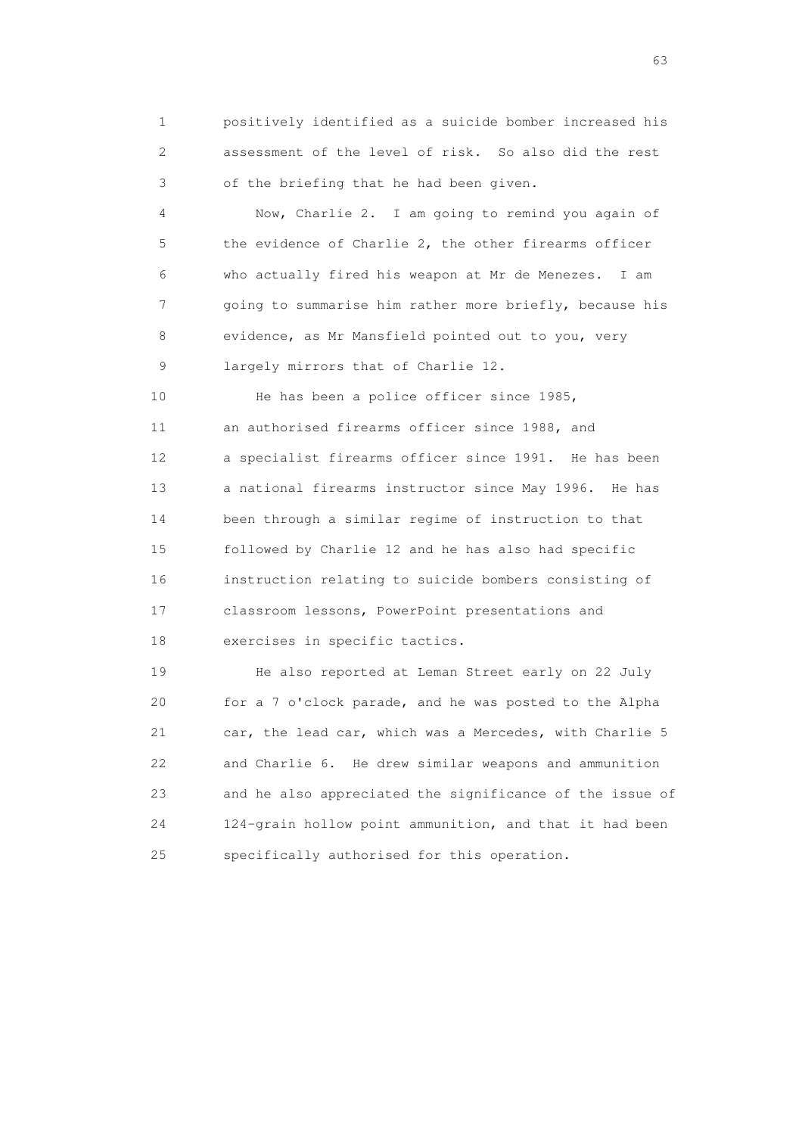1 positively identified as a suicide bomber increased his 2 assessment of the level of risk. So also did the rest 3 of the briefing that he had been given.

 4 Now, Charlie 2. I am going to remind you again of 5 the evidence of Charlie 2, the other firearms officer 6 who actually fired his weapon at Mr de Menezes. I am 7 going to summarise him rather more briefly, because his 8 evidence, as Mr Mansfield pointed out to you, very 9 largely mirrors that of Charlie 12.

 10 He has been a police officer since 1985, 11 an authorised firearms officer since 1988, and 12 a specialist firearms officer since 1991. He has been 13 a national firearms instructor since May 1996. He has 14 been through a similar regime of instruction to that 15 followed by Charlie 12 and he has also had specific 16 instruction relating to suicide bombers consisting of 17 classroom lessons, PowerPoint presentations and 18 exercises in specific tactics.

 19 He also reported at Leman Street early on 22 July 20 for a 7 o'clock parade, and he was posted to the Alpha 21 car, the lead car, which was a Mercedes, with Charlie 5 22 and Charlie 6. He drew similar weapons and ammunition 23 and he also appreciated the significance of the issue of 24 124-grain hollow point ammunition, and that it had been 25 specifically authorised for this operation.

experience of the contract of the contract of the contract of the contract of the contract of the contract of the contract of the contract of the contract of the contract of the contract of the contract of the contract of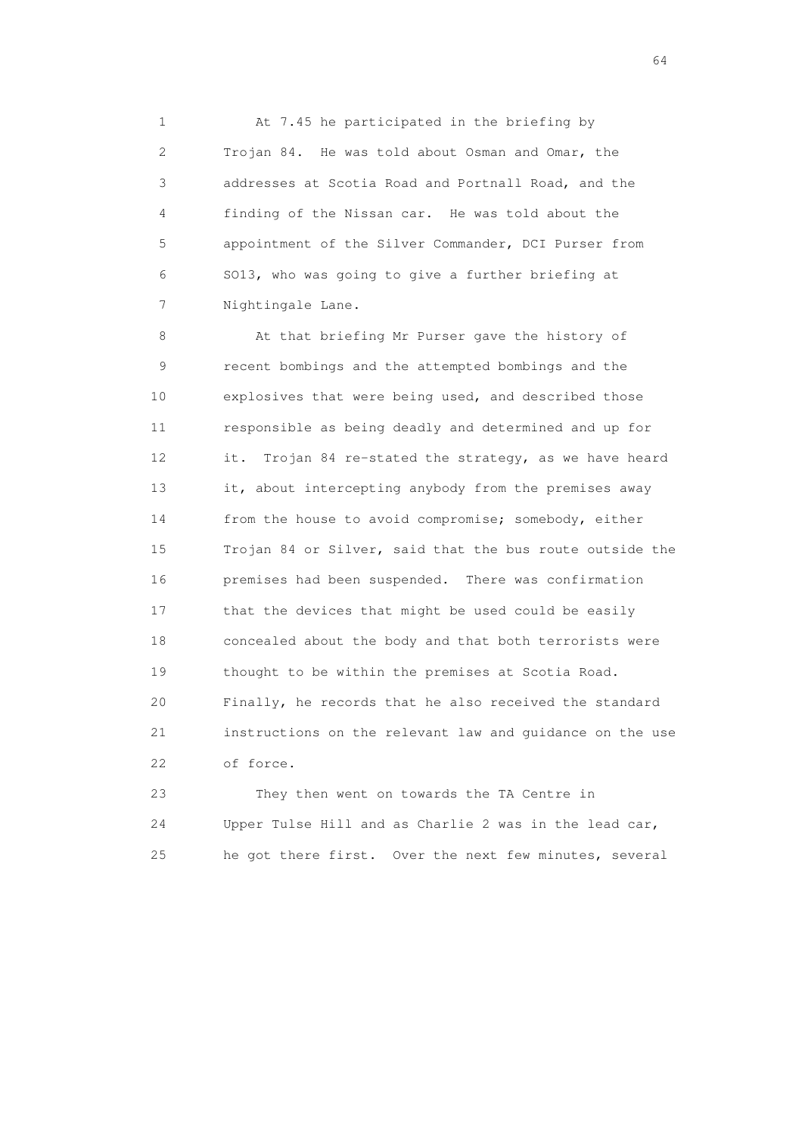1 At 7.45 he participated in the briefing by 2 Trojan 84. He was told about Osman and Omar, the 3 addresses at Scotia Road and Portnall Road, and the 4 finding of the Nissan car. He was told about the 5 appointment of the Silver Commander, DCI Purser from 6 SO13, who was going to give a further briefing at 7 Nightingale Lane.

 8 At that briefing Mr Purser gave the history of 9 recent bombings and the attempted bombings and the 10 explosives that were being used, and described those 11 responsible as being deadly and determined and up for 12 it. Trojan 84 re-stated the strategy, as we have heard 13 it, about intercepting anybody from the premises away 14 from the house to avoid compromise; somebody, either 15 Trojan 84 or Silver, said that the bus route outside the 16 premises had been suspended. There was confirmation 17 that the devices that might be used could be easily 18 concealed about the body and that both terrorists were 19 thought to be within the premises at Scotia Road. 20 Finally, he records that he also received the standard 21 instructions on the relevant law and guidance on the use 22 of force.

 23 They then went on towards the TA Centre in 24 Upper Tulse Hill and as Charlie 2 was in the lead car, 25 he got there first. Over the next few minutes, several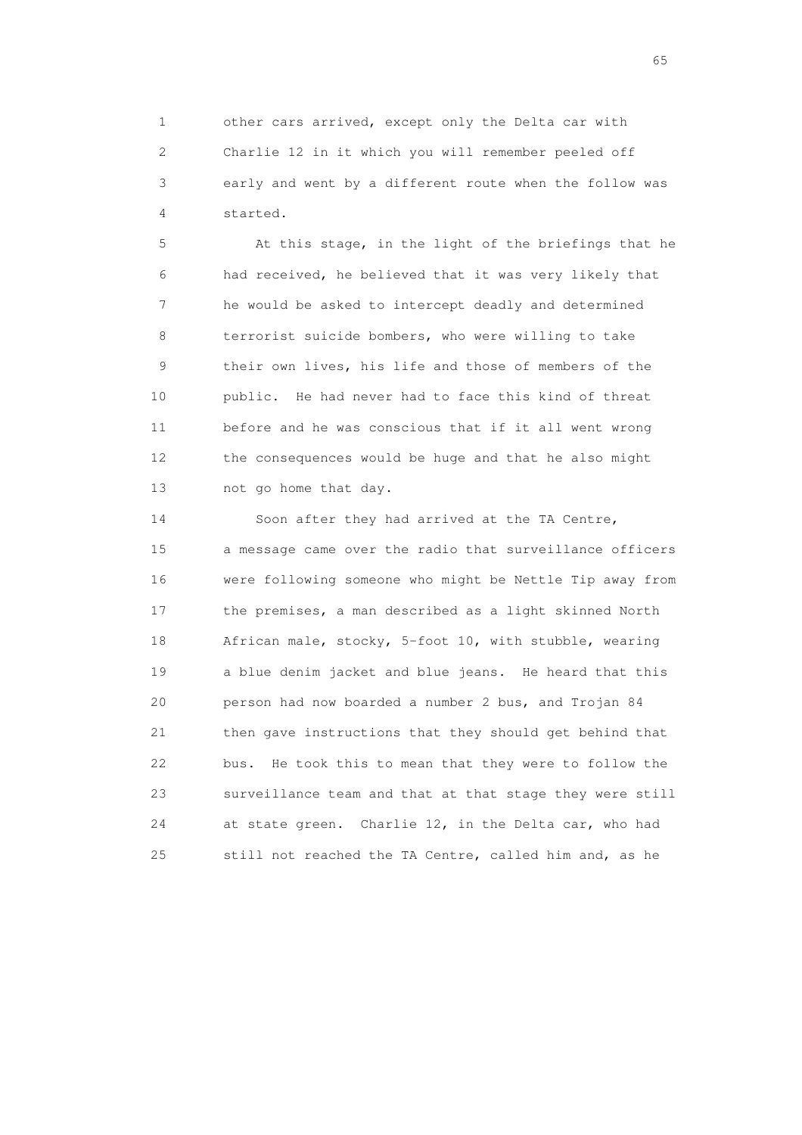1 other cars arrived, except only the Delta car with 2 Charlie 12 in it which you will remember peeled off 3 early and went by a different route when the follow was 4 started.

 5 At this stage, in the light of the briefings that he 6 had received, he believed that it was very likely that 7 he would be asked to intercept deadly and determined 8 terrorist suicide bombers, who were willing to take 9 their own lives, his life and those of members of the 10 public. He had never had to face this kind of threat 11 before and he was conscious that if it all went wrong 12 the consequences would be huge and that he also might 13 not go home that day.

 14 Soon after they had arrived at the TA Centre, 15 a message came over the radio that surveillance officers 16 were following someone who might be Nettle Tip away from 17 the premises, a man described as a light skinned North 18 African male, stocky, 5-foot 10, with stubble, wearing 19 a blue denim jacket and blue jeans. He heard that this 20 person had now boarded a number 2 bus, and Trojan 84 21 then gave instructions that they should get behind that 22 bus. He took this to mean that they were to follow the 23 surveillance team and that at that stage they were still 24 at state green. Charlie 12, in the Delta car, who had 25 still not reached the TA Centre, called him and, as he

 $\sim$  65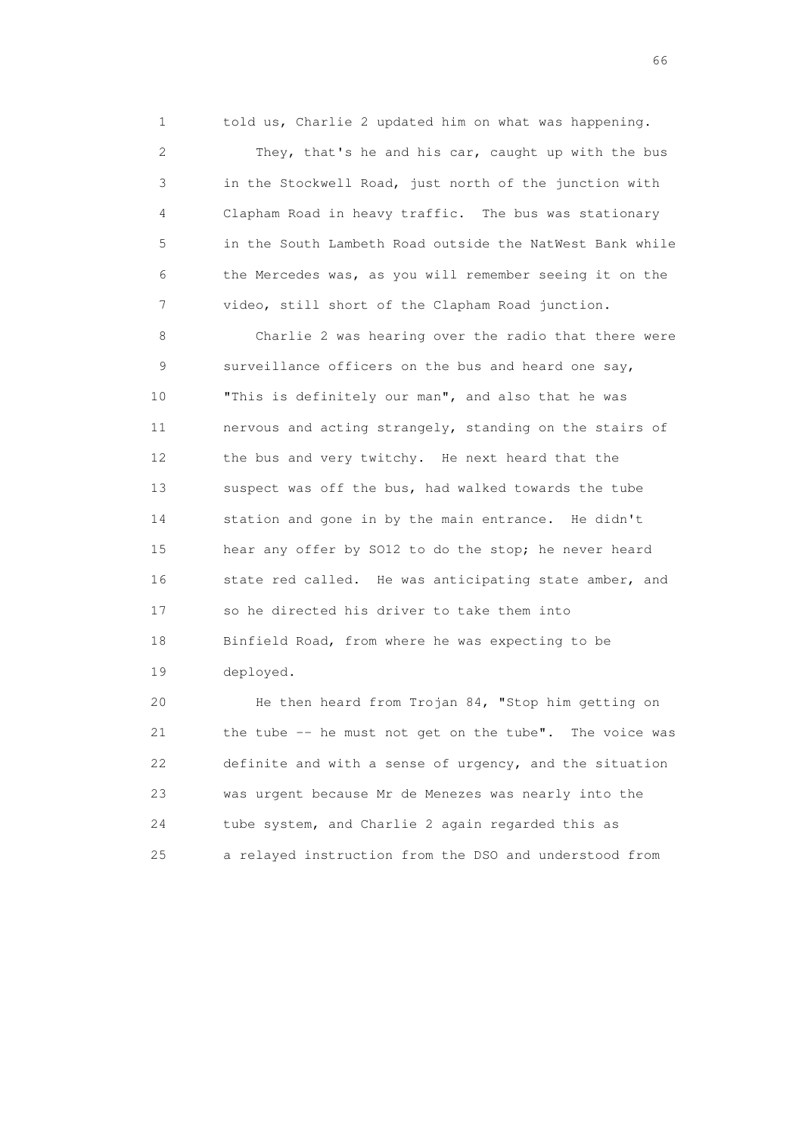1 told us, Charlie 2 updated him on what was happening.

 2 They, that's he and his car, caught up with the bus 3 in the Stockwell Road, just north of the junction with 4 Clapham Road in heavy traffic. The bus was stationary 5 in the South Lambeth Road outside the NatWest Bank while 6 the Mercedes was, as you will remember seeing it on the 7 video, still short of the Clapham Road junction.

 8 Charlie 2 was hearing over the radio that there were 9 surveillance officers on the bus and heard one say, 10 "This is definitely our man", and also that he was 11 nervous and acting strangely, standing on the stairs of 12 the bus and very twitchy. He next heard that the 13 suspect was off the bus, had walked towards the tube 14 station and gone in by the main entrance. He didn't 15 hear any offer by SO12 to do the stop; he never heard 16 state red called. He was anticipating state amber, and 17 so he directed his driver to take them into 18 Binfield Road, from where he was expecting to be 19 deployed.

 20 He then heard from Trojan 84, "Stop him getting on 21 the tube -- he must not get on the tube". The voice was 22 definite and with a sense of urgency, and the situation 23 was urgent because Mr de Menezes was nearly into the 24 tube system, and Charlie 2 again regarded this as 25 a relayed instruction from the DSO and understood from

 $\sim$  66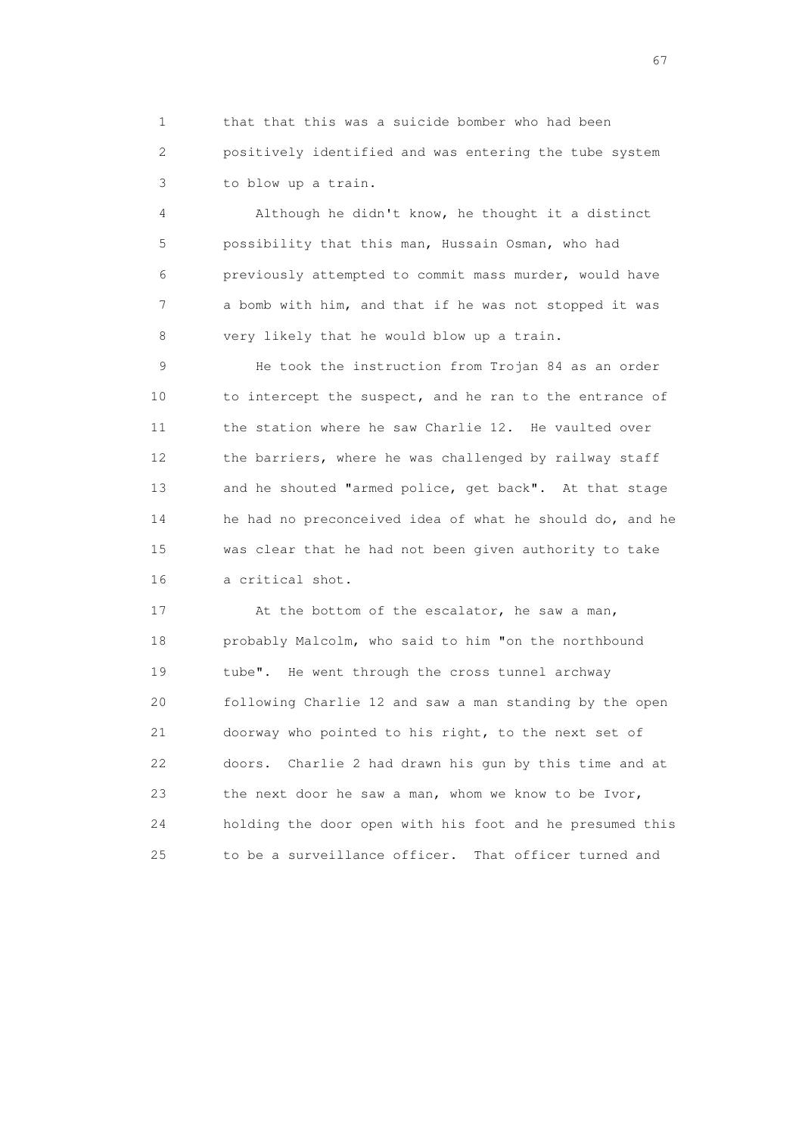1 that that this was a suicide bomber who had been 2 positively identified and was entering the tube system 3 to blow up a train.

 4 Although he didn't know, he thought it a distinct 5 possibility that this man, Hussain Osman, who had 6 previously attempted to commit mass murder, would have 7 a bomb with him, and that if he was not stopped it was 8 very likely that he would blow up a train.

 9 He took the instruction from Trojan 84 as an order 10 to intercept the suspect, and he ran to the entrance of 11 the station where he saw Charlie 12. He vaulted over 12 the barriers, where he was challenged by railway staff 13 and he shouted "armed police, get back". At that stage 14 he had no preconceived idea of what he should do, and he 15 was clear that he had not been given authority to take 16 a critical shot.

17 At the bottom of the escalator, he saw a man, 18 probably Malcolm, who said to him "on the northbound 19 tube". He went through the cross tunnel archway 20 following Charlie 12 and saw a man standing by the open 21 doorway who pointed to his right, to the next set of 22 doors. Charlie 2 had drawn his gun by this time and at 23 the next door he saw a man, whom we know to be Ivor, 24 holding the door open with his foot and he presumed this 25 to be a surveillance officer. That officer turned and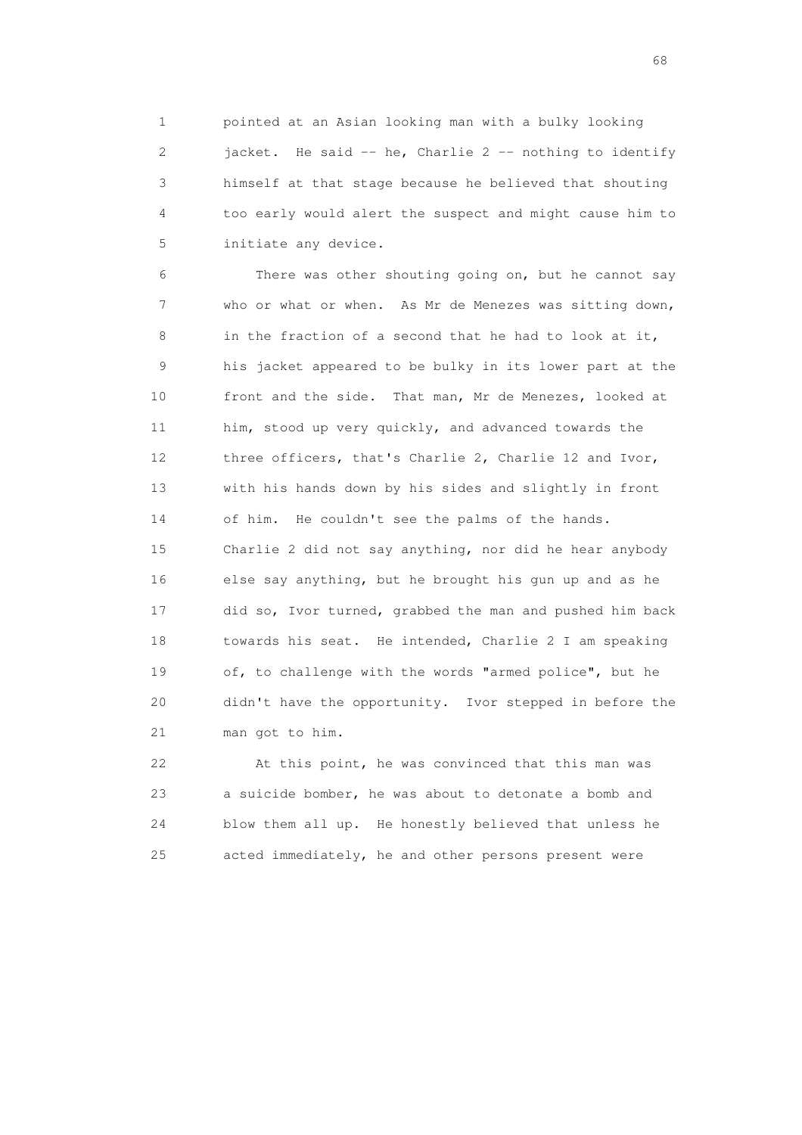1 pointed at an Asian looking man with a bulky looking 2 jacket. He said -- he, Charlie 2 -- nothing to identify 3 himself at that stage because he believed that shouting 4 too early would alert the suspect and might cause him to 5 initiate any device.

 6 There was other shouting going on, but he cannot say 7 who or what or when. As Mr de Menezes was sitting down, 8 in the fraction of a second that he had to look at it, 9 his jacket appeared to be bulky in its lower part at the 10 front and the side. That man, Mr de Menezes, looked at 11 him, stood up very quickly, and advanced towards the 12 three officers, that's Charlie 2, Charlie 12 and Ivor, 13 with his hands down by his sides and slightly in front 14 of him. He couldn't see the palms of the hands. 15 Charlie 2 did not say anything, nor did he hear anybody 16 else say anything, but he brought his gun up and as he 17 did so, Ivor turned, grabbed the man and pushed him back 18 towards his seat. He intended, Charlie 2 I am speaking 19 of, to challenge with the words "armed police", but he 20 didn't have the opportunity. Ivor stepped in before the 21 man got to him.

 22 At this point, he was convinced that this man was 23 a suicide bomber, he was about to detonate a bomb and 24 blow them all up. He honestly believed that unless he 25 acted immediately, he and other persons present were

en de la construction de la construction de la construction de la construction de la construction de la construction de la construction de la construction de la construction de la construction de la construction de la cons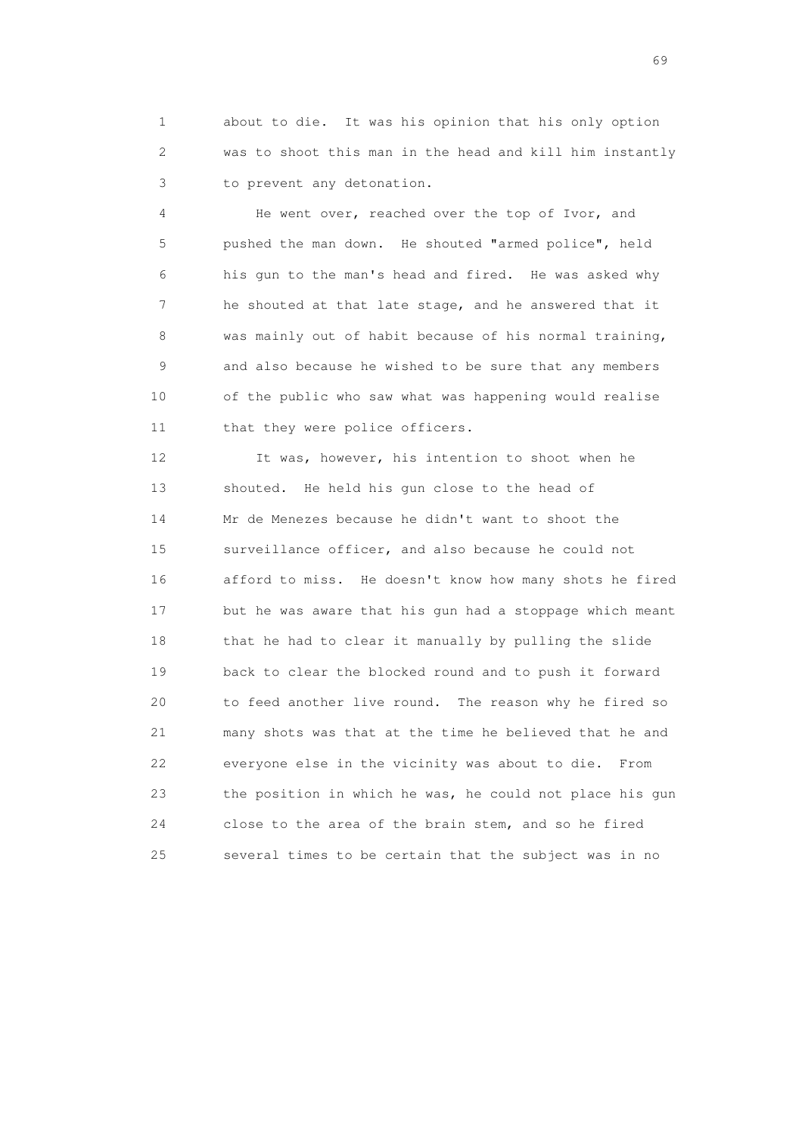1 about to die. It was his opinion that his only option 2 was to shoot this man in the head and kill him instantly 3 to prevent any detonation.

 4 He went over, reached over the top of Ivor, and 5 pushed the man down. He shouted "armed police", held 6 his gun to the man's head and fired. He was asked why 7 he shouted at that late stage, and he answered that it 8 was mainly out of habit because of his normal training, 9 and also because he wished to be sure that any members 10 of the public who saw what was happening would realise 11 that they were police officers.

 12 It was, however, his intention to shoot when he 13 shouted. He held his gun close to the head of 14 Mr de Menezes because he didn't want to shoot the 15 surveillance officer, and also because he could not 16 afford to miss. He doesn't know how many shots he fired 17 but he was aware that his gun had a stoppage which meant 18 that he had to clear it manually by pulling the slide 19 back to clear the blocked round and to push it forward 20 to feed another live round. The reason why he fired so 21 many shots was that at the time he believed that he and 22 everyone else in the vicinity was about to die. From 23 the position in which he was, he could not place his gun 24 close to the area of the brain stem, and so he fired 25 several times to be certain that the subject was in no

entral de la construction de la construction de la construction de la construction de la construction de la co<br>1990 : la construction de la construction de la construction de la construction de la construction de la const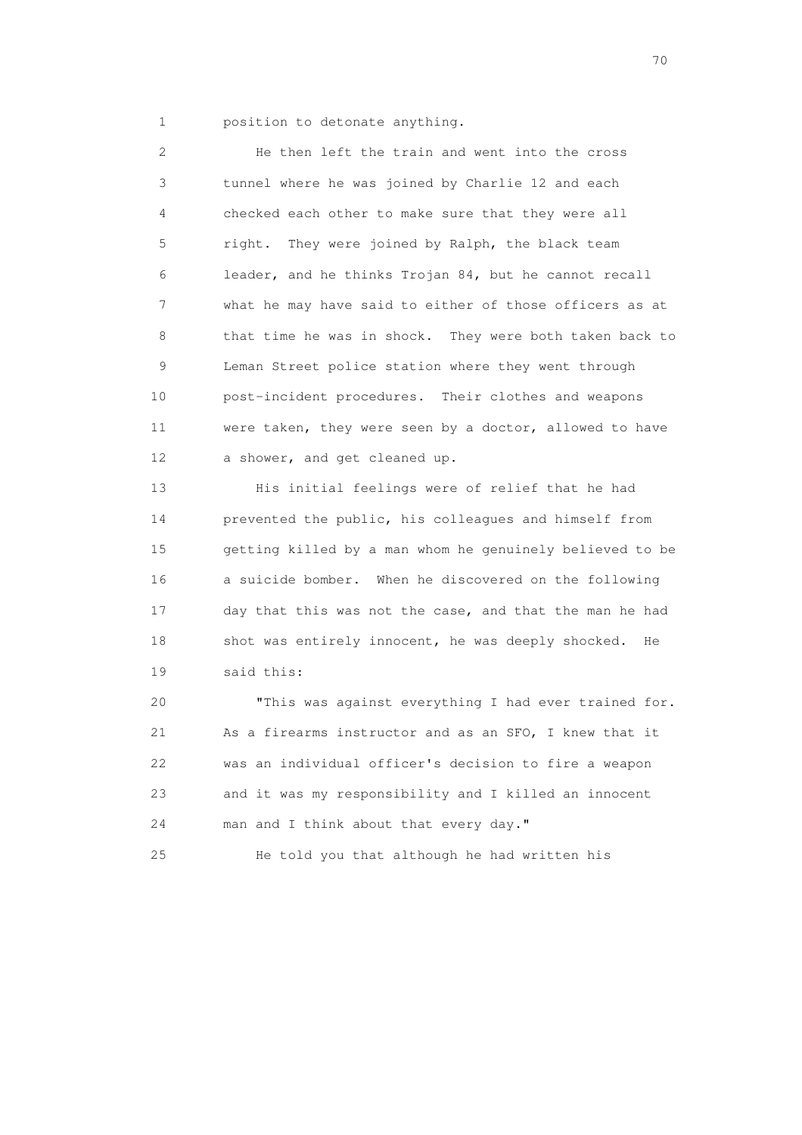1 position to detonate anything.

 2 He then left the train and went into the cross 3 tunnel where he was joined by Charlie 12 and each 4 checked each other to make sure that they were all 5 right. They were joined by Ralph, the black team 6 leader, and he thinks Trojan 84, but he cannot recall 7 what he may have said to either of those officers as at 8 that time he was in shock. They were both taken back to 9 Leman Street police station where they went through 10 post-incident procedures. Their clothes and weapons 11 were taken, they were seen by a doctor, allowed to have 12 a shower, and get cleaned up.

 13 His initial feelings were of relief that he had 14 prevented the public, his colleagues and himself from 15 getting killed by a man whom he genuinely believed to be 16 a suicide bomber. When he discovered on the following 17 day that this was not the case, and that the man he had 18 shot was entirely innocent, he was deeply shocked. He 19 said this:

 20 "This was against everything I had ever trained for. 21 As a firearms instructor and as an SFO, I knew that it 22 was an individual officer's decision to fire a weapon 23 and it was my responsibility and I killed an innocent 24 man and I think about that every day."

25 He told you that although he had written his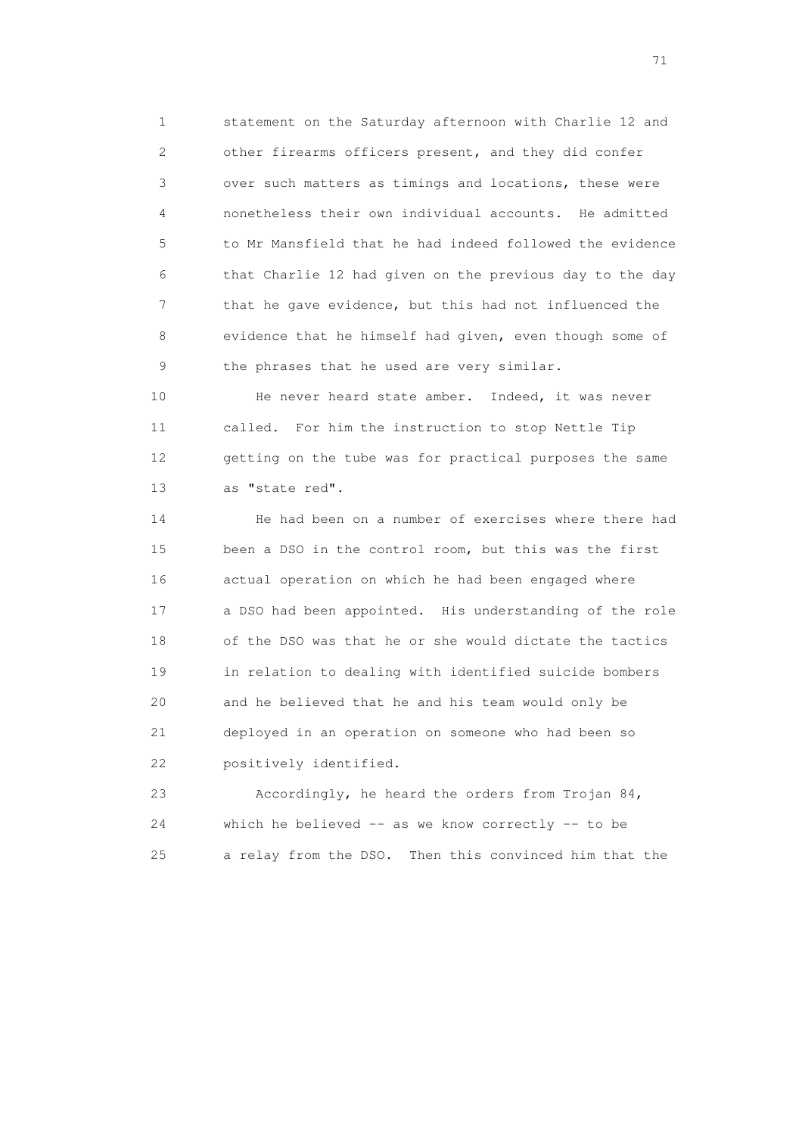1 statement on the Saturday afternoon with Charlie 12 and 2 other firearms officers present, and they did confer 3 over such matters as timings and locations, these were 4 nonetheless their own individual accounts. He admitted 5 to Mr Mansfield that he had indeed followed the evidence 6 that Charlie 12 had given on the previous day to the day 7 that he gave evidence, but this had not influenced the 8 evidence that he himself had given, even though some of 9 the phrases that he used are very similar.

10 He never heard state amber. Indeed, it was never 11 called. For him the instruction to stop Nettle Tip 12 getting on the tube was for practical purposes the same 13 as "state red".

 14 He had been on a number of exercises where there had 15 been a DSO in the control room, but this was the first 16 actual operation on which he had been engaged where 17 a DSO had been appointed. His understanding of the role 18 of the DSO was that he or she would dictate the tactics 19 in relation to dealing with identified suicide bombers 20 and he believed that he and his team would only be 21 deployed in an operation on someone who had been so 22 positively identified.

 23 Accordingly, he heard the orders from Trojan 84, 24 which he believed -- as we know correctly -- to be 25 a relay from the DSO. Then this convinced him that the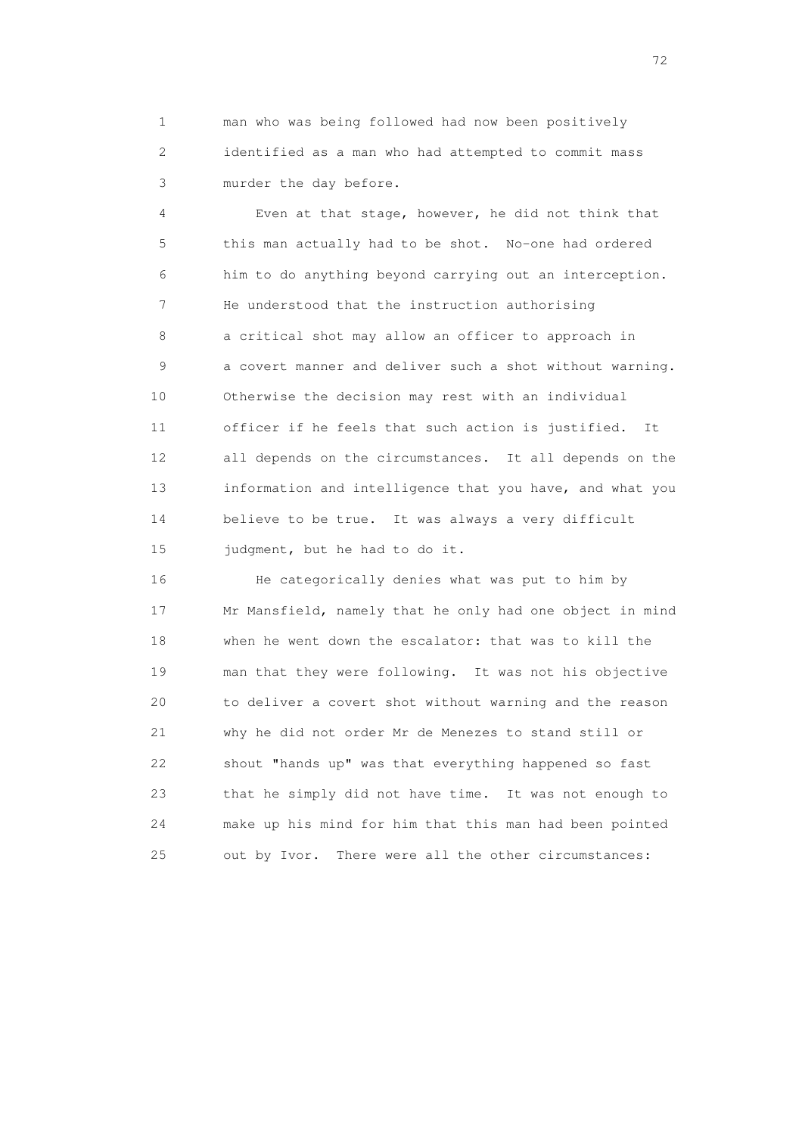1 man who was being followed had now been positively 2 identified as a man who had attempted to commit mass 3 murder the day before.

 4 Even at that stage, however, he did not think that 5 this man actually had to be shot. No-one had ordered 6 him to do anything beyond carrying out an interception. 7 He understood that the instruction authorising 8 a critical shot may allow an officer to approach in 9 a covert manner and deliver such a shot without warning. 10 Otherwise the decision may rest with an individual 11 officer if he feels that such action is justified. It 12 all depends on the circumstances. It all depends on the 13 information and intelligence that you have, and what you 14 believe to be true. It was always a very difficult 15 judgment, but he had to do it.

 16 He categorically denies what was put to him by 17 Mr Mansfield, namely that he only had one object in mind 18 when he went down the escalator: that was to kill the 19 man that they were following. It was not his objective 20 to deliver a covert shot without warning and the reason 21 why he did not order Mr de Menezes to stand still or 22 shout "hands up" was that everything happened so fast 23 that he simply did not have time. It was not enough to 24 make up his mind for him that this man had been pointed 25 out by Ivor. There were all the other circumstances: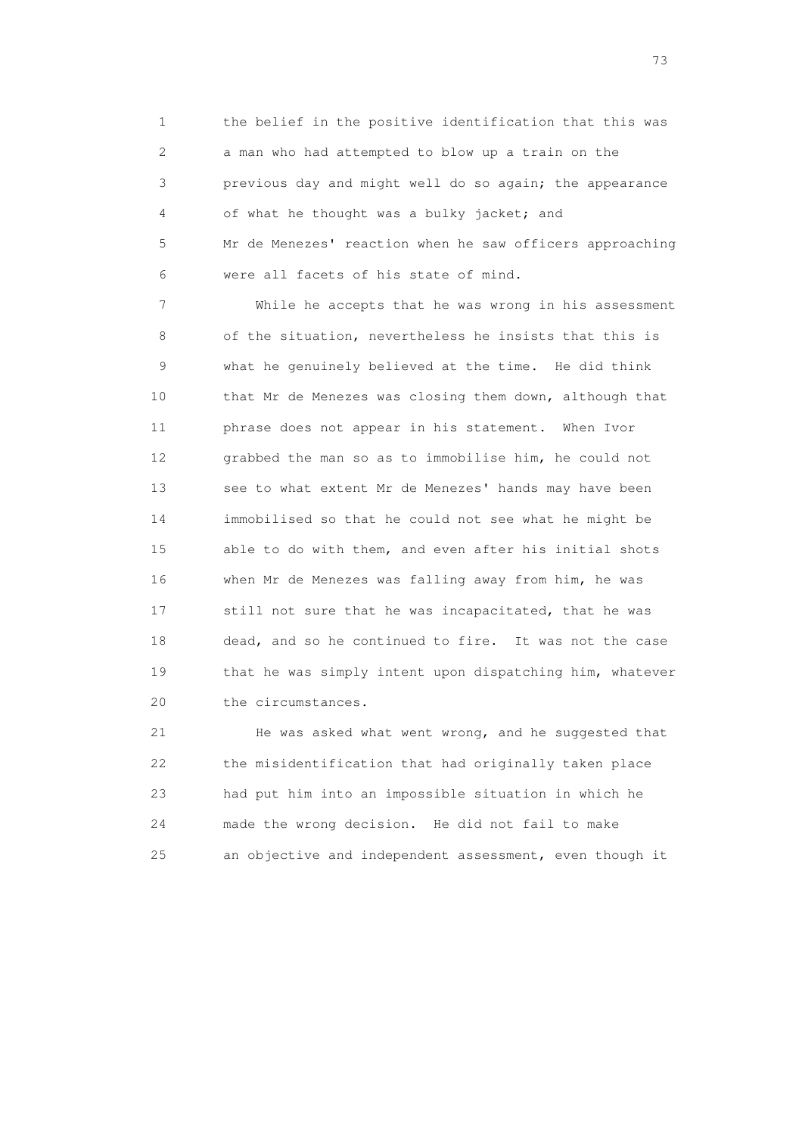1 the belief in the positive identification that this was 2 a man who had attempted to blow up a train on the 3 previous day and might well do so again; the appearance 4 of what he thought was a bulky jacket; and 5 Mr de Menezes' reaction when he saw officers approaching 6 were all facets of his state of mind.

 7 While he accepts that he was wrong in his assessment 8 of the situation, nevertheless he insists that this is 9 what he genuinely believed at the time. He did think 10 that Mr de Menezes was closing them down, although that 11 phrase does not appear in his statement. When Ivor 12 grabbed the man so as to immobilise him, he could not 13 see to what extent Mr de Menezes' hands may have been 14 immobilised so that he could not see what he might be 15 able to do with them, and even after his initial shots 16 when Mr de Menezes was falling away from him, he was 17 still not sure that he was incapacitated, that he was 18 dead, and so he continued to fire. It was not the case 19 that he was simply intent upon dispatching him, whatever 20 the circumstances.

 21 He was asked what went wrong, and he suggested that 22 the misidentification that had originally taken place 23 had put him into an impossible situation in which he 24 made the wrong decision. He did not fail to make 25 an objective and independent assessment, even though it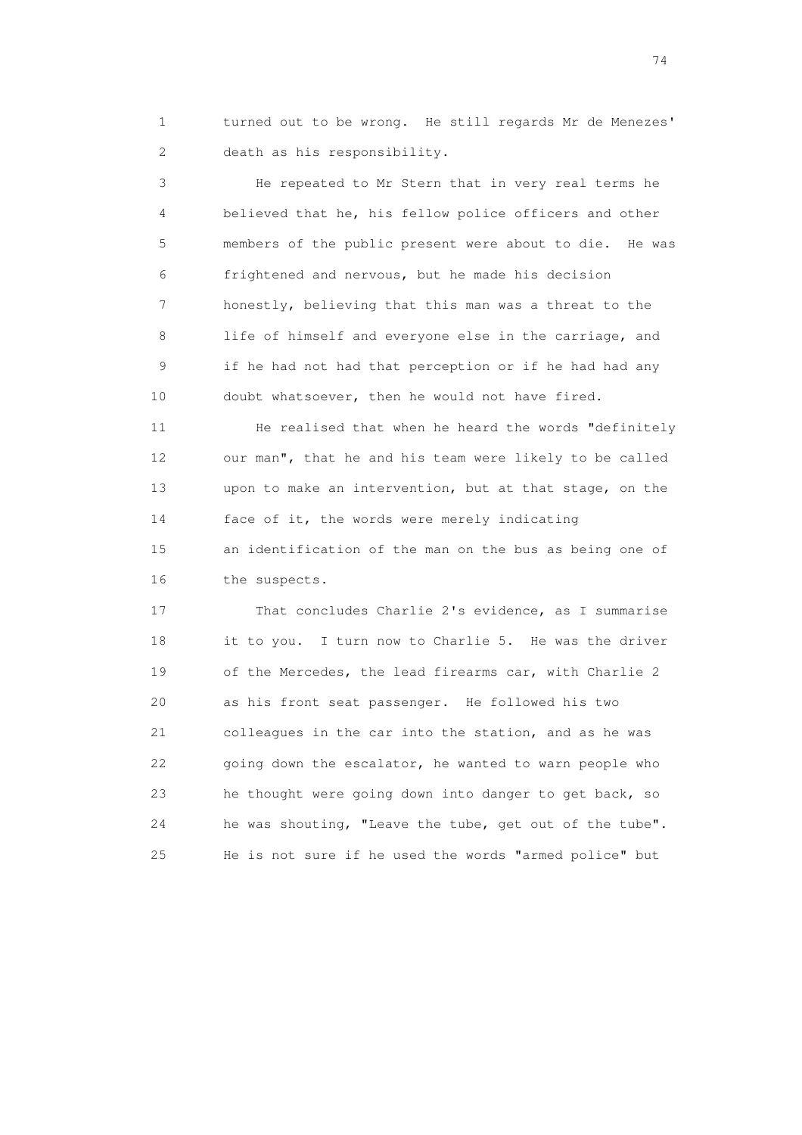1 turned out to be wrong. He still regards Mr de Menezes' 2 death as his responsibility.

 3 He repeated to Mr Stern that in very real terms he 4 believed that he, his fellow police officers and other 5 members of the public present were about to die. He was 6 frightened and nervous, but he made his decision 7 honestly, believing that this man was a threat to the 8 life of himself and everyone else in the carriage, and 9 if he had not had that perception or if he had had any 10 doubt whatsoever, then he would not have fired.

11 He realised that when he heard the words "definitely 12 our man", that he and his team were likely to be called 13 upon to make an intervention, but at that stage, on the 14 face of it, the words were merely indicating 15 an identification of the man on the bus as being one of 16 the suspects.

 17 That concludes Charlie 2's evidence, as I summarise 18 it to you. I turn now to Charlie 5. He was the driver 19 of the Mercedes, the lead firearms car, with Charlie 2 20 as his front seat passenger. He followed his two 21 colleagues in the car into the station, and as he was 22 going down the escalator, he wanted to warn people who 23 he thought were going down into danger to get back, so 24 he was shouting, "Leave the tube, get out of the tube". 25 He is not sure if he used the words "armed police" but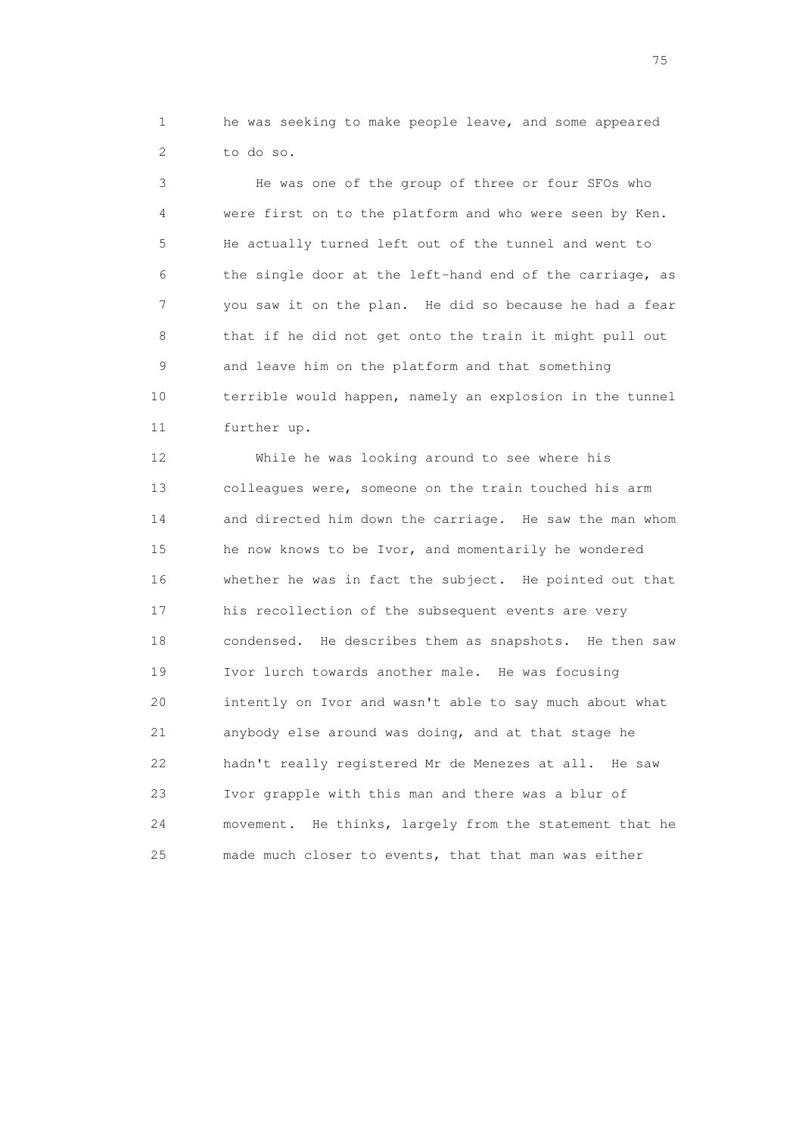1 he was seeking to make people leave, and some appeared 2 to do so.

 3 He was one of the group of three or four SFOs who 4 were first on to the platform and who were seen by Ken. 5 He actually turned left out of the tunnel and went to 6 the single door at the left-hand end of the carriage, as 7 you saw it on the plan. He did so because he had a fear 8 that if he did not get onto the train it might pull out 9 and leave him on the platform and that something 10 terrible would happen, namely an explosion in the tunnel 11 further up.

 12 While he was looking around to see where his 13 colleagues were, someone on the train touched his arm 14 and directed him down the carriage. He saw the man whom 15 he now knows to be Ivor, and momentarily he wondered 16 whether he was in fact the subject. He pointed out that 17 his recollection of the subsequent events are very 18 condensed. He describes them as snapshots. He then saw 19 Ivor lurch towards another male. He was focusing 20 intently on Ivor and wasn't able to say much about what 21 anybody else around was doing, and at that stage he 22 hadn't really registered Mr de Menezes at all. He saw 23 Ivor grapple with this man and there was a blur of 24 movement. He thinks, largely from the statement that he 25 made much closer to events, that that man was either

na matsay na katalog as na kasang na mga 175 may 2008. Ang isang isang nagsang nagsang nagsang nagsang nagsang<br>Tagapang nagsang nagsang nagsang nagsang nagsang nagsang nagsang nagsang nagsang nagsang nagsang nagsang nagsa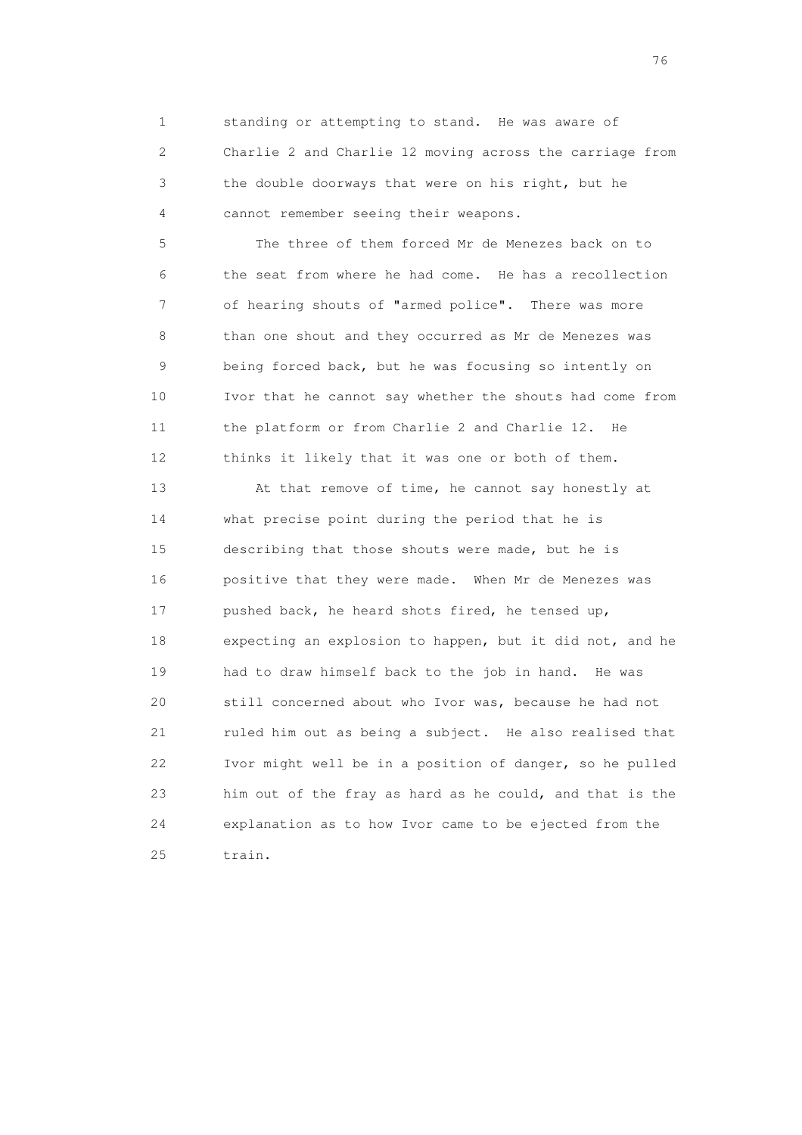1 standing or attempting to stand. He was aware of 2 Charlie 2 and Charlie 12 moving across the carriage from 3 the double doorways that were on his right, but he 4 cannot remember seeing their weapons.

 5 The three of them forced Mr de Menezes back on to 6 the seat from where he had come. He has a recollection 7 of hearing shouts of "armed police". There was more 8 than one shout and they occurred as Mr de Menezes was 9 being forced back, but he was focusing so intently on 10 Ivor that he cannot say whether the shouts had come from 11 the platform or from Charlie 2 and Charlie 12. He 12 thinks it likely that it was one or both of them.

 13 At that remove of time, he cannot say honestly at 14 what precise point during the period that he is 15 describing that those shouts were made, but he is 16 positive that they were made. When Mr de Menezes was 17 pushed back, he heard shots fired, he tensed up, 18 expecting an explosion to happen, but it did not, and he 19 had to draw himself back to the job in hand. He was 20 still concerned about who Ivor was, because he had not 21 ruled him out as being a subject. He also realised that 22 Ivor might well be in a position of danger, so he pulled 23 him out of the fray as hard as he could, and that is the 24 explanation as to how Ivor came to be ejected from the 25 train.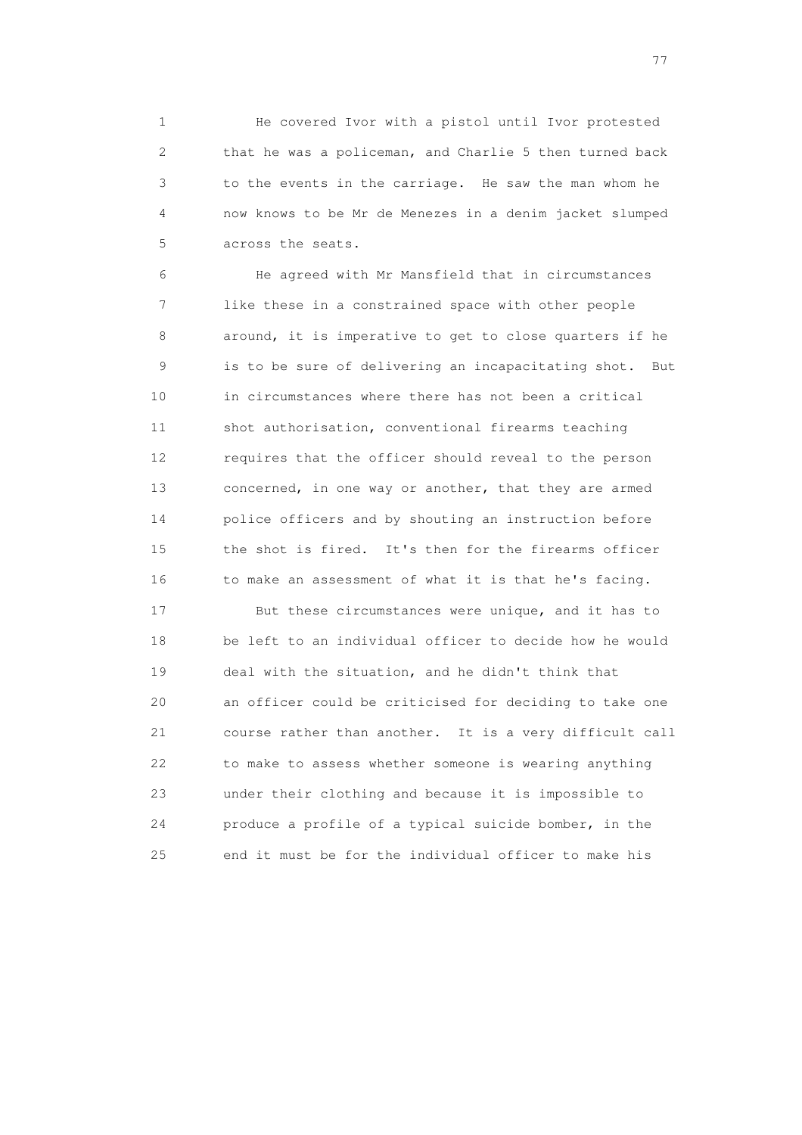1 He covered Ivor with a pistol until Ivor protested 2 that he was a policeman, and Charlie 5 then turned back 3 to the events in the carriage. He saw the man whom he 4 now knows to be Mr de Menezes in a denim jacket slumped 5 across the seats.

 6 He agreed with Mr Mansfield that in circumstances 7 like these in a constrained space with other people 8 around, it is imperative to get to close quarters if he 9 is to be sure of delivering an incapacitating shot. But 10 in circumstances where there has not been a critical 11 shot authorisation, conventional firearms teaching 12 requires that the officer should reveal to the person 13 concerned, in one way or another, that they are armed 14 police officers and by shouting an instruction before 15 the shot is fired. It's then for the firearms officer 16 to make an assessment of what it is that he's facing.

 17 But these circumstances were unique, and it has to 18 be left to an individual officer to decide how he would 19 deal with the situation, and he didn't think that 20 an officer could be criticised for deciding to take one 21 course rather than another. It is a very difficult call 22 to make to assess whether someone is wearing anything 23 under their clothing and because it is impossible to 24 produce a profile of a typical suicide bomber, in the 25 end it must be for the individual officer to make his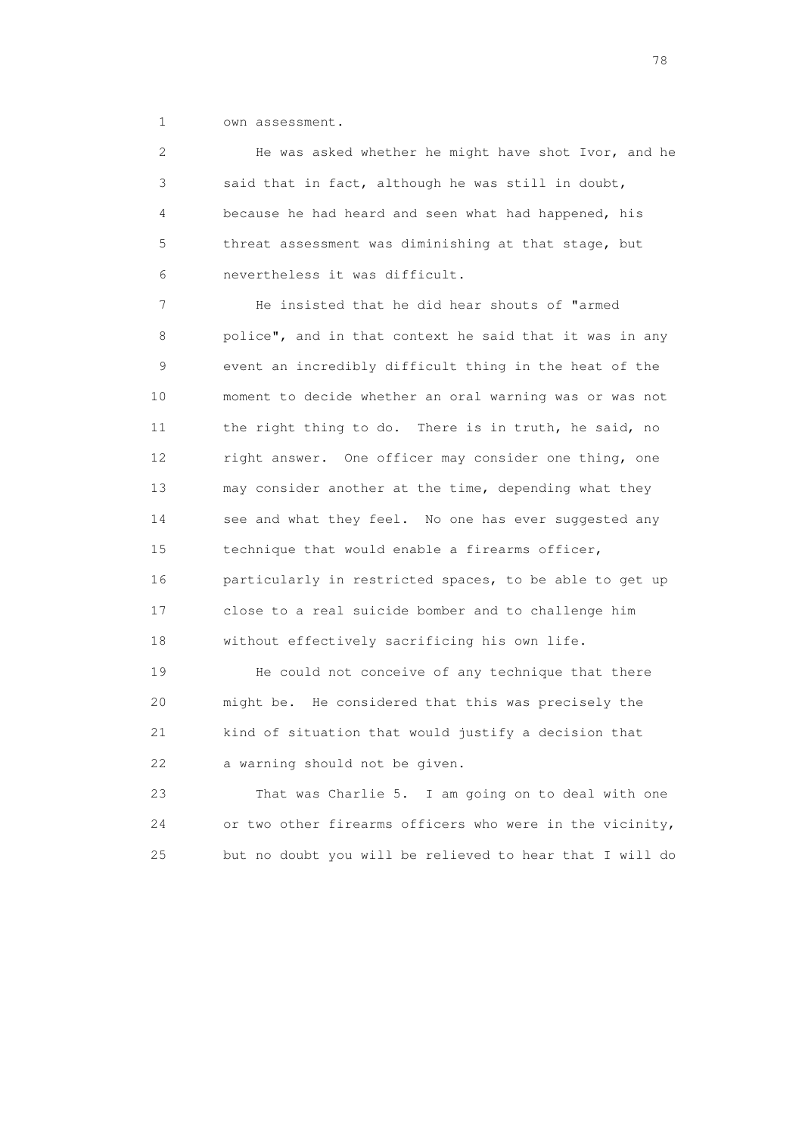1 own assessment.

 2 He was asked whether he might have shot Ivor, and he 3 said that in fact, although he was still in doubt, 4 because he had heard and seen what had happened, his 5 threat assessment was diminishing at that stage, but 6 nevertheless it was difficult.

 7 He insisted that he did hear shouts of "armed 8 police", and in that context he said that it was in any 9 event an incredibly difficult thing in the heat of the 10 moment to decide whether an oral warning was or was not 11 the right thing to do. There is in truth, he said, no 12 right answer. One officer may consider one thing, one 13 may consider another at the time, depending what they 14 see and what they feel. No one has ever suggested any 15 technique that would enable a firearms officer, 16 particularly in restricted spaces, to be able to get up 17 close to a real suicide bomber and to challenge him 18 without effectively sacrificing his own life.

 19 He could not conceive of any technique that there 20 might be. He considered that this was precisely the 21 kind of situation that would justify a decision that 22 a warning should not be given.

 23 That was Charlie 5. I am going on to deal with one 24 or two other firearms officers who were in the vicinity, 25 but no doubt you will be relieved to hear that I will do

na na matsayang mga kasang mga kalendaryon ng mga kasang mga kasang mga kasang mga kasang mga kasang mga kasan<br>Mga kasang mga kasang mga kasang mga kasang mga kasang mga kasang mga kasang mga kasang mga kasang mga kasang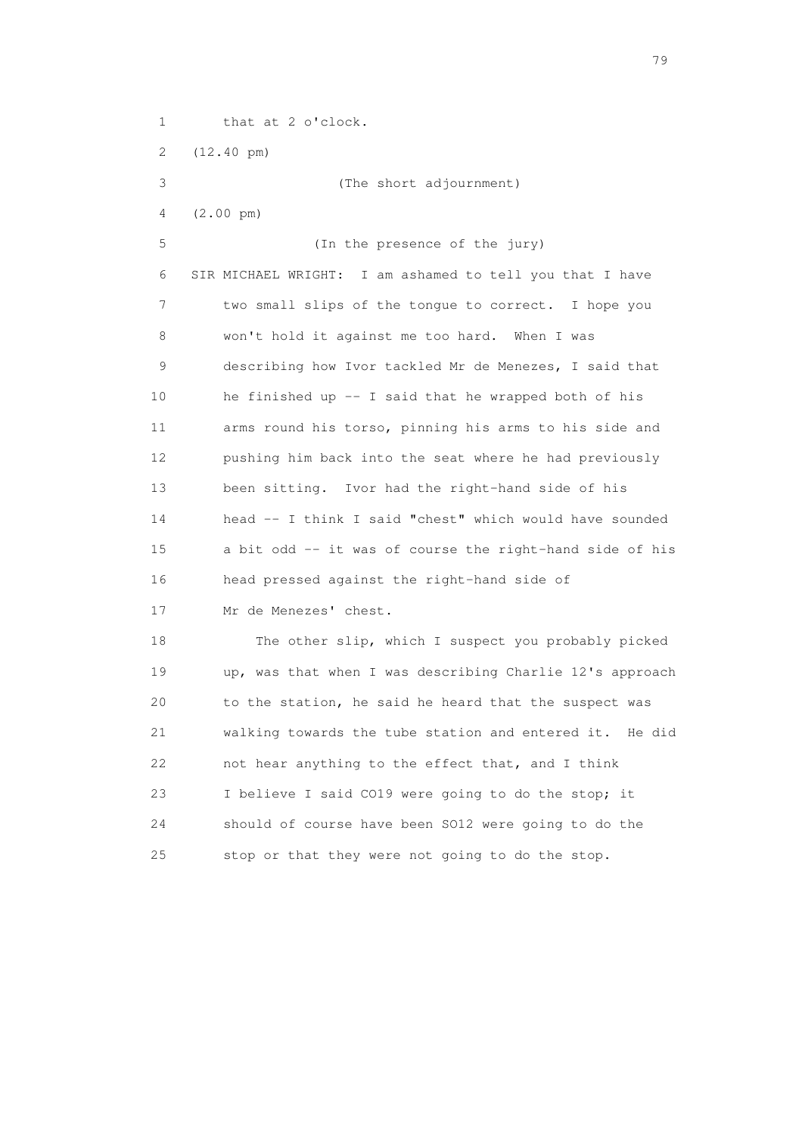1 that at 2 o'clock. 2 (12.40 pm) 3 (The short adjournment) 4 (2.00 pm) 5 (In the presence of the jury) 6 SIR MICHAEL WRIGHT: I am ashamed to tell you that I have 7 two small slips of the tongue to correct. I hope you 8 won't hold it against me too hard. When I was 9 describing how Ivor tackled Mr de Menezes, I said that 10 he finished up -- I said that he wrapped both of his 11 arms round his torso, pinning his arms to his side and 12 pushing him back into the seat where he had previously 13 been sitting. Ivor had the right-hand side of his 14 head -- I think I said "chest" which would have sounded 15 a bit odd -- it was of course the right-hand side of his 16 head pressed against the right-hand side of 17 Mr de Menezes' chest. 18 The other slip, which I suspect you probably picked 19 up, was that when I was describing Charlie 12's approach 20 to the station, he said he heard that the suspect was 21 walking towards the tube station and entered it. He did 22 not hear anything to the effect that, and I think 23 I believe I said CO19 were going to do the stop; it 24 should of course have been SO12 were going to do the

25 stop or that they were not going to do the stop.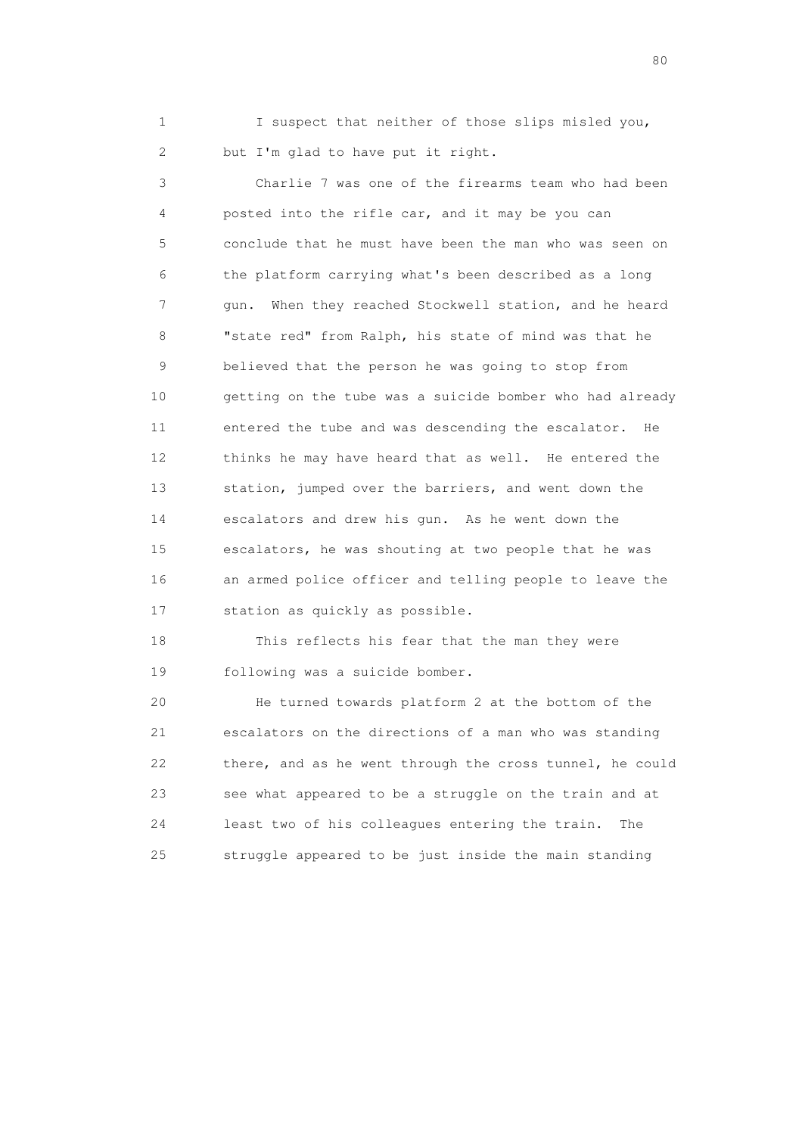1 I suspect that neither of those slips misled you, 2 but I'm glad to have put it right.

 3 Charlie 7 was one of the firearms team who had been 4 posted into the rifle car, and it may be you can 5 conclude that he must have been the man who was seen on 6 the platform carrying what's been described as a long 7 gun. When they reached Stockwell station, and he heard 8 "state red" from Ralph, his state of mind was that he 9 believed that the person he was going to stop from 10 getting on the tube was a suicide bomber who had already 11 entered the tube and was descending the escalator. He 12 thinks he may have heard that as well. He entered the 13 station, jumped over the barriers, and went down the 14 escalators and drew his gun. As he went down the 15 escalators, he was shouting at two people that he was 16 an armed police officer and telling people to leave the 17 station as quickly as possible.

 18 This reflects his fear that the man they were 19 following was a suicide bomber.

 20 He turned towards platform 2 at the bottom of the 21 escalators on the directions of a man who was standing 22 there, and as he went through the cross tunnel, he could 23 see what appeared to be a struggle on the train and at 24 least two of his colleagues entering the train. The 25 struggle appeared to be just inside the main standing

entration of the state of the state of the state of the state of the state of the state of the state of the state of the state of the state of the state of the state of the state of the state of the state of the state of t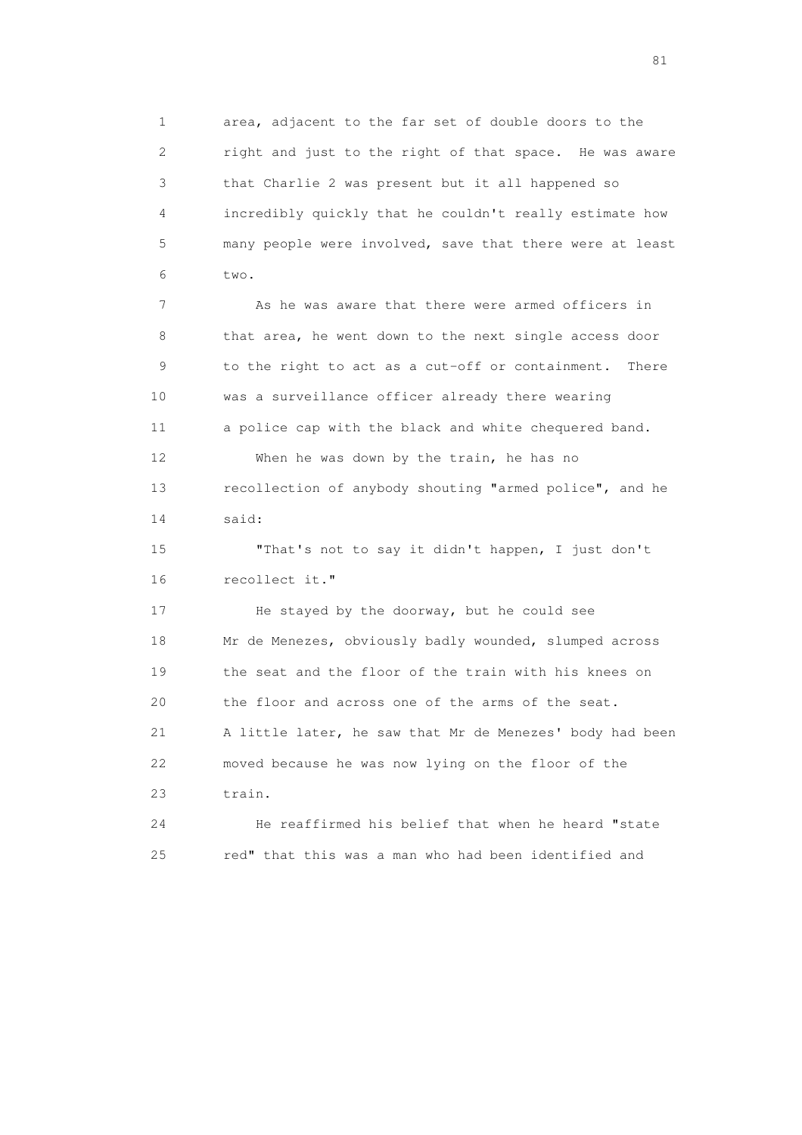1 area, adjacent to the far set of double doors to the 2 right and just to the right of that space. He was aware 3 that Charlie 2 was present but it all happened so 4 incredibly quickly that he couldn't really estimate how 5 many people were involved, save that there were at least 6 two.

 7 As he was aware that there were armed officers in 8 that area, he went down to the next single access door 9 to the right to act as a cut-off or containment. There 10 was a surveillance officer already there wearing 11 a police cap with the black and white chequered band. 12 When he was down by the train, he has no 13 recollection of anybody shouting "armed police", and he 14 said:

 15 "That's not to say it didn't happen, I just don't 16 recollect it."

 17 He stayed by the doorway, but he could see 18 Mr de Menezes, obviously badly wounded, slumped across 19 the seat and the floor of the train with his knees on 20 the floor and across one of the arms of the seat. 21 A little later, he saw that Mr de Menezes' body had been 22 moved because he was now lying on the floor of the 23 train.

 24 He reaffirmed his belief that when he heard "state 25 red" that this was a man who had been identified and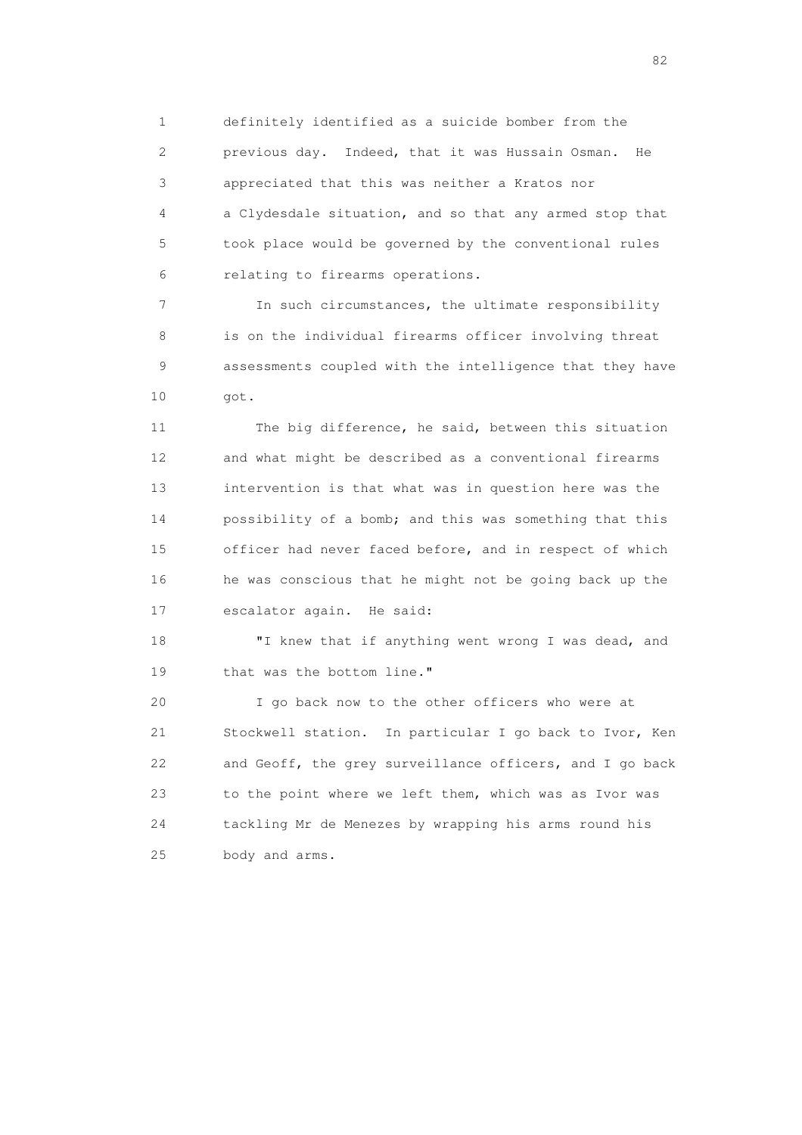1 definitely identified as a suicide bomber from the 2 previous day. Indeed, that it was Hussain Osman. He 3 appreciated that this was neither a Kratos nor 4 a Clydesdale situation, and so that any armed stop that 5 took place would be governed by the conventional rules 6 relating to firearms operations.

 7 In such circumstances, the ultimate responsibility 8 is on the individual firearms officer involving threat 9 assessments coupled with the intelligence that they have 10 got.

 11 The big difference, he said, between this situation 12 and what might be described as a conventional firearms 13 intervention is that what was in question here was the 14 possibility of a bomb; and this was something that this 15 officer had never faced before, and in respect of which 16 he was conscious that he might not be going back up the 17 escalator again. He said:

18 "I knew that if anything went wrong I was dead, and 19 that was the bottom line."

 20 I go back now to the other officers who were at 21 Stockwell station. In particular I go back to Ivor, Ken 22 and Geoff, the grey surveillance officers, and I go back 23 to the point where we left them, which was as Ivor was 24 tackling Mr de Menezes by wrapping his arms round his 25 body and arms.

experience of the state of the state of the state of the state of the state of the state of the state of the s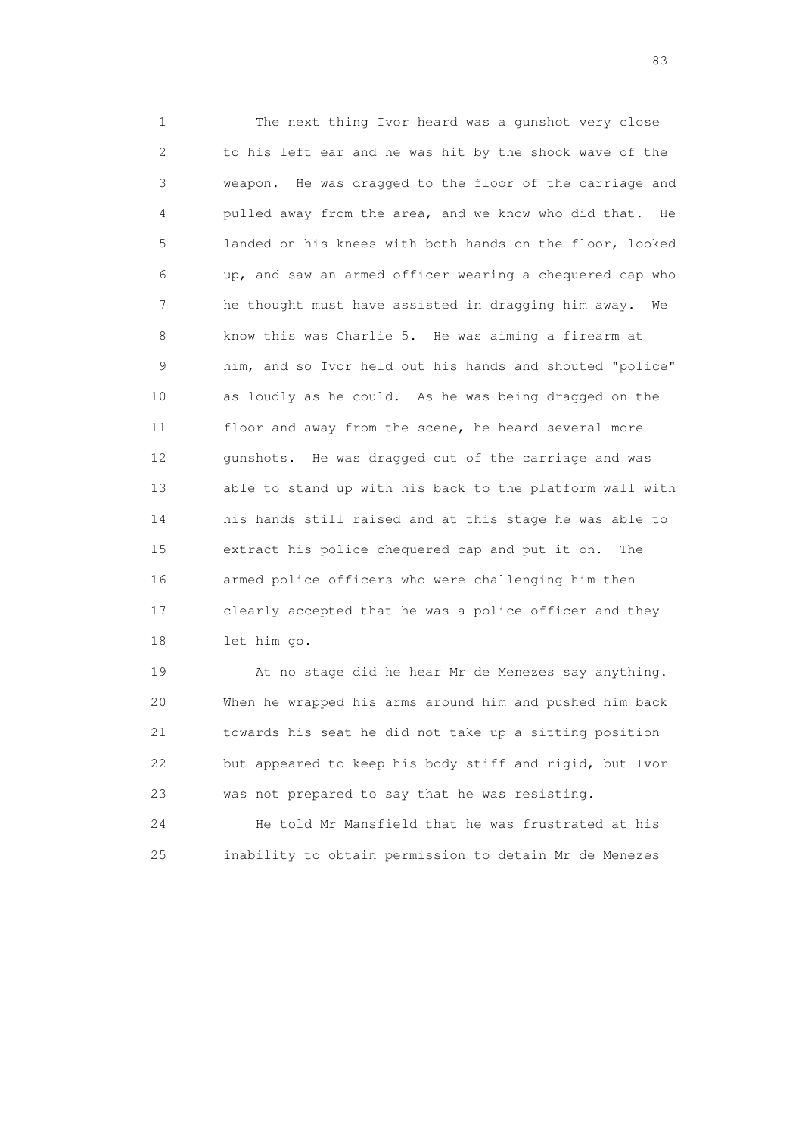1 The next thing Ivor heard was a gunshot very close 2 to his left ear and he was hit by the shock wave of the 3 weapon. He was dragged to the floor of the carriage and 4 pulled away from the area, and we know who did that. He 5 landed on his knees with both hands on the floor, looked 6 up, and saw an armed officer wearing a chequered cap who 7 he thought must have assisted in dragging him away. We 8 know this was Charlie 5. He was aiming a firearm at 9 him, and so Ivor held out his hands and shouted "police" 10 as loudly as he could. As he was being dragged on the 11 floor and away from the scene, he heard several more 12 gunshots. He was dragged out of the carriage and was 13 able to stand up with his back to the platform wall with 14 his hands still raised and at this stage he was able to 15 extract his police chequered cap and put it on. The 16 armed police officers who were challenging him then 17 clearly accepted that he was a police officer and they 18 let him go.

 19 At no stage did he hear Mr de Menezes say anything. 20 When he wrapped his arms around him and pushed him back 21 towards his seat he did not take up a sitting position 22 but appeared to keep his body stiff and rigid, but Ivor 23 was not prepared to say that he was resisting.

 24 He told Mr Mansfield that he was frustrated at his 25 inability to obtain permission to detain Mr de Menezes

experience of the contract of the contract of the contract of the contract of the contract of the contract of the contract of the contract of the contract of the contract of the contract of the contract of the contract of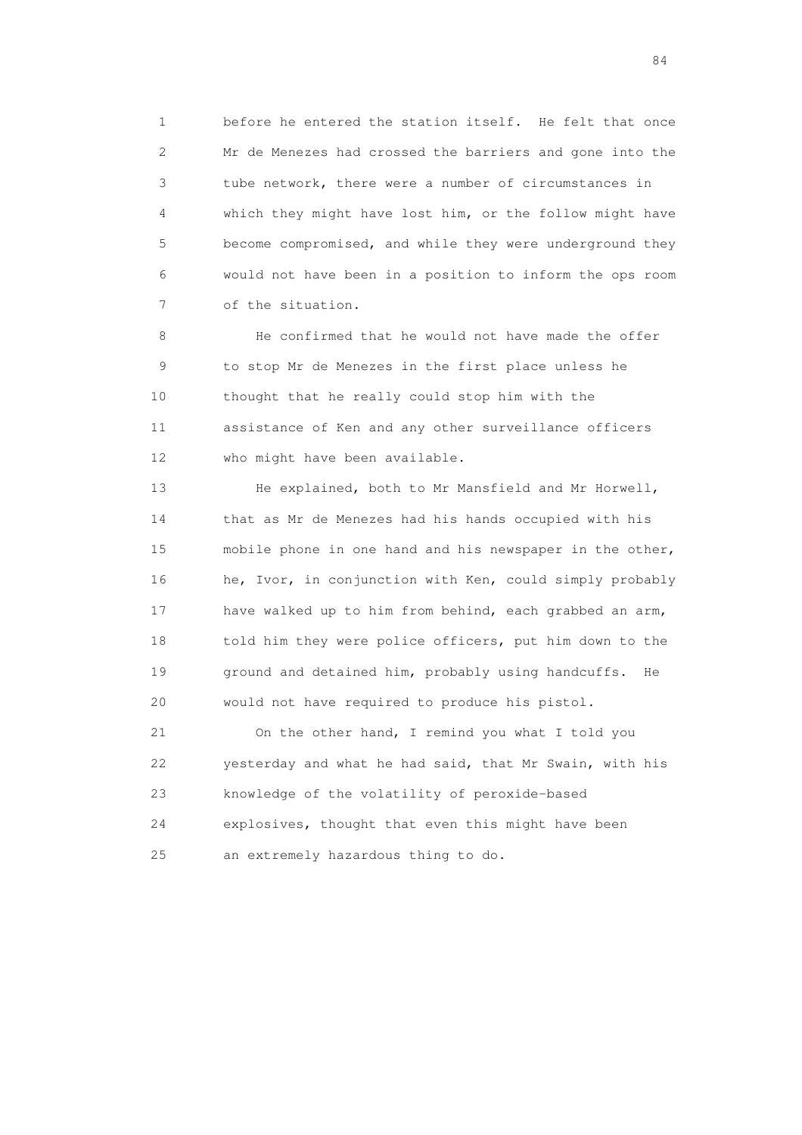1 before he entered the station itself. He felt that once 2 Mr de Menezes had crossed the barriers and gone into the 3 tube network, there were a number of circumstances in 4 which they might have lost him, or the follow might have 5 become compromised, and while they were underground they 6 would not have been in a position to inform the ops room 7 of the situation.

 8 He confirmed that he would not have made the offer 9 to stop Mr de Menezes in the first place unless he 10 thought that he really could stop him with the 11 assistance of Ken and any other surveillance officers 12 who might have been available.

 13 He explained, both to Mr Mansfield and Mr Horwell, 14 that as Mr de Menezes had his hands occupied with his 15 mobile phone in one hand and his newspaper in the other, 16 he, Ivor, in conjunction with Ken, could simply probably 17 have walked up to him from behind, each grabbed an arm, 18 told him they were police officers, put him down to the 19 ground and detained him, probably using handcuffs. He 20 would not have required to produce his pistol.

 21 On the other hand, I remind you what I told you 22 yesterday and what he had said, that Mr Swain, with his 23 knowledge of the volatility of peroxide-based 24 explosives, thought that even this might have been 25 an extremely hazardous thing to do.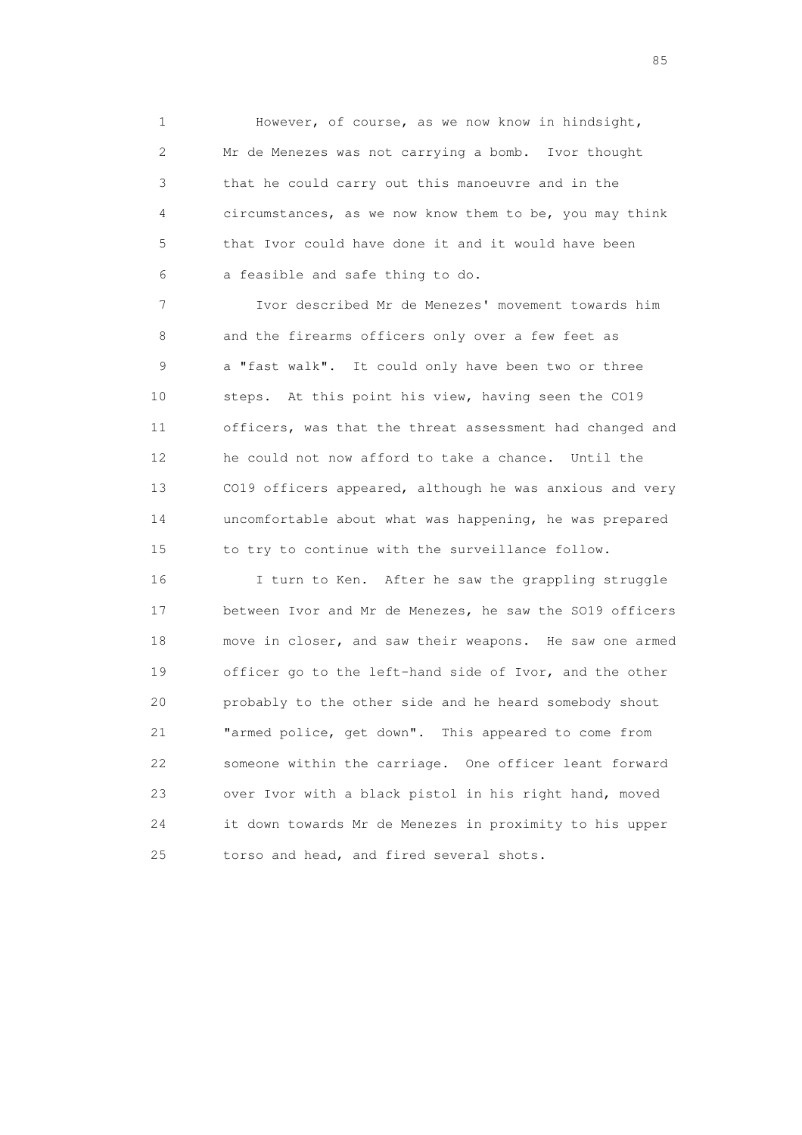1 However, of course, as we now know in hindsight, 2 Mr de Menezes was not carrying a bomb. Ivor thought 3 that he could carry out this manoeuvre and in the 4 circumstances, as we now know them to be, you may think 5 that Ivor could have done it and it would have been 6 a feasible and safe thing to do.

 7 Ivor described Mr de Menezes' movement towards him 8 and the firearms officers only over a few feet as 9 a "fast walk". It could only have been two or three 10 steps. At this point his view, having seen the CO19 11 officers, was that the threat assessment had changed and 12 he could not now afford to take a chance. Until the 13 CO19 officers appeared, although he was anxious and very 14 uncomfortable about what was happening, he was prepared 15 to try to continue with the surveillance follow.

 16 I turn to Ken. After he saw the grappling struggle 17 between Ivor and Mr de Menezes, he saw the SO19 officers 18 move in closer, and saw their weapons. He saw one armed 19 officer go to the left-hand side of Ivor, and the other 20 probably to the other side and he heard somebody shout 21 "armed police, get down". This appeared to come from 22 someone within the carriage. One officer leant forward 23 over Ivor with a black pistol in his right hand, moved 24 it down towards Mr de Menezes in proximity to his upper 25 torso and head, and fired several shots.

experience of the contract of the contract of the contract of the contract of the contract of the contract of the contract of the contract of the contract of the contract of the contract of the contract of the contract of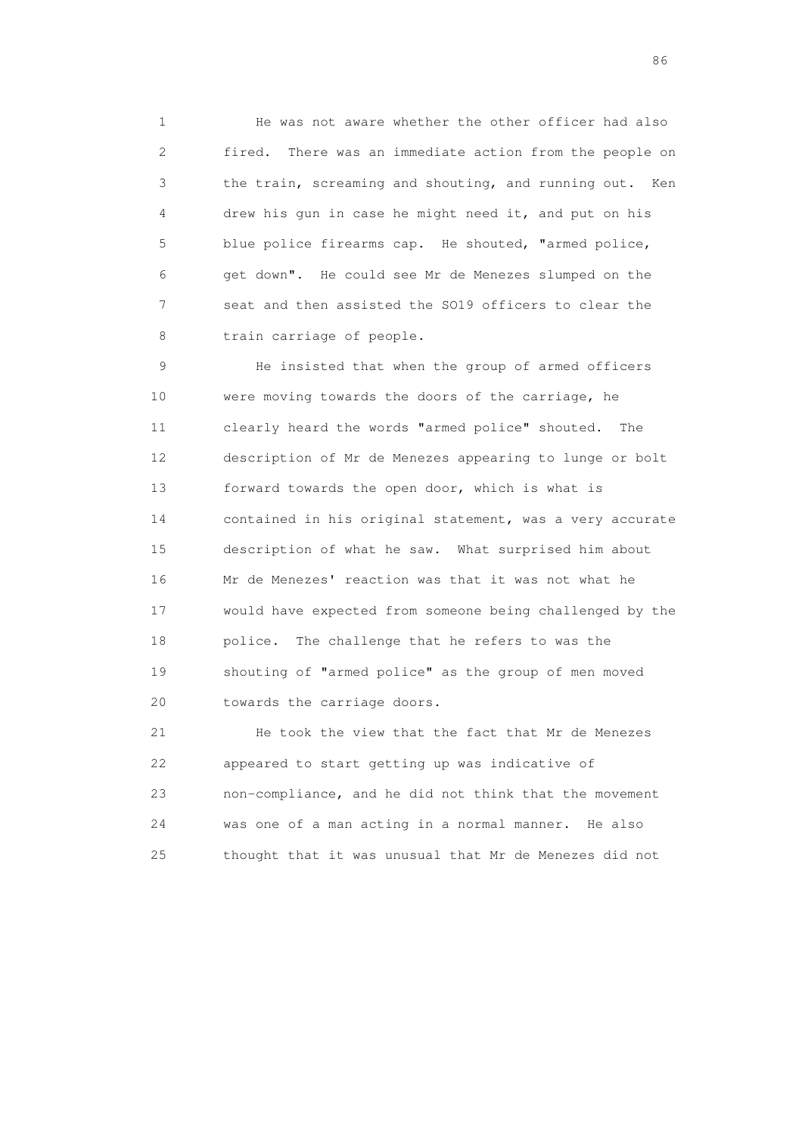1 He was not aware whether the other officer had also 2 fired. There was an immediate action from the people on 3 the train, screaming and shouting, and running out. Ken 4 drew his gun in case he might need it, and put on his 5 blue police firearms cap. He shouted, "armed police, 6 get down". He could see Mr de Menezes slumped on the 7 seat and then assisted the SO19 officers to clear the 8 train carriage of people.

 9 He insisted that when the group of armed officers 10 were moving towards the doors of the carriage, he 11 clearly heard the words "armed police" shouted. The 12 description of Mr de Menezes appearing to lunge or bolt 13 forward towards the open door, which is what is 14 contained in his original statement, was a very accurate 15 description of what he saw. What surprised him about 16 Mr de Menezes' reaction was that it was not what he 17 would have expected from someone being challenged by the 18 police. The challenge that he refers to was the 19 shouting of "armed police" as the group of men moved 20 towards the carriage doors.

 21 He took the view that the fact that Mr de Menezes 22 appeared to start getting up was indicative of 23 non-compliance, and he did not think that the movement 24 was one of a man acting in a normal manner. He also 25 thought that it was unusual that Mr de Menezes did not

entration of the contract of the contract of the contract of the contract of the contract of the contract of the contract of the contract of the contract of the contract of the contract of the contract of the contract of t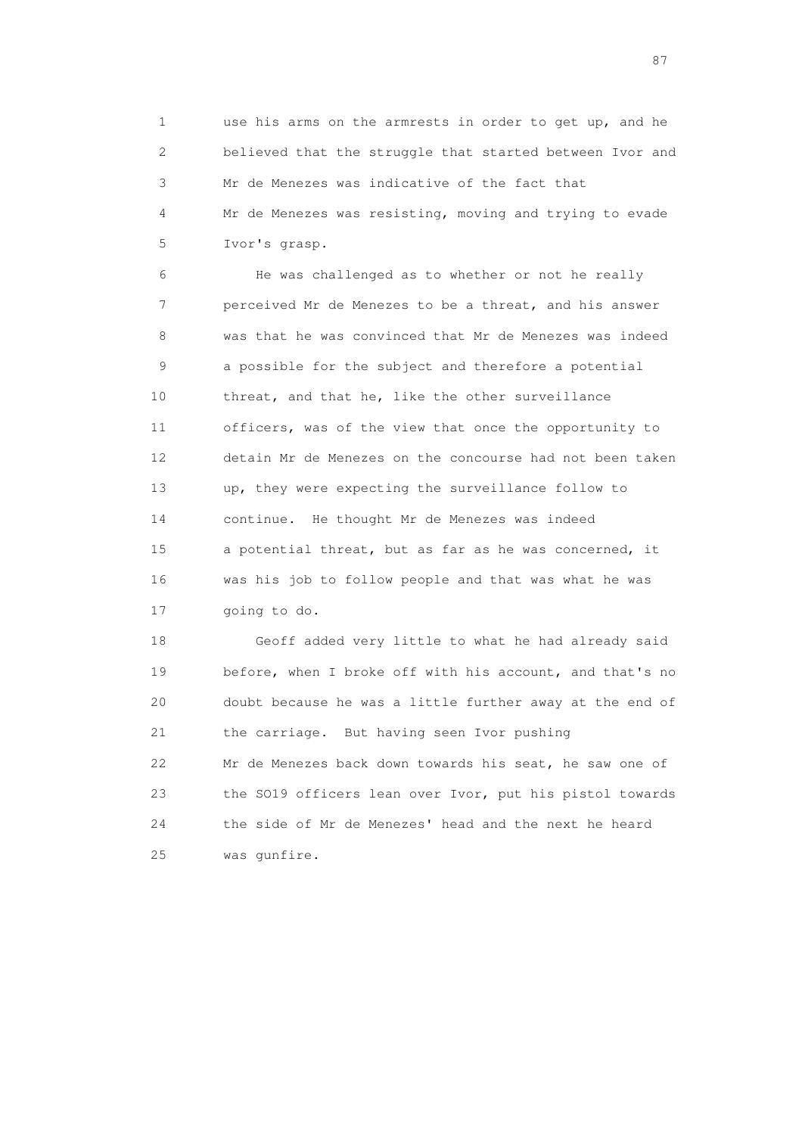1 use his arms on the armrests in order to get up, and he 2 believed that the struggle that started between Ivor and 3 Mr de Menezes was indicative of the fact that 4 Mr de Menezes was resisting, moving and trying to evade 5 Ivor's grasp.

 6 He was challenged as to whether or not he really 7 perceived Mr de Menezes to be a threat, and his answer 8 was that he was convinced that Mr de Menezes was indeed 9 a possible for the subject and therefore a potential 10 threat, and that he, like the other surveillance 11 officers, was of the view that once the opportunity to 12 detain Mr de Menezes on the concourse had not been taken 13 up, they were expecting the surveillance follow to 14 continue. He thought Mr de Menezes was indeed 15 a potential threat, but as far as he was concerned, it 16 was his job to follow people and that was what he was 17 going to do.

 18 Geoff added very little to what he had already said 19 before, when I broke off with his account, and that's no 20 doubt because he was a little further away at the end of 21 the carriage. But having seen Ivor pushing 22 Mr de Menezes back down towards his seat, he saw one of 23 the SO19 officers lean over Ivor, put his pistol towards 24 the side of Mr de Menezes' head and the next he heard 25 was gunfire.

experience of the state of the state of the state of the state of the state of the state of the state of the s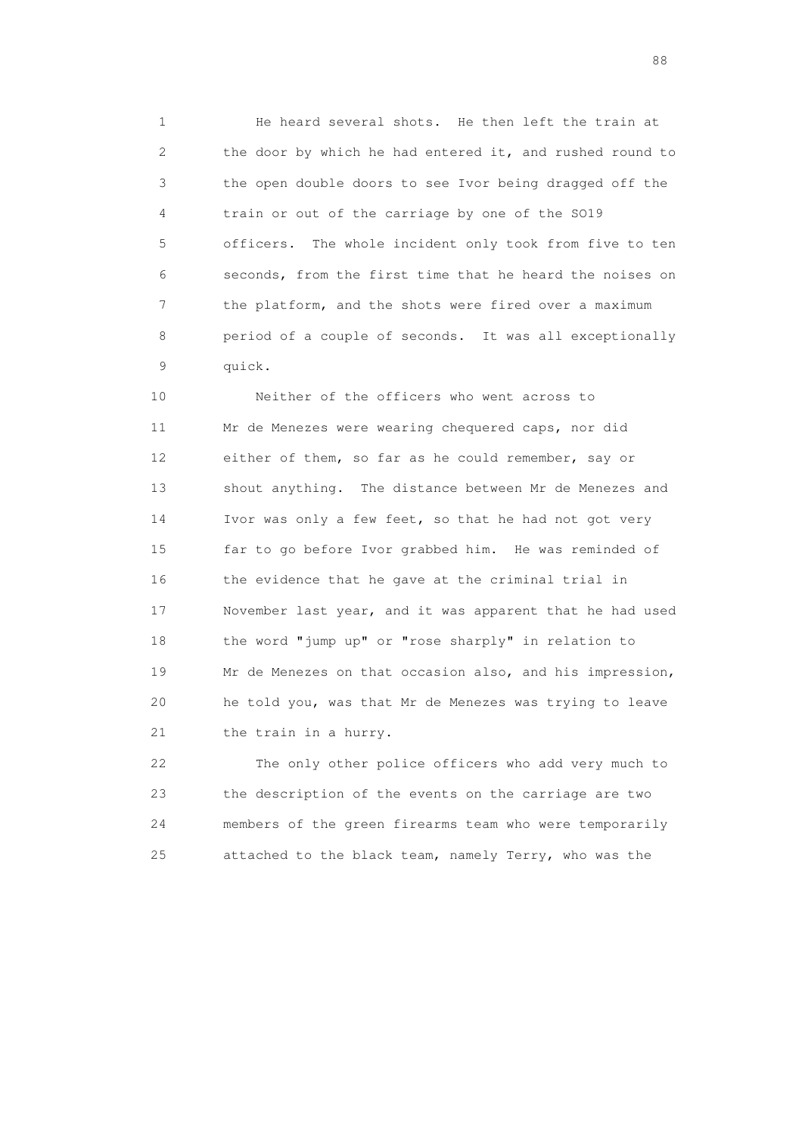1 He heard several shots. He then left the train at 2 the door by which he had entered it, and rushed round to 3 the open double doors to see Ivor being dragged off the 4 train or out of the carriage by one of the SO19 5 officers. The whole incident only took from five to ten 6 seconds, from the first time that he heard the noises on 7 the platform, and the shots were fired over a maximum 8 period of a couple of seconds. It was all exceptionally 9 quick.

 10 Neither of the officers who went across to 11 Mr de Menezes were wearing chequered caps, nor did 12 either of them, so far as he could remember, say or 13 shout anything. The distance between Mr de Menezes and 14 Ivor was only a few feet, so that he had not got very 15 far to go before Ivor grabbed him. He was reminded of 16 the evidence that he gave at the criminal trial in 17 November last year, and it was apparent that he had used 18 the word "jump up" or "rose sharply" in relation to 19 Mr de Menezes on that occasion also, and his impression, 20 he told you, was that Mr de Menezes was trying to leave 21 the train in a hurry.

 22 The only other police officers who add very much to 23 the description of the events on the carriage are two 24 members of the green firearms team who were temporarily 25 attached to the black team, namely Terry, who was the

en de la construction de la construction de la construction de la construction de la construction de la constr<br>1880 : le construction de la construction de la construction de la construction de la construction de la const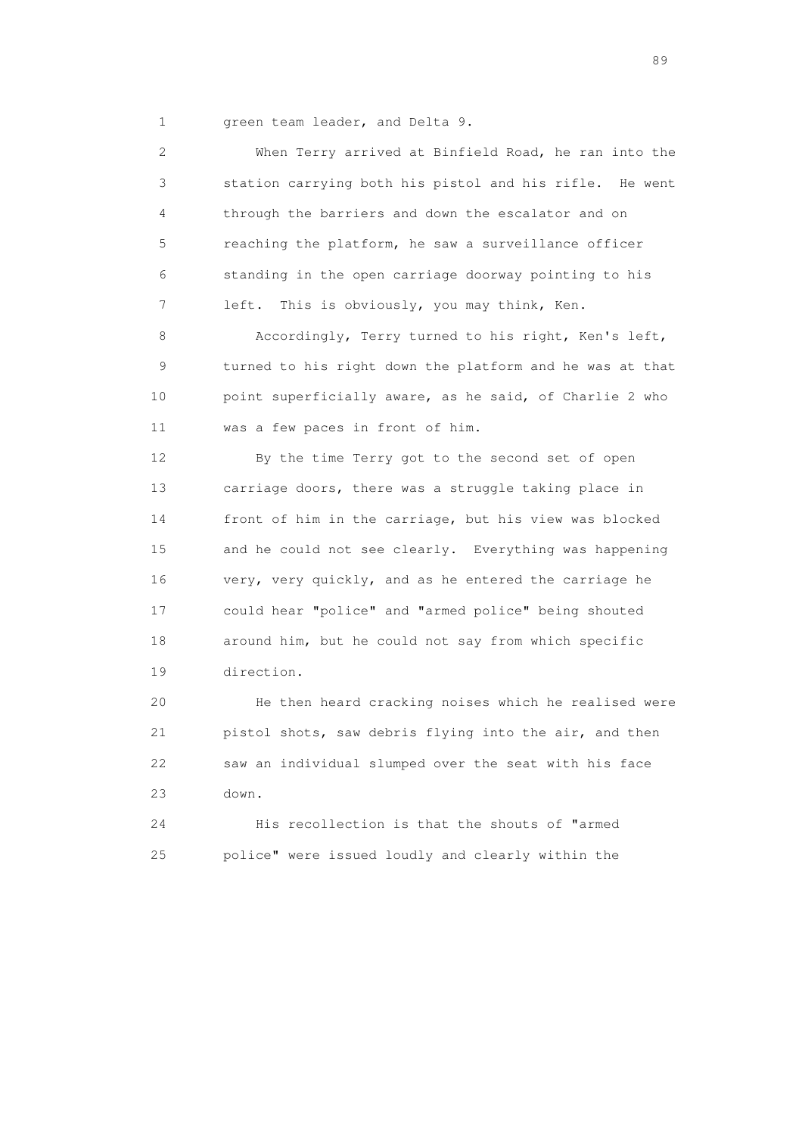1 green team leader, and Delta 9.

 2 When Terry arrived at Binfield Road, he ran into the 3 station carrying both his pistol and his rifle. He went 4 through the barriers and down the escalator and on 5 reaching the platform, he saw a surveillance officer 6 standing in the open carriage doorway pointing to his 7 left. This is obviously, you may think, Ken.

 8 Accordingly, Terry turned to his right, Ken's left, 9 turned to his right down the platform and he was at that 10 point superficially aware, as he said, of Charlie 2 who 11 was a few paces in front of him.

 12 By the time Terry got to the second set of open 13 carriage doors, there was a struggle taking place in 14 front of him in the carriage, but his view was blocked 15 and he could not see clearly. Everything was happening 16 very, very quickly, and as he entered the carriage he 17 could hear "police" and "armed police" being shouted 18 around him, but he could not say from which specific 19 direction.

 20 He then heard cracking noises which he realised were 21 pistol shots, saw debris flying into the air, and then 22 saw an individual slumped over the seat with his face 23 down.

 24 His recollection is that the shouts of "armed 25 police" were issued loudly and clearly within the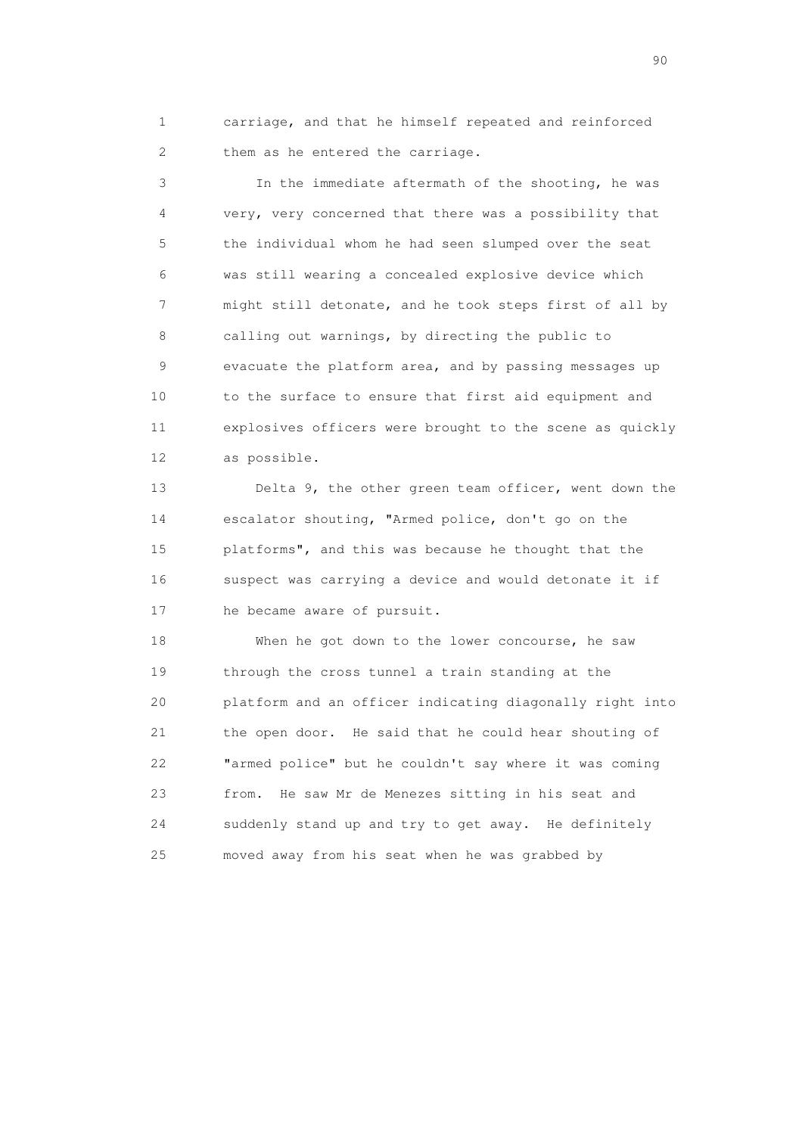1 carriage, and that he himself repeated and reinforced 2 them as he entered the carriage.

 3 In the immediate aftermath of the shooting, he was 4 very, very concerned that there was a possibility that 5 the individual whom he had seen slumped over the seat 6 was still wearing a concealed explosive device which 7 might still detonate, and he took steps first of all by 8 calling out warnings, by directing the public to 9 evacuate the platform area, and by passing messages up 10 to the surface to ensure that first aid equipment and 11 explosives officers were brought to the scene as quickly 12 as possible.

 13 Delta 9, the other green team officer, went down the 14 escalator shouting, "Armed police, don't go on the 15 platforms", and this was because he thought that the 16 suspect was carrying a device and would detonate it if 17 he became aware of pursuit.

 18 When he got down to the lower concourse, he saw 19 through the cross tunnel a train standing at the 20 platform and an officer indicating diagonally right into 21 the open door. He said that he could hear shouting of 22 "armed police" but he couldn't say where it was coming 23 from. He saw Mr de Menezes sitting in his seat and 24 suddenly stand up and try to get away. He definitely 25 moved away from his seat when he was grabbed by

entral de la construction de la construction de la construction de la construction de la construction de la co<br>1900 : le construction de la construction de la construction de la construction de la construction de la const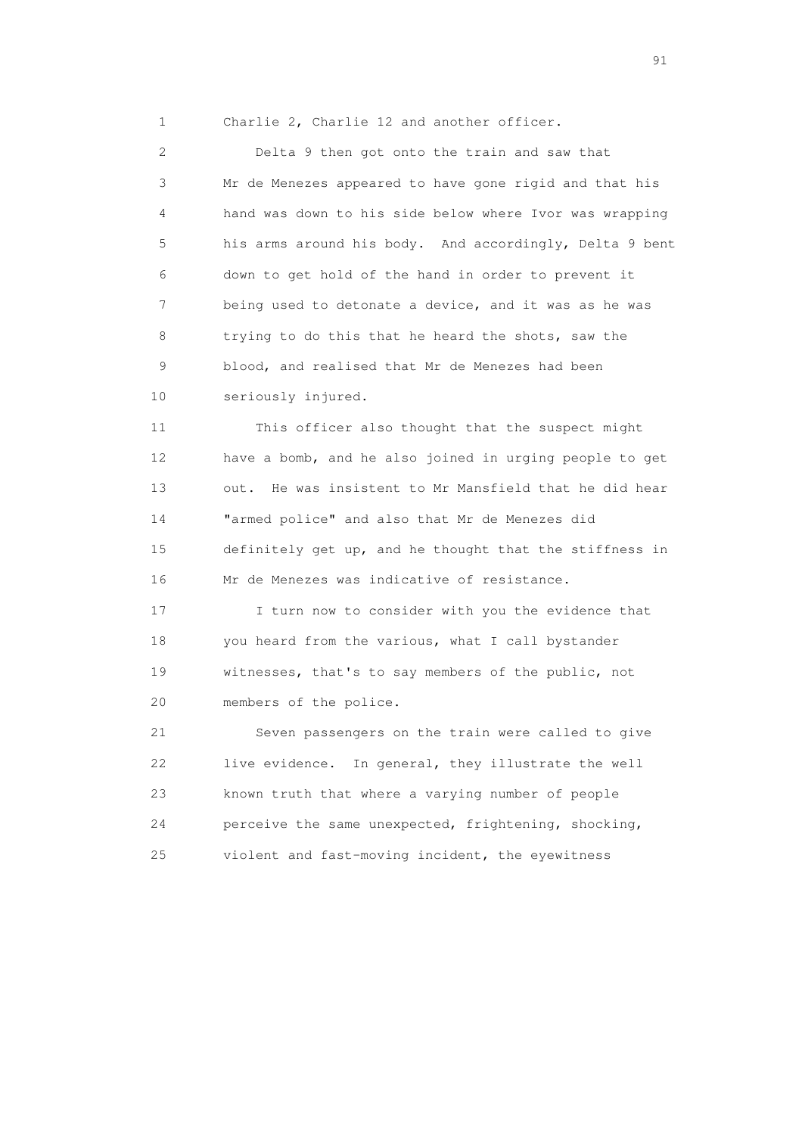1 Charlie 2, Charlie 12 and another officer.

 2 Delta 9 then got onto the train and saw that 3 Mr de Menezes appeared to have gone rigid and that his 4 hand was down to his side below where Ivor was wrapping 5 his arms around his body. And accordingly, Delta 9 bent 6 down to get hold of the hand in order to prevent it 7 being used to detonate a device, and it was as he was 8 trying to do this that he heard the shots, saw the 9 blood, and realised that Mr de Menezes had been 10 seriously injured.

 11 This officer also thought that the suspect might 12 have a bomb, and he also joined in urging people to get 13 out. He was insistent to Mr Mansfield that he did hear 14 "armed police" and also that Mr de Menezes did 15 definitely get up, and he thought that the stiffness in 16 Mr de Menezes was indicative of resistance.

 17 I turn now to consider with you the evidence that 18 you heard from the various, what I call bystander 19 witnesses, that's to say members of the public, not 20 members of the police.

 21 Seven passengers on the train were called to give 22 live evidence. In general, they illustrate the well 23 known truth that where a varying number of people 24 perceive the same unexpected, frightening, shocking, 25 violent and fast-moving incident, the eyewitness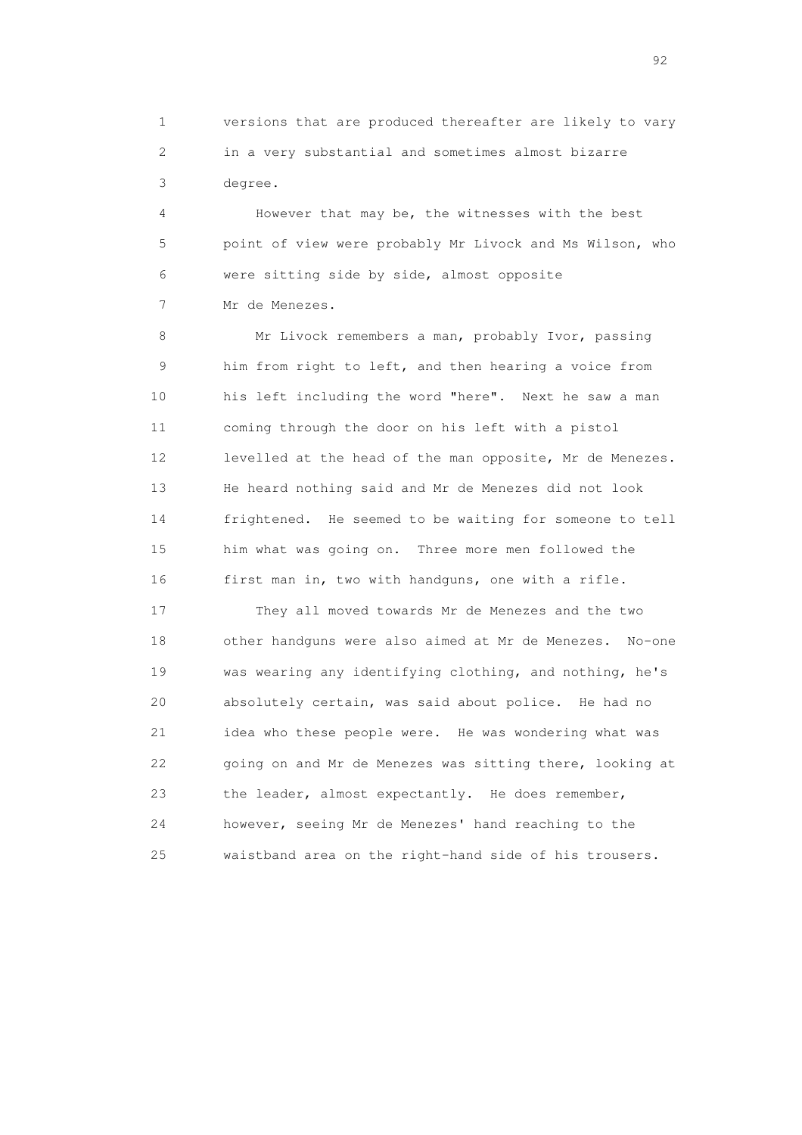1 versions that are produced thereafter are likely to vary 2 in a very substantial and sometimes almost bizarre 3 degree.

 4 However that may be, the witnesses with the best 5 point of view were probably Mr Livock and Ms Wilson, who 6 were sitting side by side, almost opposite 7 Mr de Menezes.

 8 Mr Livock remembers a man, probably Ivor, passing 9 him from right to left, and then hearing a voice from 10 his left including the word "here". Next he saw a man 11 coming through the door on his left with a pistol 12 levelled at the head of the man opposite, Mr de Menezes. 13 He heard nothing said and Mr de Menezes did not look 14 frightened. He seemed to be waiting for someone to tell 15 him what was going on. Three more men followed the 16 first man in, two with handguns, one with a rifle.

 17 They all moved towards Mr de Menezes and the two 18 other handguns were also aimed at Mr de Menezes. No-one 19 was wearing any identifying clothing, and nothing, he's 20 absolutely certain, was said about police. He had no 21 idea who these people were. He was wondering what was 22 going on and Mr de Menezes was sitting there, looking at 23 the leader, almost expectantly. He does remember, 24 however, seeing Mr de Menezes' hand reaching to the 25 waistband area on the right-hand side of his trousers.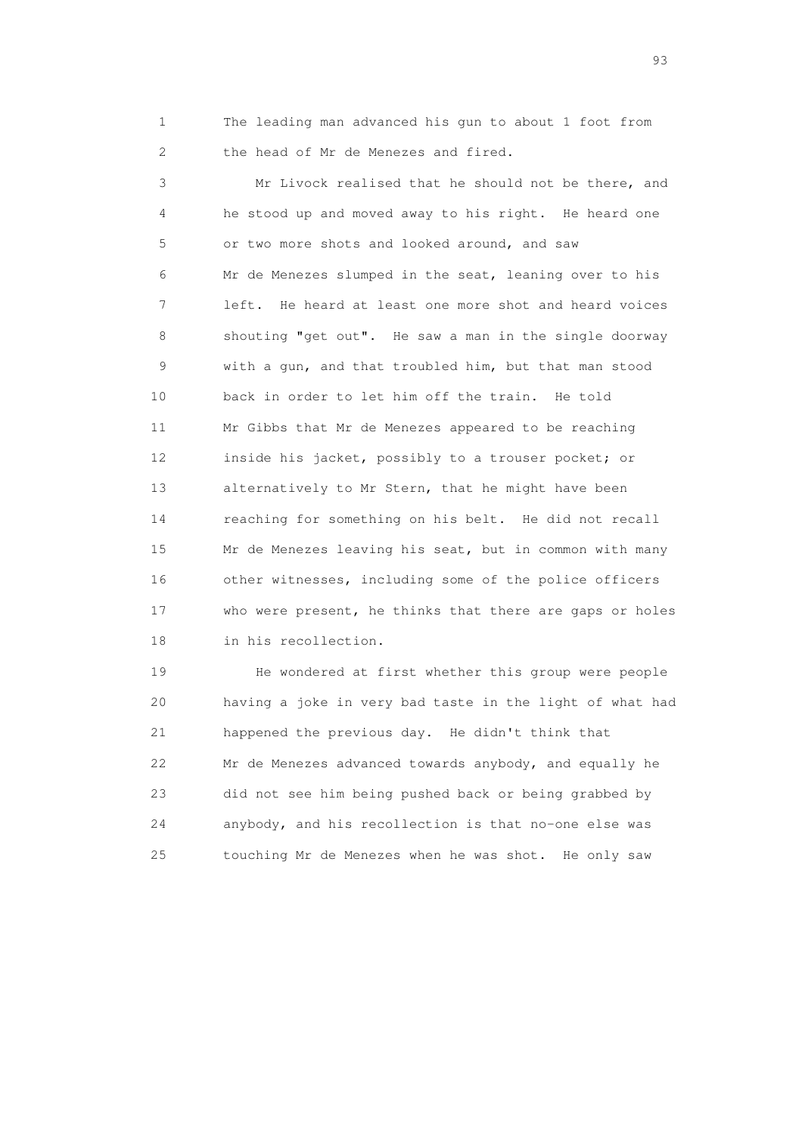1 The leading man advanced his gun to about 1 foot from 2 the head of Mr de Menezes and fired.

 3 Mr Livock realised that he should not be there, and 4 he stood up and moved away to his right. He heard one 5 or two more shots and looked around, and saw 6 Mr de Menezes slumped in the seat, leaning over to his 7 left. He heard at least one more shot and heard voices 8 shouting "get out". He saw a man in the single doorway 9 with a gun, and that troubled him, but that man stood 10 back in order to let him off the train. He told 11 Mr Gibbs that Mr de Menezes appeared to be reaching 12 inside his jacket, possibly to a trouser pocket; or 13 alternatively to Mr Stern, that he might have been 14 reaching for something on his belt. He did not recall 15 Mr de Menezes leaving his seat, but in common with many 16 other witnesses, including some of the police officers 17 who were present, he thinks that there are gaps or holes 18 in his recollection.

 19 He wondered at first whether this group were people 20 having a joke in very bad taste in the light of what had 21 happened the previous day. He didn't think that 22 Mr de Menezes advanced towards anybody, and equally he 23 did not see him being pushed back or being grabbed by 24 anybody, and his recollection is that no-one else was 25 touching Mr de Menezes when he was shot. He only saw

experience of the contract of the contract of the contract of the contract of the contract of the contract of the contract of the contract of the contract of the contract of the contract of the contract of the contract of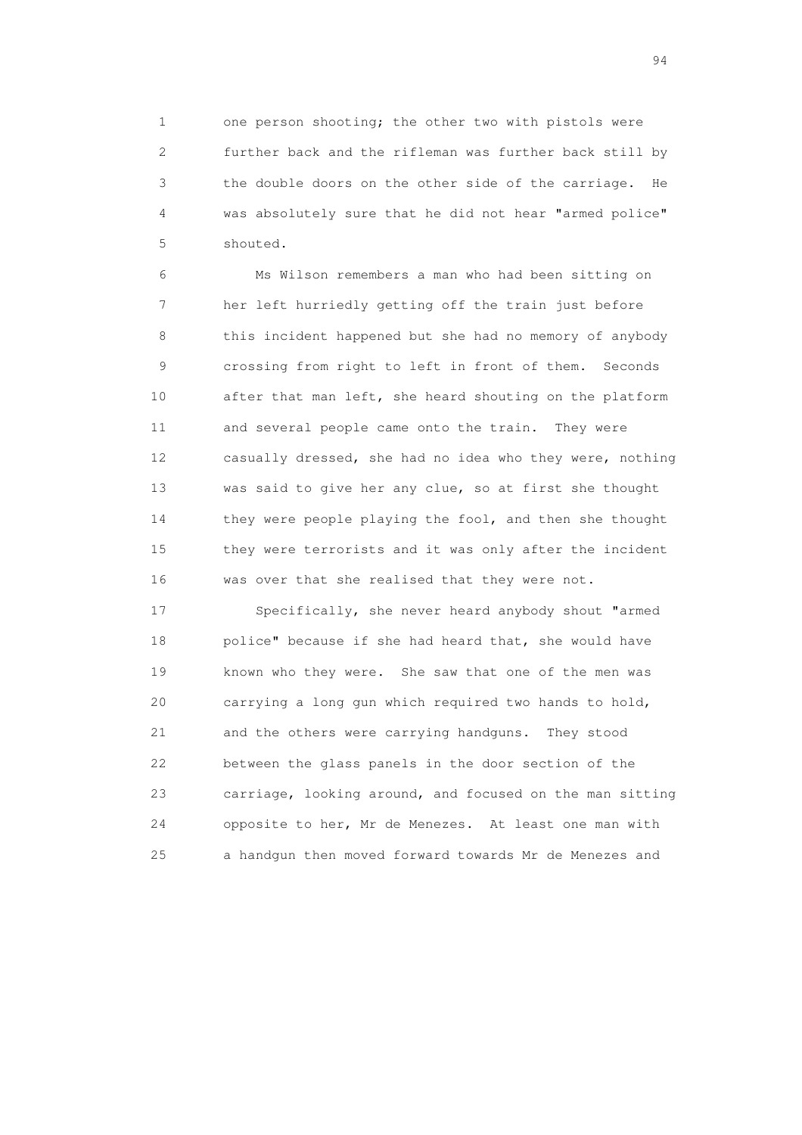1 one person shooting; the other two with pistols were 2 further back and the rifleman was further back still by 3 the double doors on the other side of the carriage. He 4 was absolutely sure that he did not hear "armed police" 5 shouted.

 6 Ms Wilson remembers a man who had been sitting on 7 her left hurriedly getting off the train just before 8 this incident happened but she had no memory of anybody 9 crossing from right to left in front of them. Seconds 10 after that man left, she heard shouting on the platform 11 and several people came onto the train. They were 12 casually dressed, she had no idea who they were, nothing 13 was said to give her any clue, so at first she thought 14 they were people playing the fool, and then she thought 15 they were terrorists and it was only after the incident 16 was over that she realised that they were not.

 17 Specifically, she never heard anybody shout "armed 18 police" because if she had heard that, she would have 19 known who they were. She saw that one of the men was 20 carrying a long gun which required two hands to hold, 21 and the others were carrying handguns. They stood 22 between the glass panels in the door section of the 23 carriage, looking around, and focused on the man sitting 24 opposite to her, Mr de Menezes. At least one man with 25 a handgun then moved forward towards Mr de Menezes and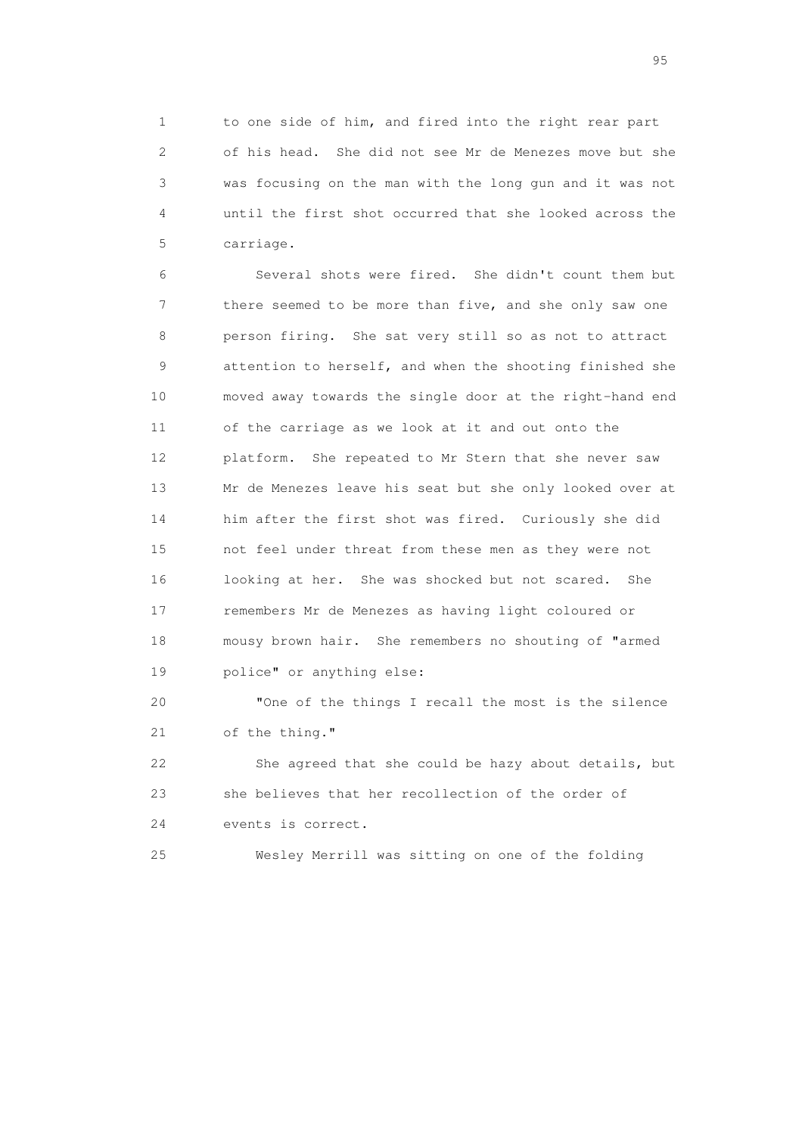1 to one side of him, and fired into the right rear part 2 of his head. She did not see Mr de Menezes move but she 3 was focusing on the man with the long gun and it was not 4 until the first shot occurred that she looked across the 5 carriage.

 6 Several shots were fired. She didn't count them but 7 there seemed to be more than five, and she only saw one 8 person firing. She sat very still so as not to attract 9 attention to herself, and when the shooting finished she 10 moved away towards the single door at the right-hand end 11 of the carriage as we look at it and out onto the 12 platform. She repeated to Mr Stern that she never saw 13 Mr de Menezes leave his seat but she only looked over at 14 him after the first shot was fired. Curiously she did 15 not feel under threat from these men as they were not 16 looking at her. She was shocked but not scared. She 17 remembers Mr de Menezes as having light coloured or 18 mousy brown hair. She remembers no shouting of "armed 19 police" or anything else:

 20 "One of the things I recall the most is the silence 21 of the thing."

 22 She agreed that she could be hazy about details, but 23 she believes that her recollection of the order of 24 events is correct.

25 Wesley Merrill was sitting on one of the folding

experience of the contract of the contract of the contract of the contract of the contract of the contract of the contract of the contract of the contract of the contract of the contract of the contract of the contract of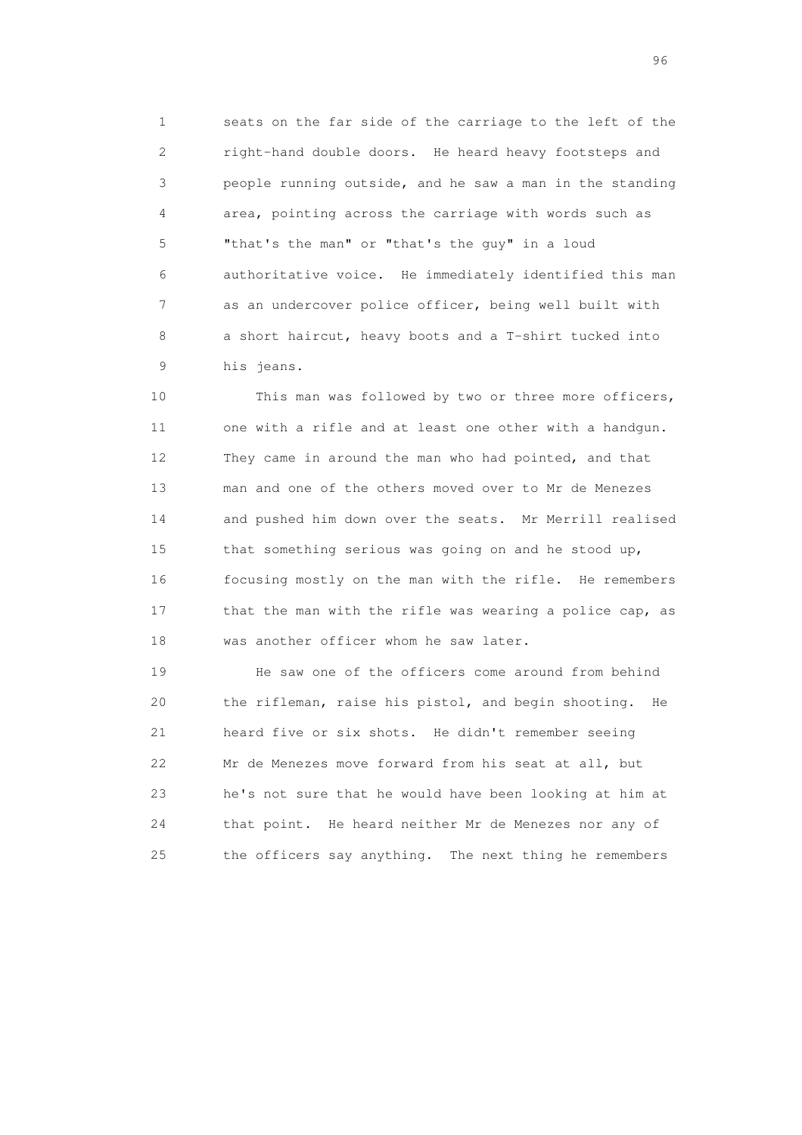1 seats on the far side of the carriage to the left of the 2 right-hand double doors. He heard heavy footsteps and 3 people running outside, and he saw a man in the standing 4 area, pointing across the carriage with words such as 5 "that's the man" or "that's the guy" in a loud 6 authoritative voice. He immediately identified this man 7 as an undercover police officer, being well built with 8 a short haircut, heavy boots and a T-shirt tucked into 9 his jeans.

 10 This man was followed by two or three more officers, 11 one with a rifle and at least one other with a handgun. 12 They came in around the man who had pointed, and that 13 man and one of the others moved over to Mr de Menezes 14 and pushed him down over the seats. Mr Merrill realised 15 that something serious was going on and he stood up, 16 focusing mostly on the man with the rifle. He remembers 17 that the man with the rifle was wearing a police cap, as 18 was another officer whom he saw later.

 19 He saw one of the officers come around from behind 20 the rifleman, raise his pistol, and begin shooting. He 21 heard five or six shots. He didn't remember seeing 22 Mr de Menezes move forward from his seat at all, but 23 he's not sure that he would have been looking at him at 24 that point. He heard neither Mr de Menezes nor any of 25 the officers say anything. The next thing he remembers

<u>96 and the state of the state of the state of the state of the state of the state of the state of the state of the state of the state of the state of the state of the state of the state of the state of the state of the st</u>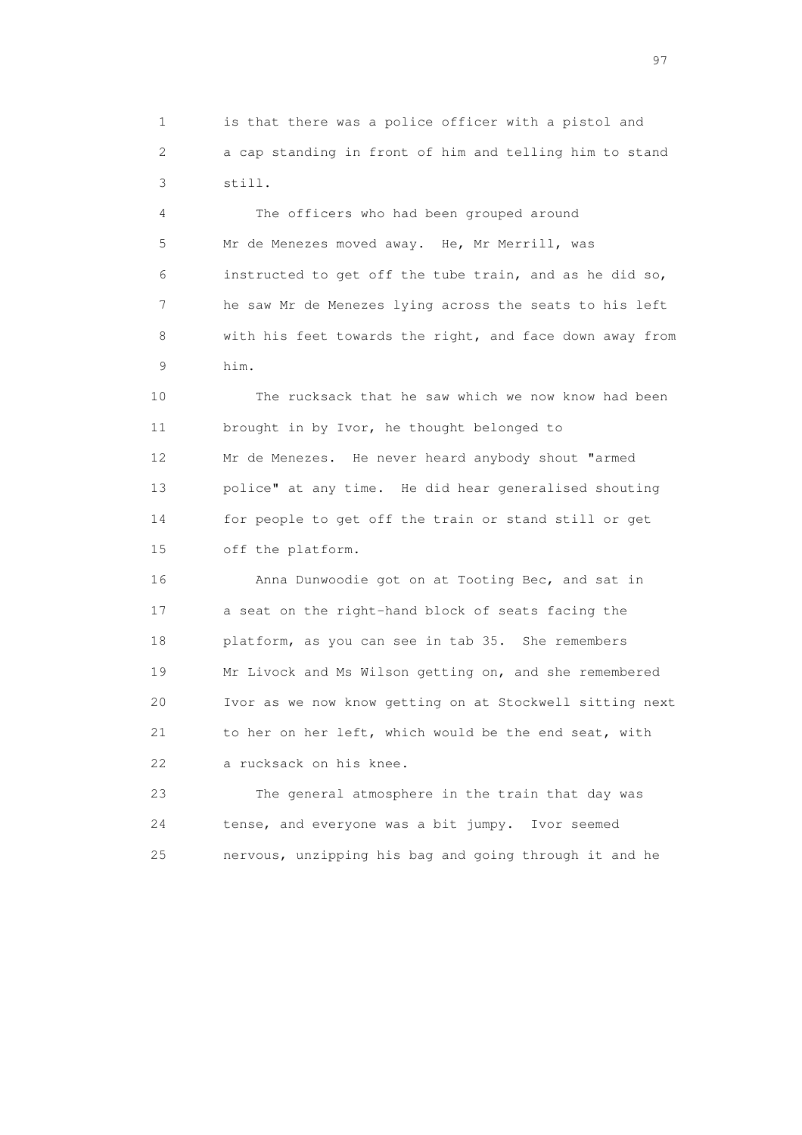1 is that there was a police officer with a pistol and 2 a cap standing in front of him and telling him to stand 3 still.

 4 The officers who had been grouped around 5 Mr de Menezes moved away. He, Mr Merrill, was 6 instructed to get off the tube train, and as he did so, 7 he saw Mr de Menezes lying across the seats to his left 8 with his feet towards the right, and face down away from 9 him.

 10 The rucksack that he saw which we now know had been 11 brought in by Ivor, he thought belonged to 12 Mr de Menezes. He never heard anybody shout "armed 13 police" at any time. He did hear generalised shouting 14 for people to get off the train or stand still or get 15 off the platform.

 16 Anna Dunwoodie got on at Tooting Bec, and sat in 17 a seat on the right-hand block of seats facing the 18 platform, as you can see in tab 35. She remembers 19 Mr Livock and Ms Wilson getting on, and she remembered 20 Ivor as we now know getting on at Stockwell sitting next 21 to her on her left, which would be the end seat, with 22 a rucksack on his knee.

 23 The general atmosphere in the train that day was 24 tense, and everyone was a bit jumpy. Ivor seemed 25 nervous, unzipping his bag and going through it and he

experience of the contract of the contract of the contract of the contract of the contract of the contract of the contract of the contract of the contract of the contract of the contract of the contract of the contract of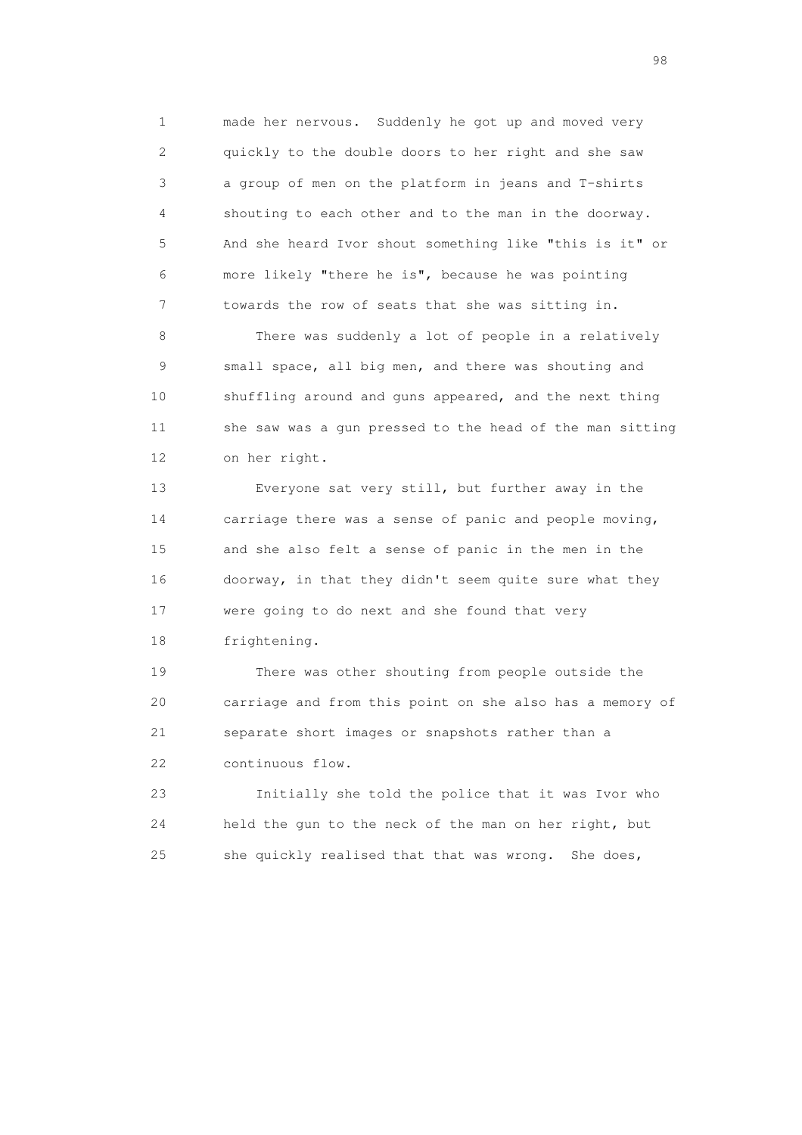1 made her nervous. Suddenly he got up and moved very 2 quickly to the double doors to her right and she saw 3 a group of men on the platform in jeans and T-shirts 4 shouting to each other and to the man in the doorway. 5 And she heard Ivor shout something like "this is it" or 6 more likely "there he is", because he was pointing 7 towards the row of seats that she was sitting in.

 8 There was suddenly a lot of people in a relatively 9 small space, all big men, and there was shouting and 10 shuffling around and guns appeared, and the next thing 11 she saw was a gun pressed to the head of the man sitting 12 on her right.

 13 Everyone sat very still, but further away in the 14 carriage there was a sense of panic and people moving, 15 and she also felt a sense of panic in the men in the 16 doorway, in that they didn't seem quite sure what they 17 were going to do next and she found that very 18 frightening.

 19 There was other shouting from people outside the 20 carriage and from this point on she also has a memory of 21 separate short images or snapshots rather than a 22 continuous flow.

 23 Initially she told the police that it was Ivor who 24 held the gun to the neck of the man on her right, but 25 she quickly realised that that was wrong. She does,

en 1988 en 1989 en 1989 en 1989 en 1989 en 1989 en 1989 en 1989 en 1989 en 1989 en 1989 en 1989 en 1989 en 19<br>De grote en 1989 en 1989 en 1989 en 1989 en 1989 en 1989 en 1989 en 1989 en 1989 en 1989 en 1989 en 1989 en 19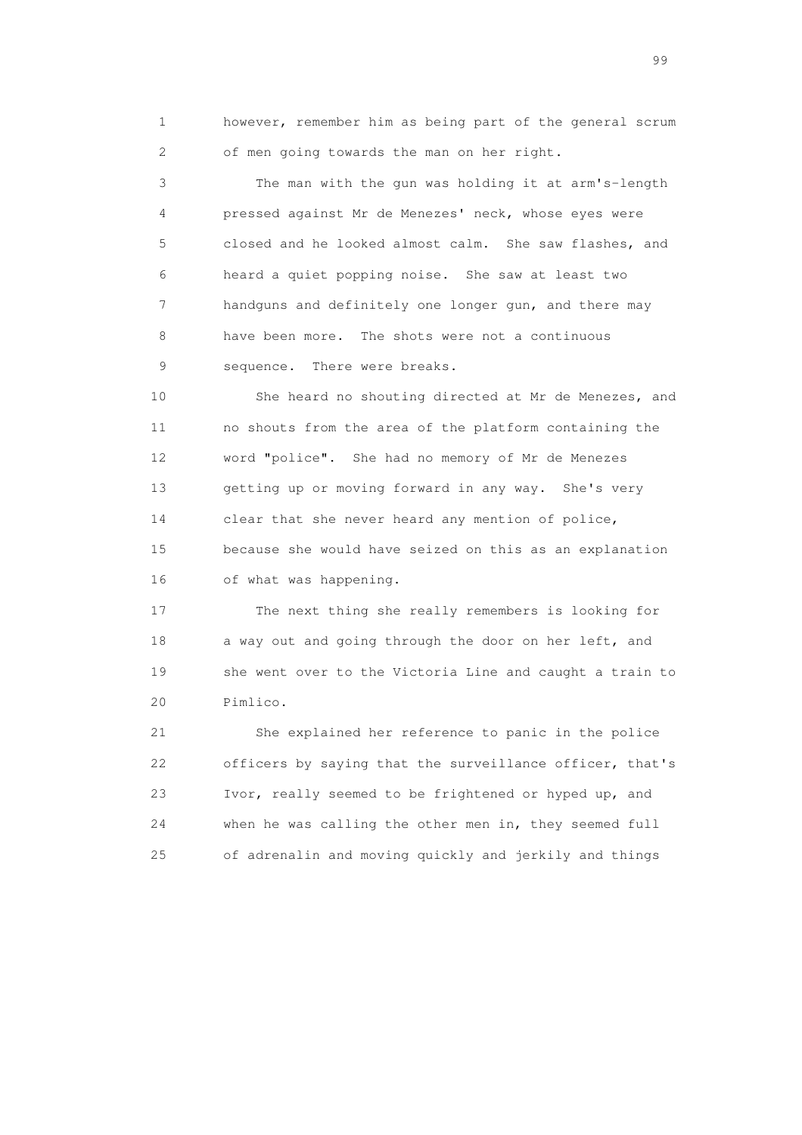1 however, remember him as being part of the general scrum 2 of men going towards the man on her right.

 3 The man with the gun was holding it at arm's-length 4 pressed against Mr de Menezes' neck, whose eyes were 5 closed and he looked almost calm. She saw flashes, and 6 heard a quiet popping noise. She saw at least two 7 handguns and definitely one longer gun, and there may 8 have been more. The shots were not a continuous 9 sequence. There were breaks.

 10 She heard no shouting directed at Mr de Menezes, and 11 no shouts from the area of the platform containing the 12 word "police". She had no memory of Mr de Menezes 13 getting up or moving forward in any way. She's very 14 clear that she never heard any mention of police, 15 because she would have seized on this as an explanation 16 of what was happening.

 17 The next thing she really remembers is looking for 18 a way out and going through the door on her left, and 19 she went over to the Victoria Line and caught a train to 20 Pimlico.

 21 She explained her reference to panic in the police 22 officers by saying that the surveillance officer, that's 23 Ivor, really seemed to be frightened or hyped up, and 24 when he was calling the other men in, they seemed full 25 of adrenalin and moving quickly and jerkily and things

en de la construction de la construction de la construction de la construction de la construction de la constr<br>1990 : la construction de la construction de la construction de la construction de la construction de la const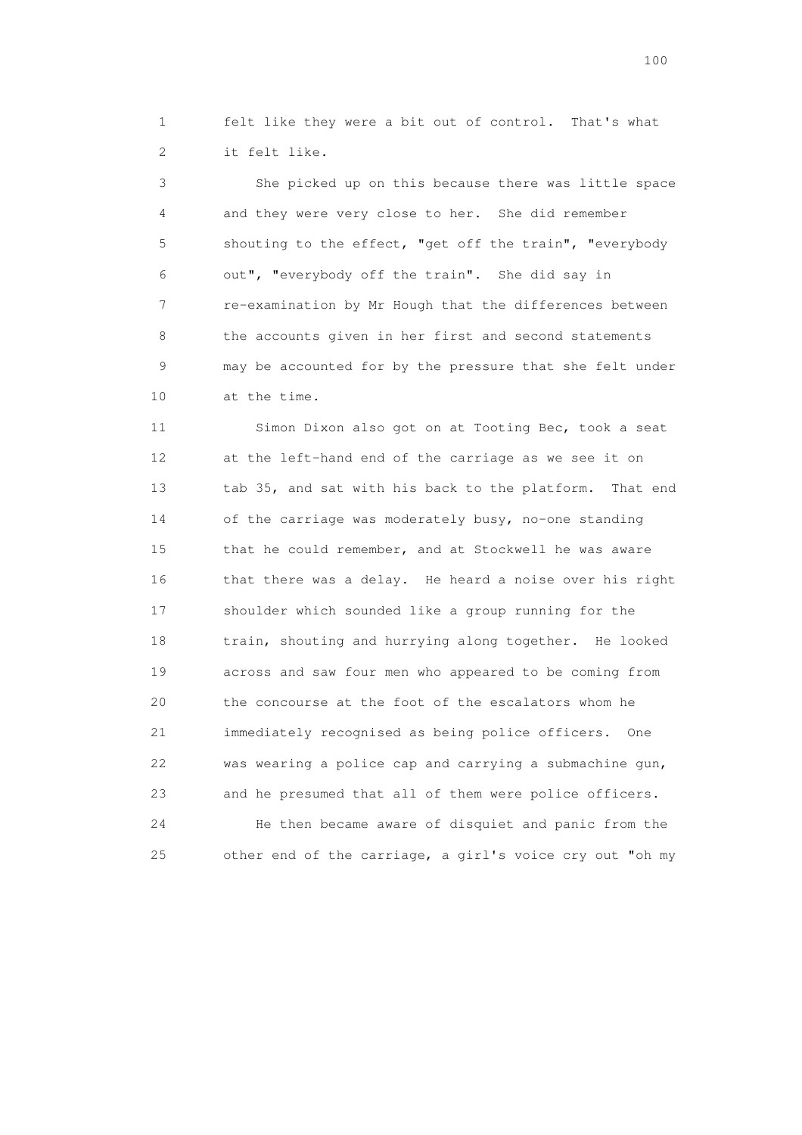1 felt like they were a bit out of control. That's what 2 it felt like.

 3 She picked up on this because there was little space 4 and they were very close to her. She did remember 5 shouting to the effect, "get off the train", "everybody 6 out", "everybody off the train". She did say in 7 re-examination by Mr Hough that the differences between 8 the accounts given in her first and second statements 9 may be accounted for by the pressure that she felt under 10 at the time.

 11 Simon Dixon also got on at Tooting Bec, took a seat 12 at the left-hand end of the carriage as we see it on 13 tab 35, and sat with his back to the platform. That end 14 of the carriage was moderately busy, no-one standing 15 that he could remember, and at Stockwell he was aware 16 that there was a delay. He heard a noise over his right 17 shoulder which sounded like a group running for the 18 train, shouting and hurrying along together. He looked 19 across and saw four men who appeared to be coming from 20 the concourse at the foot of the escalators whom he 21 immediately recognised as being police officers. One 22 was wearing a police cap and carrying a submachine gun, 23 and he presumed that all of them were police officers. 24 He then became aware of disquiet and panic from the 25 other end of the carriage, a girl's voice cry out "oh my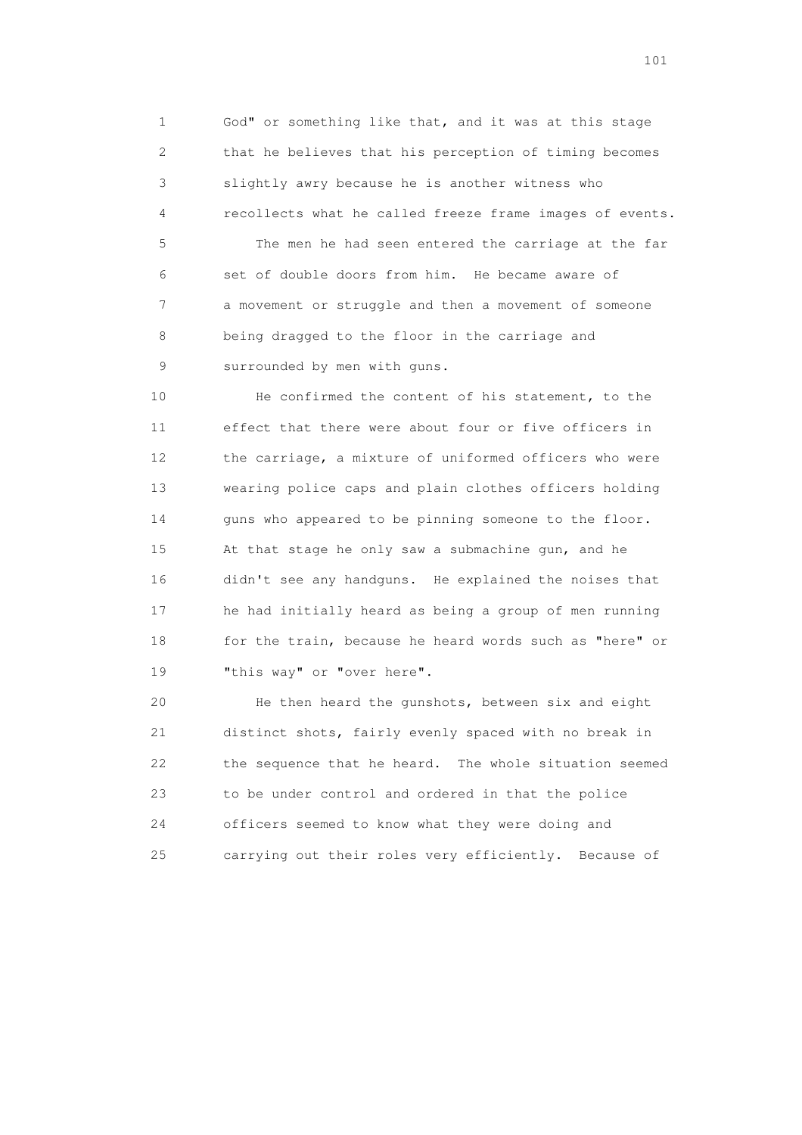1 God" or something like that, and it was at this stage 2 that he believes that his perception of timing becomes 3 slightly awry because he is another witness who 4 recollects what he called freeze frame images of events.

 5 The men he had seen entered the carriage at the far 6 set of double doors from him. He became aware of 7 a movement or struggle and then a movement of someone 8 being dragged to the floor in the carriage and 9 surrounded by men with guns.

 10 He confirmed the content of his statement, to the 11 effect that there were about four or five officers in 12 the carriage, a mixture of uniformed officers who were 13 wearing police caps and plain clothes officers holding 14 guns who appeared to be pinning someone to the floor. 15 At that stage he only saw a submachine gun, and he 16 didn't see any handguns. He explained the noises that 17 he had initially heard as being a group of men running 18 for the train, because he heard words such as "here" or 19 "this way" or "over here".

 20 He then heard the gunshots, between six and eight 21 distinct shots, fairly evenly spaced with no break in 22 the sequence that he heard. The whole situation seemed 23 to be under control and ordered in that the police 24 officers seemed to know what they were doing and 25 carrying out their roles very efficiently. Because of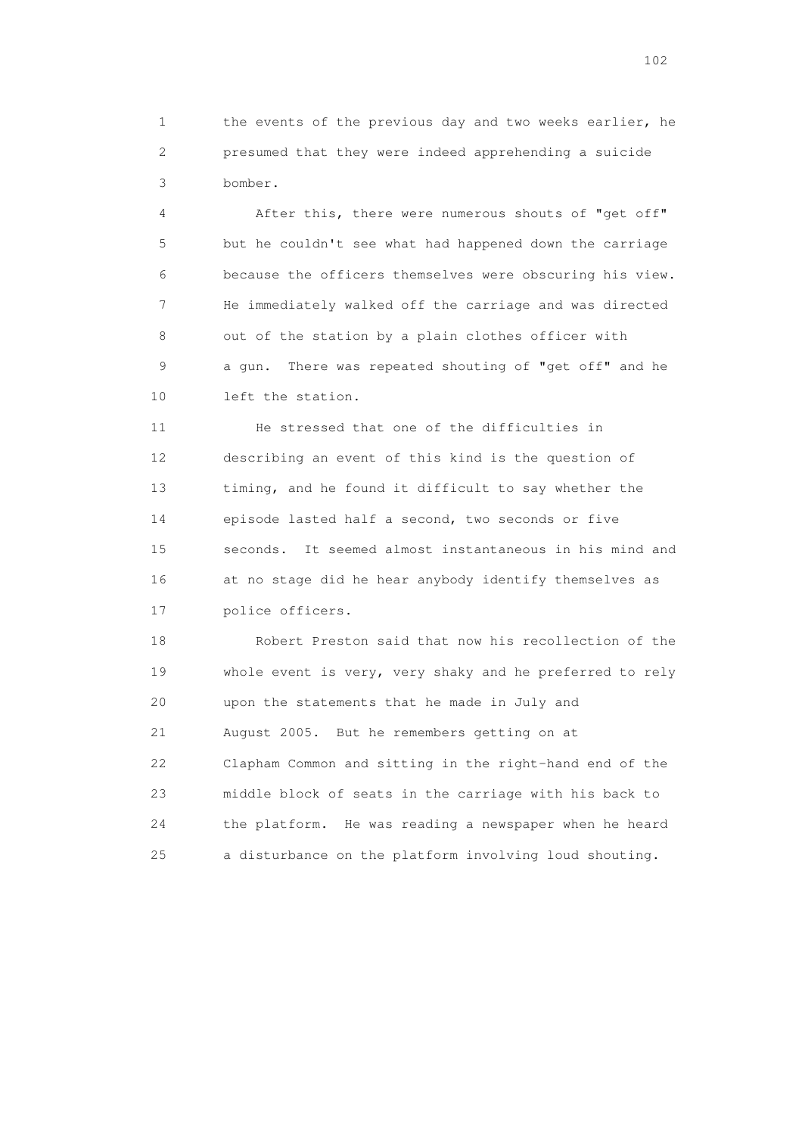1 the events of the previous day and two weeks earlier, he 2 presumed that they were indeed apprehending a suicide 3 bomber.

 4 After this, there were numerous shouts of "get off" 5 but he couldn't see what had happened down the carriage 6 because the officers themselves were obscuring his view. 7 He immediately walked off the carriage and was directed 8 out of the station by a plain clothes officer with 9 a gun. There was repeated shouting of "get off" and he 10 left the station.

 11 He stressed that one of the difficulties in 12 describing an event of this kind is the question of 13 timing, and he found it difficult to say whether the 14 episode lasted half a second, two seconds or five 15 seconds. It seemed almost instantaneous in his mind and 16 at no stage did he hear anybody identify themselves as 17 police officers.

 18 Robert Preston said that now his recollection of the 19 whole event is very, very shaky and he preferred to rely 20 upon the statements that he made in July and 21 August 2005. But he remembers getting on at 22 Clapham Common and sitting in the right-hand end of the 23 middle block of seats in the carriage with his back to 24 the platform. He was reading a newspaper when he heard 25 a disturbance on the platform involving loud shouting.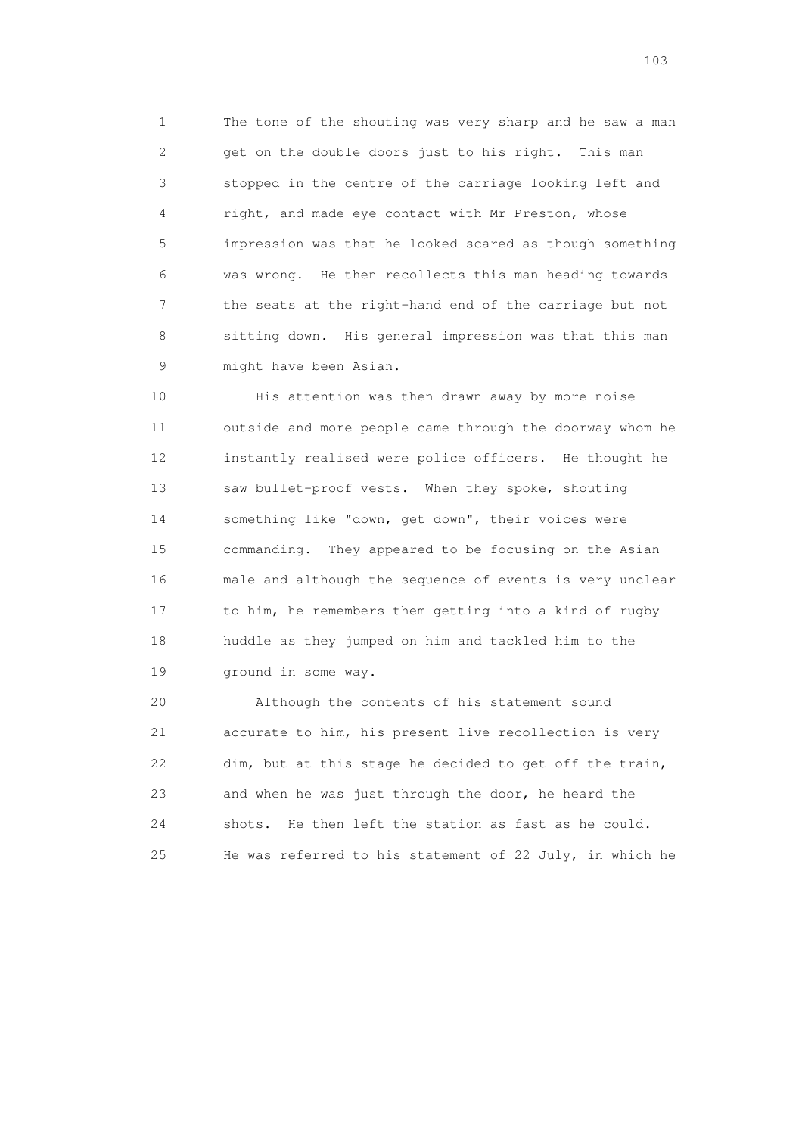1 The tone of the shouting was very sharp and he saw a man 2 get on the double doors just to his right. This man 3 stopped in the centre of the carriage looking left and 4 right, and made eye contact with Mr Preston, whose 5 impression was that he looked scared as though something 6 was wrong. He then recollects this man heading towards 7 the seats at the right-hand end of the carriage but not 8 sitting down. His general impression was that this man 9 might have been Asian.

 10 His attention was then drawn away by more noise 11 outside and more people came through the doorway whom he 12 instantly realised were police officers. He thought he 13 saw bullet-proof vests. When they spoke, shouting 14 something like "down, get down", their voices were 15 commanding. They appeared to be focusing on the Asian 16 male and although the sequence of events is very unclear 17 to him, he remembers them getting into a kind of rugby 18 huddle as they jumped on him and tackled him to the 19 ground in some way.

 20 Although the contents of his statement sound 21 accurate to him, his present live recollection is very 22 dim, but at this stage he decided to get off the train, 23 and when he was just through the door, he heard the 24 shots. He then left the station as fast as he could. 25 He was referred to his statement of 22 July, in which he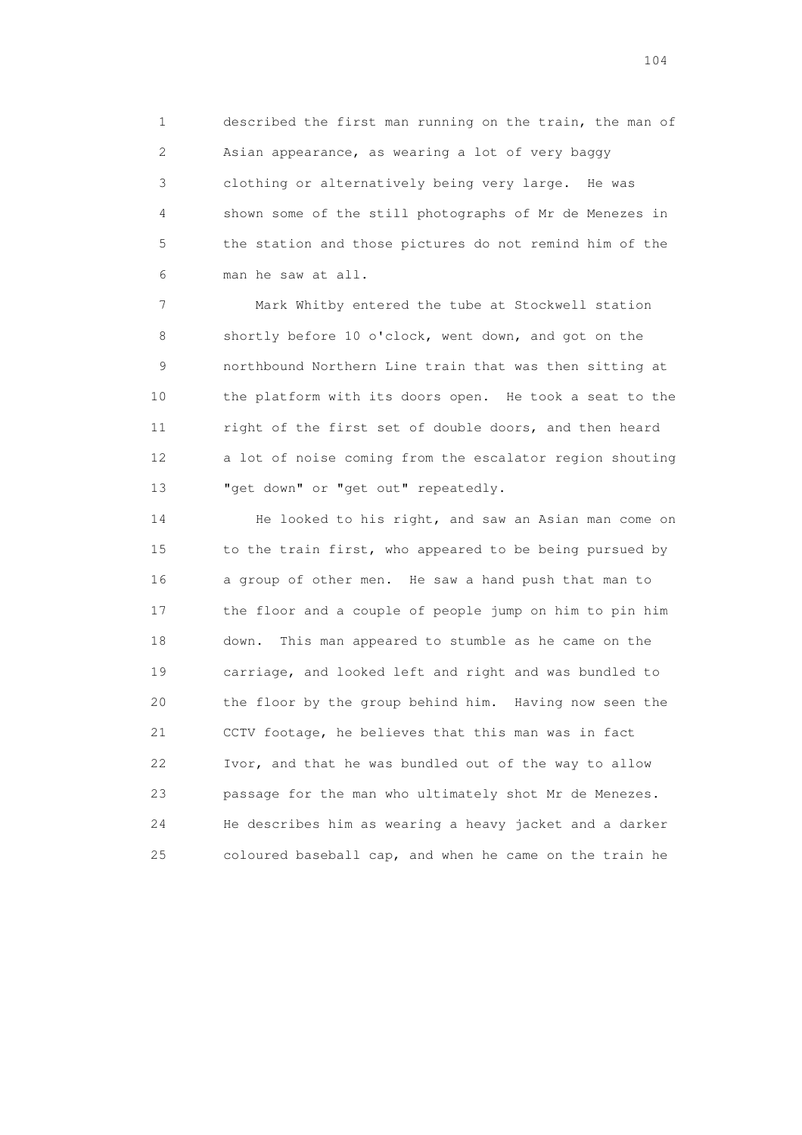1 described the first man running on the train, the man of 2 Asian appearance, as wearing a lot of very baggy 3 clothing or alternatively being very large. He was 4 shown some of the still photographs of Mr de Menezes in 5 the station and those pictures do not remind him of the 6 man he saw at all.

 7 Mark Whitby entered the tube at Stockwell station 8 shortly before 10 o'clock, went down, and got on the 9 northbound Northern Line train that was then sitting at 10 the platform with its doors open. He took a seat to the 11 right of the first set of double doors, and then heard 12 a lot of noise coming from the escalator region shouting 13 "get down" or "get out" repeatedly.

 14 He looked to his right, and saw an Asian man come on 15 to the train first, who appeared to be being pursued by 16 a group of other men. He saw a hand push that man to 17 the floor and a couple of people jump on him to pin him 18 down. This man appeared to stumble as he came on the 19 carriage, and looked left and right and was bundled to 20 the floor by the group behind him. Having now seen the 21 CCTV footage, he believes that this man was in fact 22 Ivor, and that he was bundled out of the way to allow 23 passage for the man who ultimately shot Mr de Menezes. 24 He describes him as wearing a heavy jacket and a darker 25 coloured baseball cap, and when he came on the train he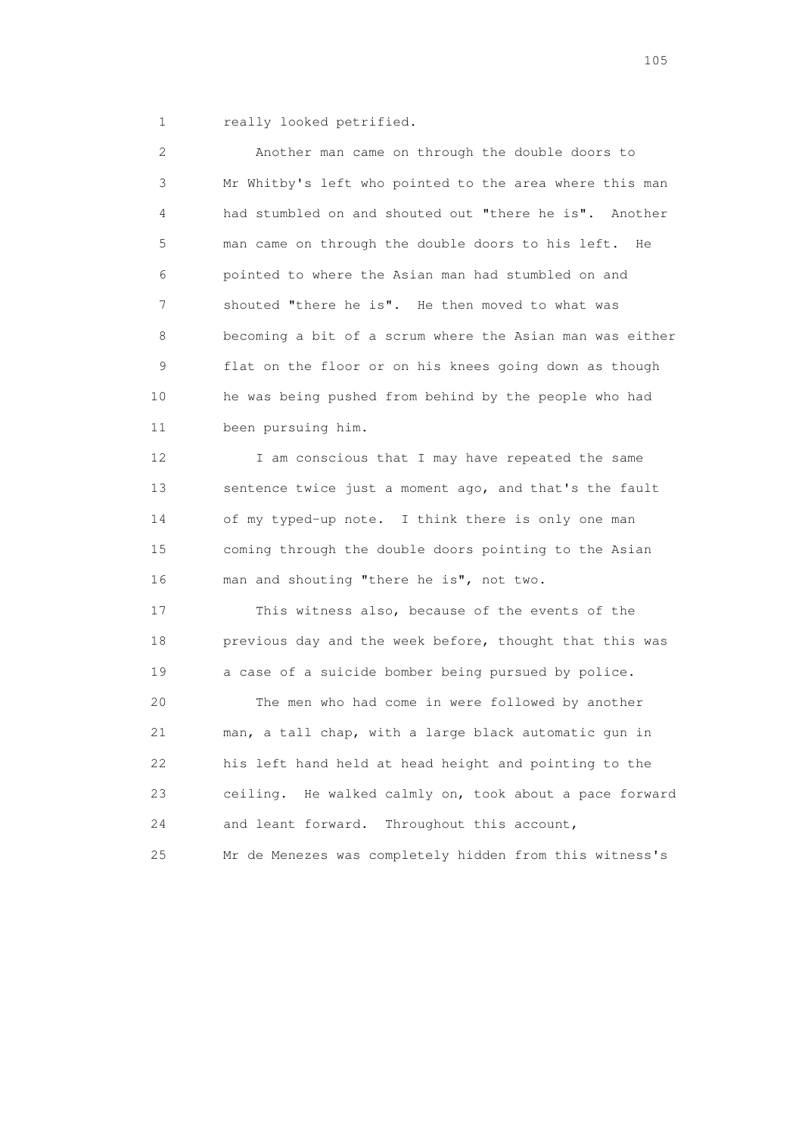1 really looked petrified.

 2 Another man came on through the double doors to 3 Mr Whitby's left who pointed to the area where this man 4 had stumbled on and shouted out "there he is". Another 5 man came on through the double doors to his left. He 6 pointed to where the Asian man had stumbled on and 7 shouted "there he is". He then moved to what was 8 becoming a bit of a scrum where the Asian man was either 9 flat on the floor or on his knees going down as though 10 he was being pushed from behind by the people who had 11 been pursuing him.

12 I am conscious that I may have repeated the same 13 sentence twice just a moment ago, and that's the fault 14 of my typed-up note. I think there is only one man 15 coming through the double doors pointing to the Asian 16 man and shouting "there he is", not two.

 17 This witness also, because of the events of the 18 previous day and the week before, thought that this was 19 a case of a suicide bomber being pursued by police.

 20 The men who had come in were followed by another 21 man, a tall chap, with a large black automatic gun in 22 his left hand held at head height and pointing to the 23 ceiling. He walked calmly on, took about a pace forward 24 and leant forward. Throughout this account, 25 Mr de Menezes was completely hidden from this witness's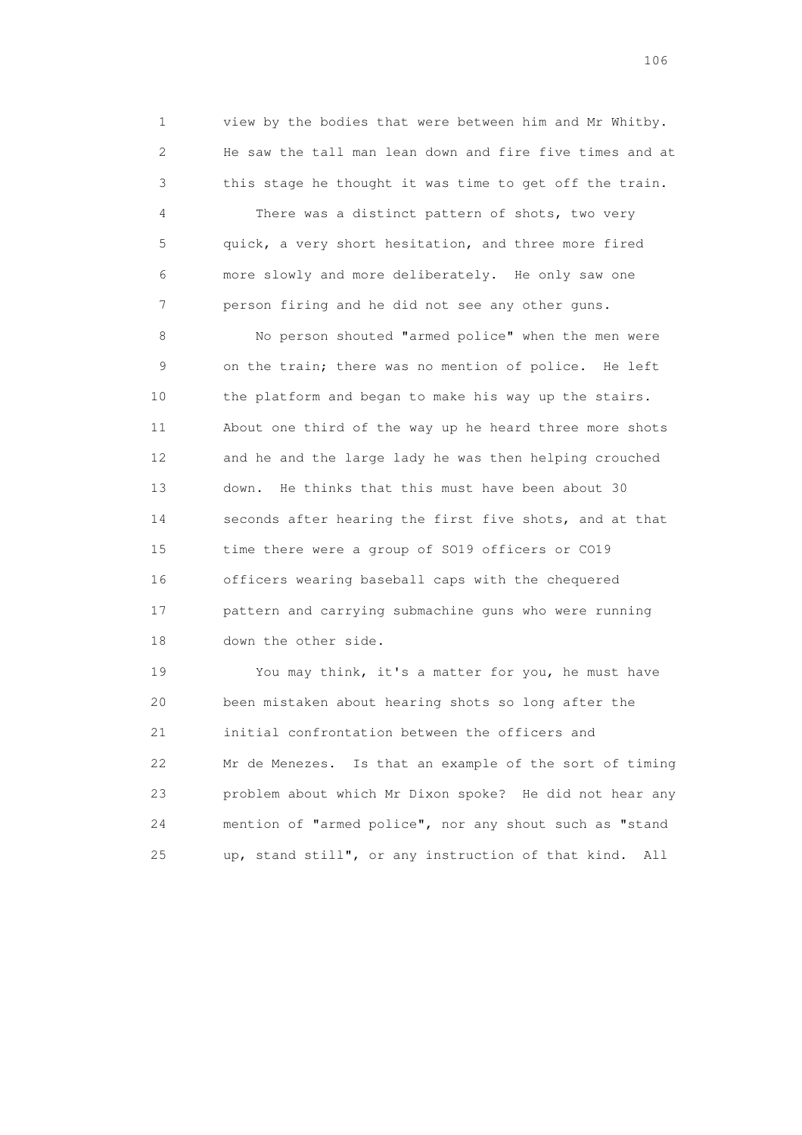1 view by the bodies that were between him and Mr Whitby. 2 He saw the tall man lean down and fire five times and at 3 this stage he thought it was time to get off the train.

 4 There was a distinct pattern of shots, two very 5 quick, a very short hesitation, and three more fired 6 more slowly and more deliberately. He only saw one 7 person firing and he did not see any other guns.

 8 No person shouted "armed police" when the men were 9 on the train; there was no mention of police. He left 10 the platform and began to make his way up the stairs. 11 About one third of the way up he heard three more shots 12 and he and the large lady he was then helping crouched 13 down. He thinks that this must have been about 30 14 seconds after hearing the first five shots, and at that 15 time there were a group of SO19 officers or CO19 16 officers wearing baseball caps with the chequered 17 pattern and carrying submachine guns who were running 18 down the other side.

 19 You may think, it's a matter for you, he must have 20 been mistaken about hearing shots so long after the 21 initial confrontation between the officers and 22 Mr de Menezes. Is that an example of the sort of timing 23 problem about which Mr Dixon spoke? He did not hear any 24 mention of "armed police", nor any shout such as "stand 25 up, stand still", or any instruction of that kind. All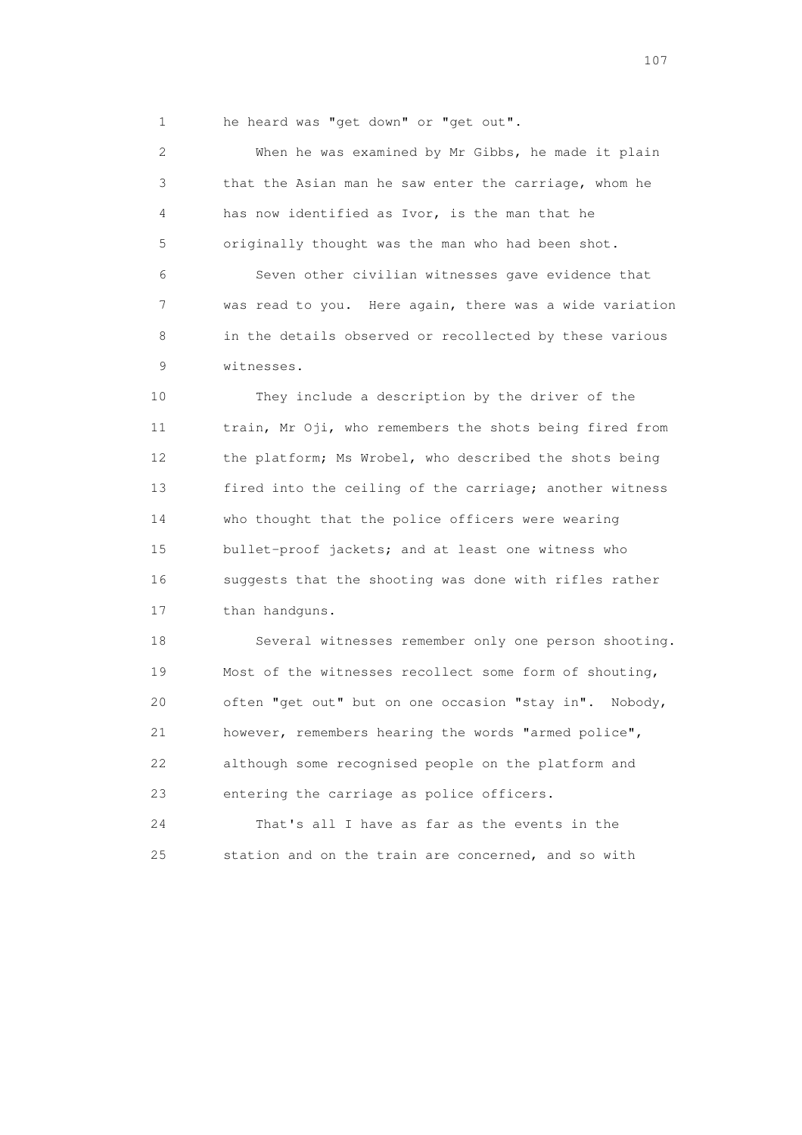1 he heard was "get down" or "get out".

 2 When he was examined by Mr Gibbs, he made it plain 3 that the Asian man he saw enter the carriage, whom he 4 has now identified as Ivor, is the man that he 5 originally thought was the man who had been shot. 6 Seven other civilian witnesses gave evidence that 7 was read to you. Here again, there was a wide variation 8 in the details observed or recollected by these various 9 witnesses.

 10 They include a description by the driver of the 11 train, Mr Oji, who remembers the shots being fired from 12 the platform; Ms Wrobel, who described the shots being 13 fired into the ceiling of the carriage; another witness 14 who thought that the police officers were wearing 15 bullet-proof jackets; and at least one witness who 16 suggests that the shooting was done with rifles rather 17 than handguns.

 18 Several witnesses remember only one person shooting. 19 Most of the witnesses recollect some form of shouting, 20 often "get out" but on one occasion "stay in". Nobody, 21 however, remembers hearing the words "armed police", 22 although some recognised people on the platform and 23 entering the carriage as police officers.

 24 That's all I have as far as the events in the 25 station and on the train are concerned, and so with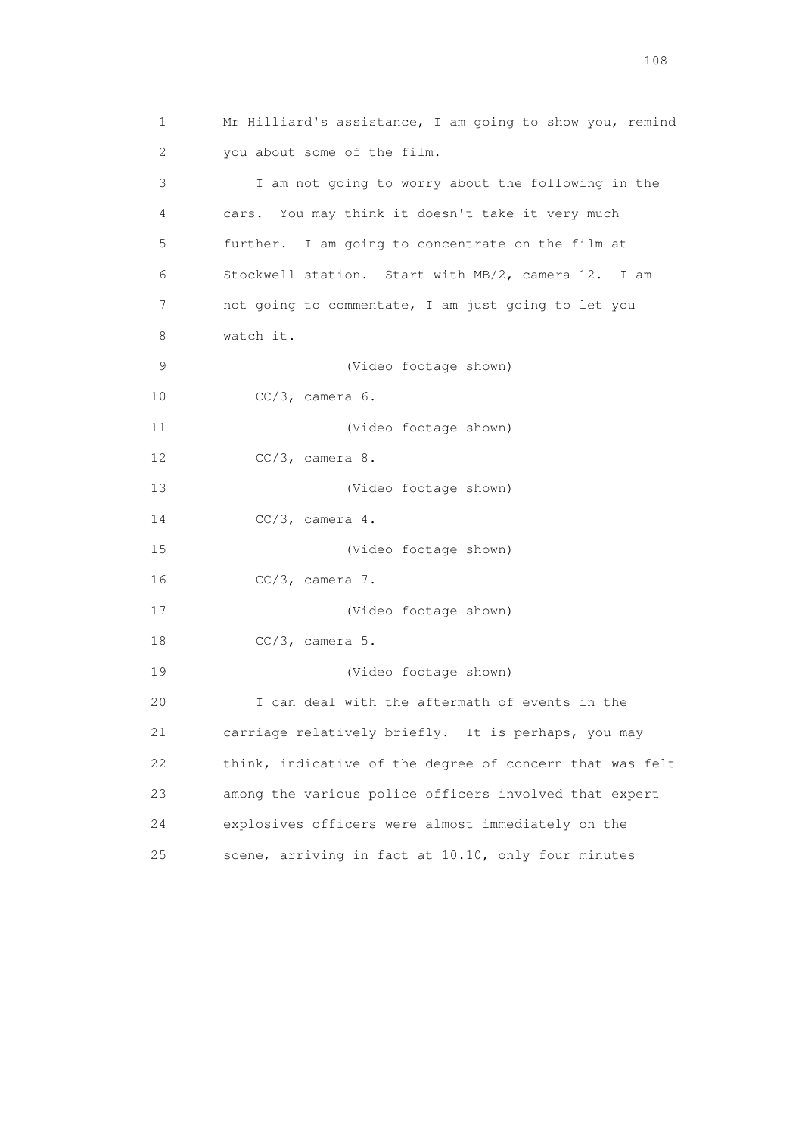1 Mr Hilliard's assistance, I am going to show you, remind 2 you about some of the film. 3 I am not going to worry about the following in the 4 cars. You may think it doesn't take it very much 5 further. I am going to concentrate on the film at 6 Stockwell station. Start with MB/2, camera 12. I am 7 not going to commentate, I am just going to let you 8 watch it. 9 (Video footage shown) 10 CC/3, camera 6. 11 (Video footage shown) 12 CC/3, camera 8. 13 (Video footage shown) 14 CC/3, camera 4. 15 (Video footage shown) 16 CC/3, camera 7. 17 (Video footage shown) 18 CC/3, camera 5. 19 (Video footage shown) 20 I can deal with the aftermath of events in the 21 carriage relatively briefly. It is perhaps, you may 22 think, indicative of the degree of concern that was felt 23 among the various police officers involved that expert 24 explosives officers were almost immediately on the 25 scene, arriving in fact at 10.10, only four minutes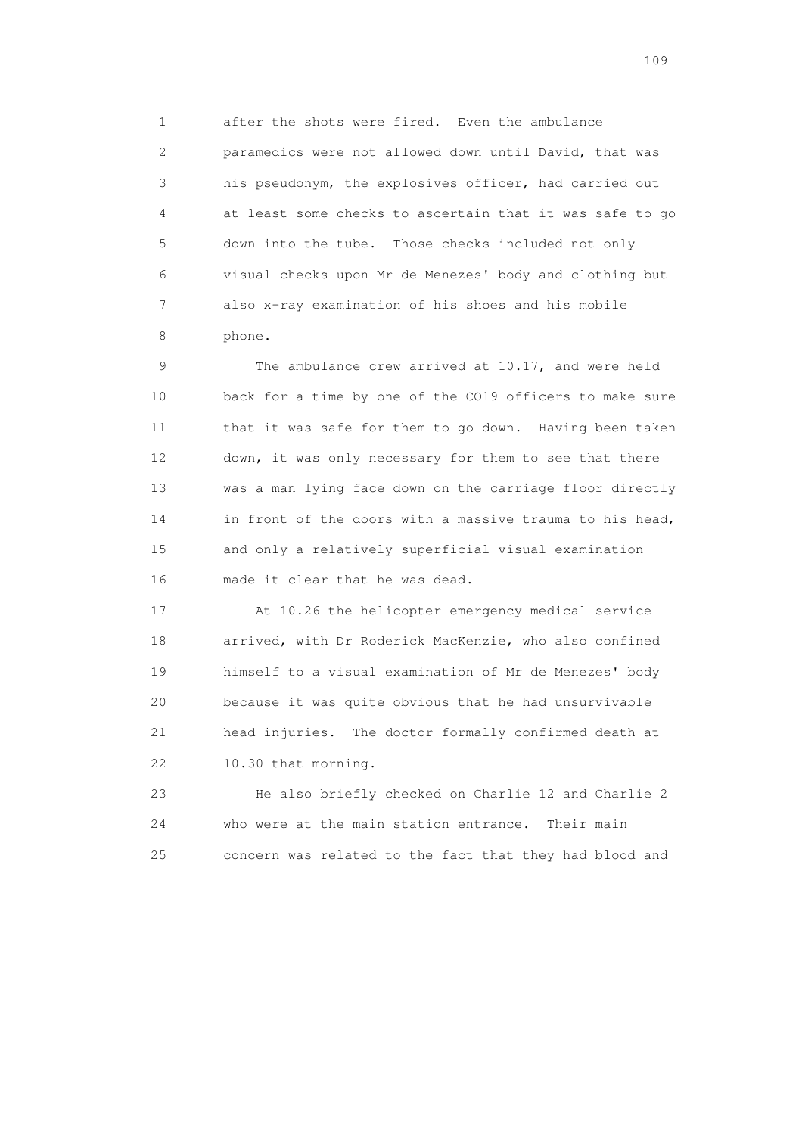1 after the shots were fired. Even the ambulance 2 paramedics were not allowed down until David, that was 3 his pseudonym, the explosives officer, had carried out 4 at least some checks to ascertain that it was safe to go 5 down into the tube. Those checks included not only 6 visual checks upon Mr de Menezes' body and clothing but 7 also x-ray examination of his shoes and his mobile 8 phone.

 9 The ambulance crew arrived at 10.17, and were held 10 back for a time by one of the CO19 officers to make sure 11 that it was safe for them to go down. Having been taken 12 down, it was only necessary for them to see that there 13 was a man lying face down on the carriage floor directly 14 in front of the doors with a massive trauma to his head, 15 and only a relatively superficial visual examination 16 made it clear that he was dead.

 17 At 10.26 the helicopter emergency medical service 18 arrived, with Dr Roderick MacKenzie, who also confined 19 himself to a visual examination of Mr de Menezes' body 20 because it was quite obvious that he had unsurvivable 21 head injuries. The doctor formally confirmed death at 22 10.30 that morning.

 23 He also briefly checked on Charlie 12 and Charlie 2 24 who were at the main station entrance. Their main 25 concern was related to the fact that they had blood and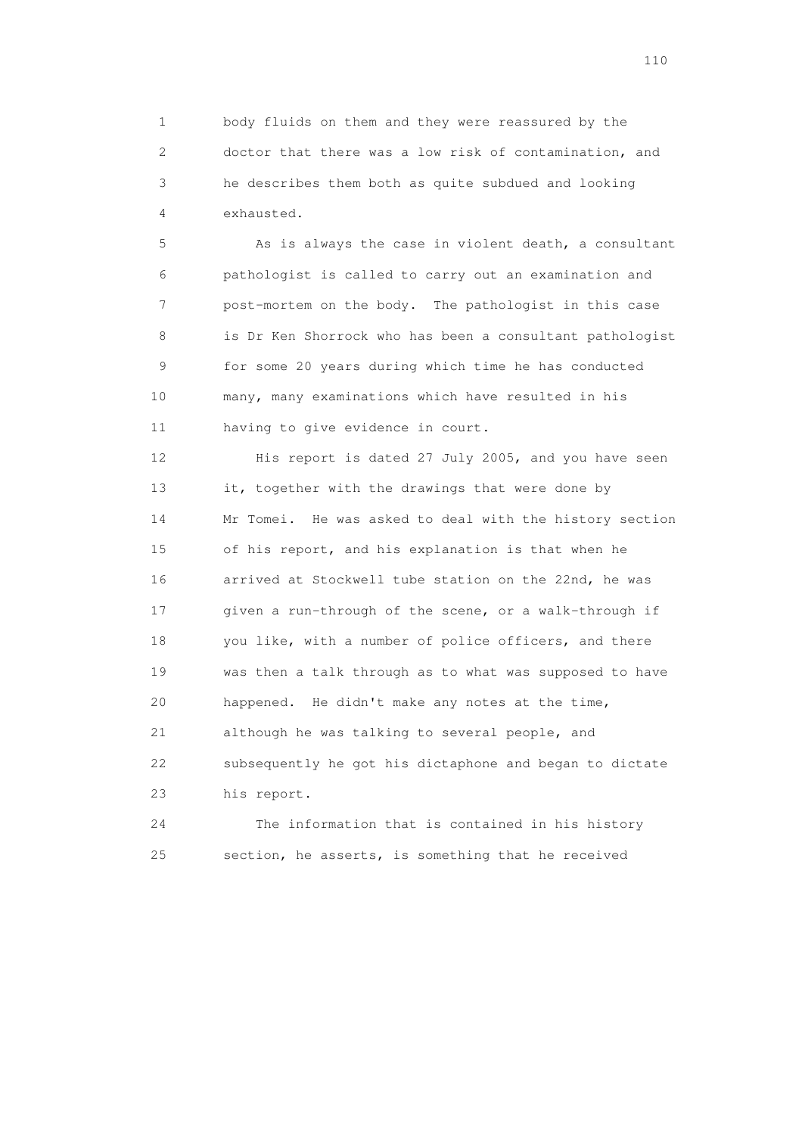1 body fluids on them and they were reassured by the 2 doctor that there was a low risk of contamination, and 3 he describes them both as quite subdued and looking 4 exhausted.

 5 As is always the case in violent death, a consultant 6 pathologist is called to carry out an examination and 7 post-mortem on the body. The pathologist in this case 8 is Dr Ken Shorrock who has been a consultant pathologist 9 for some 20 years during which time he has conducted 10 many, many examinations which have resulted in his 11 having to give evidence in court.

 12 His report is dated 27 July 2005, and you have seen 13 it, together with the drawings that were done by 14 Mr Tomei. He was asked to deal with the history section 15 of his report, and his explanation is that when he 16 arrived at Stockwell tube station on the 22nd, he was 17 given a run-through of the scene, or a walk-through if 18 you like, with a number of police officers, and there 19 was then a talk through as to what was supposed to have 20 happened. He didn't make any notes at the time, 21 although he was talking to several people, and 22 subsequently he got his dictaphone and began to dictate 23 his report.

 24 The information that is contained in his history 25 section, he asserts, is something that he received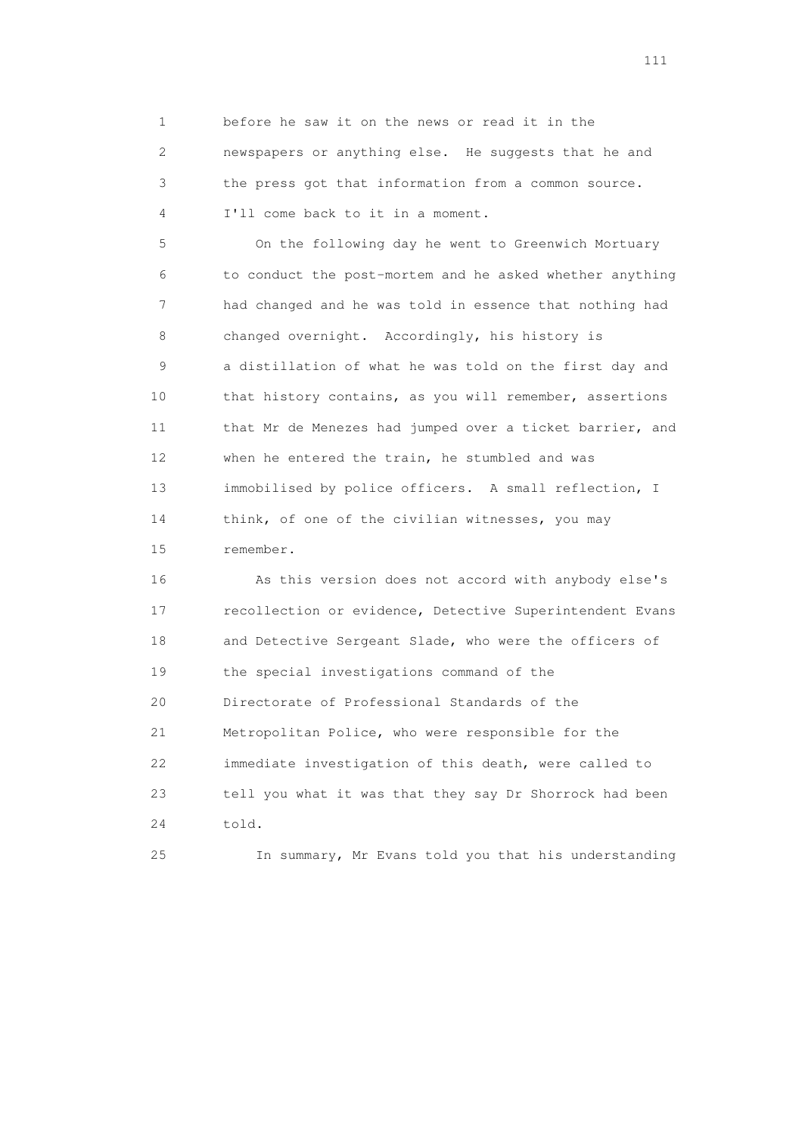1 before he saw it on the news or read it in the 2 newspapers or anything else. He suggests that he and 3 the press got that information from a common source. 4 I'll come back to it in a moment.

 5 On the following day he went to Greenwich Mortuary 6 to conduct the post-mortem and he asked whether anything 7 had changed and he was told in essence that nothing had 8 changed overnight. Accordingly, his history is 9 a distillation of what he was told on the first day and 10 that history contains, as you will remember, assertions 11 that Mr de Menezes had jumped over a ticket barrier, and 12 when he entered the train, he stumbled and was 13 immobilised by police officers. A small reflection, I 14 think, of one of the civilian witnesses, you may 15 remember.

 16 As this version does not accord with anybody else's 17 recollection or evidence, Detective Superintendent Evans 18 and Detective Sergeant Slade, who were the officers of 19 the special investigations command of the 20 Directorate of Professional Standards of the 21 Metropolitan Police, who were responsible for the 22 immediate investigation of this death, were called to 23 tell you what it was that they say Dr Shorrock had been 24 told.

25 In summary, Mr Evans told you that his understanding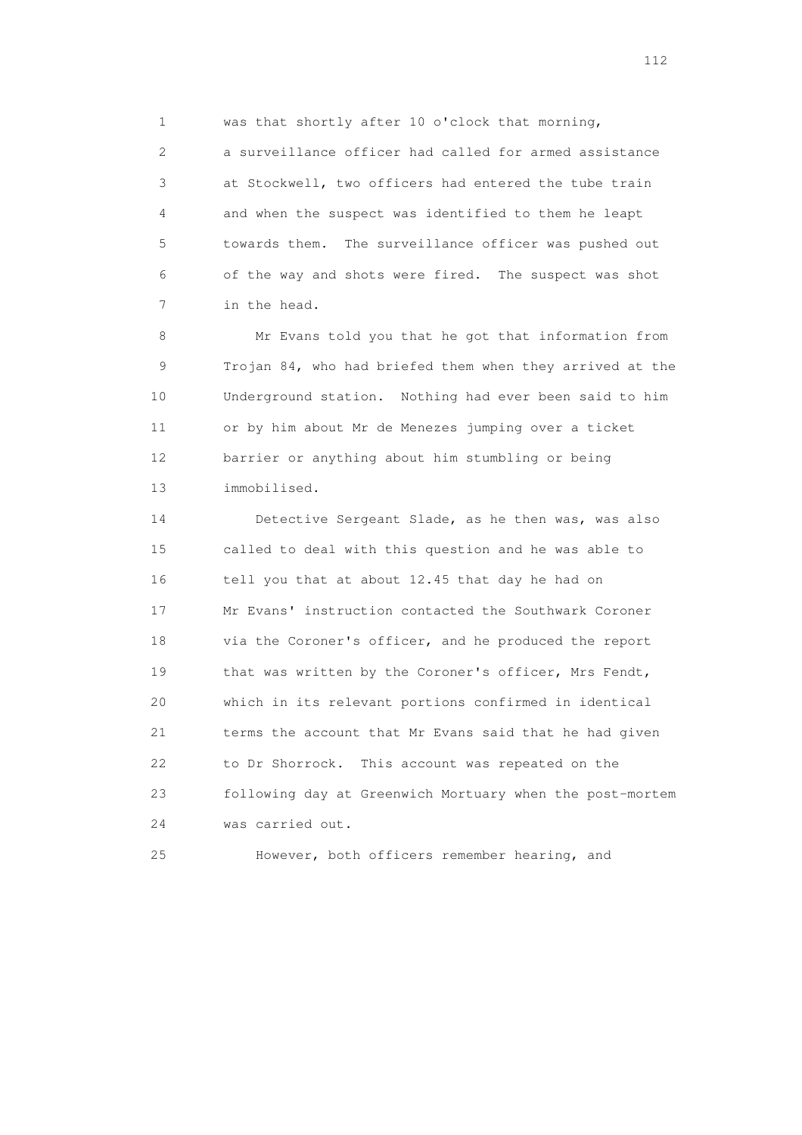1 was that shortly after 10 o'clock that morning,

 2 a surveillance officer had called for armed assistance 3 at Stockwell, two officers had entered the tube train 4 and when the suspect was identified to them he leapt 5 towards them. The surveillance officer was pushed out 6 of the way and shots were fired. The suspect was shot 7 in the head.

 8 Mr Evans told you that he got that information from 9 Trojan 84, who had briefed them when they arrived at the 10 Underground station. Nothing had ever been said to him 11 or by him about Mr de Menezes jumping over a ticket 12 barrier or anything about him stumbling or being 13 immobilised.

 14 Detective Sergeant Slade, as he then was, was also 15 called to deal with this question and he was able to 16 tell you that at about 12.45 that day he had on 17 Mr Evans' instruction contacted the Southwark Coroner 18 via the Coroner's officer, and he produced the report 19 that was written by the Coroner's officer, Mrs Fendt, 20 which in its relevant portions confirmed in identical 21 terms the account that Mr Evans said that he had given 22 to Dr Shorrock. This account was repeated on the 23 following day at Greenwich Mortuary when the post-mortem 24 was carried out.

25 However, both officers remember hearing, and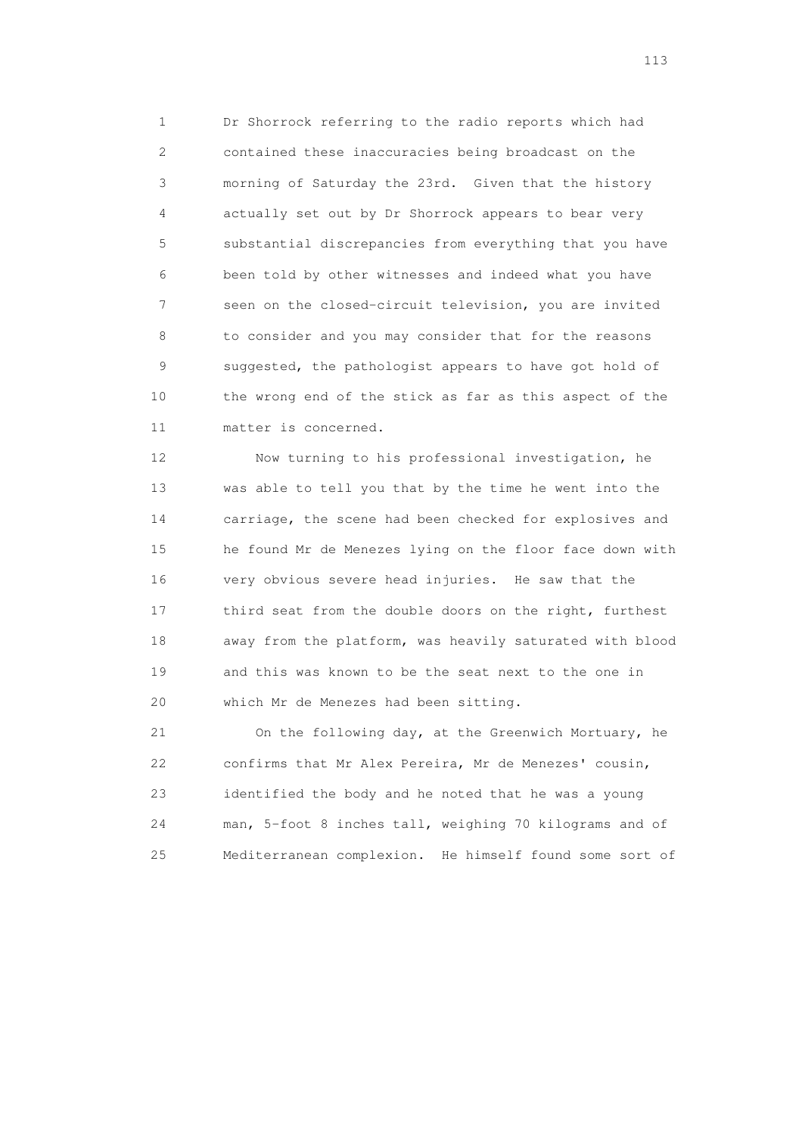1 Dr Shorrock referring to the radio reports which had 2 contained these inaccuracies being broadcast on the 3 morning of Saturday the 23rd. Given that the history 4 actually set out by Dr Shorrock appears to bear very 5 substantial discrepancies from everything that you have 6 been told by other witnesses and indeed what you have 7 seen on the closed-circuit television, you are invited 8 to consider and you may consider that for the reasons 9 suggested, the pathologist appears to have got hold of 10 the wrong end of the stick as far as this aspect of the 11 matter is concerned.

 12 Now turning to his professional investigation, he 13 was able to tell you that by the time he went into the 14 carriage, the scene had been checked for explosives and 15 he found Mr de Menezes lying on the floor face down with 16 very obvious severe head injuries. He saw that the 17 third seat from the double doors on the right, furthest 18 away from the platform, was heavily saturated with blood 19 and this was known to be the seat next to the one in 20 which Mr de Menezes had been sitting.

 21 On the following day, at the Greenwich Mortuary, he 22 confirms that Mr Alex Pereira, Mr de Menezes' cousin, 23 identified the body and he noted that he was a young 24 man, 5-foot 8 inches tall, weighing 70 kilograms and of 25 Mediterranean complexion. He himself found some sort of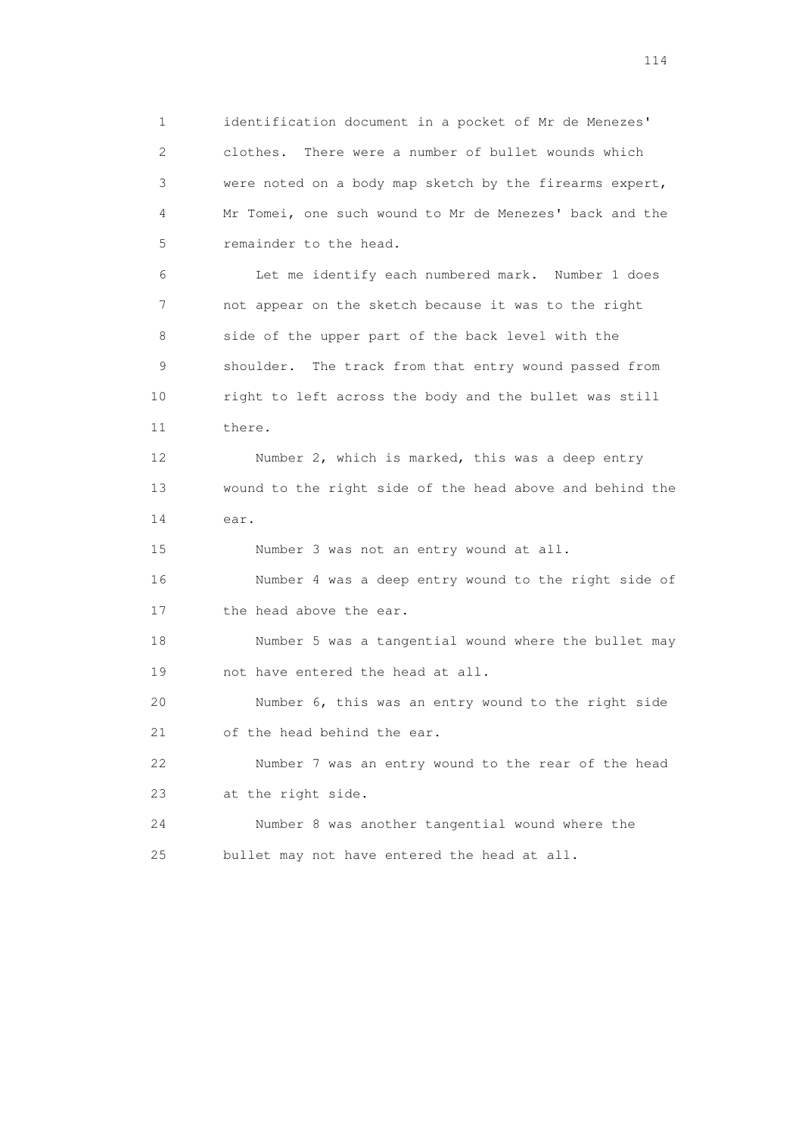1 identification document in a pocket of Mr de Menezes' 2 clothes. There were a number of bullet wounds which 3 were noted on a body map sketch by the firearms expert, 4 Mr Tomei, one such wound to Mr de Menezes' back and the 5 remainder to the head.

 6 Let me identify each numbered mark. Number 1 does 7 not appear on the sketch because it was to the right 8 side of the upper part of the back level with the 9 shoulder. The track from that entry wound passed from 10 right to left across the body and the bullet was still 11 there.

 12 Number 2, which is marked, this was a deep entry 13 wound to the right side of the head above and behind the 14 ear.

 15 Number 3 was not an entry wound at all. 16 Number 4 was a deep entry wound to the right side of 17 the head above the ear.

 18 Number 5 was a tangential wound where the bullet may 19 not have entered the head at all.

 20 Number 6, this was an entry wound to the right side 21 of the head behind the ear.

 22 Number 7 was an entry wound to the rear of the head 23 at the right side.

 24 Number 8 was another tangential wound where the 25 bullet may not have entered the head at all.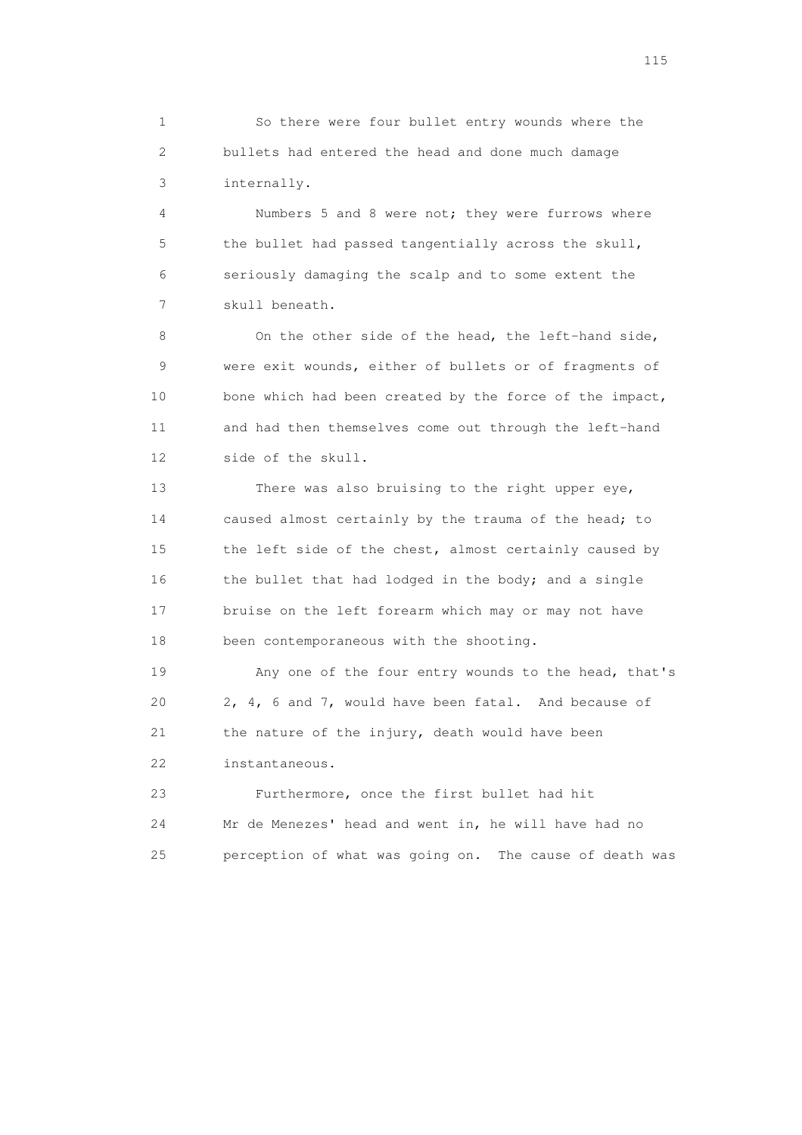1 So there were four bullet entry wounds where the 2 bullets had entered the head and done much damage 3 internally.

 4 Numbers 5 and 8 were not; they were furrows where 5 the bullet had passed tangentially across the skull, 6 seriously damaging the scalp and to some extent the 7 skull beneath.

 8 On the other side of the head, the left-hand side, 9 were exit wounds, either of bullets or of fragments of 10 bone which had been created by the force of the impact, 11 and had then themselves come out through the left-hand 12 side of the skull.

 13 There was also bruising to the right upper eye, 14 caused almost certainly by the trauma of the head; to 15 the left side of the chest, almost certainly caused by 16 the bullet that had lodged in the body; and a single 17 bruise on the left forearm which may or may not have 18 been contemporaneous with the shooting.

 19 Any one of the four entry wounds to the head, that's 20 2, 4, 6 and 7, would have been fatal. And because of 21 the nature of the injury, death would have been 22 instantaneous.

 23 Furthermore, once the first bullet had hit 24 Mr de Menezes' head and went in, he will have had no 25 perception of what was going on. The cause of death was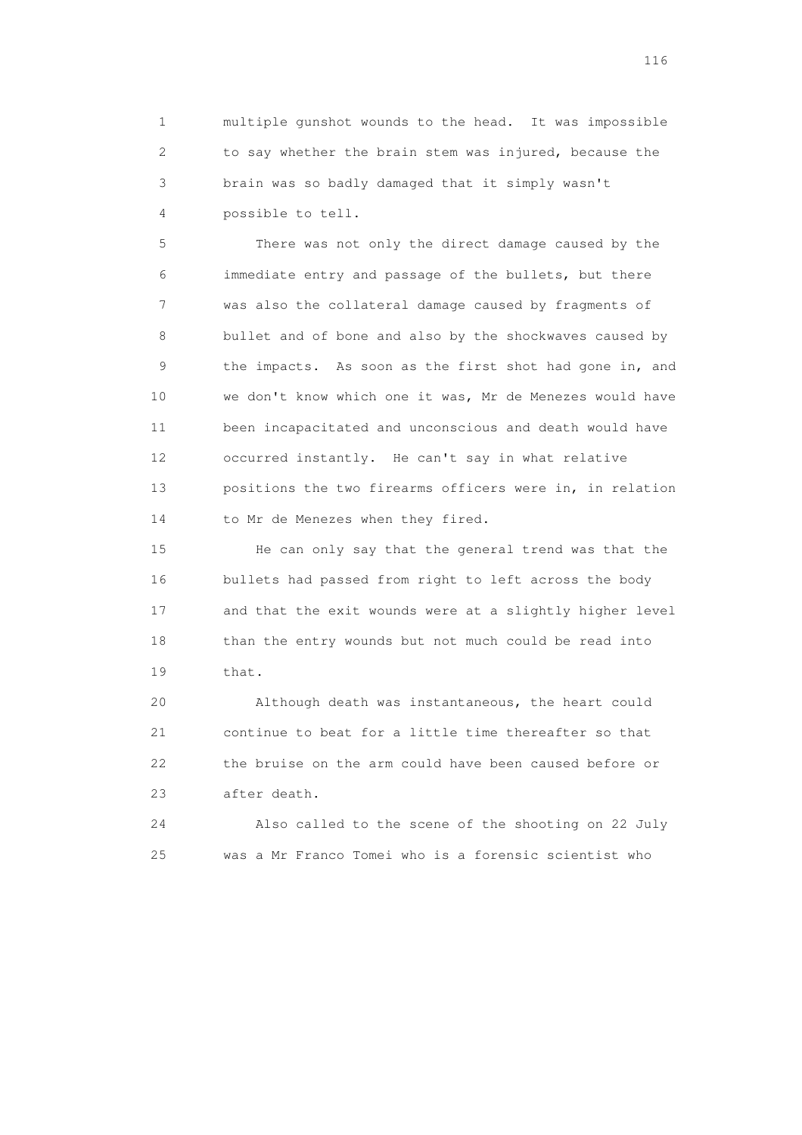1 multiple gunshot wounds to the head. It was impossible 2 to say whether the brain stem was injured, because the 3 brain was so badly damaged that it simply wasn't 4 possible to tell.

 5 There was not only the direct damage caused by the 6 immediate entry and passage of the bullets, but there 7 was also the collateral damage caused by fragments of 8 bullet and of bone and also by the shockwaves caused by 9 the impacts. As soon as the first shot had gone in, and 10 we don't know which one it was, Mr de Menezes would have 11 been incapacitated and unconscious and death would have 12 occurred instantly. He can't say in what relative 13 positions the two firearms officers were in, in relation 14 to Mr de Menezes when they fired.

 15 He can only say that the general trend was that the 16 bullets had passed from right to left across the body 17 and that the exit wounds were at a slightly higher level 18 than the entry wounds but not much could be read into 19 that.

 20 Although death was instantaneous, the heart could 21 continue to beat for a little time thereafter so that 22 the bruise on the arm could have been caused before or 23 after death.

 24 Also called to the scene of the shooting on 22 July 25 was a Mr Franco Tomei who is a forensic scientist who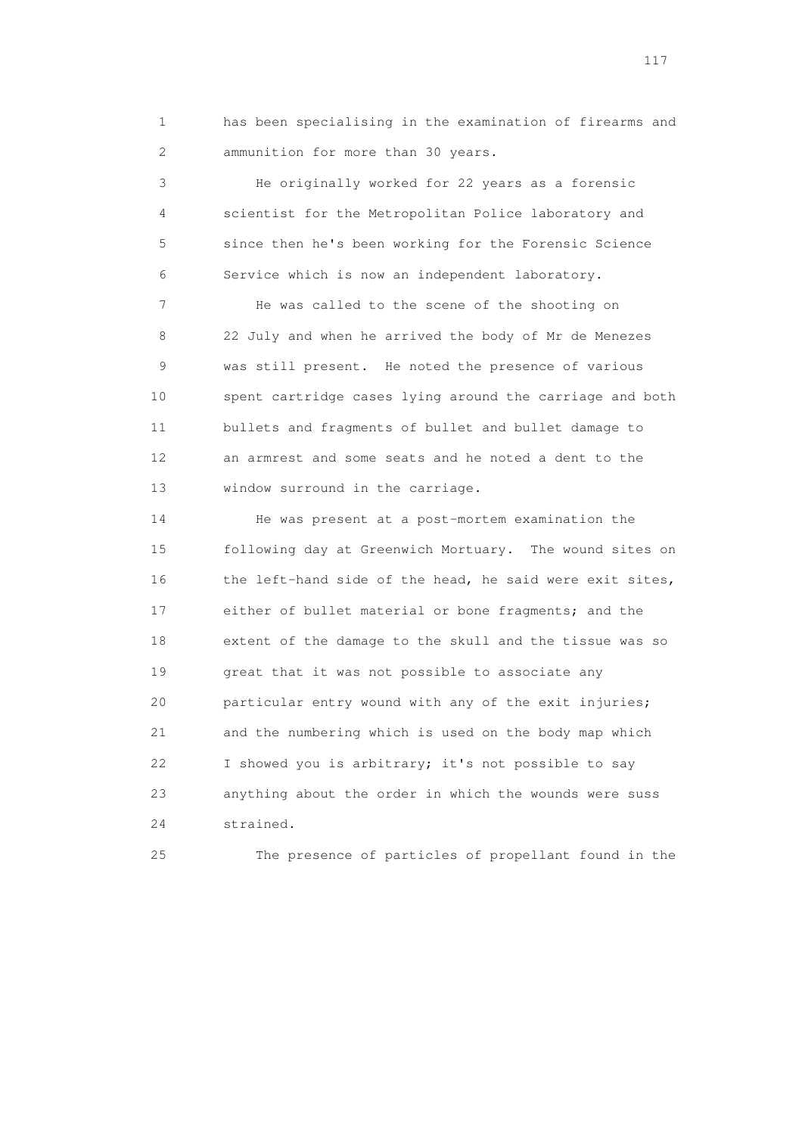1 has been specialising in the examination of firearms and 2 ammunition for more than 30 years.

 3 He originally worked for 22 years as a forensic 4 scientist for the Metropolitan Police laboratory and 5 since then he's been working for the Forensic Science 6 Service which is now an independent laboratory.

 7 He was called to the scene of the shooting on 8 22 July and when he arrived the body of Mr de Menezes 9 was still present. He noted the presence of various 10 spent cartridge cases lying around the carriage and both 11 bullets and fragments of bullet and bullet damage to 12 an armrest and some seats and he noted a dent to the 13 window surround in the carriage.

 14 He was present at a post-mortem examination the 15 following day at Greenwich Mortuary. The wound sites on 16 the left-hand side of the head, he said were exit sites, 17 either of bullet material or bone fragments; and the 18 extent of the damage to the skull and the tissue was so 19 great that it was not possible to associate any 20 particular entry wound with any of the exit injuries; 21 and the numbering which is used on the body map which 22 I showed you is arbitrary; it's not possible to say 23 anything about the order in which the wounds were suss 24 strained.

25 The presence of particles of propellant found in the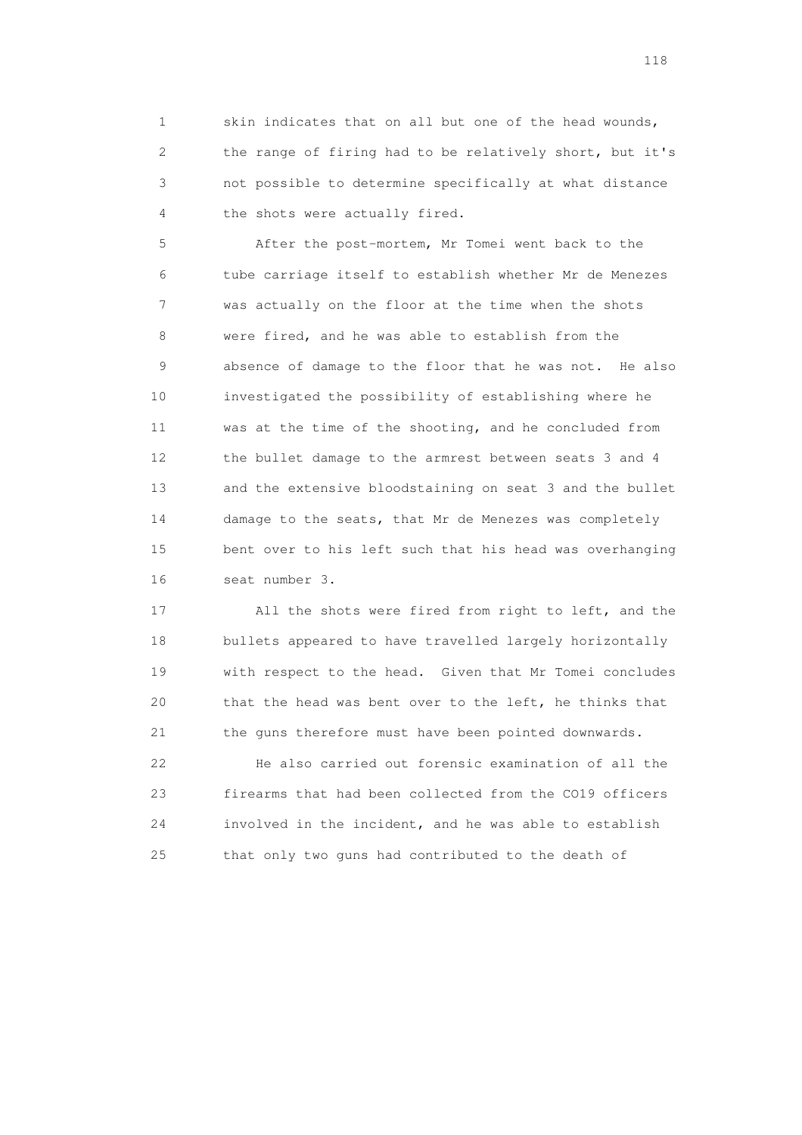1 skin indicates that on all but one of the head wounds, 2 the range of firing had to be relatively short, but it's 3 not possible to determine specifically at what distance 4 the shots were actually fired.

 5 After the post-mortem, Mr Tomei went back to the 6 tube carriage itself to establish whether Mr de Menezes 7 was actually on the floor at the time when the shots 8 were fired, and he was able to establish from the 9 absence of damage to the floor that he was not. He also 10 investigated the possibility of establishing where he 11 was at the time of the shooting, and he concluded from 12 the bullet damage to the armrest between seats 3 and 4 13 and the extensive bloodstaining on seat 3 and the bullet 14 damage to the seats, that Mr de Menezes was completely 15 bent over to his left such that his head was overhanging 16 seat number 3.

 17 All the shots were fired from right to left, and the 18 bullets appeared to have travelled largely horizontally 19 with respect to the head. Given that Mr Tomei concludes 20 that the head was bent over to the left, he thinks that 21 the guns therefore must have been pointed downwards.

 22 He also carried out forensic examination of all the 23 firearms that had been collected from the CO19 officers 24 involved in the incident, and he was able to establish 25 that only two guns had contributed to the death of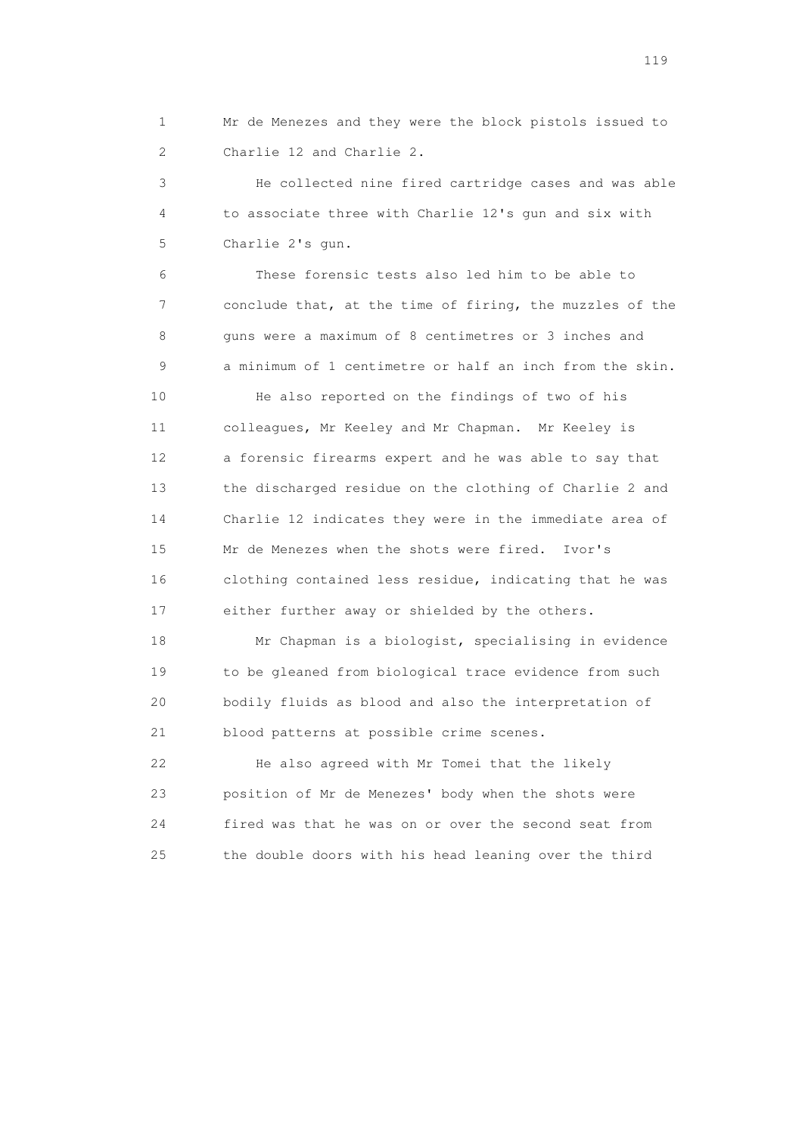1 Mr de Menezes and they were the block pistols issued to 2 Charlie 12 and Charlie 2.

 3 He collected nine fired cartridge cases and was able 4 to associate three with Charlie 12's gun and six with 5 Charlie 2's gun.

 6 These forensic tests also led him to be able to 7 conclude that, at the time of firing, the muzzles of the 8 guns were a maximum of 8 centimetres or 3 inches and 9 a minimum of 1 centimetre or half an inch from the skin.

 10 He also reported on the findings of two of his 11 colleagues, Mr Keeley and Mr Chapman. Mr Keeley is 12 a forensic firearms expert and he was able to say that 13 the discharged residue on the clothing of Charlie 2 and 14 Charlie 12 indicates they were in the immediate area of 15 Mr de Menezes when the shots were fired. Ivor's 16 clothing contained less residue, indicating that he was 17 either further away or shielded by the others.

 18 Mr Chapman is a biologist, specialising in evidence 19 to be gleaned from biological trace evidence from such 20 bodily fluids as blood and also the interpretation of 21 blood patterns at possible crime scenes.

 22 He also agreed with Mr Tomei that the likely 23 position of Mr de Menezes' body when the shots were 24 fired was that he was on or over the second seat from 25 the double doors with his head leaning over the third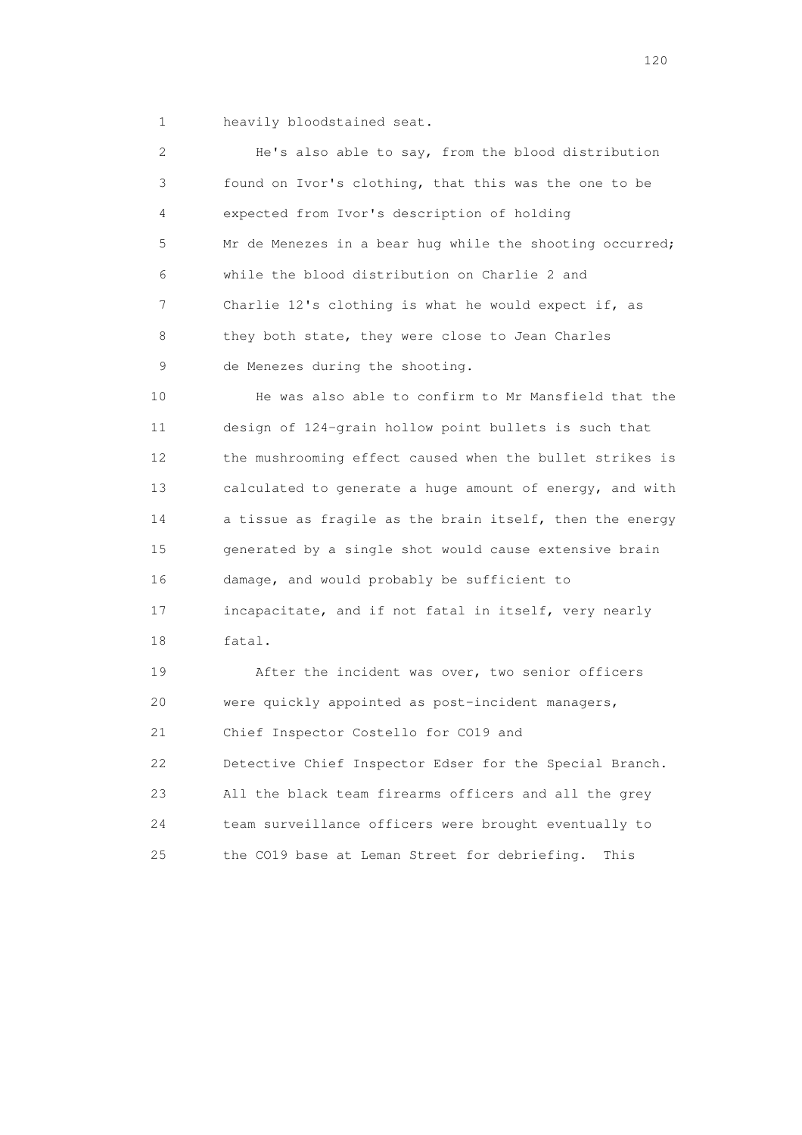1 heavily bloodstained seat.

 2 He's also able to say, from the blood distribution 3 found on Ivor's clothing, that this was the one to be 4 expected from Ivor's description of holding 5 Mr de Menezes in a bear hug while the shooting occurred; 6 while the blood distribution on Charlie 2 and 7 Charlie 12's clothing is what he would expect if, as 8 they both state, they were close to Jean Charles 9 de Menezes during the shooting. 10 He was also able to confirm to Mr Mansfield that the 11 design of 124-grain hollow point bullets is such that 12 the mushrooming effect caused when the bullet strikes is 13 calculated to generate a huge amount of energy, and with 14 a tissue as fragile as the brain itself, then the energy 15 generated by a single shot would cause extensive brain 16 damage, and would probably be sufficient to 17 incapacitate, and if not fatal in itself, very nearly 18 fatal. 19 After the incident was over, two senior officers 20 were quickly appointed as post-incident managers, 21 Chief Inspector Costello for CO19 and 22 Detective Chief Inspector Edser for the Special Branch. 23 All the black team firearms officers and all the grey 24 team surveillance officers were brought eventually to 25 the CO19 base at Leman Street for debriefing. This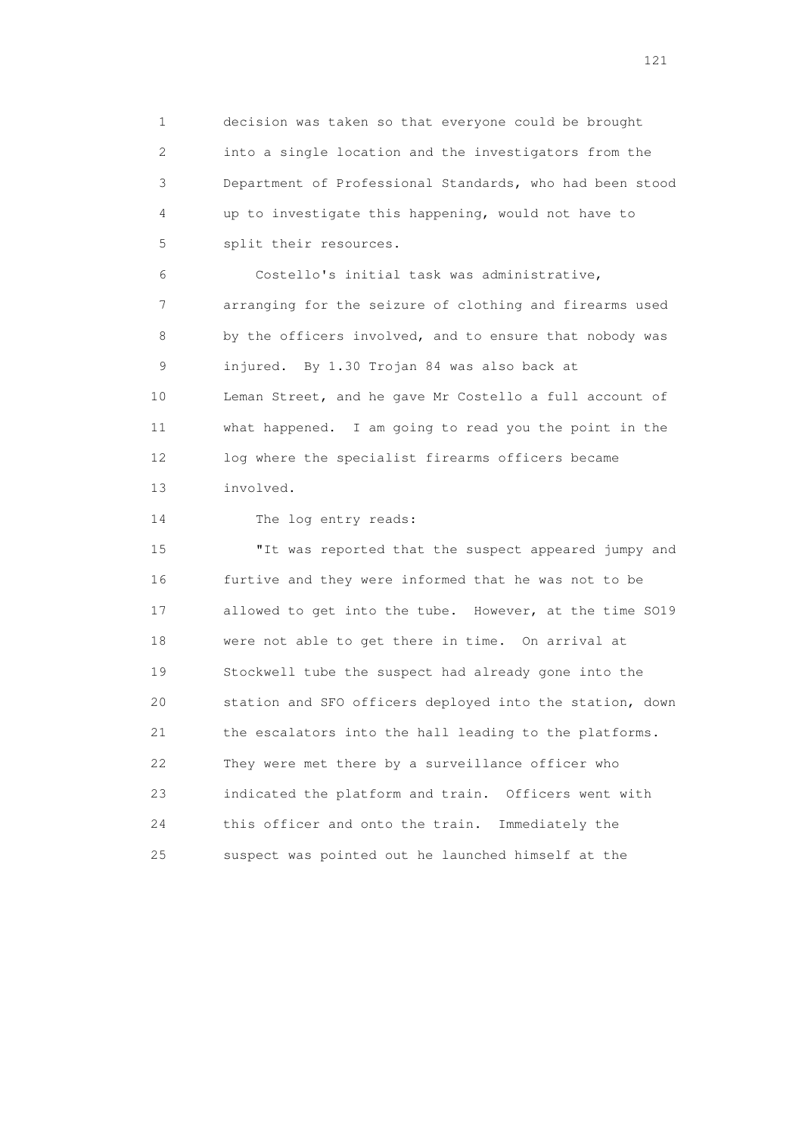1 decision was taken so that everyone could be brought 2 into a single location and the investigators from the 3 Department of Professional Standards, who had been stood 4 up to investigate this happening, would not have to 5 split their resources.

 6 Costello's initial task was administrative, 7 arranging for the seizure of clothing and firearms used 8 by the officers involved, and to ensure that nobody was 9 injured. By 1.30 Trojan 84 was also back at 10 Leman Street, and he gave Mr Costello a full account of 11 what happened. I am going to read you the point in the 12 log where the specialist firearms officers became 13 involved.

14 The log entry reads:

 15 "It was reported that the suspect appeared jumpy and 16 furtive and they were informed that he was not to be 17 allowed to get into the tube. However, at the time SO19 18 were not able to get there in time. On arrival at 19 Stockwell tube the suspect had already gone into the 20 station and SFO officers deployed into the station, down 21 the escalators into the hall leading to the platforms. 22 They were met there by a surveillance officer who 23 indicated the platform and train. Officers went with 24 this officer and onto the train. Immediately the 25 suspect was pointed out he launched himself at the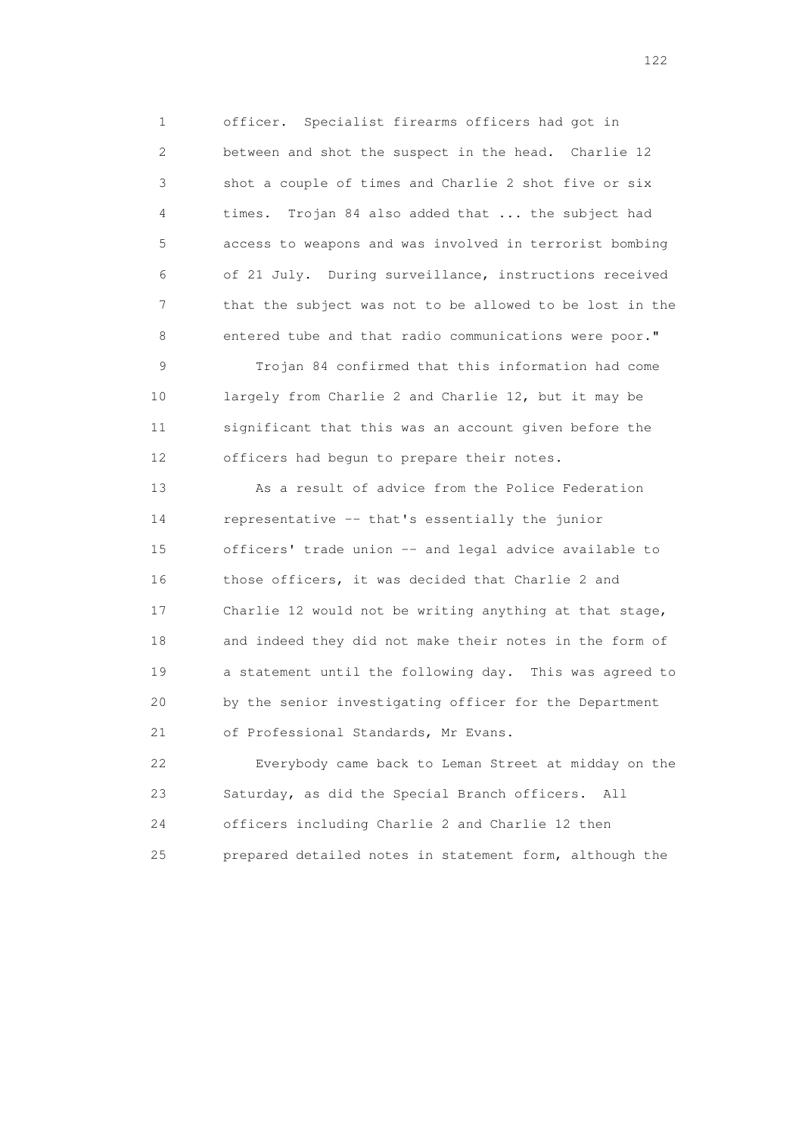1 officer. Specialist firearms officers had got in 2 between and shot the suspect in the head. Charlie 12 3 shot a couple of times and Charlie 2 shot five or six 4 times. Trojan 84 also added that ... the subject had 5 access to weapons and was involved in terrorist bombing 6 of 21 July. During surveillance, instructions received 7 that the subject was not to be allowed to be lost in the 8 entered tube and that radio communications were poor."

 9 Trojan 84 confirmed that this information had come 10 largely from Charlie 2 and Charlie 12, but it may be 11 significant that this was an account given before the 12 officers had begun to prepare their notes.

 13 As a result of advice from the Police Federation 14 representative -- that's essentially the junior 15 officers' trade union -- and legal advice available to 16 those officers, it was decided that Charlie 2 and 17 Charlie 12 would not be writing anything at that stage, 18 and indeed they did not make their notes in the form of 19 a statement until the following day. This was agreed to 20 by the senior investigating officer for the Department 21 of Professional Standards, Mr Evans.

 22 Everybody came back to Leman Street at midday on the 23 Saturday, as did the Special Branch officers. All 24 officers including Charlie 2 and Charlie 12 then 25 prepared detailed notes in statement form, although the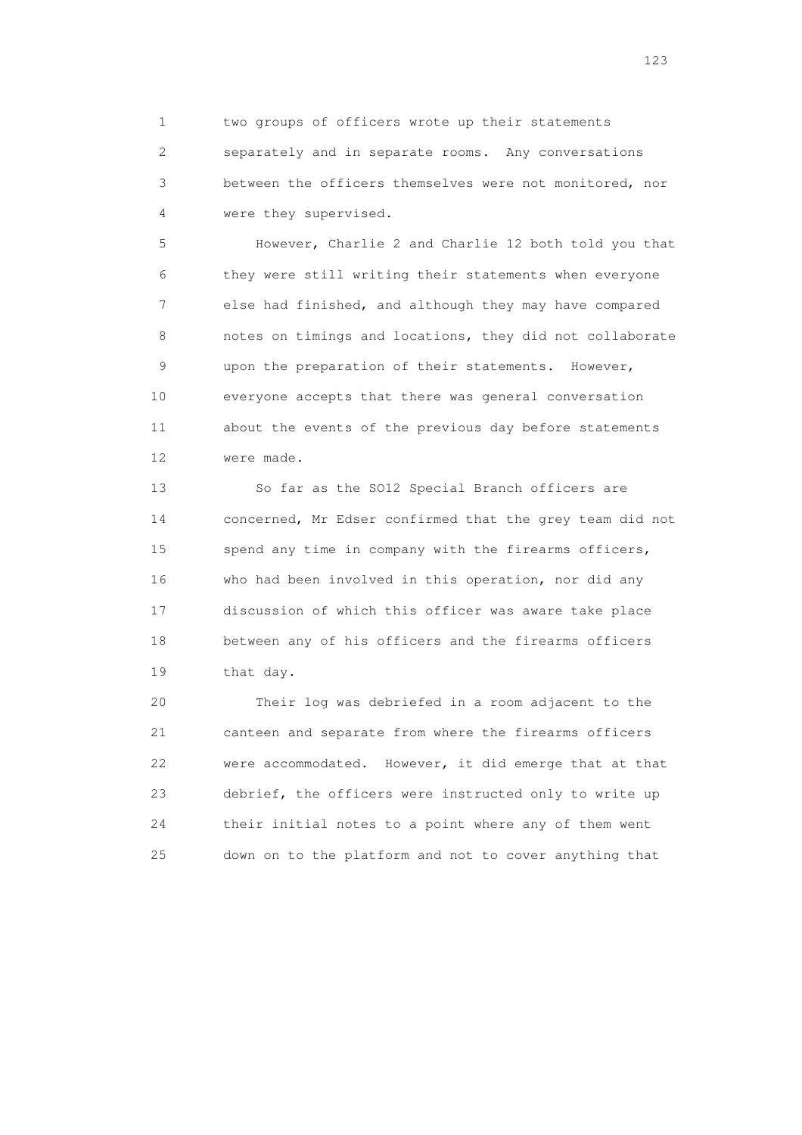1 two groups of officers wrote up their statements 2 separately and in separate rooms. Any conversations 3 between the officers themselves were not monitored, nor 4 were they supervised.

 5 However, Charlie 2 and Charlie 12 both told you that 6 they were still writing their statements when everyone 7 else had finished, and although they may have compared 8 notes on timings and locations, they did not collaborate 9 upon the preparation of their statements. However, 10 everyone accepts that there was general conversation 11 about the events of the previous day before statements 12 were made.

 13 So far as the SO12 Special Branch officers are 14 concerned, Mr Edser confirmed that the grey team did not 15 spend any time in company with the firearms officers, 16 who had been involved in this operation, nor did any 17 discussion of which this officer was aware take place 18 between any of his officers and the firearms officers 19 that day.

 20 Their log was debriefed in a room adjacent to the 21 canteen and separate from where the firearms officers 22 were accommodated. However, it did emerge that at that 23 debrief, the officers were instructed only to write up 24 their initial notes to a point where any of them went 25 down on to the platform and not to cover anything that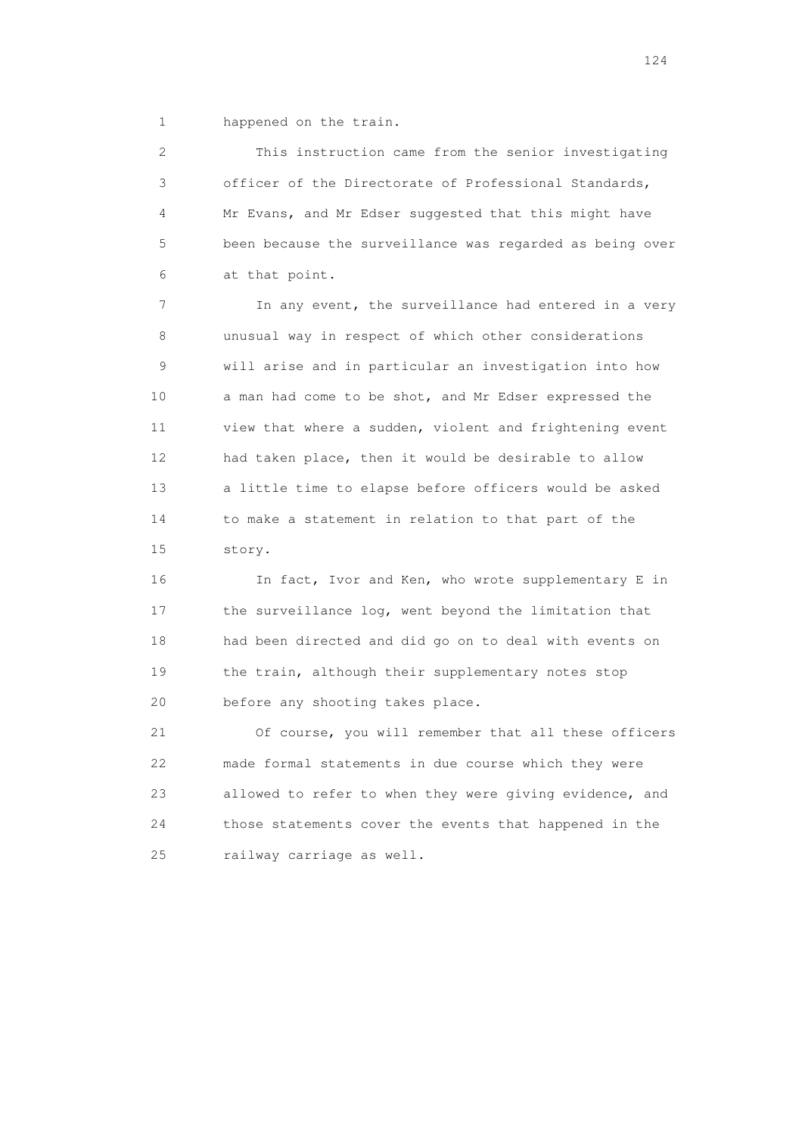1 happened on the train.

 2 This instruction came from the senior investigating 3 officer of the Directorate of Professional Standards, 4 Mr Evans, and Mr Edser suggested that this might have 5 been because the surveillance was regarded as being over 6 at that point.

 7 In any event, the surveillance had entered in a very 8 unusual way in respect of which other considerations 9 will arise and in particular an investigation into how 10 a man had come to be shot, and Mr Edser expressed the 11 view that where a sudden, violent and frightening event 12 had taken place, then it would be desirable to allow 13 a little time to elapse before officers would be asked 14 to make a statement in relation to that part of the 15 story.

 16 In fact, Ivor and Ken, who wrote supplementary E in 17 the surveillance log, went beyond the limitation that 18 had been directed and did go on to deal with events on 19 the train, although their supplementary notes stop 20 before any shooting takes place.

 21 Of course, you will remember that all these officers 22 made formal statements in due course which they were 23 allowed to refer to when they were giving evidence, and 24 those statements cover the events that happened in the 25 railway carriage as well.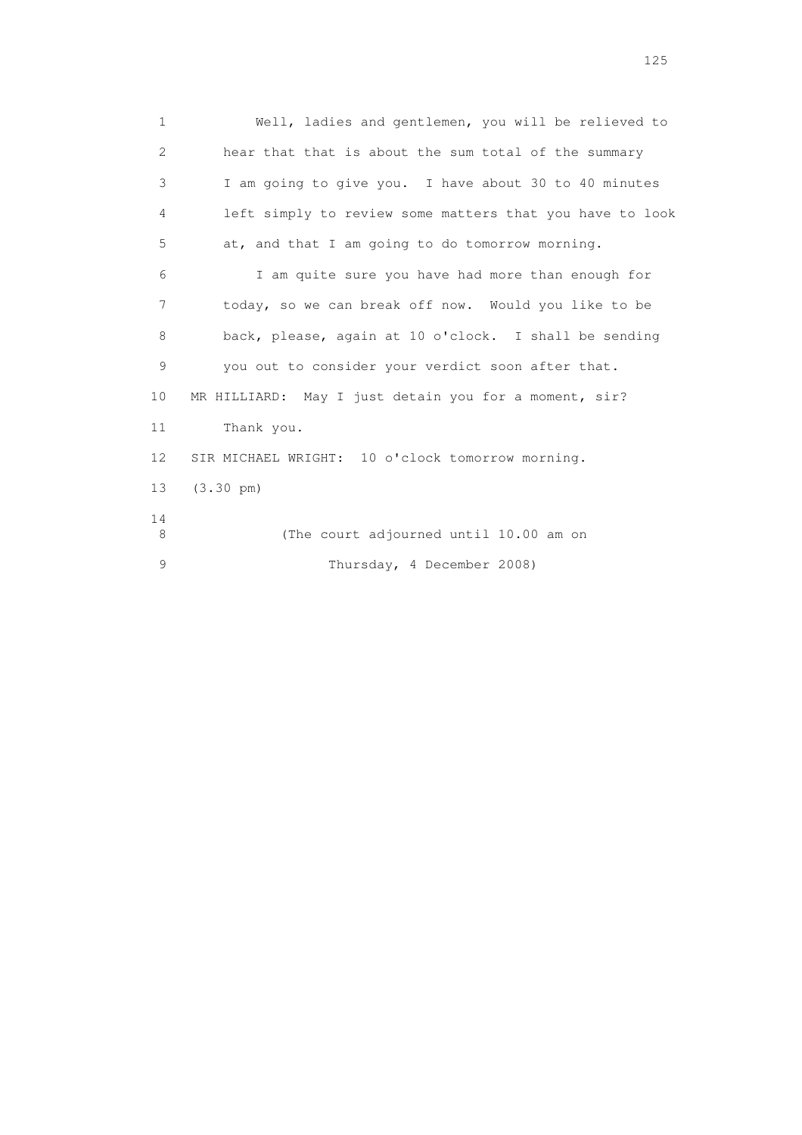1 Well, ladies and gentlemen, you will be relieved to 2 hear that that is about the sum total of the summary 3 I am going to give you. I have about 30 to 40 minutes 4 left simply to review some matters that you have to look 5 at, and that I am going to do tomorrow morning. 6 I am quite sure you have had more than enough for 7 today, so we can break off now. Would you like to be 8 back, please, again at 10 o'clock. I shall be sending 9 you out to consider your verdict soon after that. 10 MR HILLIARD: May I just detain you for a moment, sir? 11 Thank you. 12 SIR MICHAEL WRIGHT: 10 o'clock tomorrow morning. 13 (3.30 pm) 14 8 (The court adjourned until 10.00 am on 9 Thursday, 4 December 2008)